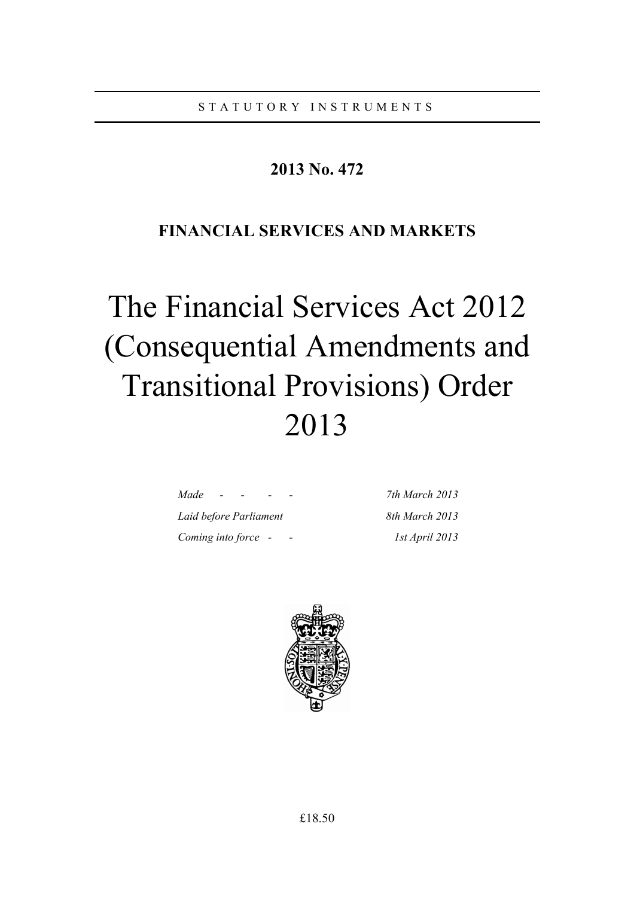# **2013 No. 472**

# **FINANCIAL SERVICES AND MARKETS**

# The Financial Services Act 2012 (Consequential Amendments and Transitional Provisions) Order 2013

| Made                   |  |  |  |
|------------------------|--|--|--|
| Laid before Parliament |  |  |  |
| Coming into force      |  |  |  |

*Made - - - - 7th March 2013 Laid before Parliament 8th March 2013 Coming into force - - 1st April 2013* 

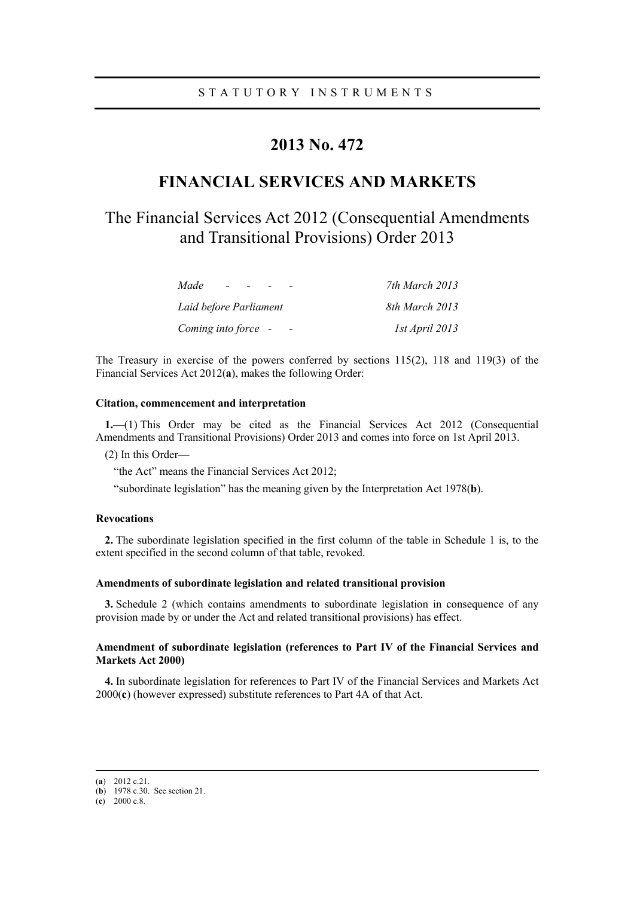# **2013 No. 472**

# **FINANCIAL SERVICES AND MARKETS**

# The Financial Services Act 2012 (Consequential Amendments and Transitional Provisions) Order 2013

| Made<br>$\sim$         | 7th March 2013 |
|------------------------|----------------|
| Laid before Parliament | 8th March 2013 |
| Coming into force -    | 1st April 2013 |

The Treasury in exercise of the powers conferred by sections 115(2), 118 and 119(3) of the Financial Services Act 2012(**a**), makes the following Order:

# **Citation, commencement and interpretation**

**1.**—(1) This Order may be cited as the Financial Services Act 2012 (Consequential Amendments and Transitional Provisions) Order 2013 and comes into force on 1st April 2013.

(2) In this Order—

"the Act" means the Financial Services Act 2012;

"subordinate legislation" has the meaning given by the Interpretation Act 1978(**b**).

# **Revocations**

**2.** The subordinate legislation specified in the first column of the table in Schedule 1 is, to the extent specified in the second column of that table, revoked.

## **Amendments of subordinate legislation and related transitional provision**

**3.** Schedule 2 (which contains amendments to subordinate legislation in consequence of any provision made by or under the Act and related transitional provisions) has effect.

# **Amendment of subordinate legislation (references to Part IV of the Financial Services and Markets Act 2000)**

**4.** In subordinate legislation for references to Part IV of the Financial Services and Markets Act 2000(**c**) (however expressed) substitute references to Part 4A of that Act.

 <sup>(</sup>**a**) 2012 c.21.

<sup>(</sup>**b**) 1978 c.30. See section 21.

<sup>(</sup>**c**) 2000 c.8.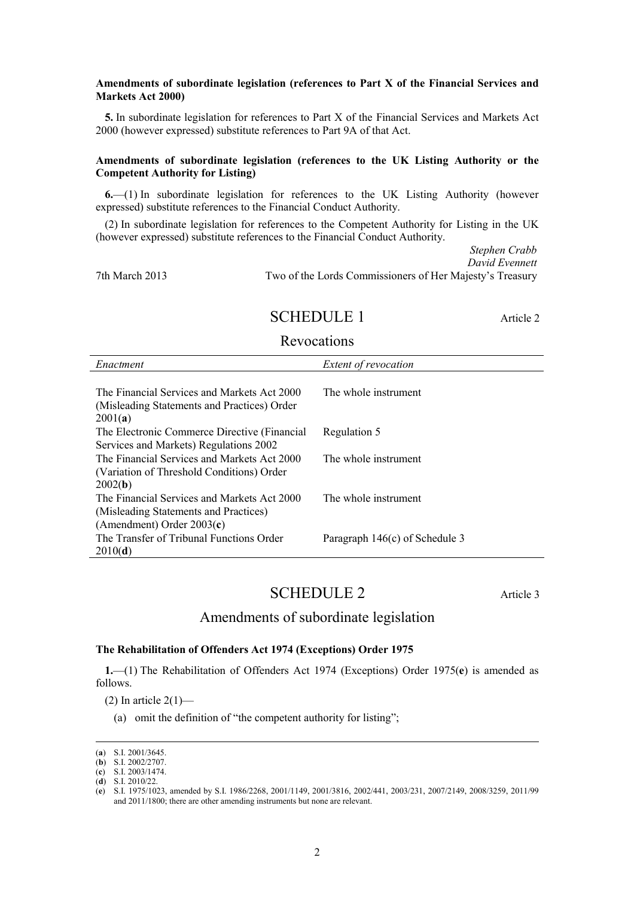# **Amendments of subordinate legislation (references to Part X of the Financial Services and Markets Act 2000)**

**5.** In subordinate legislation for references to Part X of the Financial Services and Markets Act 2000 (however expressed) substitute references to Part 9A of that Act.

# **Amendments of subordinate legislation (references to the UK Listing Authority or the Competent Authority for Listing)**

**6.**—(1) In subordinate legislation for references to the UK Listing Authority (however expressed) substitute references to the Financial Conduct Authority.

(2) In subordinate legislation for references to the Competent Authority for Listing in the UK (however expressed) substitute references to the Financial Conduct Authority.

*Stephen Crabb David Evennett* 7th March 2013 Two of the Lords Commissioners of Her Majesty's Treasury

# SCHEDULE 1 Article 2

# Revocations

| Enactment                                    | Extent of revocation           |
|----------------------------------------------|--------------------------------|
|                                              |                                |
| The Financial Services and Markets Act 2000  | The whole instrument           |
| (Misleading Statements and Practices) Order  |                                |
| 2001(a)                                      |                                |
| The Electronic Commerce Directive (Financial | Regulation 5                   |
| Services and Markets) Regulations 2002       |                                |
| The Financial Services and Markets Act 2000  | The whole instrument           |
| (Variation of Threshold Conditions) Order    |                                |
| 2002(b)                                      |                                |
| The Financial Services and Markets Act 2000  | The whole instrument           |
| (Misleading Statements and Practices)        |                                |
| (Amendment) Order $2003(c)$                  |                                |
| The Transfer of Tribunal Functions Order     | Paragraph 146(c) of Schedule 3 |
| 2010(d)                                      |                                |

# SCHEDULE 2 Article 3

# Amendments of subordinate legislation

# **The Rehabilitation of Offenders Act 1974 (Exceptions) Order 1975**

**1.**—(1) The Rehabilitation of Offenders Act 1974 (Exceptions) Order 1975(**e**) is amended as follows.

(2) In article  $2(1)$ —

(a) omit the definition of "the competent authority for listing";

 <sup>(</sup>**a**) S.I. 2001/3645.

<sup>(</sup>**b**) S.I. 2002/2707.

<sup>(</sup>**c**) S.I. 2003/1474.

<sup>(</sup>**d**) S.I. 2010/22.

<sup>(</sup>**e**) S.I. 1975/1023, amended by S.I. 1986/2268, 2001/1149, 2001/3816, 2002/441, 2003/231, 2007/2149, 2008/3259, 2011/99 and 2011/1800; there are other amending instruments but none are relevant.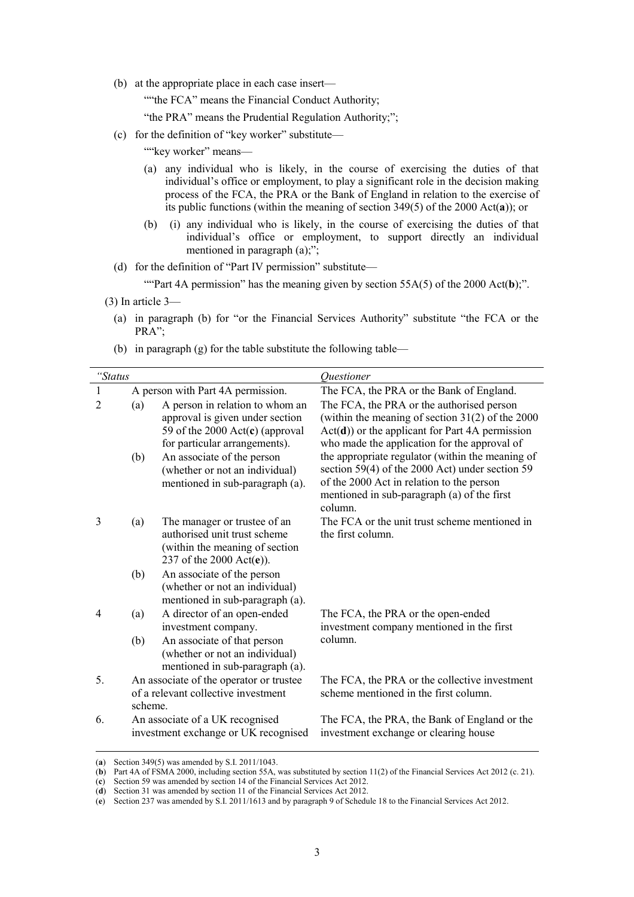(b) at the appropriate place in each case insert—

""the FCA" means the Financial Conduct Authority;

"the PRA" means the Prudential Regulation Authority;";

(c) for the definition of "key worker" substitute—

""key worker" means-

- (a) any individual who is likely, in the course of exercising the duties of that individual's office or employment, to play a significant role in the decision making process of the FCA, the PRA or the Bank of England in relation to the exercise of its public functions (within the meaning of section 349(5) of the 2000 Act(**a**)); or
- (b) (i) any individual who is likely, in the course of exercising the duties of that individual's office or employment, to support directly an individual mentioned in paragraph (a);";
- (d) for the definition of "Part IV permission" substitute—

""Part 4A permission" has the meaning given by section 55A(5) of the 2000 Act(b);".

- (a) in paragraph (b) for "or the Financial Services Authority" substitute "the FCA or the PRA";
- (b) in paragraph (g) for the table substitute the following table—

| "Status |                                   |                                                                                                                                          | Ouestioner                                                                                                                                                                                                 |  |
|---------|-----------------------------------|------------------------------------------------------------------------------------------------------------------------------------------|------------------------------------------------------------------------------------------------------------------------------------------------------------------------------------------------------------|--|
| 1       | A person with Part 4A permission. |                                                                                                                                          | The FCA, the PRA or the Bank of England.                                                                                                                                                                   |  |
| 2       | (a)                               | A person in relation to whom an<br>approval is given under section<br>59 of the 2000 $Act(c)$ (approval<br>for particular arrangements). | The FCA, the PRA or the authorised person<br>(within the meaning of section $31(2)$ of the 2000<br>$Act(d))$ or the applicant for Part 4A permission<br>who made the application for the approval of       |  |
|         | (b)                               | An associate of the person<br>(whether or not an individual)<br>mentioned in sub-paragraph (a).                                          | the appropriate regulator (within the meaning of<br>section 59(4) of the 2000 Act) under section 59<br>of the 2000 Act in relation to the person<br>mentioned in sub-paragraph (a) of the first<br>column. |  |
| 3       | (a)                               | The manager or trustee of an<br>authorised unit trust scheme<br>(within the meaning of section<br>237 of the 2000 $Act(e)$ ).            | The FCA or the unit trust scheme mentioned in<br>the first column.                                                                                                                                         |  |
|         | (b)                               | An associate of the person<br>(whether or not an individual)<br>mentioned in sub-paragraph (a).                                          |                                                                                                                                                                                                            |  |
| 4       | (a)                               | A director of an open-ended<br>investment company.                                                                                       | The FCA, the PRA or the open-ended<br>investment company mentioned in the first                                                                                                                            |  |
|         | (b)                               | An associate of that person<br>(whether or not an individual)<br>mentioned in sub-paragraph (a).                                         | column.                                                                                                                                                                                                    |  |
| 5.      | scheme.                           | An associate of the operator or trustee<br>of a relevant collective investment                                                           | The FCA, the PRA or the collective investment<br>scheme mentioned in the first column.                                                                                                                     |  |
| 6.      |                                   | An associate of a UK recognised<br>investment exchange or UK recognised                                                                  | The FCA, the PRA, the Bank of England or the<br>investment exchange or clearing house                                                                                                                      |  |

 <sup>(</sup>**a**) Section 349(5) was amended by S.I. 2011/1043.

<sup>(3)</sup> In article 3—

<sup>(</sup>**b**) Part 4A of FSMA 2000, including section 55A, was substituted by section 11(2) of the Financial Services Act 2012 (c. 21).

<sup>(</sup>**c**) Section 59 was amended by section 14 of the Financial Services Act 2012.

<sup>(</sup>**d**) Section 31 was amended by section 11 of the Financial Services Act 2012.

<sup>(</sup>**e**) Section 237 was amended by S.I. 2011/1613 and by paragraph 9 of Schedule 18 to the Financial Services Act 2012.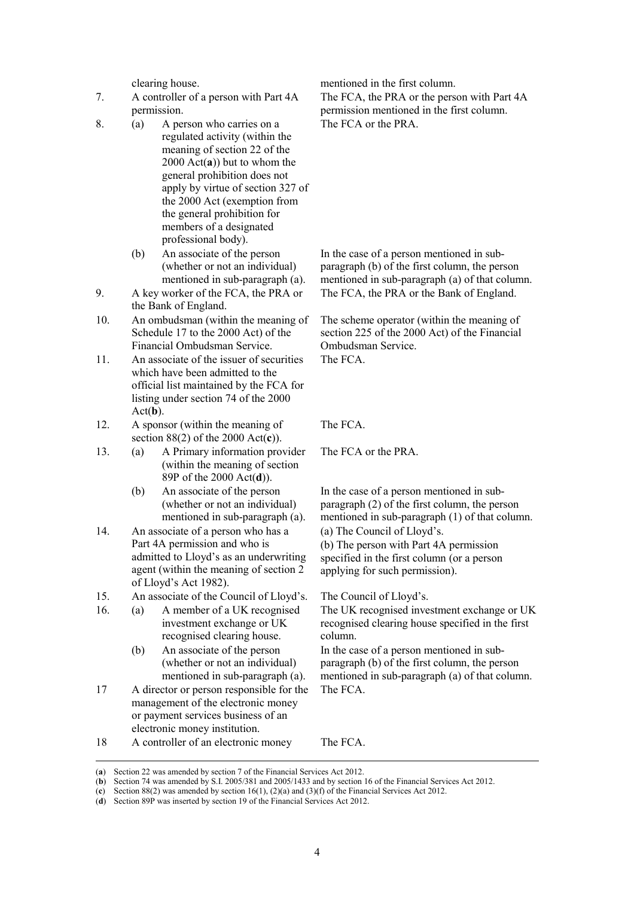- 7. A controller of a person with Part 4A permission.
- 8. (a) A person who carries on a regulated activity (within the meaning of section 22 of the 2000 Act(**a**)) but to whom the general prohibition does not apply by virtue of section 327 of the 2000 Act (exemption from the general prohibition for members of a designated professional body).
	- (b) An associate of the person (whether or not an individual) mentioned in sub-paragraph (a).
- 9. A key worker of the FCA, the PRA or the Bank of England.
- 10. An ombudsman (within the meaning of Schedule 17 to the 2000 Act) of the Financial Ombudsman Service.
- 11. An associate of the issuer of securities which have been admitted to the official list maintained by the FCA for listing under section 74 of the 2000 Act(**b**).
- 12. A sponsor (within the meaning of section 88(2) of the 2000 Act(**c**)).
- 13. (a) A Primary information provider (within the meaning of section 89P of the 2000 Act(**d**)).
	- (b) An associate of the person (whether or not an individual) mentioned in sub-paragraph (a).
- 14. An associate of a person who has a Part 4A permission and who is admitted to Lloyd's as an underwriting agent (within the meaning of section 2 of Lloyd's Act 1982).
- 15. An associate of the Council of Lloyd's. The Council of Lloyd's.
- 16. (a) A member of a UK recognised investment exchange or UK recognised clearing house.
	- (b) An associate of the person (whether or not an individual) mentioned in sub-paragraph (a).
- 17 A director or person responsible for the management of the electronic money or payment services business of an electronic money institution.

clearing house. mentioned in the first column.

The FCA, the PRA or the person with Part 4A permission mentioned in the first column. The FCA or the PRA.

In the case of a person mentioned in subparagraph (b) of the first column, the person mentioned in sub-paragraph (a) of that column. The FCA, the PRA or the Bank of England.

The scheme operator (within the meaning of section 225 of the 2000 Act) of the Financial Ombudsman Service. The FCA.

The FCA.

The FCA or the PRA.

In the case of a person mentioned in subparagraph (2) of the first column, the person mentioned in sub-paragraph (1) of that column. (a) The Council of Lloyd's. (b) The person with Part 4A permission specified in the first column (or a person applying for such permission).

The UK recognised investment exchange or UK recognised clearing house specified in the first column.

In the case of a person mentioned in subparagraph (b) of the first column, the person mentioned in sub-paragraph (a) of that column. The FCA.

18 A controller of an electronic money The FCA.

 <sup>(</sup>**a**) Section 22 was amended by section 7 of the Financial Services Act 2012.

<sup>(</sup>**b**) Section 74 was amended by S.I. 2005/381 and 2005/1433 and by section 16 of the Financial Services Act 2012.

<sup>(</sup>**c**) Section 88(2) was amended by section 16(1), (2)(a) and (3)(f) of the Financial Services Act 2012.

<sup>(</sup>**d**) Section 89P was inserted by section 19 of the Financial Services Act 2012.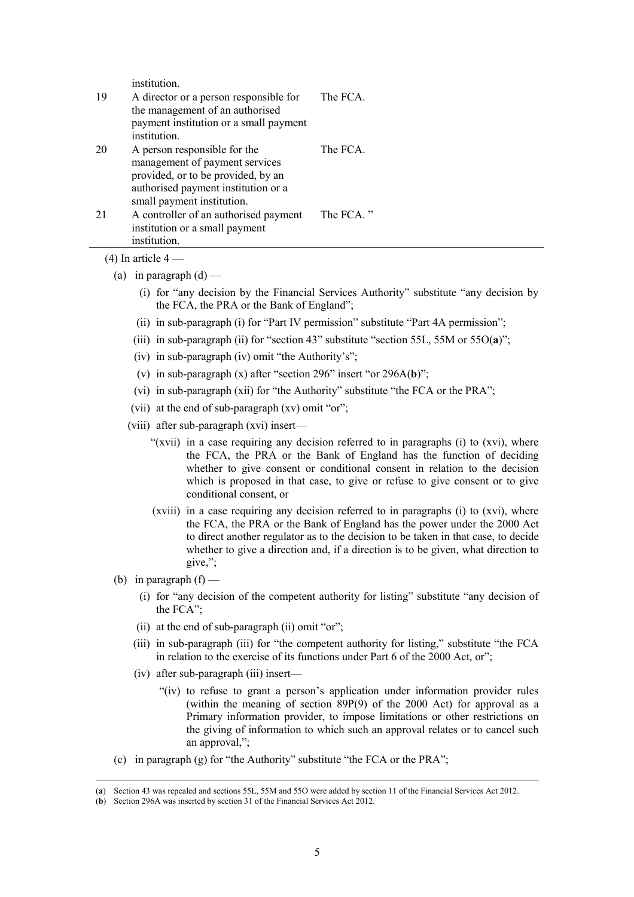institution.

| 19 | A director or a person responsible for<br>the management of an authorised<br>payment institution or a small payment<br>institution.                                       | The FCA.  |
|----|---------------------------------------------------------------------------------------------------------------------------------------------------------------------------|-----------|
| 20 | A person responsible for the<br>management of payment services<br>provided, or to be provided, by an<br>authorised payment institution or a<br>small payment institution. | The FCA.  |
| 21 | A controller of an authorised payment<br>institution or a small payment<br>institution.                                                                                   | The FCA." |

 $(4)$  In article  $4-$ 

- (a) in paragraph  $(d)$ 
	- (i) for "any decision by the Financial Services Authority" substitute "any decision by the FCA, the PRA or the Bank of England";
	- (ii) in sub-paragraph (i) for "Part IV permission" substitute "Part 4A permission";
	- (iii) in sub-paragraph (ii) for "section 43" substitute "section 55L, 55M or 55O(**a**)";
	- (iv) in sub-paragraph (iv) omit "the Authority's";
	- (v) in sub-paragraph (x) after "section 296" insert "or 296A(**b**)";
	- (vi) in sub-paragraph (xii) for "the Authority" substitute "the FCA or the PRA";
	- (vii) at the end of sub-paragraph (xv) omit "or";
	- (viii) after sub-paragraph (xvi) insert—
		- "(xvii) in a case requiring any decision referred to in paragraphs (i) to (xvi), where the FCA, the PRA or the Bank of England has the function of deciding whether to give consent or conditional consent in relation to the decision which is proposed in that case, to give or refuse to give consent or to give conditional consent, or
		- (xviii) in a case requiring any decision referred to in paragraphs (i) to (xvi), where the FCA, the PRA or the Bank of England has the power under the 2000 Act to direct another regulator as to the decision to be taken in that case, to decide whether to give a direction and, if a direction is to be given, what direction to give,";
- (b) in paragraph  $(f)$ 
	- (i) for "any decision of the competent authority for listing" substitute "any decision of the FCA";
	- (ii) at the end of sub-paragraph (ii) omit "or";
	- (iii) in sub-paragraph (iii) for "the competent authority for listing," substitute "the FCA in relation to the exercise of its functions under Part 6 of the 2000 Act, or";
	- (iv) after sub-paragraph (iii) insert—
		- "(iv) to refuse to grant a person's application under information provider rules (within the meaning of section 89P(9) of the 2000 Act) for approval as a Primary information provider, to impose limitations or other restrictions on the giving of information to which such an approval relates or to cancel such an approval,";
- (c) in paragraph (g) for "the Authority" substitute "the FCA or the PRA";

 <sup>(</sup>**a**) Section 43 was repealed and sections 55L, 55M and 55O were added by section 11 of the Financial Services Act 2012.

<sup>(</sup>**b**) Section 296A was inserted by section 31 of the Financial Services Act 2012.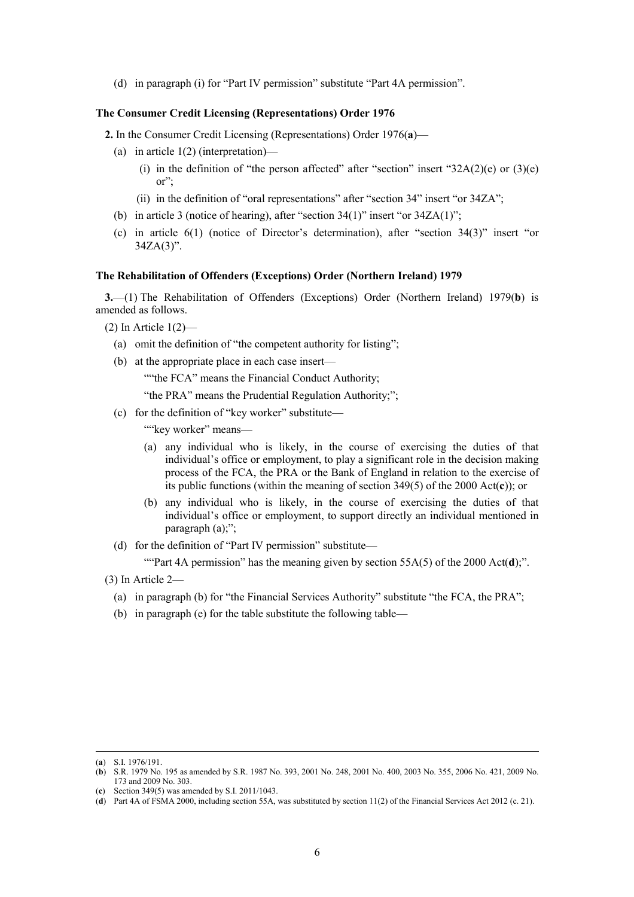(d) in paragraph (i) for "Part IV permission" substitute "Part 4A permission".

#### **The Consumer Credit Licensing (Representations) Order 1976**

**2.** In the Consumer Credit Licensing (Representations) Order 1976(**a**)—

- (a) in article  $1(2)$  (interpretation)—
	- (i) in the definition of "the person affected" after "section" insert " $32A(2)(e)$  or  $(3)(e)$ or";
	- (ii) in the definition of "oral representations" after "section 34" insert "or 34ZA";
- (b) in article 3 (notice of hearing), after "section  $34(1)$ " insert "or  $34ZA(1)$ ";
- (c) in article 6(1) (notice of Director's determination), after "section 34(3)" insert "or  $34ZA(3)$ ".

# **The Rehabilitation of Offenders (Exceptions) Order (Northern Ireland) 1979**

**3.**—(1) The Rehabilitation of Offenders (Exceptions) Order (Northern Ireland) 1979(**b**) is amended as follows.

(2) In Article 1(2)—

- (a) omit the definition of "the competent authority for listing";
- (b) at the appropriate place in each case insert—

""the FCA" means the Financial Conduct Authority;

"the PRA" means the Prudential Regulation Authority;";

(c) for the definition of "key worker" substitute—

""key worker" means-

- (a) any individual who is likely, in the course of exercising the duties of that individual's office or employment, to play a significant role in the decision making process of the FCA, the PRA or the Bank of England in relation to the exercise of its public functions (within the meaning of section 349(5) of the 2000 Act(**c**)); or
- (b) any individual who is likely, in the course of exercising the duties of that individual's office or employment, to support directly an individual mentioned in paragraph (a);";
- (d) for the definition of "Part IV permission" substitute—

""Part 4A permission" has the meaning given by section 55A(5) of the 2000 Act(**d**);".

- (3) In Article 2—
	- (a) in paragraph (b) for "the Financial Services Authority" substitute "the FCA, the PRA";
	- (b) in paragraph (e) for the table substitute the following table—

 <sup>(</sup>**a**) S.I. 1976/191.

<sup>(</sup>**b**) S.R. 1979 No. 195 as amended by S.R. 1987 No. 393, 2001 No. 248, 2001 No. 400, 2003 No. 355, 2006 No. 421, 2009 No. 173 and 2009 No. 303.

<sup>(</sup>**c**) Section 349(5) was amended by S.I. 2011/1043.

<sup>(</sup>**d**) Part 4A of FSMA 2000, including section 55A, was substituted by section 11(2) of the Financial Services Act 2012 (c. 21).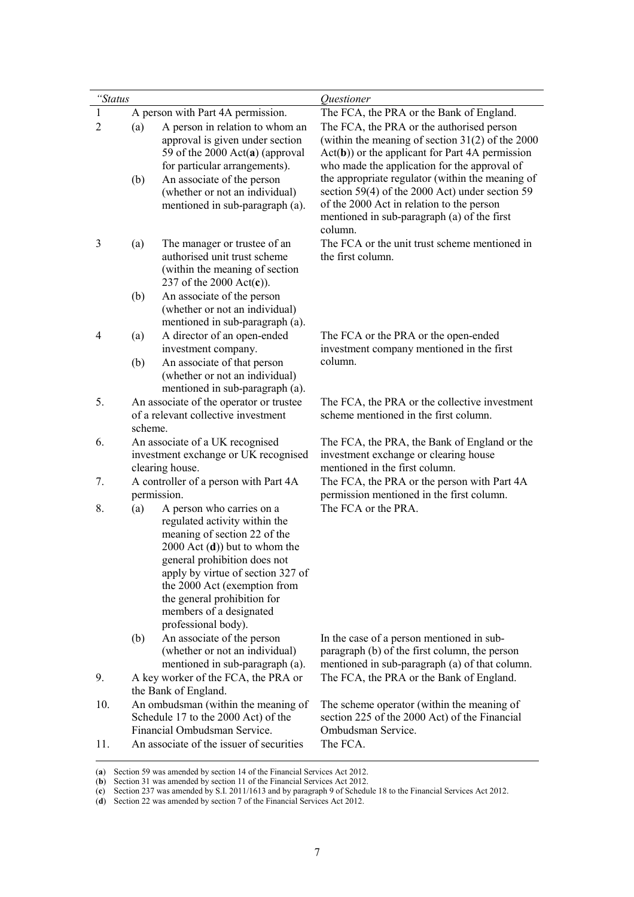| "Status        |         |                                                                                                                                                                                                                                                                                                                     | Questioner                                                                                                                                                                                                 |
|----------------|---------|---------------------------------------------------------------------------------------------------------------------------------------------------------------------------------------------------------------------------------------------------------------------------------------------------------------------|------------------------------------------------------------------------------------------------------------------------------------------------------------------------------------------------------------|
| $\mathbf{1}$   |         | A person with Part 4A permission.                                                                                                                                                                                                                                                                                   | The FCA, the PRA or the Bank of England.                                                                                                                                                                   |
| $\overline{2}$ | (a)     | A person in relation to whom an<br>approval is given under section<br>59 of the 2000 $Act(a)$ (approval<br>for particular arrangements).                                                                                                                                                                            | The FCA, the PRA or the authorised person<br>(within the meaning of section $31(2)$ of the 2000<br>$Act(b))$ or the applicant for Part 4A permission<br>who made the application for the approval of       |
|                | (b)     | An associate of the person<br>(whether or not an individual)<br>mentioned in sub-paragraph (a).                                                                                                                                                                                                                     | the appropriate regulator (within the meaning of<br>section 59(4) of the 2000 Act) under section 59<br>of the 2000 Act in relation to the person<br>mentioned in sub-paragraph (a) of the first<br>column. |
| 3              | (a)     | The manager or trustee of an<br>authorised unit trust scheme<br>(within the meaning of section)<br>237 of the 2000 $Act(c)$ ).                                                                                                                                                                                      | The FCA or the unit trust scheme mentioned in<br>the first column.                                                                                                                                         |
|                | (b)     | An associate of the person<br>(whether or not an individual)<br>mentioned in sub-paragraph (a).                                                                                                                                                                                                                     |                                                                                                                                                                                                            |
| 4              | (a)     | A director of an open-ended<br>investment company.                                                                                                                                                                                                                                                                  | The FCA or the PRA or the open-ended<br>investment company mentioned in the first                                                                                                                          |
|                | (b)     | An associate of that person<br>(whether or not an individual)<br>mentioned in sub-paragraph (a).                                                                                                                                                                                                                    | column.                                                                                                                                                                                                    |
| 5.             | scheme. | An associate of the operator or trustee<br>of a relevant collective investment                                                                                                                                                                                                                                      | The FCA, the PRA or the collective investment<br>scheme mentioned in the first column.                                                                                                                     |
| 6.             |         | An associate of a UK recognised<br>investment exchange or UK recognised<br>clearing house.                                                                                                                                                                                                                          | The FCA, the PRA, the Bank of England or the<br>investment exchange or clearing house<br>mentioned in the first column.                                                                                    |
| 7.             |         | A controller of a person with Part 4A<br>permission.                                                                                                                                                                                                                                                                | The FCA, the PRA or the person with Part 4A<br>permission mentioned in the first column.                                                                                                                   |
| 8.             | (a)     | A person who carries on a<br>regulated activity within the<br>meaning of section 22 of the<br>$2000$ Act (d)) but to whom the<br>general prohibition does not<br>apply by virtue of section 327 of<br>the 2000 Act (exemption from<br>the general prohibition for<br>members of a designated<br>professional body). | The FCA or the PRA.                                                                                                                                                                                        |
|                | (b)     | An associate of the person<br>(whether or not an individual)<br>mentioned in sub-paragraph (a).                                                                                                                                                                                                                     | In the case of a person mentioned in sub-<br>paragraph (b) of the first column, the person<br>mentioned in sub-paragraph (a) of that column.                                                               |
| 9.             |         | A key worker of the FCA, the PRA or<br>the Bank of England.                                                                                                                                                                                                                                                         | The FCA, the PRA or the Bank of England.                                                                                                                                                                   |
| 10.            |         | An ombudsman (within the meaning of<br>Schedule 17 to the 2000 Act) of the<br>Financial Ombudsman Service.                                                                                                                                                                                                          | The scheme operator (within the meaning of<br>section 225 of the 2000 Act) of the Financial<br>Ombudsman Service.                                                                                          |
| 11.            |         | An associate of the issuer of securities                                                                                                                                                                                                                                                                            | The FCA.                                                                                                                                                                                                   |

 <sup>(</sup>**a**) Section 59 was amended by section 14 of the Financial Services Act 2012.

<sup>(</sup>**b**) Section 31 was amended by section 11 of the Financial Services Act 2012.

<sup>(</sup>**c**) Section 237 was amended by S.I. 2011/1613 and by paragraph 9 of Schedule 18 to the Financial Services Act 2012.

<sup>(</sup>**d**) Section 22 was amended by section 7 of the Financial Services Act 2012.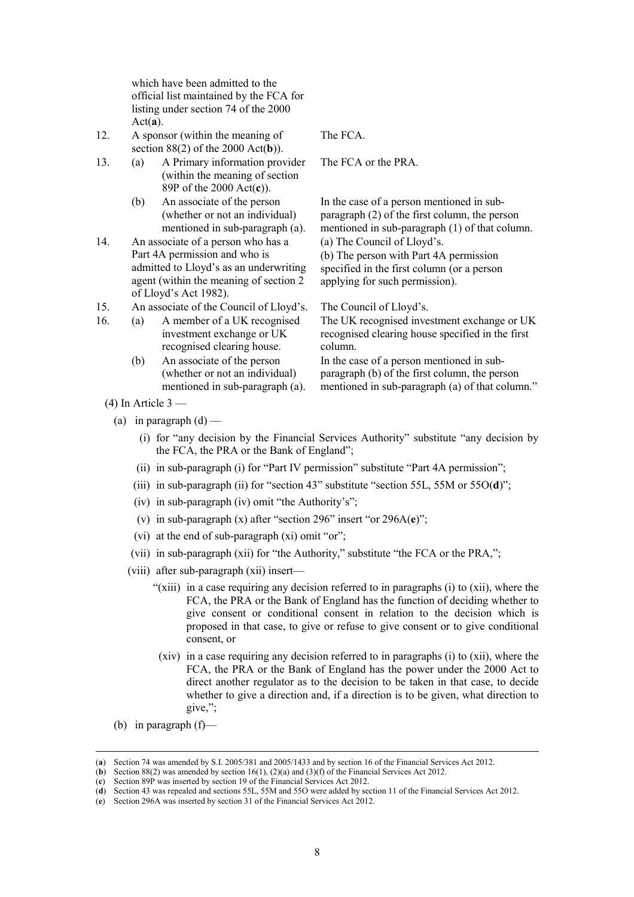which have been admitted to the official list maintained by the FCA for listing under section 74 of the 2000 Act(**a**).

- 12. A sponsor (within the meaning of section 88(2) of the 2000 Act(**b**)).
- 13. (a) A Primary information provider (within the meaning of section 89P of the 2000 Act(**c**)).
	- (b) An associate of the person (whether or not an individual) mentioned in sub-paragraph (a).
- 14. An associate of a person who has a Part 4A permission and who is admitted to Lloyd's as an underwriting agent (within the meaning of section 2 of Lloyd's Act 1982).

15. An associate of the Council of Lloyd's. The Council of Lloyd's.

- 16. (a) A member of a UK recognised investment exchange or UK recognised clearing house.
	- (b) An associate of the person (whether or not an individual) mentioned in sub-paragraph (a).

The FCA.

The FCA or the PRA.

In the case of a person mentioned in subparagraph (2) of the first column, the person mentioned in sub-paragraph (1) of that column. (a) The Council of Lloyd's.

(b) The person with Part 4A permission specified in the first column (or a person applying for such permission).

The UK recognised investment exchange or UK recognised clearing house specified in the first column.

In the case of a person mentioned in subparagraph (b) of the first column, the person mentioned in sub-paragraph (a) of that column."

- $(4)$  In Article 3
	- (a) in paragraph  $(d)$ 
		- (i) for "any decision by the Financial Services Authority" substitute "any decision by the FCA, the PRA or the Bank of England";
		- (ii) in sub-paragraph (i) for "Part IV permission" substitute "Part 4A permission";
		- (iii) in sub-paragraph (ii) for "section 43" substitute "section 55L, 55M or 55O(**d**)";
		- (iv) in sub-paragraph (iv) omit "the Authority's";
		- (v) in sub-paragraph (x) after "section 296" insert "or 296A(**e**)";
		- (vi) at the end of sub-paragraph (xi) omit "or";
		- (vii) in sub-paragraph (xii) for "the Authority," substitute "the FCA or the PRA,";
		- (viii) after sub-paragraph (xii) insert—
			- "(xiii) in a case requiring any decision referred to in paragraphs (i) to (xii), where the FCA, the PRA or the Bank of England has the function of deciding whether to give consent or conditional consent in relation to the decision which is proposed in that case, to give or refuse to give consent or to give conditional consent, or
			- (xiv) in a case requiring any decision referred to in paragraphs (i) to (xii), where the FCA, the PRA or the Bank of England has the power under the 2000 Act to direct another regulator as to the decision to be taken in that case, to decide whether to give a direction and, if a direction is to be given, what direction to give,";
	- (b) in paragraph  $(f)$ —

 <sup>(</sup>**a**) Section 74 was amended by S.I. 2005/381 and 2005/1433 and by section 16 of the Financial Services Act 2012.

<sup>(</sup>**b**) Section 88(2) was amended by section  $16(1)$ , (2)(a) and (3)(f) of the Financial Services Act 2012.

<sup>(</sup>**c**) Section 89P was inserted by section 19 of the Financial Services Act 2012.

<sup>(</sup>**d**) Section 43 was repealed and sections 55L, 55M and 55O were added by section 11 of the Financial Services Act 2012.

<sup>(</sup>**e**) Section 296A was inserted by section 31 of the Financial Services Act 2012.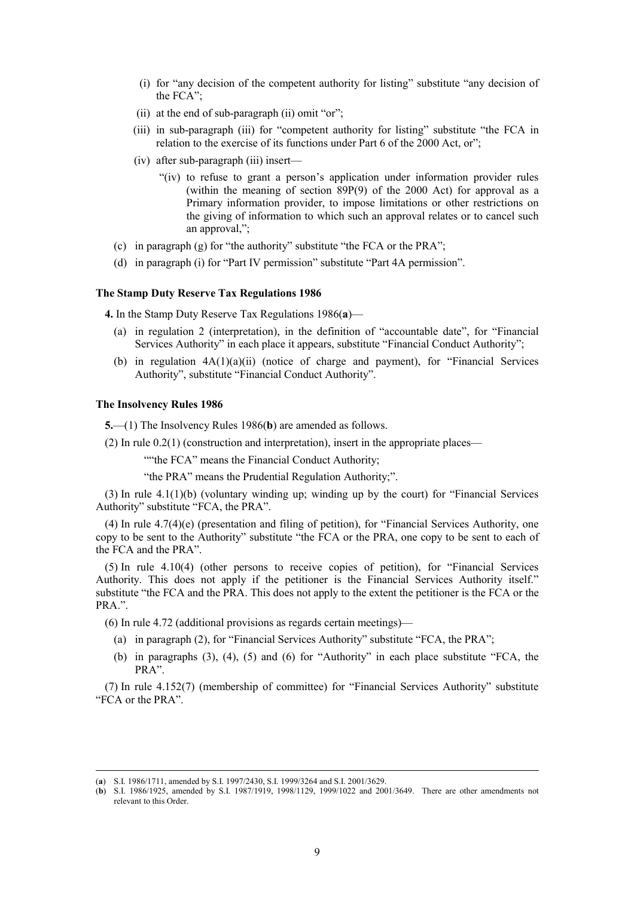- (i) for "any decision of the competent authority for listing" substitute "any decision of the FCA";
- (ii) at the end of sub-paragraph (ii) omit "or";
- (iii) in sub-paragraph (iii) for "competent authority for listing" substitute "the FCA in relation to the exercise of its functions under Part 6 of the 2000 Act, or";
- (iv) after sub-paragraph (iii) insert—
	- "(iv) to refuse to grant a person's application under information provider rules (within the meaning of section 89P(9) of the 2000 Act) for approval as a Primary information provider, to impose limitations or other restrictions on the giving of information to which such an approval relates or to cancel such an approval,";
- (c) in paragraph (g) for "the authority" substitute "the FCA or the PRA";
- (d) in paragraph (i) for "Part IV permission" substitute "Part 4A permission".

#### **The Stamp Duty Reserve Tax Regulations 1986**

**4.** In the Stamp Duty Reserve Tax Regulations 1986(**a**)—

- (a) in regulation 2 (interpretation), in the definition of "accountable date", for "Financial Services Authority" in each place it appears, substitute "Financial Conduct Authority";
- (b) in regulation  $4A(1)(a)(ii)$  (notice of charge and payment), for "Financial Services Authority", substitute "Financial Conduct Authority".

#### **The Insolvency Rules 1986**

**5.**—(1) The Insolvency Rules 1986(**b**) are amended as follows.

(2) In rule 0.2(1) (construction and interpretation), insert in the appropriate places—

""the FCA" means the Financial Conduct Authority;

"the PRA" means the Prudential Regulation Authority;".

 $(3)$  In rule  $4.1(1)$ (b) (voluntary winding up; winding up by the court) for "Financial Services" Authority" substitute "FCA, the PRA".

(4) In rule 4.7(4)(e) (presentation and filing of petition), for "Financial Services Authority, one copy to be sent to the Authority" substitute "the FCA or the PRA, one copy to be sent to each of the FCA and the PRA".

(5) In rule 4.10(4) (other persons to receive copies of petition), for "Financial Services Authority. This does not apply if the petitioner is the Financial Services Authority itself." substitute "the FCA and the PRA. This does not apply to the extent the petitioner is the FCA or the PRA.".

(6) In rule 4.72 (additional provisions as regards certain meetings)—

- (a) in paragraph (2), for "Financial Services Authority" substitute "FCA, the PRA";
- (b) in paragraphs (3), (4), (5) and (6) for "Authority" in each place substitute "FCA, the PRA".

(7) In rule 4.152(7) (membership of committee) for "Financial Services Authority" substitute "FCA or the PRA".

 <sup>(</sup>**a**) S.I. 1986/1711, amended by S.I. 1997/2430, S.I. 1999/3264 and S.I. 2001/3629.

<sup>(</sup>**b**) S.I. 1986/1925, amended by S.I. 1987/1919, 1998/1129, 1999/1022 and 2001/3649. There are other amendments not relevant to this Order.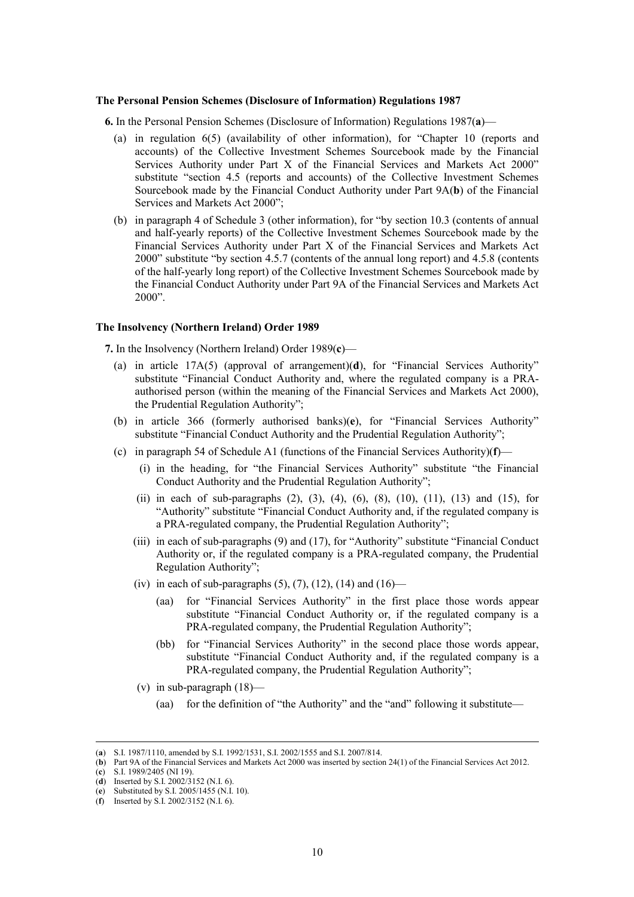#### **The Personal Pension Schemes (Disclosure of Information) Regulations 1987**

**6.** In the Personal Pension Schemes (Disclosure of Information) Regulations 1987(**a**)—

- (a) in regulation 6(5) (availability of other information), for "Chapter 10 (reports and accounts) of the Collective Investment Schemes Sourcebook made by the Financial Services Authority under Part X of the Financial Services and Markets Act 2000" substitute "section 4.5 (reports and accounts) of the Collective Investment Schemes Sourcebook made by the Financial Conduct Authority under Part 9A(**b**) of the Financial Services and Markets Act 2000";
- (b) in paragraph 4 of Schedule 3 (other information), for "by section 10.3 (contents of annual and half-yearly reports) of the Collective Investment Schemes Sourcebook made by the Financial Services Authority under Part X of the Financial Services and Markets Act 2000" substitute "by section 4.5.7 (contents of the annual long report) and 4.5.8 (contents of the half-yearly long report) of the Collective Investment Schemes Sourcebook made by the Financial Conduct Authority under Part 9A of the Financial Services and Markets Act 2000".

# **The Insolvency (Northern Ireland) Order 1989**

**7.** In the Insolvency (Northern Ireland) Order 1989(**c**)—

- (a) in article 17A(5) (approval of arrangement)(**d**), for "Financial Services Authority" substitute "Financial Conduct Authority and, where the regulated company is a PRAauthorised person (within the meaning of the Financial Services and Markets Act 2000), the Prudential Regulation Authority";
- (b) in article 366 (formerly authorised banks)(**e**), for "Financial Services Authority" substitute "Financial Conduct Authority and the Prudential Regulation Authority";
- (c) in paragraph 54 of Schedule A1 (functions of the Financial Services Authority)(**f**)—
	- (i) in the heading, for "the Financial Services Authority" substitute "the Financial Conduct Authority and the Prudential Regulation Authority";
	- (ii) in each of sub-paragraphs  $(2)$ ,  $(3)$ ,  $(4)$ ,  $(6)$ ,  $(8)$ ,  $(10)$ ,  $(11)$ ,  $(13)$  and  $(15)$ , for "Authority" substitute "Financial Conduct Authority and, if the regulated company is a PRA-regulated company, the Prudential Regulation Authority";
	- (iii) in each of sub-paragraphs (9) and (17), for "Authority" substitute "Financial Conduct Authority or, if the regulated company is a PRA-regulated company, the Prudential Regulation Authority";
	- (iv) in each of sub-paragraphs  $(5)$ ,  $(7)$ ,  $(12)$ ,  $(14)$  and  $(16)$ 
		- (aa) for "Financial Services Authority" in the first place those words appear substitute "Financial Conduct Authority or, if the regulated company is a PRA-regulated company, the Prudential Regulation Authority";
		- (bb) for "Financial Services Authority" in the second place those words appear, substitute "Financial Conduct Authority and, if the regulated company is a PRA-regulated company, the Prudential Regulation Authority";
	- (v) in sub-paragraph  $(18)$ 
		- (aa) for the definition of "the Authority" and the "and" following it substitute—

(**c**) S.I. 1989/2405 (NI 19).

 <sup>(</sup>**a**) S.I. 1987/1110, amended by S.I. 1992/1531, S.I. 2002/1555 and S.I. 2007/814.

<sup>(</sup>**b**) Part 9A of the Financial Services and Markets Act 2000 was inserted by section 24(1) of the Financial Services Act 2012.

<sup>(</sup>**d**) Inserted by S.I. 2002/3152 (N.I. 6).

<sup>(</sup>**e**) Substituted by S.I. 2005/1455 (N.I. 10).

<sup>(</sup>**f**) Inserted by S.I. 2002/3152 (N.I. 6).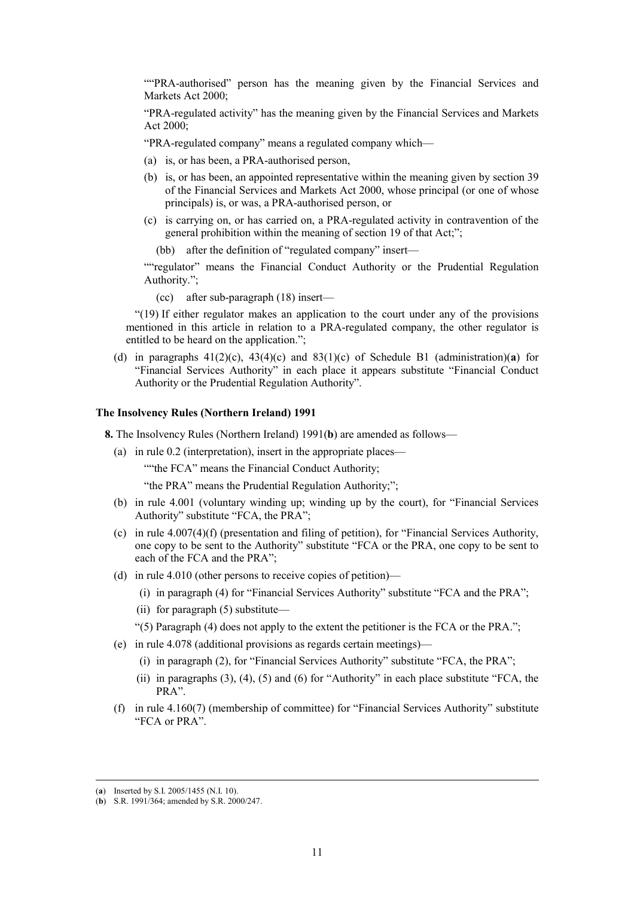""PRA-authorised" person has the meaning given by the Financial Services and Markets Act 2000;

"PRA-regulated activity" has the meaning given by the Financial Services and Markets Act  $2000$ 

"PRA-regulated company" means a regulated company which—

- (a) is, or has been, a PRA-authorised person,
- (b) is, or has been, an appointed representative within the meaning given by section 39 of the Financial Services and Markets Act 2000, whose principal (or one of whose principals) is, or was, a PRA-authorised person, or
- (c) is carrying on, or has carried on, a PRA-regulated activity in contravention of the general prohibition within the meaning of section 19 of that Act;";
	- (bb) after the definition of "regulated company" insert—

""regulator" means the Financial Conduct Authority or the Prudential Regulation Authority.";

(cc) after sub-paragraph (18) insert—

"(19) If either regulator makes an application to the court under any of the provisions mentioned in this article in relation to a PRA-regulated company, the other regulator is entitled to be heard on the application.";

(d) in paragraphs  $41(2)(c)$ ,  $43(4)(c)$  and  $83(1)(c)$  of Schedule B1 (administration)(a) for "Financial Services Authority" in each place it appears substitute "Financial Conduct Authority or the Prudential Regulation Authority".

# **The Insolvency Rules (Northern Ireland) 1991**

**8.** The Insolvency Rules (Northern Ireland) 1991(**b**) are amended as follows—

(a) in rule 0.2 (interpretation), insert in the appropriate places—

""the FCA" means the Financial Conduct Authority;

"the PRA" means the Prudential Regulation Authority;";

- (b) in rule 4.001 (voluntary winding up; winding up by the court), for "Financial Services Authority" substitute "FCA, the PRA";
- (c) in rule 4.007(4)(f) (presentation and filing of petition), for "Financial Services Authority, one copy to be sent to the Authority" substitute "FCA or the PRA, one copy to be sent to each of the FCA and the PRA";
- (d) in rule 4.010 (other persons to receive copies of petition)—
	- (i) in paragraph (4) for "Financial Services Authority" substitute "FCA and the PRA";
	- (ii) for paragraph (5) substitute—
	- "(5) Paragraph  $(4)$  does not apply to the extent the petitioner is the FCA or the PRA.";
- (e) in rule 4.078 (additional provisions as regards certain meetings)—
	- (i) in paragraph (2), for "Financial Services Authority" substitute "FCA, the PRA";
	- (ii) in paragraphs (3), (4), (5) and (6) for "Authority" in each place substitute "FCA, the PRA".
- (f) in rule 4.160(7) (membership of committee) for "Financial Services Authority" substitute "FCA or PRA".

 <sup>(</sup>**a**) Inserted by S.I. 2005/1455 (N.I. 10).

<sup>(</sup>**b**) S.R. 1991/364; amended by S.R. 2000/247.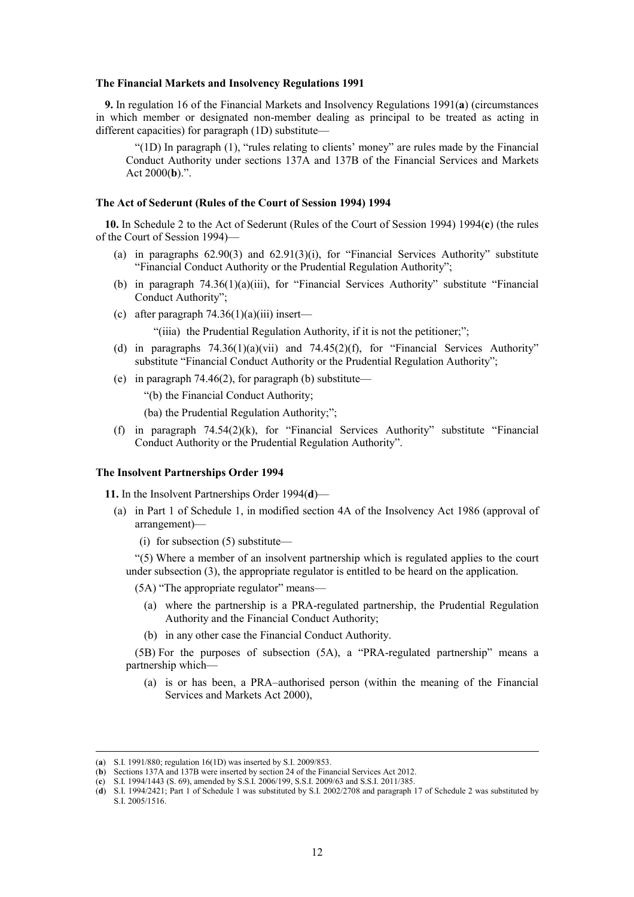#### **The Financial Markets and Insolvency Regulations 1991**

**9.** In regulation 16 of the Financial Markets and Insolvency Regulations 1991(**a**) (circumstances in which member or designated non-member dealing as principal to be treated as acting in different capacities) for paragraph (1D) substitute—

"(1D) In paragraph (1), "rules relating to clients' money" are rules made by the Financial Conduct Authority under sections 137A and 137B of the Financial Services and Markets Act 2000(**b**).".

#### **The Act of Sederunt (Rules of the Court of Session 1994) 1994**

**10.** In Schedule 2 to the Act of Sederunt (Rules of the Court of Session 1994) 1994(**c**) (the rules of the Court of Session 1994)—

- (a) in paragraphs  $62.90(3)$  and  $62.91(3)(i)$ , for "Financial Services Authority" substitute "Financial Conduct Authority or the Prudential Regulation Authority";
- (b) in paragraph 74.36(1)(a)(iii), for "Financial Services Authority" substitute "Financial Conduct Authority";
- (c) after paragraph  $74.36(1)(a)(iii)$  insert—

"(iiia) the Prudential Regulation Authority, if it is not the petitioner;";

- (d) in paragraphs  $74.36(1)(a)(vii)$  and  $74.45(2)(f)$ , for "Financial Services Authority" substitute "Financial Conduct Authority or the Prudential Regulation Authority";
- (e) in paragraph 74.46(2), for paragraph (b) substitute—

"(b) the Financial Conduct Authority;

(ba) the Prudential Regulation Authority;";

(f) in paragraph 74.54(2)(k), for "Financial Services Authority" substitute "Financial Conduct Authority or the Prudential Regulation Authority".

#### **The Insolvent Partnerships Order 1994**

**11.** In the Insolvent Partnerships Order 1994(**d**)—

- (a) in Part 1 of Schedule 1, in modified section 4A of the Insolvency Act 1986 (approval of arrangement)—
	- (i) for subsection (5) substitute—

"(5) Where a member of an insolvent partnership which is regulated applies to the court under subsection (3), the appropriate regulator is entitled to be heard on the application.

- (5A) "The appropriate regulator" means—
	- (a) where the partnership is a PRA-regulated partnership, the Prudential Regulation Authority and the Financial Conduct Authority;
	- (b) in any other case the Financial Conduct Authority.

(5B) For the purposes of subsection (5A), a "PRA-regulated partnership" means a partnership which—

(a) is or has been, a PRA–authorised person (within the meaning of the Financial Services and Markets Act 2000),

 <sup>(</sup>**a**) S.I. 1991/880; regulation 16(1D) was inserted by S.I. 2009/853.

<sup>(</sup>**b**) Sections 137A and 137B were inserted by section 24 of the Financial Services Act 2012.

<sup>(</sup>**c**) S.I. 1994/1443 (S. 69), amended by S.S.I. 2006/199, S.S.I. 2009/63 and S.S.I. 2011/385.

<sup>(</sup>**d**) S.I. 1994/2421; Part 1 of Schedule 1 was substituted by S.I. 2002/2708 and paragraph 17 of Schedule 2 was substituted by S.I. 2005/1516.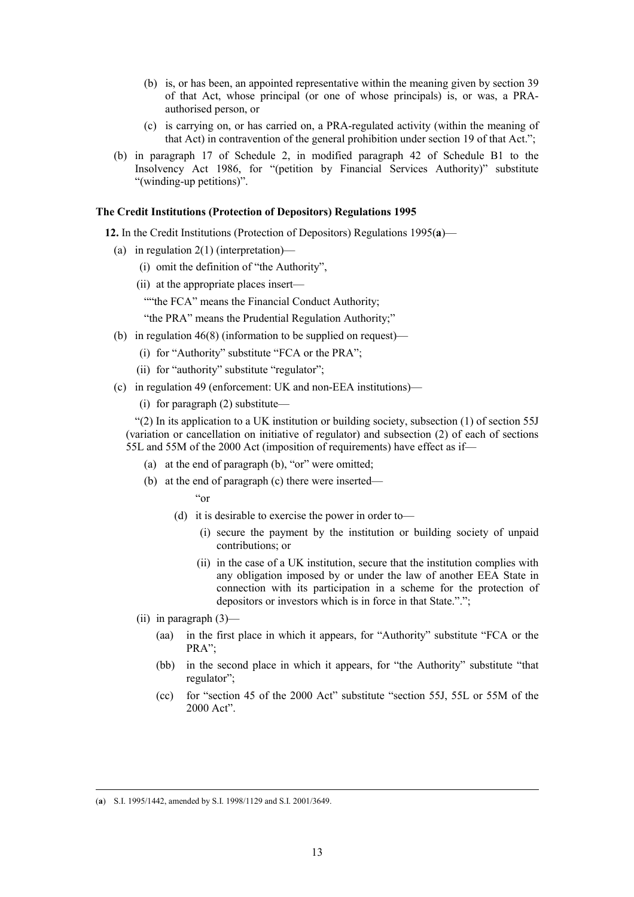- (b) is, or has been, an appointed representative within the meaning given by section 39 of that Act, whose principal (or one of whose principals) is, or was, a PRAauthorised person, or
- (c) is carrying on, or has carried on, a PRA-regulated activity (within the meaning of that Act) in contravention of the general prohibition under section 19 of that Act.";
- (b) in paragraph 17 of Schedule 2, in modified paragraph 42 of Schedule B1 to the Insolvency Act 1986, for "(petition by Financial Services Authority)" substitute "(winding-up petitions)".

## **The Credit Institutions (Protection of Depositors) Regulations 1995**

**12.** In the Credit Institutions (Protection of Depositors) Regulations 1995(**a**)—

- (a) in regulation 2(1) (interpretation)—
	- (i) omit the definition of "the Authority",
	- (ii) at the appropriate places insert—
		- ""the FCA" means the Financial Conduct Authority;

"the PRA" means the Prudential Regulation Authority;"

- (b) in regulation 46(8) (information to be supplied on request)—
	- (i) for "Authority" substitute "FCA or the PRA";
	- (ii) for "authority" substitute "regulator";
- (c) in regulation 49 (enforcement: UK and non-EEA institutions)—
	- (i) for paragraph (2) substitute—

 $(2)$  In its application to a UK institution or building society, subsection (1) of section 55J (variation or cancellation on initiative of regulator) and subsection (2) of each of sections 55L and 55M of the 2000 Act (imposition of requirements) have effect as if—

- (a) at the end of paragraph (b), "or" were omitted;
- (b) at the end of paragraph (c) there were inserted—

"or

- (d) it is desirable to exercise the power in order to—
	- (i) secure the payment by the institution or building society of unpaid contributions; or
	- (ii) in the case of a UK institution, secure that the institution complies with any obligation imposed by or under the law of another EEA State in connection with its participation in a scheme for the protection of depositors or investors which is in force in that State.".";
- (ii) in paragraph  $(3)$ 
	- (aa) in the first place in which it appears, for "Authority" substitute "FCA or the PRA";
	- (bb) in the second place in which it appears, for "the Authority" substitute "that regulator";
	- (cc) for "section 45 of the 2000 Act" substitute "section 55J, 55L or 55M of the 2000 Act".

 <sup>(</sup>**a**) S.I. 1995/1442, amended by S.I. 1998/1129 and S.I. 2001/3649.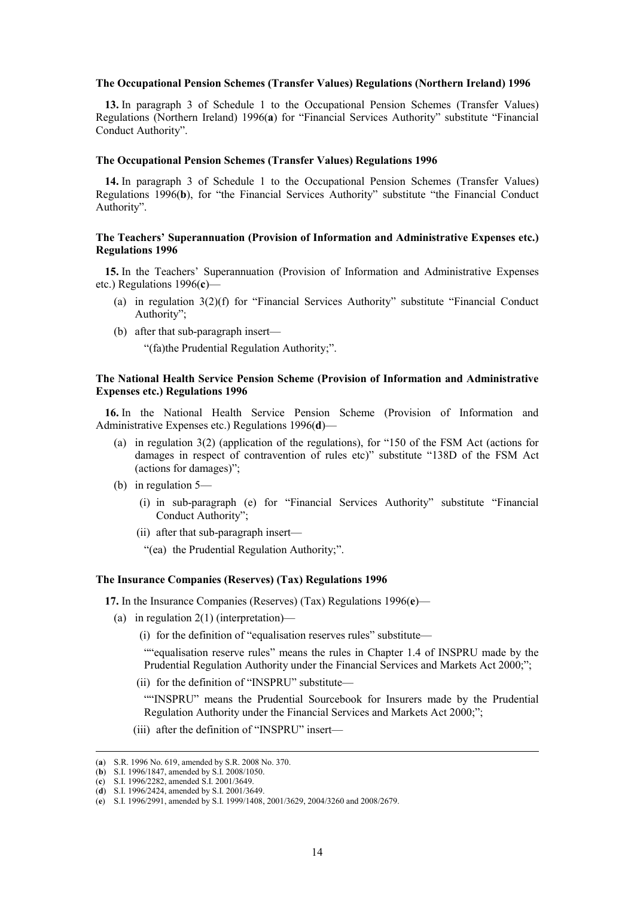#### **The Occupational Pension Schemes (Transfer Values) Regulations (Northern Ireland) 1996**

**13.** In paragraph 3 of Schedule 1 to the Occupational Pension Schemes (Transfer Values) Regulations (Northern Ireland) 1996(**a**) for "Financial Services Authority" substitute "Financial Conduct Authority".

#### **The Occupational Pension Schemes (Transfer Values) Regulations 1996**

**14.** In paragraph 3 of Schedule 1 to the Occupational Pension Schemes (Transfer Values) Regulations 1996(**b**), for "the Financial Services Authority" substitute "the Financial Conduct Authority".

# **The Teachers' Superannuation (Provision of Information and Administrative Expenses etc.) Regulations 1996**

**15.** In the Teachers' Superannuation (Provision of Information and Administrative Expenses etc.) Regulations 1996(**c**)—

- (a) in regulation 3(2)(f) for "Financial Services Authority" substitute "Financial Conduct Authority";
- (b) after that sub-paragraph insert—

"(fa)the Prudential Regulation Authority;".

# **The National Health Service Pension Scheme (Provision of Information and Administrative Expenses etc.) Regulations 1996**

**16.** In the National Health Service Pension Scheme (Provision of Information and Administrative Expenses etc.) Regulations 1996(**d**)—

- (a) in regulation 3(2) (application of the regulations), for "150 of the FSM Act (actions for damages in respect of contravention of rules etc)" substitute "138D of the FSM Act (actions for damages)";
- (b) in regulation 5—
	- (i) in sub-paragraph (e) for "Financial Services Authority" substitute "Financial Conduct Authority";
	- (ii) after that sub-paragraph insert—

"(ea) the Prudential Regulation Authority;".

#### **The Insurance Companies (Reserves) (Tax) Regulations 1996**

**17.** In the Insurance Companies (Reserves) (Tax) Regulations 1996(**e**)—

- (a) in regulation  $2(1)$  (interpretation)—
	- (i) for the definition of "equalisation reserves rules" substitute—

""equalisation reserve rules" means the rules in Chapter 1.4 of INSPRU made by the Prudential Regulation Authority under the Financial Services and Markets Act 2000;";

(ii) for the definition of "INSPRU" substitute—

""INSPRU" means the Prudential Sourcebook for Insurers made by the Prudential Regulation Authority under the Financial Services and Markets Act 2000;";

(iii) after the definition of "INSPRU" insert—

 <sup>(</sup>**a**) S.R. 1996 No. 619, amended by S.R. 2008 No. 370.

<sup>(</sup>**b**) S.I. 1996/1847, amended by S.I. 2008/1050.

<sup>(</sup>**c**) S.I. 1996/2282, amended S.I. 2001/3649. (**d**) S.I. 1996/2424, amended by S.I. 2001/3649.

<sup>(</sup>**e**) S.I. 1996/2991, amended by S.I. 1999/1408, 2001/3629, 2004/3260 and 2008/2679.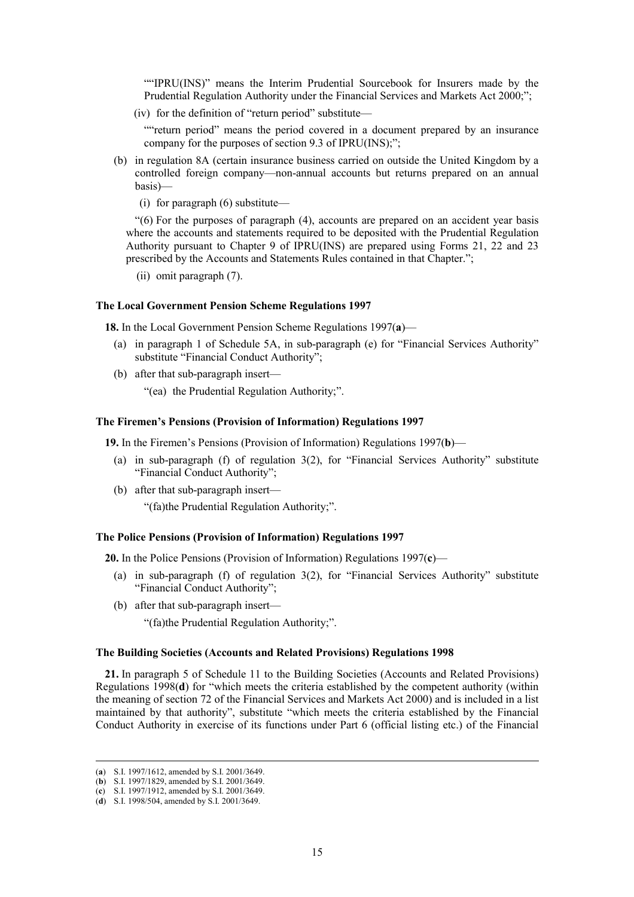""IPRU(INS)" means the Interim Prudential Sourcebook for Insurers made by the Prudential Regulation Authority under the Financial Services and Markets Act 2000;";

(iv) for the definition of "return period" substitute—

""return period" means the period covered in a document prepared by an insurance company for the purposes of section 9.3 of IPRU(INS);";

- (b) in regulation 8A (certain insurance business carried on outside the United Kingdom by a controlled foreign company—non-annual accounts but returns prepared on an annual basis)—
	- (i) for paragraph (6) substitute—

"(6) For the purposes of paragraph (4), accounts are prepared on an accident year basis where the accounts and statements required to be deposited with the Prudential Regulation Authority pursuant to Chapter 9 of IPRU(INS) are prepared using Forms 21, 22 and 23 prescribed by the Accounts and Statements Rules contained in that Chapter.";

(ii) omit paragraph (7).

#### **The Local Government Pension Scheme Regulations 1997**

**18.** In the Local Government Pension Scheme Regulations 1997(**a**)—

- (a) in paragraph 1 of Schedule 5A, in sub-paragraph (e) for "Financial Services Authority" substitute "Financial Conduct Authority";
- (b) after that sub-paragraph insert—
	- "(ea) the Prudential Regulation Authority;".

#### **The Firemen's Pensions (Provision of Information) Regulations 1997**

**19.** In the Firemen's Pensions (Provision of Information) Regulations 1997(**b**)—

- (a) in sub-paragraph (f) of regulation 3(2), for "Financial Services Authority" substitute "Financial Conduct Authority";
- (b) after that sub-paragraph insert— "(fa)the Prudential Regulation Authority;".

#### **The Police Pensions (Provision of Information) Regulations 1997**

**20.** In the Police Pensions (Provision of Information) Regulations 1997(**c**)—

- (a) in sub-paragraph (f) of regulation 3(2), for "Financial Services Authority" substitute "Financial Conduct Authority";
- (b) after that sub-paragraph insert—

"(fa)the Prudential Regulation Authority;".

## **The Building Societies (Accounts and Related Provisions) Regulations 1998**

**21.** In paragraph 5 of Schedule 11 to the Building Societies (Accounts and Related Provisions) Regulations 1998(**d**) for "which meets the criteria established by the competent authority (within the meaning of section 72 of the Financial Services and Markets Act 2000) and is included in a list maintained by that authority", substitute "which meets the criteria established by the Financial Conduct Authority in exercise of its functions under Part 6 (official listing etc.) of the Financial

 <sup>(</sup>**a**) S.I. 1997/1612, amended by S.I. 2001/3649.

<sup>(</sup>**b**) S.I. 1997/1829, amended by S.I. 2001/3649.

<sup>(</sup>**c**) S.I. 1997/1912, amended by S.I. 2001/3649.

<sup>(</sup>**d**) S.I. 1998/504, amended by S.I. 2001/3649.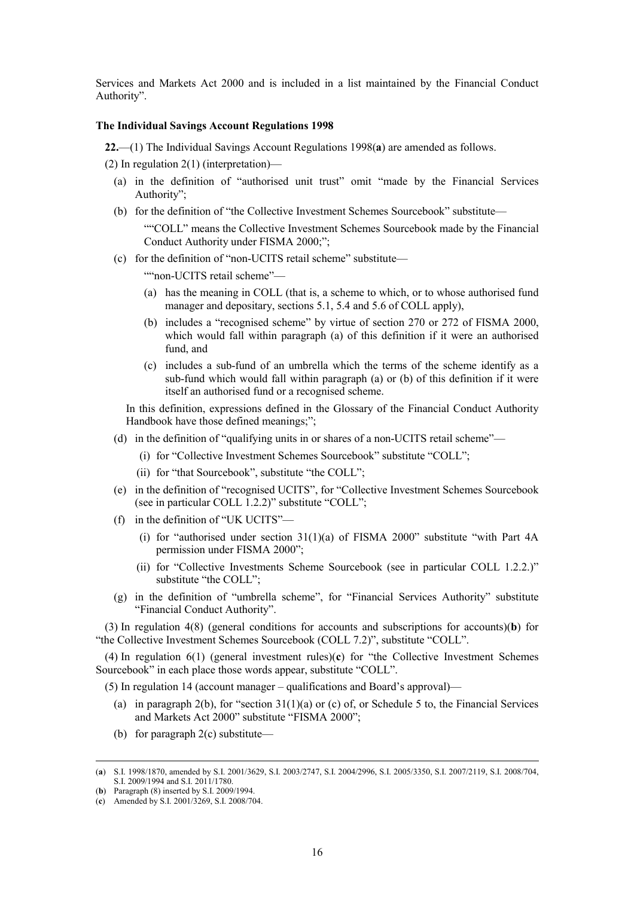Services and Markets Act 2000 and is included in a list maintained by the Financial Conduct Authority".

#### **The Individual Savings Account Regulations 1998**

**22.**—(1) The Individual Savings Account Regulations 1998(**a**) are amended as follows.

(2) In regulation 2(1) (interpretation)—

- (a) in the definition of "authorised unit trust" omit "made by the Financial Services Authority";
- (b) for the definition of "the Collective Investment Schemes Sourcebook" substitute—

""COLL" means the Collective Investment Schemes Sourcebook made by the Financial Conduct Authority under FISMA 2000;";

(c) for the definition of "non-UCITS retail scheme" substitute—

""non-UCITS retail scheme"—

- (a) has the meaning in COLL (that is, a scheme to which, or to whose authorised fund manager and depositary, sections 5.1, 5.4 and 5.6 of COLL apply),
- (b) includes a "recognised scheme" by virtue of section 270 or 272 of FISMA 2000, which would fall within paragraph (a) of this definition if it were an authorised fund, and
- (c) includes a sub-fund of an umbrella which the terms of the scheme identify as a sub-fund which would fall within paragraph (a) or (b) of this definition if it were itself an authorised fund or a recognised scheme.

In this definition, expressions defined in the Glossary of the Financial Conduct Authority Handbook have those defined meanings;";

- (d) in the definition of "qualifying units in or shares of a non-UCITS retail scheme"—
	- (i) for "Collective Investment Schemes Sourcebook" substitute "COLL";
	- (ii) for "that Sourcebook", substitute "the COLL";
- (e) in the definition of "recognised UCITS", for "Collective Investment Schemes Sourcebook (see in particular COLL 1.2.2)" substitute "COLL";
- (f) in the definition of "UK UCITS"—
	- (i) for "authorised under section  $31(1)(a)$  of FISMA 2000" substitute "with Part 4A permission under FISMA 2000";
	- (ii) for "Collective Investments Scheme Sourcebook (see in particular COLL 1.2.2.)" substitute "the COLL";
- (g) in the definition of "umbrella scheme", for "Financial Services Authority" substitute "Financial Conduct Authority".

(3) In regulation 4(8) (general conditions for accounts and subscriptions for accounts)(**b**) for "the Collective Investment Schemes Sourcebook (COLL 7.2)", substitute "COLL".

(4) In regulation 6(1) (general investment rules)(**c**) for "the Collective Investment Schemes Sourcebook" in each place those words appear, substitute "COLL".

(5) In regulation 14 (account manager – qualifications and Board's approval)—

- (a) in paragraph 2(b), for "section  $31(1)(a)$  or (c) of, or Schedule 5 to, the Financial Services and Markets Act 2000" substitute "FISMA 2000";
- (b) for paragraph 2(c) substitute—

 <sup>(</sup>**a**) S.I. 1998/1870, amended by S.I. 2001/3629, S.I. 2003/2747, S.I. 2004/2996, S.I. 2005/3350, S.I. 2007/2119, S.I. 2008/704, S.I. 2009/1994 and S.I. 2011/1780.

<sup>(</sup>**b**) Paragraph (8) inserted by S.I. 2009/1994.

<sup>(</sup>**c**) Amended by S.I. 2001/3269, S.I. 2008/704.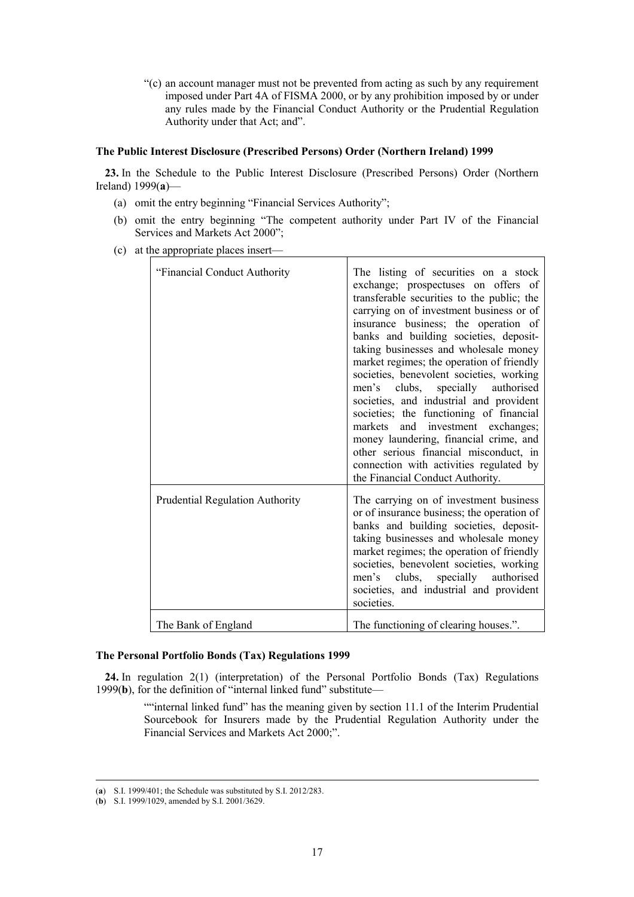"(c) an account manager must not be prevented from acting as such by any requirement imposed under Part 4A of FISMA 2000, or by any prohibition imposed by or under any rules made by the Financial Conduct Authority or the Prudential Regulation Authority under that Act; and".

# **The Public Interest Disclosure (Prescribed Persons) Order (Northern Ireland) 1999**

**23.** In the Schedule to the Public Interest Disclosure (Prescribed Persons) Order (Northern Ireland) 1999(**a**)—

- (a) omit the entry beginning "Financial Services Authority";
- (b) omit the entry beginning "The competent authority under Part IV of the Financial Services and Markets Act 2000";
- (c) at the appropriate places insert—

| "Financial Conduct Authority"          | The listing of securities on a stock<br>exchange; prospectuses on offers of<br>transferable securities to the public; the<br>carrying on of investment business or of<br>insurance business; the operation of<br>banks and building societies, deposit-<br>taking businesses and wholesale money<br>market regimes; the operation of friendly<br>societies, benevolent societies, working<br>men's clubs, specially authorised<br>societies, and industrial and provident<br>societies; the functioning of financial<br>markets and investment exchanges;<br>money laundering, financial crime, and<br>other serious financial misconduct, in<br>connection with activities regulated by<br>the Financial Conduct Authority. |
|----------------------------------------|------------------------------------------------------------------------------------------------------------------------------------------------------------------------------------------------------------------------------------------------------------------------------------------------------------------------------------------------------------------------------------------------------------------------------------------------------------------------------------------------------------------------------------------------------------------------------------------------------------------------------------------------------------------------------------------------------------------------------|
| <b>Prudential Regulation Authority</b> | The carrying on of investment business<br>or of insurance business; the operation of<br>banks and building societies, deposit-<br>taking businesses and wholesale money<br>market regimes; the operation of friendly<br>societies, benevolent societies, working<br>men's clubs, specially authorised<br>societies, and industrial and provident<br>societies.                                                                                                                                                                                                                                                                                                                                                               |
| The Bank of England                    | The functioning of clearing houses.".                                                                                                                                                                                                                                                                                                                                                                                                                                                                                                                                                                                                                                                                                        |

# **The Personal Portfolio Bonds (Tax) Regulations 1999**

**24.** In regulation 2(1) (interpretation) of the Personal Portfolio Bonds (Tax) Regulations 1999(**b**), for the definition of "internal linked fund" substitute—

> ""internal linked fund" has the meaning given by section 11.1 of the Interim Prudential Sourcebook for Insurers made by the Prudential Regulation Authority under the Financial Services and Markets Act 2000;".

 <sup>(</sup>**a**) S.I. 1999/401; the Schedule was substituted by S.I. 2012/283.

<sup>(</sup>**b**) S.I. 1999/1029, amended by S.I. 2001/3629.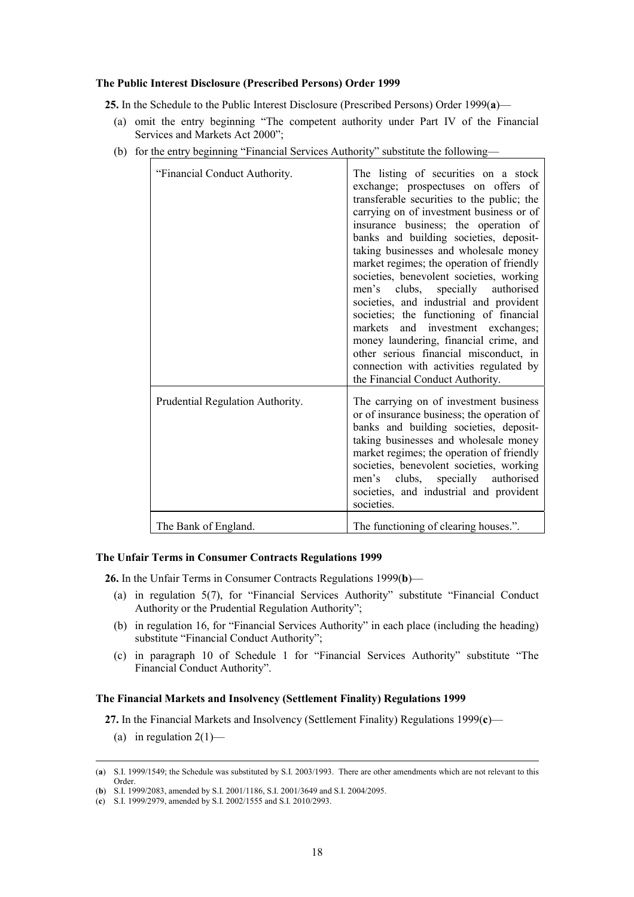## **The Public Interest Disclosure (Prescribed Persons) Order 1999**

**25.** In the Schedule to the Public Interest Disclosure (Prescribed Persons) Order 1999(**a**)—

- (a) omit the entry beginning "The competent authority under Part IV of the Financial Services and Markets Act 2000";
- (b) for the entry beginning "Financial Services Authority" substitute the following—

| "Financial Conduct Authority.    | The listing of securities on a stock<br>exchange; prospectuses on offers of<br>transferable securities to the public; the<br>carrying on of investment business or of<br>insurance business; the operation of<br>banks and building societies, deposit-<br>taking businesses and wholesale money<br>market regimes; the operation of friendly<br>societies, benevolent societies, working<br>men's clubs, specially authorised<br>societies, and industrial and provident<br>societies; the functioning of financial<br>markets and investment exchanges;<br>money laundering, financial crime, and<br>other serious financial misconduct, in<br>connection with activities regulated by<br>the Financial Conduct Authority. |
|----------------------------------|------------------------------------------------------------------------------------------------------------------------------------------------------------------------------------------------------------------------------------------------------------------------------------------------------------------------------------------------------------------------------------------------------------------------------------------------------------------------------------------------------------------------------------------------------------------------------------------------------------------------------------------------------------------------------------------------------------------------------|
| Prudential Regulation Authority. | The carrying on of investment business<br>or of insurance business; the operation of<br>banks and building societies, deposit-<br>taking businesses and wholesale money<br>market regimes; the operation of friendly<br>societies, benevolent societies, working<br>men's clubs, specially authorised<br>societies, and industrial and provident<br>societies.                                                                                                                                                                                                                                                                                                                                                               |
| The Bank of England.             | The functioning of clearing houses.".                                                                                                                                                                                                                                                                                                                                                                                                                                                                                                                                                                                                                                                                                        |

## **The Unfair Terms in Consumer Contracts Regulations 1999**

**26.** In the Unfair Terms in Consumer Contracts Regulations 1999(**b**)—

- (a) in regulation 5(7), for "Financial Services Authority" substitute "Financial Conduct Authority or the Prudential Regulation Authority";
- (b) in regulation 16, for "Financial Services Authority" in each place (including the heading) substitute "Financial Conduct Authority";
- (c) in paragraph 10 of Schedule 1 for "Financial Services Authority" substitute "The Financial Conduct Authority".

# **The Financial Markets and Insolvency (Settlement Finality) Regulations 1999**

**27.** In the Financial Markets and Insolvency (Settlement Finality) Regulations 1999(**c**)—

(a) in regulation  $2(1)$ —

 <sup>(</sup>**a**) S.I. 1999/1549; the Schedule was substituted by S.I. 2003/1993. There are other amendments which are not relevant to this Order.

<sup>(</sup>**b**) S.I. 1999/2083, amended by S.I. 2001/1186, S.I. 2001/3649 and S.I. 2004/2095.

<sup>(</sup>**c**) S.I. 1999/2979, amended by S.I. 2002/1555 and S.I. 2010/2993.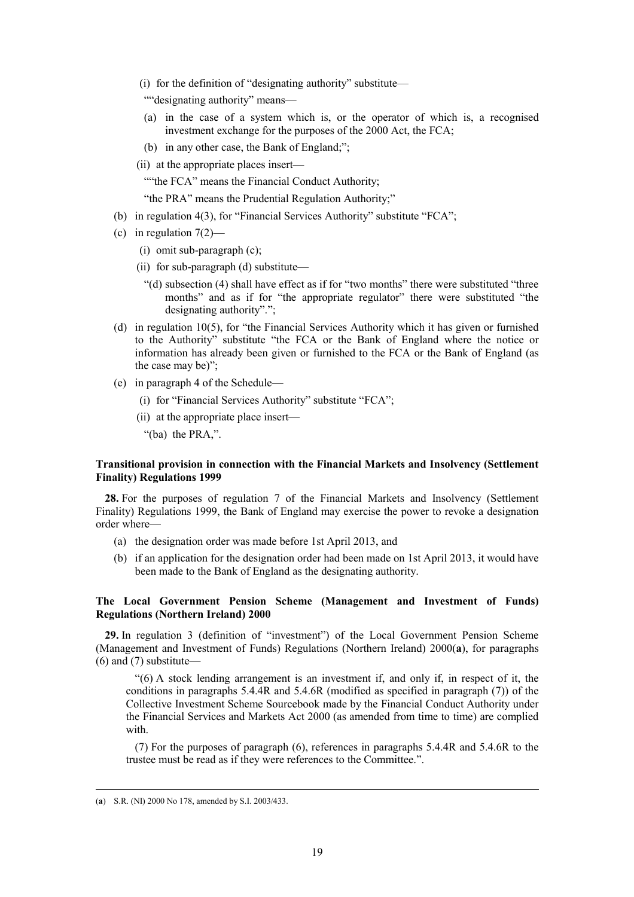(i) for the definition of "designating authority" substitute—

""designating authority" means—

- (a) in the case of a system which is, or the operator of which is, a recognised investment exchange for the purposes of the 2000 Act, the FCA;
- (b) in any other case, the Bank of England;";
- (ii) at the appropriate places insert—

""the FCA" means the Financial Conduct Authority;

"the PRA" means the Prudential Regulation Authority;"

- (b) in regulation 4(3), for "Financial Services Authority" substitute "FCA";
- (c) in regulation  $7(2)$ 
	- (i) omit sub-paragraph (c);
	- (ii) for sub-paragraph (d) substitute—
		- "(d) subsection (4) shall have effect as if for "two months" there were substituted "three months" and as if for "the appropriate regulator" there were substituted "the designating authority".";
- (d) in regulation 10(5), for "the Financial Services Authority which it has given or furnished to the Authority" substitute "the FCA or the Bank of England where the notice or information has already been given or furnished to the FCA or the Bank of England (as the case may be)";
- (e) in paragraph 4 of the Schedule—
	- (i) for "Financial Services Authority" substitute "FCA";
	- (ii) at the appropriate place insert—

"(ba) the PRA,".

# **Transitional provision in connection with the Financial Markets and Insolvency (Settlement Finality) Regulations 1999**

**28.** For the purposes of regulation 7 of the Financial Markets and Insolvency (Settlement Finality) Regulations 1999, the Bank of England may exercise the power to revoke a designation order where—

- (a) the designation order was made before 1st April 2013, and
- (b) if an application for the designation order had been made on 1st April 2013, it would have been made to the Bank of England as the designating authority.

# **The Local Government Pension Scheme (Management and Investment of Funds) Regulations (Northern Ireland) 2000**

**29.** In regulation 3 (definition of "investment") of the Local Government Pension Scheme (Management and Investment of Funds) Regulations (Northern Ireland) 2000(**a**), for paragraphs (6) and (7) substitute—

"(6) A stock lending arrangement is an investment if, and only if, in respect of it, the conditions in paragraphs 5.4.4R and 5.4.6R (modified as specified in paragraph (7)) of the Collective Investment Scheme Sourcebook made by the Financial Conduct Authority under the Financial Services and Markets Act 2000 (as amended from time to time) are complied with.

(7) For the purposes of paragraph (6), references in paragraphs 5.4.4R and 5.4.6R to the trustee must be read as if they were references to the Committee.".

 <sup>(</sup>**a**) S.R. (NI) 2000 No 178, amended by S.I. 2003/433.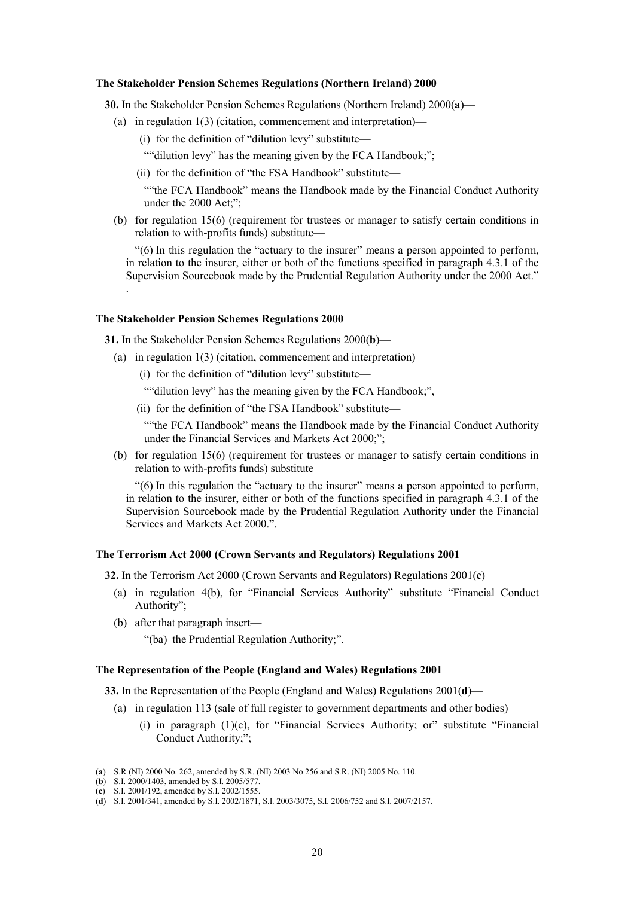#### **The Stakeholder Pension Schemes Regulations (Northern Ireland) 2000**

**30.** In the Stakeholder Pension Schemes Regulations (Northern Ireland) 2000(**a**)—

- (a) in regulation 1(3) (citation, commencement and interpretation)—
	- (i) for the definition of "dilution levy" substitute—

""dilution levy" has the meaning given by the FCA Handbook;";

(ii) for the definition of "the FSA Handbook" substitute—

""the FCA Handbook" means the Handbook made by the Financial Conduct Authority under the 2000 Act;";

(b) for regulation 15(6) (requirement for trustees or manager to satisfy certain conditions in relation to with-profits funds) substitute—

"(6) In this regulation the "actuary to the insurer" means a person appointed to perform, in relation to the insurer, either or both of the functions specified in paragraph 4.3.1 of the Supervision Sourcebook made by the Prudential Regulation Authority under the 2000 Act."

#### **The Stakeholder Pension Schemes Regulations 2000**

.

**31.** In the Stakeholder Pension Schemes Regulations 2000(**b**)—

- (a) in regulation 1(3) (citation, commencement and interpretation)—
	- (i) for the definition of "dilution levy" substitute—
	- ""dilution levy" has the meaning given by the FCA Handbook;",
	- (ii) for the definition of "the FSA Handbook" substitute—

""the FCA Handbook" means the Handbook made by the Financial Conduct Authority under the Financial Services and Markets Act 2000;";

(b) for regulation 15(6) (requirement for trustees or manager to satisfy certain conditions in relation to with-profits funds) substitute—

"(6) In this regulation the "actuary to the insurer" means a person appointed to perform, in relation to the insurer, either or both of the functions specified in paragraph 4.3.1 of the Supervision Sourcebook made by the Prudential Regulation Authority under the Financial Services and Markets Act 2000.".

#### **The Terrorism Act 2000 (Crown Servants and Regulators) Regulations 2001**

**32.** In the Terrorism Act 2000 (Crown Servants and Regulators) Regulations 2001(**c**)—

- (a) in regulation 4(b), for "Financial Services Authority" substitute "Financial Conduct Authority";
- (b) after that paragraph insert—

"(ba) the Prudential Regulation Authority;".

## **The Representation of the People (England and Wales) Regulations 2001**

**33.** In the Representation of the People (England and Wales) Regulations 2001(**d**)—

- (a) in regulation 113 (sale of full register to government departments and other bodies)—
	- (i) in paragraph  $(1)(c)$ , for "Financial Services Authority; or" substitute "Financial Conduct Authority;";

 <sup>(</sup>**a**) S.R (NI) 2000 No. 262, amended by S.R. (NI) 2003 No 256 and S.R. (NI) 2005 No. 110.

<sup>(</sup>**b**) S.I. 2000/1403, amended by S.I. 2005/577.

<sup>(</sup>**c**) S.I. 2001/192, amended by S.I. 2002/1555.

<sup>(</sup>**d**) S.I. 2001/341, amended by S.I. 2002/1871, S.I. 2003/3075, S.I. 2006/752 and S.I. 2007/2157.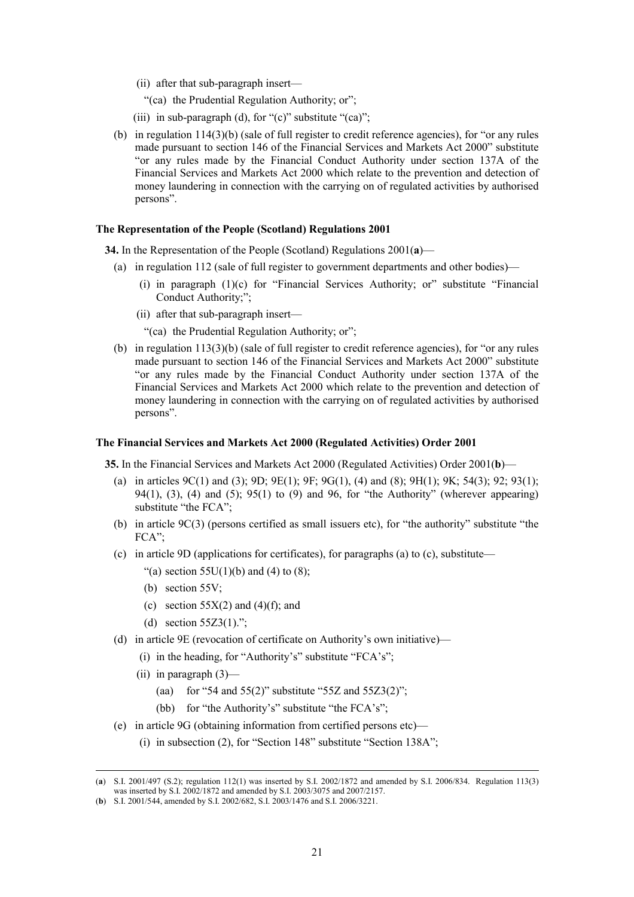- (ii) after that sub-paragraph insert—
	- "(ca) the Prudential Regulation Authority; or";
- (iii) in sub-paragraph (d), for " $(c)$ " substitute " $(ca)$ ";
- (b) in regulation 114(3)(b) (sale of full register to credit reference agencies), for "or any rules made pursuant to section 146 of the Financial Services and Markets Act 2000" substitute "or any rules made by the Financial Conduct Authority under section 137A of the Financial Services and Markets Act 2000 which relate to the prevention and detection of money laundering in connection with the carrying on of regulated activities by authorised persons".

#### **The Representation of the People (Scotland) Regulations 2001**

**34.** In the Representation of the People (Scotland) Regulations 2001(**a**)—

- (a) in regulation 112 (sale of full register to government departments and other bodies)—
	- (i) in paragraph (1)(c) for "Financial Services Authority; or" substitute "Financial Conduct Authority;";
	- (ii) after that sub-paragraph insert—
		- "(ca) the Prudential Regulation Authority; or";
- (b) in regulation  $113(3)(b)$  (sale of full register to credit reference agencies), for "or any rules made pursuant to section 146 of the Financial Services and Markets Act 2000" substitute "or any rules made by the Financial Conduct Authority under section 137A of the Financial Services and Markets Act 2000 which relate to the prevention and detection of money laundering in connection with the carrying on of regulated activities by authorised persons".

#### **The Financial Services and Markets Act 2000 (Regulated Activities) Order 2001**

**35.** In the Financial Services and Markets Act 2000 (Regulated Activities) Order 2001(**b**)—

- (a) in articles  $9C(1)$  and (3);  $9D$ ;  $9E(1)$ ;  $9F$ ;  $9G(1)$ , (4) and (8);  $9H(1)$ ;  $9K$ ;  $54(3)$ ;  $92$ ;  $93(1)$ ;  $94(1)$ ,  $(3)$ ,  $(4)$  and  $(5)$ ;  $95(1)$  to  $(9)$  and  $96$ , for "the Authority" (wherever appearing) substitute "the FCA";
- (b) in article 9C(3) (persons certified as small issuers etc), for "the authority" substitute "the FCA";
- (c) in article 9D (applications for certificates), for paragraphs (a) to (c), substitute—
	- "(a) section  $55U(1)(b)$  and (4) to (8);
	- (b) section 55V;
	- (c) section  $55X(2)$  and  $(4)(f)$ ; and
	- (d) section  $55Z3(1)$ .";
- (d) in article 9E (revocation of certificate on Authority's own initiative)—
	- (i) in the heading, for "Authority's" substitute "FCA's";
	- (ii) in paragraph (3)—
		- (aa) for "54 and 55(2)" substitute "55Z and 55Z3(2)";
		- (bb) for "the Authority's" substitute "the FCA's";
- (e) in article 9G (obtaining information from certified persons etc)—
	- (i) in subsection (2), for "Section 148" substitute "Section 138A";

 <sup>(</sup>**a**) S.I. 2001/497 (S.2); regulation 112(1) was inserted by S.I. 2002/1872 and amended by S.I. 2006/834. Regulation 113(3) was inserted by S.I. 2002/1872 and amended by S.I. 2003/3075 and 2007/2157.

<sup>(</sup>**b**) S.I. 2001/544, amended by S.I. 2002/682, S.I. 2003/1476 and S.I. 2006/3221.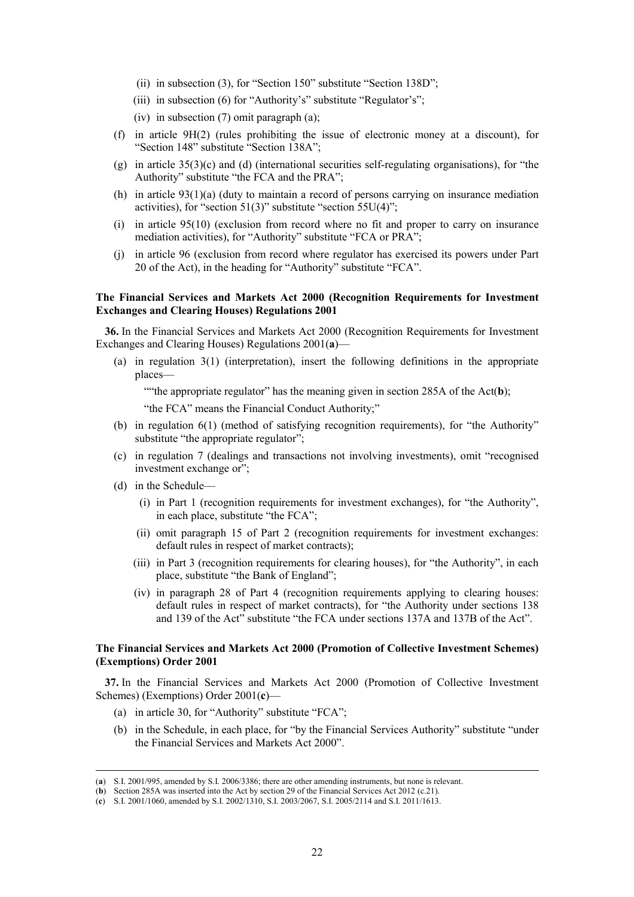- (ii) in subsection (3), for "Section 150" substitute "Section 138D";
- (iii) in subsection (6) for "Authority's" substitute "Regulator's";
- (iv) in subsection (7) omit paragraph (a);
- (f) in article 9H(2) (rules prohibiting the issue of electronic money at a discount), for "Section 148" substitute "Section 138A";
- (g) in article 35(3)(c) and (d) (international securities self-regulating organisations), for "the Authority" substitute "the FCA and the PRA";
- (h) in article  $93(1)(a)$  (duty to maintain a record of persons carrying on insurance mediation activities), for "section  $51(3)$ " substitute "section  $55U(4)$ ";
- (i) in article 95(10) (exclusion from record where no fit and proper to carry on insurance mediation activities), for "Authority" substitute "FCA or PRA";
- (j) in article 96 (exclusion from record where regulator has exercised its powers under Part 20 of the Act), in the heading for "Authority" substitute "FCA".

# **The Financial Services and Markets Act 2000 (Recognition Requirements for Investment Exchanges and Clearing Houses) Regulations 2001**

**36.** In the Financial Services and Markets Act 2000 (Recognition Requirements for Investment Exchanges and Clearing Houses) Regulations 2001(**a**)—

(a) in regulation 3(1) (interpretation), insert the following definitions in the appropriate places—

""the appropriate regulator" has the meaning given in section 285A of the Act(**b**);

"the FCA" means the Financial Conduct Authority;"

- (b) in regulation 6(1) (method of satisfying recognition requirements), for "the Authority" substitute "the appropriate regulator";
- (c) in regulation 7 (dealings and transactions not involving investments), omit "recognised investment exchange or";
- (d) in the Schedule—
	- (i) in Part 1 (recognition requirements for investment exchanges), for "the Authority", in each place, substitute "the FCA";
	- (ii) omit paragraph 15 of Part 2 (recognition requirements for investment exchanges: default rules in respect of market contracts);
	- (iii) in Part 3 (recognition requirements for clearing houses), for "the Authority", in each place, substitute "the Bank of England";
	- (iv) in paragraph 28 of Part 4 (recognition requirements applying to clearing houses: default rules in respect of market contracts), for "the Authority under sections 138 and 139 of the Act" substitute "the FCA under sections 137A and 137B of the Act".

# **The Financial Services and Markets Act 2000 (Promotion of Collective Investment Schemes) (Exemptions) Order 2001**

**37.** In the Financial Services and Markets Act 2000 (Promotion of Collective Investment Schemes) (Exemptions) Order 2001(**c**)—

- (a) in article 30, for "Authority" substitute "FCA";
- (b) in the Schedule, in each place, for "by the Financial Services Authority" substitute "under the Financial Services and Markets Act 2000".

 <sup>(</sup>**a**) S.I. 2001/995, amended by S.I. 2006/3386; there are other amending instruments, but none is relevant.

<sup>(</sup>**b**) Section 285A was inserted into the Act by section 29 of the Financial Services Act 2012 (c.21).

<sup>(</sup>**c**) S.I. 2001/1060, amended by S.I. 2002/1310, S.I. 2003/2067, S.I. 2005/2114 and S.I. 2011/1613.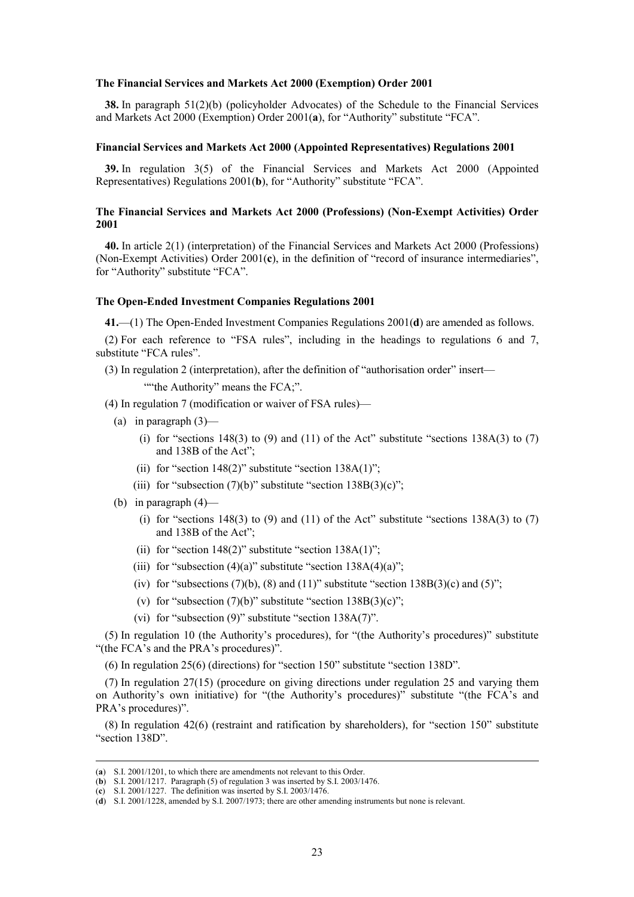#### **The Financial Services and Markets Act 2000 (Exemption) Order 2001**

**38.** In paragraph 51(2)(b) (policyholder Advocates) of the Schedule to the Financial Services and Markets Act 2000 (Exemption) Order 2001(**a**), for "Authority" substitute "FCA".

#### **Financial Services and Markets Act 2000 (Appointed Representatives) Regulations 2001**

**39.** In regulation 3(5) of the Financial Services and Markets Act 2000 (Appointed Representatives) Regulations 2001(**b**), for "Authority" substitute "FCA".

#### **The Financial Services and Markets Act 2000 (Professions) (Non-Exempt Activities) Order 2001**

**40.** In article 2(1) (interpretation) of the Financial Services and Markets Act 2000 (Professions) (Non-Exempt Activities) Order 2001(**c**), in the definition of "record of insurance intermediaries", for "Authority" substitute "FCA".

#### **The Open-Ended Investment Companies Regulations 2001**

**41.**—(1) The Open-Ended Investment Companies Regulations 2001(**d**) are amended as follows.

(2) For each reference to "FSA rules", including in the headings to regulations 6 and 7, substitute "FCA rules".

(3) In regulation 2 (interpretation), after the definition of "authorisation order" insert— ""the Authority" means the FCA;".

- (4) In regulation 7 (modification or waiver of FSA rules)—
	- (a) in paragraph  $(3)$ 
		- (i) for "sections 148(3) to (9) and (11) of the Act" substitute "sections 138A(3) to (7) and 138B of the Act";
		- (ii) for "section  $148(2)$ " substitute "section  $138A(1)$ ";
		- (iii) for "subsection  $(7)(b)$ " substitute "section  $138B(3)(c)$ ";
	- (b) in paragraph  $(4)$ 
		- (i) for "sections 148(3) to (9) and (11) of the Act" substitute "sections 138A(3) to (7) and 138B of the Act";
		- (ii) for "section  $148(2)$ " substitute "section  $138A(1)$ ";
		- (iii) for "subsection  $(4)(a)$ " substitute "section  $138A(4)(a)$ ";
		- (iv) for "subsections  $(7)(b)$ ,  $(8)$  and  $(11)$ " substitute "section 138B $(3)(c)$  and  $(5)$ ";
		- (v) for "subsection  $(7)(b)$ " substitute "section  $138B(3)(c)$ ";
		- (vi) for "subsection (9)" substitute "section 138A(7)".

(5) In regulation 10 (the Authority's procedures), for "(the Authority's procedures)" substitute "(the FCA's and the PRA's procedures)".

(6) In regulation 25(6) (directions) for "section 150" substitute "section 138D".

(7) In regulation 27(15) (procedure on giving directions under regulation 25 and varying them on Authority's own initiative) for "(the Authority's procedures)" substitute "(the FCA's and PRA's procedures)".

(8) In regulation 42(6) (restraint and ratification by shareholders), for "section 150" substitute "section 138D".

 <sup>(</sup>**a**) S.I. 2001/1201, to which there are amendments not relevant to this Order.

<sup>(</sup>**b**) S.I. 2001/1217. Paragraph (5) of regulation 3 was inserted by S.I. 2003/1476.

<sup>(</sup>**c**) S.I. 2001/1227. The definition was inserted by S.I. 2003/1476.

<sup>(</sup>**d**) S.I. 2001/1228, amended by S.I. 2007/1973; there are other amending instruments but none is relevant.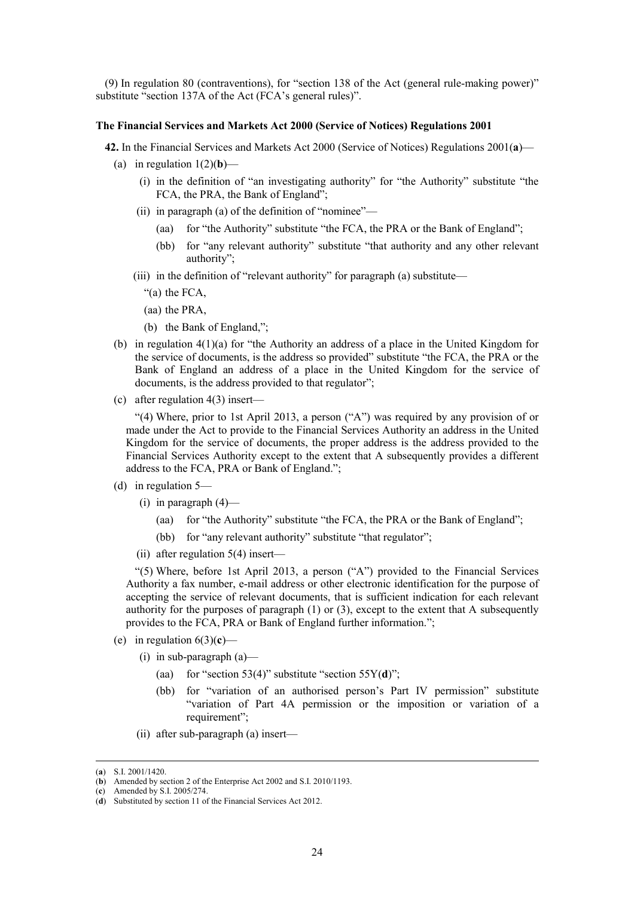(9) In regulation 80 (contraventions), for "section 138 of the Act (general rule-making power)" substitute "section 137A of the Act (FCA's general rules)".

#### **The Financial Services and Markets Act 2000 (Service of Notices) Regulations 2001**

- **42.** In the Financial Services and Markets Act 2000 (Service of Notices) Regulations 2001(**a**)—
	- (a) in regulation  $1(2)(b)$ 
		- (i) in the definition of "an investigating authority" for "the Authority" substitute "the FCA, the PRA, the Bank of England";
		- (ii) in paragraph (a) of the definition of "nominee"—
			- (aa) for "the Authority" substitute "the FCA, the PRA or the Bank of England";
			- (bb) for "any relevant authority" substitute "that authority and any other relevant authority";
		- (iii) in the definition of "relevant authority" for paragraph (a) substitute—
			- "(a) the FCA,
			- (aa) the PRA,
			- (b) the Bank of England,";
	- (b) in regulation  $4(1)(a)$  for "the Authority an address of a place in the United Kingdom for the service of documents, is the address so provided" substitute "the FCA, the PRA or the Bank of England an address of a place in the United Kingdom for the service of documents, is the address provided to that regulator";
	- (c) after regulation 4(3) insert—

"(4) Where, prior to 1st April 2013, a person ("A") was required by any provision of or made under the Act to provide to the Financial Services Authority an address in the United Kingdom for the service of documents, the proper address is the address provided to the Financial Services Authority except to the extent that A subsequently provides a different address to the FCA, PRA or Bank of England.";

- (d) in regulation 5—
	- $(i)$  in paragraph  $(4)$ 
		- (aa) for "the Authority" substitute "the FCA, the PRA or the Bank of England";
		- (bb) for "any relevant authority" substitute "that regulator";
	- (ii) after regulation  $5(4)$  insert—

"(5) Where, before 1st April 2013, a person ("A") provided to the Financial Services Authority a fax number, e-mail address or other electronic identification for the purpose of accepting the service of relevant documents, that is sufficient indication for each relevant authority for the purposes of paragraph  $(1)$  or  $(3)$ , except to the extent that A subsequently provides to the FCA, PRA or Bank of England further information.";

- (e) in regulation  $6(3)(c)$ 
	- (i) in sub-paragraph (a)—
		- (aa) for "section 53(4)" substitute "section 55Y(**d**)";
		- (bb) for "variation of an authorised person's Part IV permission" substitute "variation of Part 4A permission or the imposition or variation of a requirement";
	- (ii) after sub-paragraph (a) insert—

 <sup>(</sup>**a**) S.I. 2001/1420.

<sup>(</sup>**b**) Amended by section 2 of the Enterprise Act 2002 and S.I. 2010/1193.

<sup>(</sup>**c**) Amended by S.I. 2005/274.

<sup>(</sup>**d**) Substituted by section 11 of the Financial Services Act 2012.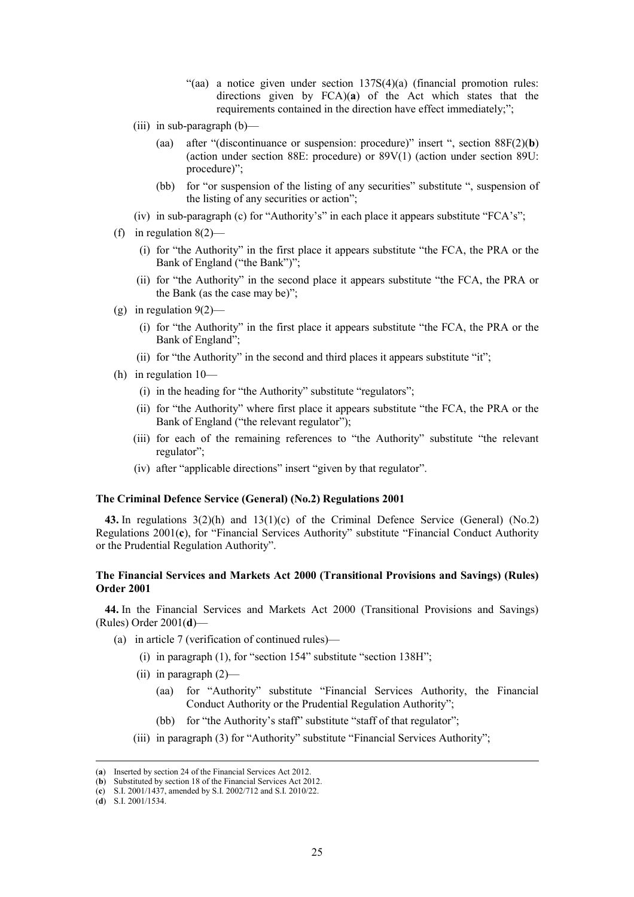- "(aa) a notice given under section  $137S(4)(a)$  (financial promotion rules: directions given by FCA)(**a**) of the Act which states that the requirements contained in the direction have effect immediately;";
- (iii) in sub-paragraph (b)—
	- (aa) after "(discontinuance or suspension: procedure)" insert ", section 88F(2)(**b**) (action under section 88E: procedure) or 89V(1) (action under section 89U: procedure)";
	- (bb) for "or suspension of the listing of any securities" substitute ", suspension of the listing of any securities or action";
- (iv) in sub-paragraph (c) for "Authority's" in each place it appears substitute "FCA's";
- (f) in regulation  $8(2)$ 
	- (i) for "the Authority" in the first place it appears substitute "the FCA, the PRA or the Bank of England ("the Bank")";
	- (ii) for "the Authority" in the second place it appears substitute "the FCA, the PRA or the Bank (as the case may be)";
- (g) in regulation  $9(2)$ -
	- (i) for "the Authority" in the first place it appears substitute "the FCA, the PRA or the Bank of England";
	- (ii) for "the Authority" in the second and third places it appears substitute "it";
- (h) in regulation 10—
	- (i) in the heading for "the Authority" substitute "regulators";
	- (ii) for "the Authority" where first place it appears substitute "the FCA, the PRA or the Bank of England ("the relevant regulator");
	- (iii) for each of the remaining references to "the Authority" substitute "the relevant regulator";
	- (iv) after "applicable directions" insert "given by that regulator".

#### **The Criminal Defence Service (General) (No.2) Regulations 2001**

**43.** In regulations 3(2)(h) and 13(1)(c) of the Criminal Defence Service (General) (No.2) Regulations 2001(**c**), for "Financial Services Authority" substitute "Financial Conduct Authority or the Prudential Regulation Authority".

# **The Financial Services and Markets Act 2000 (Transitional Provisions and Savings) (Rules) Order 2001**

**44.** In the Financial Services and Markets Act 2000 (Transitional Provisions and Savings) (Rules) Order 2001(**d**)—

- (a) in article 7 (verification of continued rules)—
	- (i) in paragraph (1), for "section 154" substitute "section 138H";
	- (ii) in paragraph (2)—
		- (aa) for "Authority" substitute "Financial Services Authority, the Financial Conduct Authority or the Prudential Regulation Authority";
		- (bb) for "the Authority's staff" substitute "staff of that regulator":
	- (iii) in paragraph (3) for "Authority" substitute "Financial Services Authority";

 <sup>(</sup>**a**) Inserted by section 24 of the Financial Services Act 2012.

<sup>(</sup>**b**) Substituted by section 18 of the Financial Services Act 2012.

<sup>(</sup>**c**) S.I. 2001/1437, amended by S.I. 2002/712 and S.I. 2010/22.

<sup>(</sup>**d**) S.I. 2001/1534.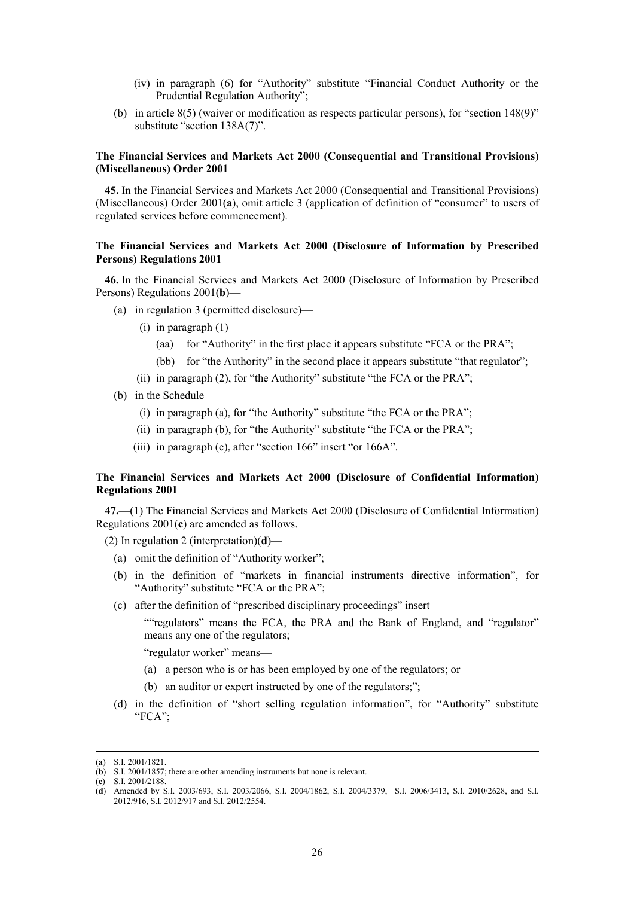- (iv) in paragraph (6) for "Authority" substitute "Financial Conduct Authority or the Prudential Regulation Authority";
- (b) in article 8(5) (waiver or modification as respects particular persons), for "section 148(9)" substitute "section 138A(7)".

# **The Financial Services and Markets Act 2000 (Consequential and Transitional Provisions) (Miscellaneous) Order 2001**

**45.** In the Financial Services and Markets Act 2000 (Consequential and Transitional Provisions) (Miscellaneous) Order 2001(**a**), omit article 3 (application of definition of "consumer" to users of regulated services before commencement).

# **The Financial Services and Markets Act 2000 (Disclosure of Information by Prescribed Persons) Regulations 2001**

**46.** In the Financial Services and Markets Act 2000 (Disclosure of Information by Prescribed Persons) Regulations 2001(**b**)—

- (a) in regulation 3 (permitted disclosure)—
	- (i) in paragraph  $(1)$ 
		- (aa) for "Authority" in the first place it appears substitute "FCA or the PRA";
		- (bb) for "the Authority" in the second place it appears substitute "that regulator";
	- (ii) in paragraph (2), for "the Authority" substitute "the FCA or the PRA";
- (b) in the Schedule—
	- (i) in paragraph (a), for "the Authority" substitute "the FCA or the PRA";
	- (ii) in paragraph (b), for "the Authority" substitute "the FCA or the PRA";
	- (iii) in paragraph (c), after "section 166" insert "or 166A".

# **The Financial Services and Markets Act 2000 (Disclosure of Confidential Information) Regulations 2001**

**47.**—(1) The Financial Services and Markets Act 2000 (Disclosure of Confidential Information) Regulations 2001(**c**) are amended as follows.

- (2) In regulation 2 (interpretation)(**d**)—
	- (a) omit the definition of "Authority worker";
	- (b) in the definition of "markets in financial instruments directive information", for "Authority" substitute "FCA or the PRA";
	- (c) after the definition of "prescribed disciplinary proceedings" insert—

""regulators" means the FCA, the PRA and the Bank of England, and "regulator" means any one of the regulators;

"regulator worker" means—

- (a) a person who is or has been employed by one of the regulators; or
- (b) an auditor or expert instructed by one of the regulators;";
- (d) in the definition of "short selling regulation information", for "Authority" substitute "FCA";

 <sup>(</sup>**a**) S.I. 2001/1821.

<sup>(</sup>**b**) S.I. 2001/1857; there are other amending instruments but none is relevant.

<sup>(</sup>**c**) S.I. 2001/2188.

<sup>(</sup>**d**) Amended by S.I. 2003/693, S.I. 2003/2066, S.I. 2004/1862, S.I. 2004/3379, S.I. 2006/3413, S.I. 2010/2628, and S.I. 2012/916, S.I. 2012/917 and S.I. 2012/2554.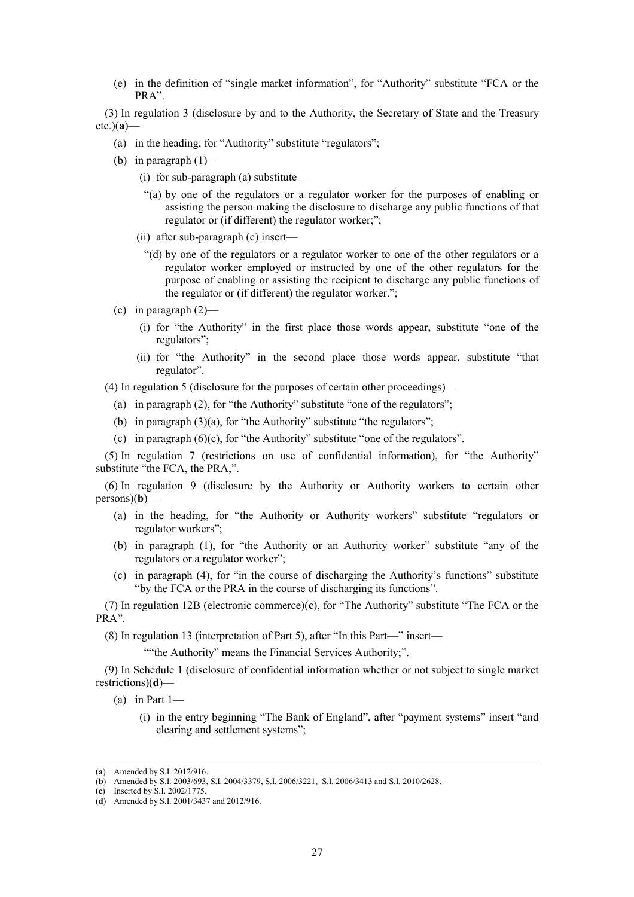(e) in the definition of "single market information", for "Authority" substitute "FCA or the PRA".

(3) In regulation 3 (disclosure by and to the Authority, the Secretary of State and the Treasury etc.)(**a**)—

- (a) in the heading, for "Authority" substitute "regulators";
- (b) in paragraph  $(1)$ 
	- (i) for sub-paragraph (a) substitute—
	- "(a) by one of the regulators or a regulator worker for the purposes of enabling or assisting the person making the disclosure to discharge any public functions of that regulator or (if different) the regulator worker;";
	- (ii) after sub-paragraph (c) insert—
		- "(d) by one of the regulators or a regulator worker to one of the other regulators or a regulator worker employed or instructed by one of the other regulators for the purpose of enabling or assisting the recipient to discharge any public functions of the regulator or (if different) the regulator worker.";
- (c) in paragraph  $(2)$ 
	- (i) for "the Authority" in the first place those words appear, substitute "one of the regulators";
	- (ii) for "the Authority" in the second place those words appear, substitute "that regulator".
- (4) In regulation 5 (disclosure for the purposes of certain other proceedings)—
	- (a) in paragraph (2), for "the Authority" substitute "one of the regulators";
	- (b) in paragraph  $(3)(a)$ , for "the Authority" substitute "the regulators";
	- (c) in paragraph (6)(c), for "the Authority" substitute "one of the regulators".

(5) In regulation 7 (restrictions on use of confidential information), for "the Authority" substitute "the FCA, the PRA,".

(6) In regulation 9 (disclosure by the Authority or Authority workers to certain other persons)(**b**)—

- (a) in the heading, for "the Authority or Authority workers" substitute "regulators or regulator workers";
- (b) in paragraph (1), for "the Authority or an Authority worker" substitute "any of the regulators or a regulator worker";
- (c) in paragraph (4), for "in the course of discharging the Authority's functions" substitute "by the FCA or the PRA in the course of discharging its functions".

(7) In regulation 12B (electronic commerce)(**c**), for "The Authority" substitute "The FCA or the PRA".

(8) In regulation 13 (interpretation of Part 5), after "In this Part—" insert—

""the Authority" means the Financial Services Authority;".

(9) In Schedule 1 (disclosure of confidential information whether or not subject to single market restrictions)(**d**)—

(a) in Part  $1-$ 

(i) in the entry beginning "The Bank of England", after "payment systems" insert "and clearing and settlement systems";

 <sup>(</sup>**a**) Amended by S.I. 2012/916.

<sup>(</sup>b) Amended by S.I. 2003/693, S.I. 2004/3379, S.I. 2006/3221, S.I. 2006/3413 and S.I. 2010/2628.

<sup>(</sup>**c**) Inserted by S.I. 2002/1775.

<sup>(</sup>**d**) Amended by S.I. 2001/3437 and 2012/916.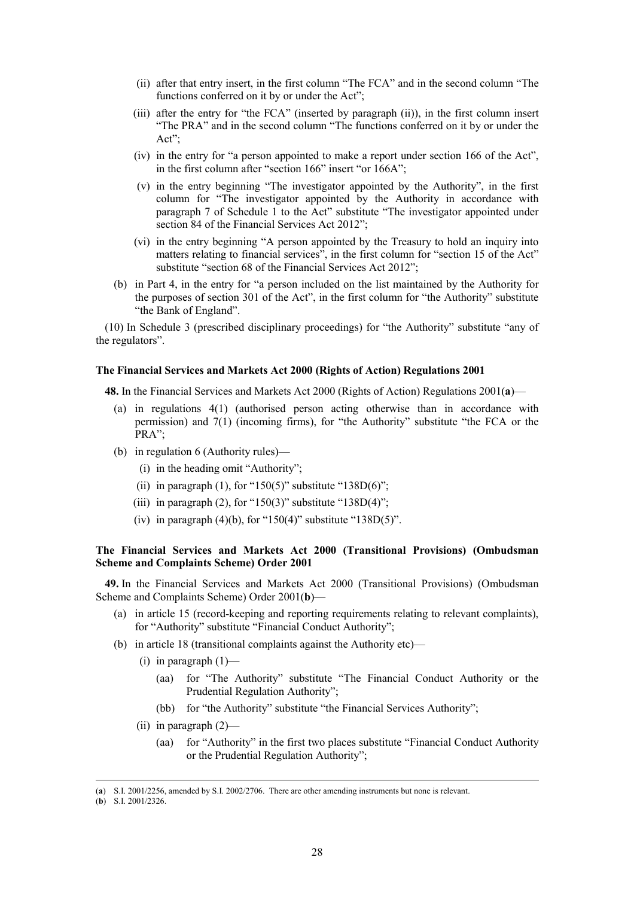- (ii) after that entry insert, in the first column "The FCA" and in the second column "The functions conferred on it by or under the Act";
- (iii) after the entry for "the FCA" (inserted by paragraph (ii)), in the first column insert "The PRA" and in the second column "The functions conferred on it by or under the Act";
- (iv) in the entry for "a person appointed to make a report under section 166 of the Act", in the first column after "section 166" insert "or 166A";
- (v) in the entry beginning "The investigator appointed by the Authority", in the first column for "The investigator appointed by the Authority in accordance with paragraph 7 of Schedule 1 to the Act" substitute "The investigator appointed under section 84 of the Financial Services Act 2012";
- (vi) in the entry beginning "A person appointed by the Treasury to hold an inquiry into matters relating to financial services", in the first column for "section 15 of the Act" substitute "section 68 of the Financial Services Act 2012";
- (b) in Part 4, in the entry for "a person included on the list maintained by the Authority for the purposes of section 301 of the Act", in the first column for "the Authority" substitute "the Bank of England".

(10) In Schedule 3 (prescribed disciplinary proceedings) for "the Authority" substitute "any of the regulators".

# **The Financial Services and Markets Act 2000 (Rights of Action) Regulations 2001**

**48.** In the Financial Services and Markets Act 2000 (Rights of Action) Regulations 2001(**a**)—

- (a) in regulations 4(1) (authorised person acting otherwise than in accordance with permission) and 7(1) (incoming firms), for "the Authority" substitute "the FCA or the PRA";
- (b) in regulation 6 (Authority rules)—
	- (i) in the heading omit "Authority";
	- (ii) in paragraph (1), for "150(5)" substitute "138D(6)";
	- (iii) in paragraph (2), for "150(3)" substitute "138D(4)";
	- (iv) in paragraph  $(4)(b)$ , for "150 $(4)$ " substitute "138D $(5)$ ".

# **The Financial Services and Markets Act 2000 (Transitional Provisions) (Ombudsman Scheme and Complaints Scheme) Order 2001**

**49.** In the Financial Services and Markets Act 2000 (Transitional Provisions) (Ombudsman Scheme and Complaints Scheme) Order 2001(**b**)—

- (a) in article 15 (record-keeping and reporting requirements relating to relevant complaints), for "Authority" substitute "Financial Conduct Authority";
- (b) in article 18 (transitional complaints against the Authority etc)—
	- (i) in paragraph  $(1)$ 
		- (aa) for "The Authority" substitute "The Financial Conduct Authority or the Prudential Regulation Authority";
		- (bb) for "the Authority" substitute "the Financial Services Authority";
	- (ii) in paragraph (2)—
		- (aa) for "Authority" in the first two places substitute "Financial Conduct Authority or the Prudential Regulation Authority";

 <sup>(</sup>**a**) S.I. 2001/2256, amended by S.I. 2002/2706. There are other amending instruments but none is relevant.

<sup>(</sup>**b**) S.I. 2001/2326.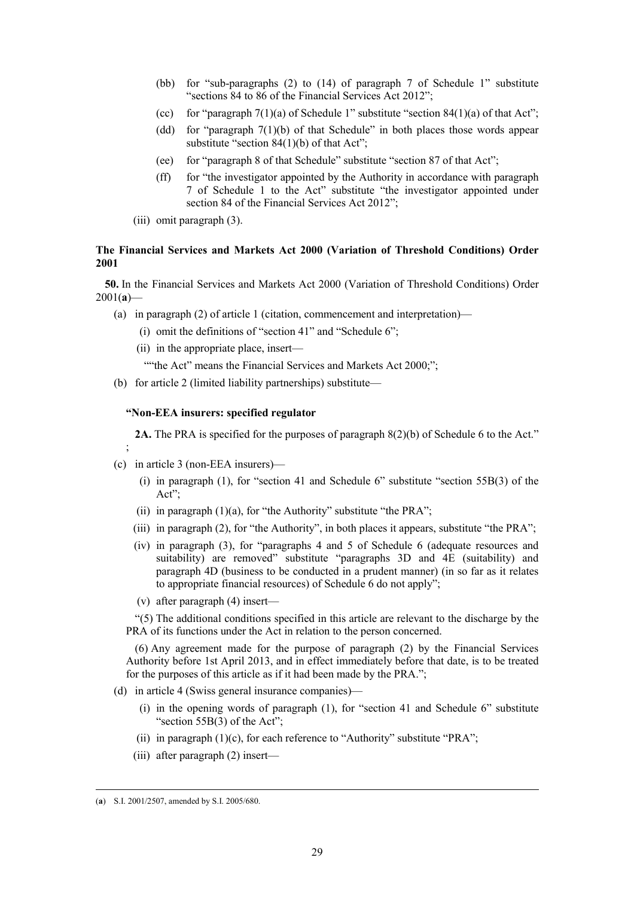- (bb) for "sub-paragraphs (2) to (14) of paragraph 7 of Schedule 1" substitute "sections 84 to 86 of the Financial Services Act 2012";
- (cc) for "paragraph  $7(1)(a)$  of Schedule 1" substitute "section  $84(1)(a)$  of that Act";
- (dd) for "paragraph 7(1)(b) of that Schedule" in both places those words appear substitute "section 84(1)(b) of that Act";
- (ee) for "paragraph 8 of that Schedule" substitute "section 87 of that Act";
- (ff) for "the investigator appointed by the Authority in accordance with paragraph 7 of Schedule 1 to the Act" substitute "the investigator appointed under section 84 of the Financial Services Act 2012";
- (iii) omit paragraph (3).

# **The Financial Services and Markets Act 2000 (Variation of Threshold Conditions) Order 2001**

**50.** In the Financial Services and Markets Act 2000 (Variation of Threshold Conditions) Order  $2001(a)$ —

- (a) in paragraph (2) of article 1 (citation, commencement and interpretation)—
	- (i) omit the definitions of "section 41" and "Schedule 6";
	- (ii) in the appropriate place, insert—

""the Act" means the Financial Services and Markets Act 2000;";

(b) for article 2 (limited liability partnerships) substitute—

# **"Non-EEA insurers: specified regulator**

**2A.** The PRA is specified for the purposes of paragraph 8(2)(b) of Schedule 6 to the Act."

(c) in article 3 (non-EEA insurers)—

;

- (i) in paragraph (1), for "section 41 and Schedule 6" substitute "section 55B(3) of the Act";
- (ii) in paragraph  $(1)(a)$ , for "the Authority" substitute "the PRA";
- (iii) in paragraph (2), for "the Authority", in both places it appears, substitute "the PRA";
- (iv) in paragraph (3), for "paragraphs 4 and 5 of Schedule 6 (adequate resources and suitability) are removed" substitute "paragraphs 3D and 4E (suitability) and paragraph 4D (business to be conducted in a prudent manner) (in so far as it relates to appropriate financial resources) of Schedule 6 do not apply";
- (v) after paragraph (4) insert—

"(5) The additional conditions specified in this article are relevant to the discharge by the PRA of its functions under the Act in relation to the person concerned.

(6) Any agreement made for the purpose of paragraph (2) by the Financial Services Authority before 1st April 2013, and in effect immediately before that date, is to be treated for the purposes of this article as if it had been made by the PRA.";

- (d) in article 4 (Swiss general insurance companies)—
	- (i) in the opening words of paragraph (1), for "section 41 and Schedule 6" substitute "section 55B(3) of the Act":
	- (ii) in paragraph  $(1)(c)$ , for each reference to "Authority" substitute "PRA";
	- (iii) after paragraph (2) insert—

 <sup>(</sup>**a**) S.I. 2001/2507, amended by S.I. 2005/680.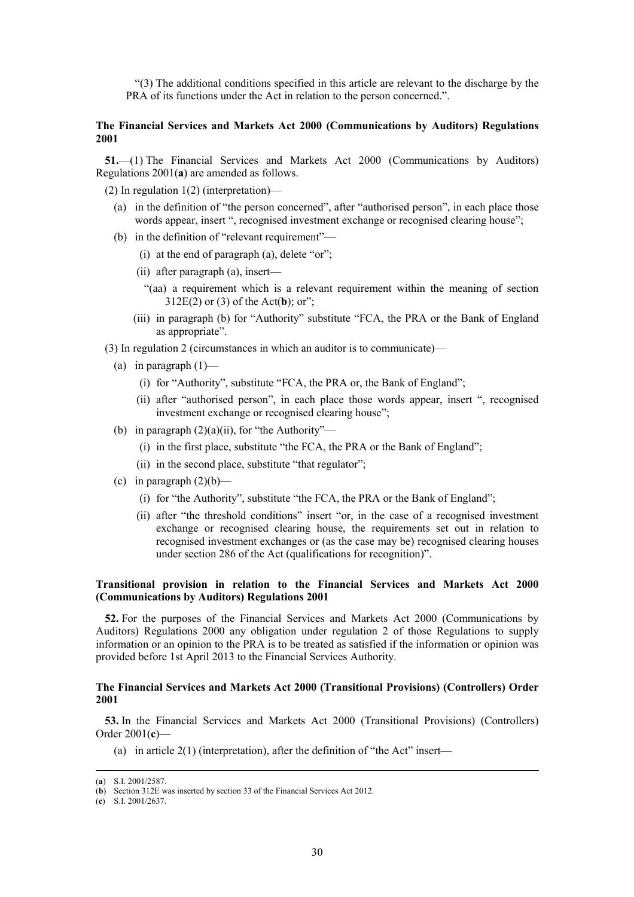"(3) The additional conditions specified in this article are relevant to the discharge by the PRA of its functions under the Act in relation to the person concerned.".

# **The Financial Services and Markets Act 2000 (Communications by Auditors) Regulations 2001**

**51.**—(1) The Financial Services and Markets Act 2000 (Communications by Auditors) Regulations 2001(**a**) are amended as follows.

(2) In regulation 1(2) (interpretation)—

- (a) in the definition of "the person concerned", after "authorised person", in each place those words appear, insert ", recognised investment exchange or recognised clearing house";
- (b) in the definition of "relevant requirement"—
	- (i) at the end of paragraph (a), delete "or";
	- (ii) after paragraph (a), insert—
		- "(aa) a requirement which is a relevant requirement within the meaning of section 312E(2) or (3) of the Act(**b**); or";
	- (iii) in paragraph (b) for "Authority" substitute "FCA, the PRA or the Bank of England as appropriate".
- (3) In regulation 2 (circumstances in which an auditor is to communicate)—
	- (a) in paragraph  $(1)$ 
		- (i) for "Authority", substitute "FCA, the PRA or, the Bank of England";
		- (ii) after "authorised person", in each place those words appear, insert ", recognised investment exchange or recognised clearing house";
	- (b) in paragraph  $(2)(a)(ii)$ , for "the Authority"—
		- (i) in the first place, substitute "the FCA, the PRA or the Bank of England";
		- (ii) in the second place, substitute "that regulator";
	- (c) in paragraph  $(2)(b)$ 
		- (i) for "the Authority", substitute "the FCA, the PRA or the Bank of England";
		- (ii) after "the threshold conditions" insert "or, in the case of a recognised investment exchange or recognised clearing house, the requirements set out in relation to recognised investment exchanges or (as the case may be) recognised clearing houses under section 286 of the Act (qualifications for recognition)".

# **Transitional provision in relation to the Financial Services and Markets Act 2000 (Communications by Auditors) Regulations 2001**

**52.** For the purposes of the Financial Services and Markets Act 2000 (Communications by Auditors) Regulations 2000 any obligation under regulation 2 of those Regulations to supply information or an opinion to the PRA is to be treated as satisfied if the information or opinion was provided before 1st April 2013 to the Financial Services Authority.

# **The Financial Services and Markets Act 2000 (Transitional Provisions) (Controllers) Order 2001**

**53.** In the Financial Services and Markets Act 2000 (Transitional Provisions) (Controllers) Order 2001(**c**)—

(a) in article  $2(1)$  (interpretation), after the definition of "the Act" insert—

 <sup>(</sup>**a**) S.I. 2001/2587.

<sup>(</sup>**b**) Section 312E was inserted by section 33 of the Financial Services Act 2012.

<sup>(</sup>**c**) S.I. 2001/2637.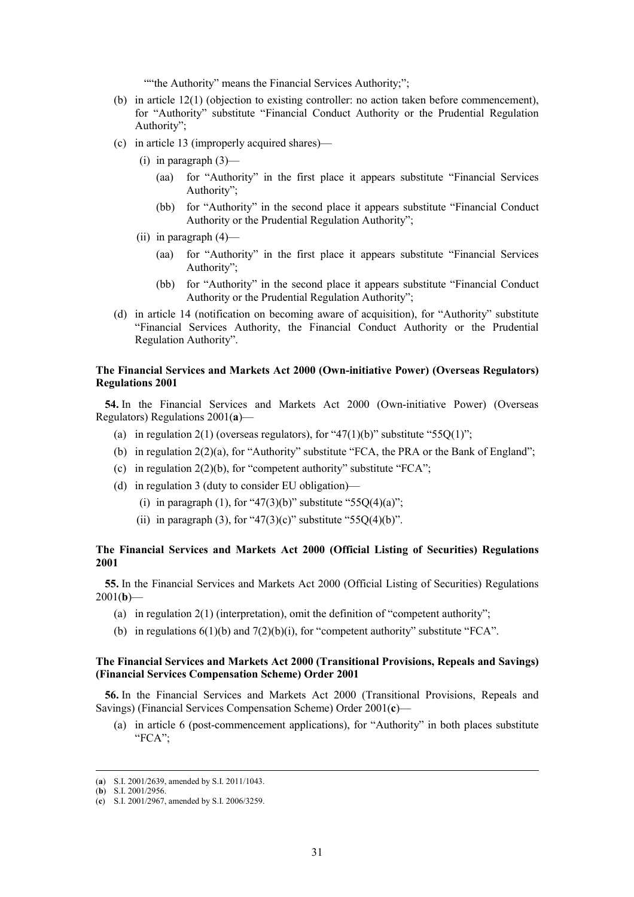""the Authority" means the Financial Services Authority;";

- (b) in article 12(1) (objection to existing controller: no action taken before commencement), for "Authority" substitute "Financial Conduct Authority or the Prudential Regulation Authority";
- (c) in article 13 (improperly acquired shares)—
	- $(i)$  in paragraph  $(3)$ 
		- (aa) for "Authority" in the first place it appears substitute "Financial Services Authority";
		- (bb) for "Authority" in the second place it appears substitute "Financial Conduct Authority or the Prudential Regulation Authority";
	- (ii) in paragraph (4)—
		- (aa) for "Authority" in the first place it appears substitute "Financial Services Authority";
		- (bb) for "Authority" in the second place it appears substitute "Financial Conduct Authority or the Prudential Regulation Authority";
- (d) in article 14 (notification on becoming aware of acquisition), for "Authority" substitute "Financial Services Authority, the Financial Conduct Authority or the Prudential Regulation Authority".

# **The Financial Services and Markets Act 2000 (Own-initiative Power) (Overseas Regulators) Regulations 2001**

**54.** In the Financial Services and Markets Act 2000 (Own-initiative Power) (Overseas Regulators) Regulations 2001(**a**)—

- (a) in regulation 2(1) (overseas regulators), for "47(1)(b)" substitute "55Q(1)";
- (b) in regulation  $2(2)(a)$ , for "Authority" substitute "FCA, the PRA or the Bank of England";
- (c) in regulation  $2(2)(b)$ , for "competent authority" substitute "FCA";
- (d) in regulation 3 (duty to consider EU obligation)—
	- (i) in paragraph (1), for "47(3)(b)" substitute "55Q(4)(a)";
	- (ii) in paragraph (3), for "47(3)(c)" substitute "55O(4)(b)".

## **The Financial Services and Markets Act 2000 (Official Listing of Securities) Regulations 2001**

**55.** In the Financial Services and Markets Act 2000 (Official Listing of Securities) Regulations  $2001(b)$ 

- (a) in regulation 2(1) (interpretation), omit the definition of "competent authority";
- (b) in regulations  $6(1)(b)$  and  $7(2)(b)(i)$ , for "competent authority" substitute "FCA".

# **The Financial Services and Markets Act 2000 (Transitional Provisions, Repeals and Savings) (Financial Services Compensation Scheme) Order 2001**

**56.** In the Financial Services and Markets Act 2000 (Transitional Provisions, Repeals and Savings) (Financial Services Compensation Scheme) Order 2001(**c**)—

(a) in article 6 (post-commencement applications), for "Authority" in both places substitute "FCA";

 <sup>(</sup>**a**) S.I. 2001/2639, amended by S.I. 2011/1043.

<sup>(</sup>**b**) S.I. 2001/2956.

<sup>(</sup>**c**) S.I. 2001/2967, amended by S.I. 2006/3259.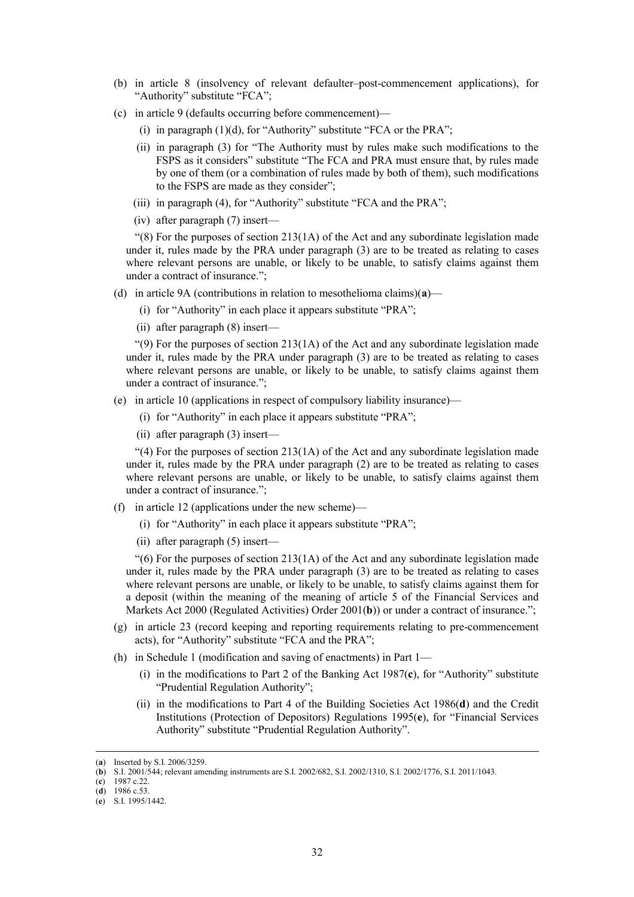- (b) in article 8 (insolvency of relevant defaulter–post-commencement applications), for "Authority" substitute "FCA";
- (c) in article 9 (defaults occurring before commencement)—
	- (i) in paragraph  $(1)(d)$ , for "Authority" substitute "FCA or the PRA";
	- (ii) in paragraph (3) for "The Authority must by rules make such modifications to the FSPS as it considers" substitute "The FCA and PRA must ensure that, by rules made by one of them (or a combination of rules made by both of them), such modifications to the FSPS are made as they consider";
	- (iii) in paragraph (4), for "Authority" substitute "FCA and the PRA";
	- (iv) after paragraph (7) insert—

 $\degree$ (8) For the purposes of section 213(1A) of the Act and any subordinate legislation made under it, rules made by the PRA under paragraph (3) are to be treated as relating to cases where relevant persons are unable, or likely to be unable, to satisfy claims against them under a contract of insurance.";

- (d) in article 9A (contributions in relation to mesothelioma claims)(**a**)—
	- (i) for "Authority" in each place it appears substitute "PRA";
	- (ii) after paragraph (8) insert—

" $(9)$  For the purposes of section 213 $(1)$  of the Act and any subordinate legislation made under it, rules made by the PRA under paragraph (3) are to be treated as relating to cases where relevant persons are unable, or likely to be unable, to satisfy claims against them under a contract of insurance.";

- (e) in article 10 (applications in respect of compulsory liability insurance)—
	- (i) for "Authority" in each place it appears substitute "PRA";
	- (ii) after paragraph (3) insert—

 $\degree$ (4) For the purposes of section 213(1A) of the Act and any subordinate legislation made under it, rules made by the PRA under paragraph (2) are to be treated as relating to cases where relevant persons are unable, or likely to be unable, to satisfy claims against them under a contract of insurance.";

- (f) in article 12 (applications under the new scheme)—
	- (i) for "Authority" in each place it appears substitute "PRA";
	- (ii) after paragraph (5) insert—

 $\degree$ (6) For the purposes of section 213(1A) of the Act and any subordinate legislation made under it, rules made by the PRA under paragraph (3) are to be treated as relating to cases where relevant persons are unable, or likely to be unable, to satisfy claims against them for a deposit (within the meaning of the meaning of article 5 of the Financial Services and Markets Act 2000 (Regulated Activities) Order 2001(**b**)) or under a contract of insurance.";

- (g) in article 23 (record keeping and reporting requirements relating to pre-commencement acts), for "Authority" substitute "FCA and the PRA";
- (h) in Schedule 1 (modification and saving of enactments) in Part 1—
	- (i) in the modifications to Part 2 of the Banking Act 1987(**c**), for "Authority" substitute "Prudential Regulation Authority";
	- (ii) in the modifications to Part 4 of the Building Societies Act 1986(**d**) and the Credit Institutions (Protection of Depositors) Regulations 1995(**e**), for "Financial Services Authority" substitute "Prudential Regulation Authority".

(**d**) 1986 c.53.

 <sup>(</sup>**a**) Inserted by S.I. 2006/3259.

<sup>(</sup>**b**) S.I. 2001/544; relevant amending instruments are S.I. 2002/682, S.I. 2002/1310, S.I. 2002/1776, S.I. 2011/1043.

<sup>(</sup>**c**) 1987 c.22.

<sup>(</sup>**e**) S.I. 1995/1442.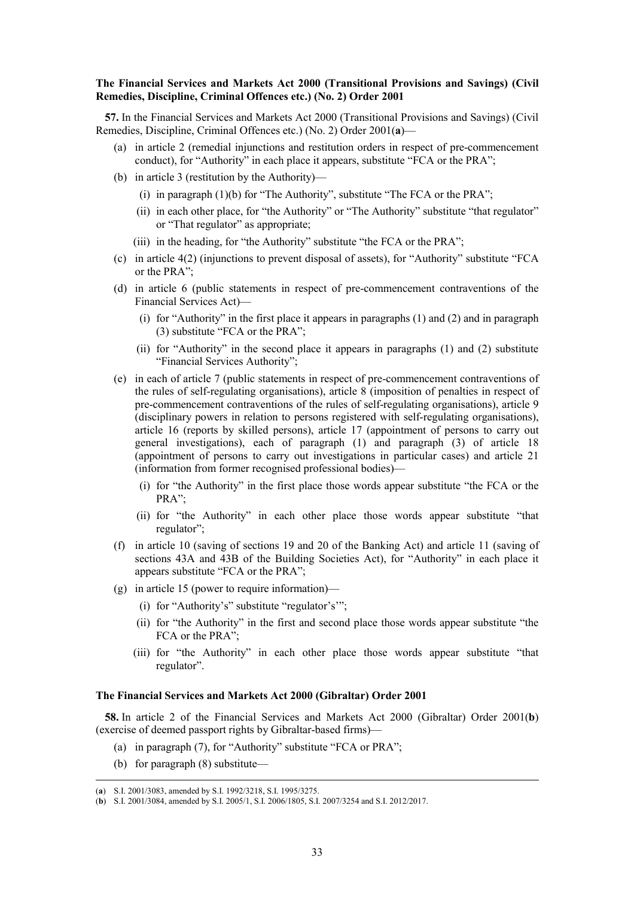# **The Financial Services and Markets Act 2000 (Transitional Provisions and Savings) (Civil Remedies, Discipline, Criminal Offences etc.) (No. 2) Order 2001**

**57.** In the Financial Services and Markets Act 2000 (Transitional Provisions and Savings) (Civil Remedies, Discipline, Criminal Offences etc.) (No. 2) Order 2001(**a**)—

- (a) in article 2 (remedial injunctions and restitution orders in respect of pre-commencement conduct), for "Authority" in each place it appears, substitute "FCA or the PRA";
- (b) in article 3 (restitution by the Authority)—
	- (i) in paragraph  $(1)(b)$  for "The Authority", substitute "The FCA or the PRA";
	- (ii) in each other place, for "the Authority" or "The Authority" substitute "that regulator" or "That regulator" as appropriate;
	- (iii) in the heading, for "the Authority" substitute "the FCA or the PRA";
- (c) in article 4(2) (injunctions to prevent disposal of assets), for "Authority" substitute "FCA or the PRA";
- (d) in article 6 (public statements in respect of pre-commencement contraventions of the Financial Services Act)—
	- (i) for "Authority" in the first place it appears in paragraphs (1) and (2) and in paragraph (3) substitute "FCA or the PRA";
	- (ii) for "Authority" in the second place it appears in paragraphs (1) and (2) substitute "Financial Services Authority";
- (e) in each of article 7 (public statements in respect of pre-commencement contraventions of the rules of self-regulating organisations), article 8 (imposition of penalties in respect of pre-commencement contraventions of the rules of self-regulating organisations), article 9 (disciplinary powers in relation to persons registered with self-regulating organisations), article 16 (reports by skilled persons), article 17 (appointment of persons to carry out general investigations), each of paragraph (1) and paragraph (3) of article 18 (appointment of persons to carry out investigations in particular cases) and article 21 (information from former recognised professional bodies)—
	- (i) for "the Authority" in the first place those words appear substitute "the FCA or the PRA";
	- (ii) for "the Authority" in each other place those words appear substitute "that regulator";
- (f) in article 10 (saving of sections 19 and 20 of the Banking Act) and article 11 (saving of sections 43A and 43B of the Building Societies Act), for "Authority" in each place it appears substitute "FCA or the PRA";
- (g) in article 15 (power to require information)—
	- (i) for "Authority's" substitute "regulator's'";
	- (ii) for "the Authority" in the first and second place those words appear substitute "the FCA or the PRA";
	- (iii) for "the Authority" in each other place those words appear substitute "that regulator".

#### **The Financial Services and Markets Act 2000 (Gibraltar) Order 2001**

**58.** In article 2 of the Financial Services and Markets Act 2000 (Gibraltar) Order 2001(**b**) (exercise of deemed passport rights by Gibraltar-based firms)—

- (a) in paragraph (7), for "Authority" substitute "FCA or PRA";
- (b) for paragraph (8) substitute—

 <sup>(</sup>**a**) S.I. 2001/3083, amended by S.I. 1992/3218, S.I. 1995/3275.

<sup>(</sup>**b**) S.I. 2001/3084, amended by S.I. 2005/1, S.I. 2006/1805, S.I. 2007/3254 and S.I. 2012/2017.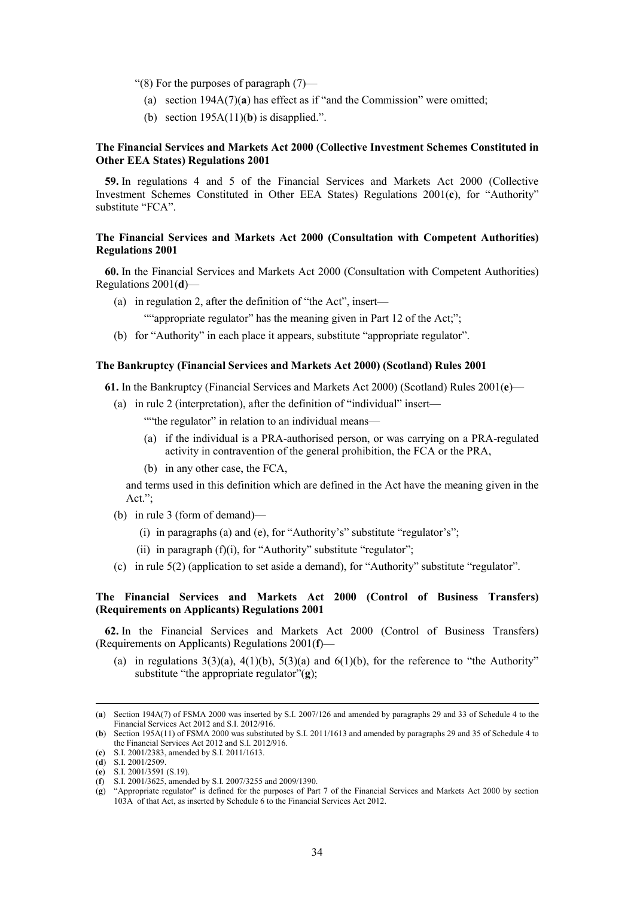"(8) For the purposes of paragraph (7)—

- (a) section 194A(7)(**a**) has effect as if "and the Commission" were omitted;
- (b) section  $195A(11)$ (b) is disapplied.".

# **The Financial Services and Markets Act 2000 (Collective Investment Schemes Constituted in Other EEA States) Regulations 2001**

**59.** In regulations 4 and 5 of the Financial Services and Markets Act 2000 (Collective Investment Schemes Constituted in Other EEA States) Regulations 2001(**c**), for "Authority" substitute "FCA".

# **The Financial Services and Markets Act 2000 (Consultation with Competent Authorities) Regulations 2001**

**60.** In the Financial Services and Markets Act 2000 (Consultation with Competent Authorities) Regulations 2001(**d**)—

(a) in regulation 2, after the definition of "the Act", insert—

""appropriate regulator" has the meaning given in Part 12 of the Act;";

(b) for "Authority" in each place it appears, substitute "appropriate regulator".

# **The Bankruptcy (Financial Services and Markets Act 2000) (Scotland) Rules 2001**

**61.** In the Bankruptcy (Financial Services and Markets Act 2000) (Scotland) Rules 2001(**e**)—

(a) in rule 2 (interpretation), after the definition of "individual" insert—

""the regulator" in relation to an individual means—

- (a) if the individual is a PRA-authorised person, or was carrying on a PRA-regulated activity in contravention of the general prohibition, the FCA or the PRA,
- (b) in any other case, the FCA,

and terms used in this definition which are defined in the Act have the meaning given in the Act.";

- (b) in rule 3 (form of demand)—
	- (i) in paragraphs (a) and (e), for "Authority's" substitute "regulator's";
	- (ii) in paragraph  $(f)(i)$ , for "Authority" substitute "regulator";
- (c) in rule 5(2) (application to set aside a demand), for "Authority" substitute "regulator".

# **The Financial Services and Markets Act 2000 (Control of Business Transfers) (Requirements on Applicants) Regulations 2001**

**62.** In the Financial Services and Markets Act 2000 (Control of Business Transfers) (Requirements on Applicants) Regulations 2001(**f**)—

(a) in regulations  $3(3)(a)$ ,  $4(1)(b)$ ,  $5(3)(a)$  and  $6(1)(b)$ , for the reference to "the Authority" substitute "the appropriate regulator"(**g**);

 <sup>(</sup>**a**) Section 194A(7) of FSMA 2000 was inserted by S.I. 2007/126 and amended by paragraphs 29 and 33 of Schedule 4 to the Financial Services Act 2012 and S.I. 2012/916.

<sup>(</sup>**b**) Section 195A(11) of FSMA 2000 was substituted by S.I. 2011/1613 and amended by paragraphs 29 and 35 of Schedule 4 to the Financial Services Act 2012 and S.I. 2012/916.

<sup>(</sup>**c**) S.I. 2001/2383, amended by S.I. 2011/1613.

<sup>(</sup>**d**) S.I. 2001/2509.

<sup>(</sup>**e**) S.I. 2001/3591 (S.19).

<sup>(</sup>**f**) S.I. 2001/3625, amended by S.I. 2007/3255 and 2009/1390.

<sup>(</sup>**g**) "Appropriate regulator" is defined for the purposes of Part 7 of the Financial Services and Markets Act 2000 by section 103A of that Act, as inserted by Schedule 6 to the Financial Services Act 2012.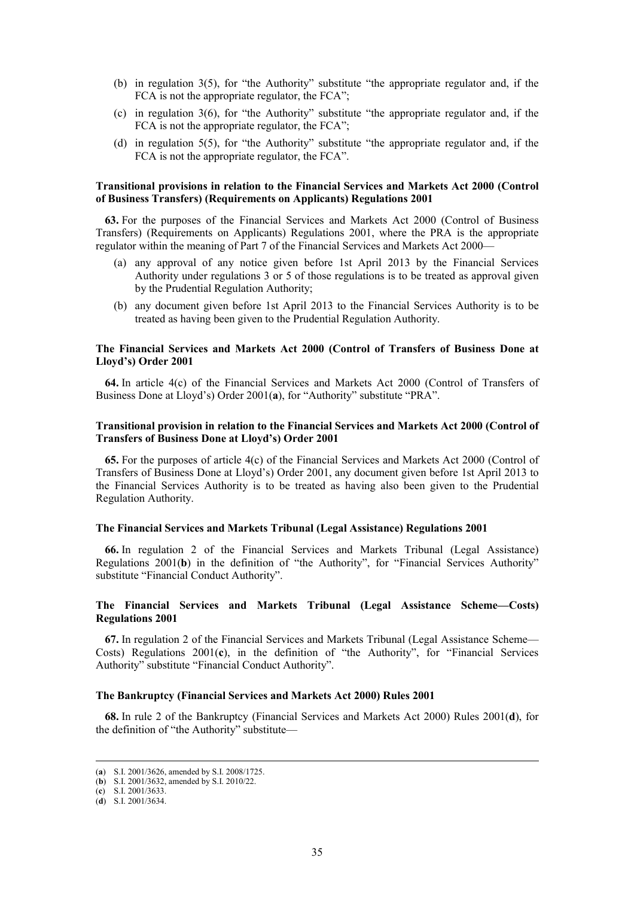- (b) in regulation 3(5), for "the Authority" substitute "the appropriate regulator and, if the FCA is not the appropriate regulator, the FCA";
- (c) in regulation 3(6), for "the Authority" substitute "the appropriate regulator and, if the FCA is not the appropriate regulator, the FCA";
- (d) in regulation 5(5), for "the Authority" substitute "the appropriate regulator and, if the FCA is not the appropriate regulator, the FCA".

#### **Transitional provisions in relation to the Financial Services and Markets Act 2000 (Control of Business Transfers) (Requirements on Applicants) Regulations 2001**

**63.** For the purposes of the Financial Services and Markets Act 2000 (Control of Business Transfers) (Requirements on Applicants) Regulations 2001, where the PRA is the appropriate regulator within the meaning of Part 7 of the Financial Services and Markets Act 2000—

- (a) any approval of any notice given before 1st April 2013 by the Financial Services Authority under regulations 3 or 5 of those regulations is to be treated as approval given by the Prudential Regulation Authority;
- (b) any document given before 1st April 2013 to the Financial Services Authority is to be treated as having been given to the Prudential Regulation Authority.

## **The Financial Services and Markets Act 2000 (Control of Transfers of Business Done at Lloyd's) Order 2001**

**64.** In article 4(c) of the Financial Services and Markets Act 2000 (Control of Transfers of Business Done at Lloyd's) Order 2001(**a**), for "Authority" substitute "PRA".

# **Transitional provision in relation to the Financial Services and Markets Act 2000 (Control of Transfers of Business Done at Lloyd's) Order 2001**

**65.** For the purposes of article 4(c) of the Financial Services and Markets Act 2000 (Control of Transfers of Business Done at Lloyd's) Order 2001, any document given before 1st April 2013 to the Financial Services Authority is to be treated as having also been given to the Prudential Regulation Authority.

# **The Financial Services and Markets Tribunal (Legal Assistance) Regulations 2001**

**66.** In regulation 2 of the Financial Services and Markets Tribunal (Legal Assistance) Regulations 2001(**b**) in the definition of "the Authority", for "Financial Services Authority" substitute "Financial Conduct Authority".

# **The Financial Services and Markets Tribunal (Legal Assistance Scheme—Costs) Regulations 2001**

**67.** In regulation 2 of the Financial Services and Markets Tribunal (Legal Assistance Scheme— Costs) Regulations 2001(**c**), in the definition of "the Authority", for "Financial Services Authority" substitute "Financial Conduct Authority".

#### **The Bankruptcy (Financial Services and Markets Act 2000) Rules 2001**

**68.** In rule 2 of the Bankruptcy (Financial Services and Markets Act 2000) Rules 2001(**d**), for the definition of "the Authority" substitute—

 <sup>(</sup>**a**) S.I. 2001/3626, amended by S.I. 2008/1725.

<sup>(</sup>**b**) S.I. 2001/3632, amended by S.I. 2010/22.

<sup>(</sup>**c**) S.I. 2001/3633.

<sup>(</sup>**d**) S.I. 2001/3634.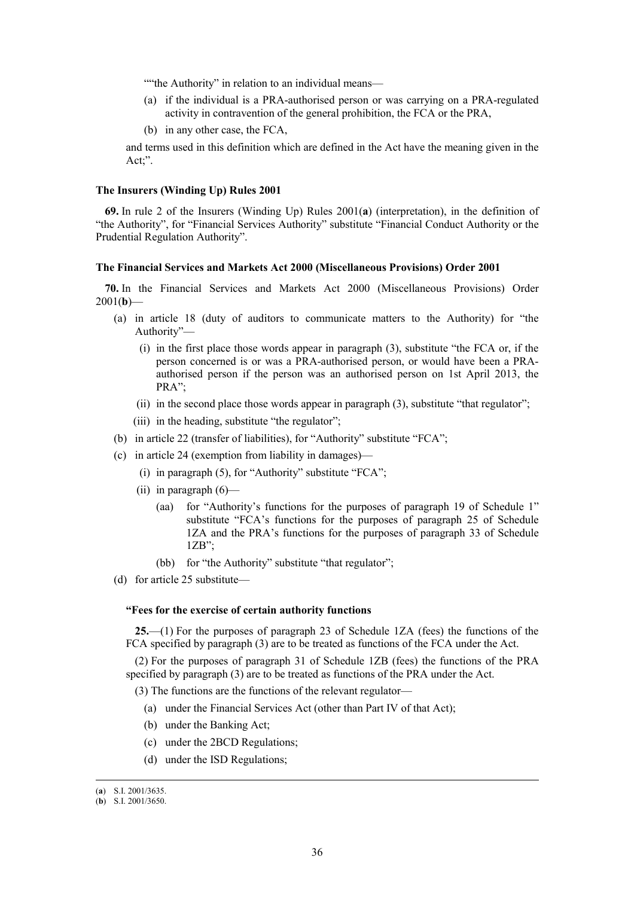""the Authority" in relation to an individual means—

- (a) if the individual is a PRA-authorised person or was carrying on a PRA-regulated activity in contravention of the general prohibition, the FCA or the PRA,
- (b) in any other case, the FCA,

and terms used in this definition which are defined in the Act have the meaning given in the Act;".

#### **The Insurers (Winding Up) Rules 2001**

**69.** In rule 2 of the Insurers (Winding Up) Rules 2001(**a**) (interpretation), in the definition of "the Authority", for "Financial Services Authority" substitute "Financial Conduct Authority or the Prudential Regulation Authority".

## **The Financial Services and Markets Act 2000 (Miscellaneous Provisions) Order 2001**

**70.** In the Financial Services and Markets Act 2000 (Miscellaneous Provisions) Order  $2001(b)$ —

- (a) in article 18 (duty of auditors to communicate matters to the Authority) for "the Authority"—
	- (i) in the first place those words appear in paragraph (3), substitute "the FCA or, if the person concerned is or was a PRA-authorised person, or would have been a PRAauthorised person if the person was an authorised person on 1st April 2013, the PRA";
	- (ii) in the second place those words appear in paragraph (3), substitute "that regulator";
	- (iii) in the heading, substitute "the regulator";
- (b) in article 22 (transfer of liabilities), for "Authority" substitute "FCA";
- (c) in article 24 (exemption from liability in damages)—
	- (i) in paragraph  $(5)$ , for "Authority" substitute "FCA";
	- (ii) in paragraph  $(6)$ 
		- (aa) for "Authority's functions for the purposes of paragraph 19 of Schedule 1" substitute "FCA's functions for the purposes of paragraph 25 of Schedule 1ZA and the PRA's functions for the purposes of paragraph 33 of Schedule  $1ZB$ ";
		- (bb) for "the Authority" substitute "that regulator";
- (d) for article 25 substitute—

#### **"Fees for the exercise of certain authority functions**

**25.**—(1) For the purposes of paragraph 23 of Schedule 1ZA (fees) the functions of the FCA specified by paragraph (3) are to be treated as functions of the FCA under the Act.

(2) For the purposes of paragraph 31 of Schedule 1ZB (fees) the functions of the PRA specified by paragraph (3) are to be treated as functions of the PRA under the Act.

(3) The functions are the functions of the relevant regulator—

- (a) under the Financial Services Act (other than Part IV of that Act);
- (b) under the Banking Act;
- (c) under the 2BCD Regulations;
- (d) under the ISD Regulations;

 <sup>(</sup>**a**) S.I. 2001/3635.

<sup>(</sup>**b**) S.I. 2001/3650.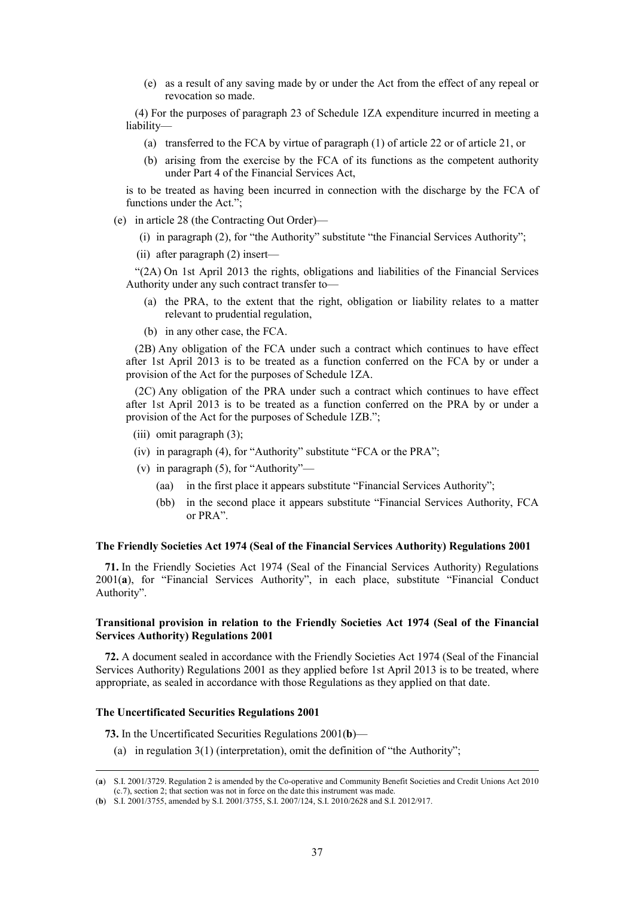(e) as a result of any saving made by or under the Act from the effect of any repeal or revocation so made.

(4) For the purposes of paragraph 23 of Schedule 1ZA expenditure incurred in meeting a liability—

- (a) transferred to the FCA by virtue of paragraph (1) of article 22 or of article 21, or
- (b) arising from the exercise by the FCA of its functions as the competent authority under Part 4 of the Financial Services Act,

is to be treated as having been incurred in connection with the discharge by the FCA of functions under the Act.";

- (e) in article 28 (the Contracting Out Order)—
	- (i) in paragraph (2), for "the Authority" substitute "the Financial Services Authority";
	- (ii) after paragraph (2) insert—

"(2A) On 1st April 2013 the rights, obligations and liabilities of the Financial Services Authority under any such contract transfer to—

- (a) the PRA, to the extent that the right, obligation or liability relates to a matter relevant to prudential regulation,
- (b) in any other case, the FCA.

(2B) Any obligation of the FCA under such a contract which continues to have effect after 1st April 2013 is to be treated as a function conferred on the FCA by or under a provision of the Act for the purposes of Schedule 1ZA.

(2C) Any obligation of the PRA under such a contract which continues to have effect after 1st April 2013 is to be treated as a function conferred on the PRA by or under a provision of the Act for the purposes of Schedule 1ZB.";

- (iii) omit paragraph (3);
- (iv) in paragraph (4), for "Authority" substitute "FCA or the PRA";
- (v) in paragraph (5), for "Authority"—
	- (aa) in the first place it appears substitute "Financial Services Authority";
	- (bb) in the second place it appears substitute "Financial Services Authority, FCA or PRA".

# **The Friendly Societies Act 1974 (Seal of the Financial Services Authority) Regulations 2001**

**71.** In the Friendly Societies Act 1974 (Seal of the Financial Services Authority) Regulations 2001(**a**), for "Financial Services Authority", in each place, substitute "Financial Conduct Authority".

# **Transitional provision in relation to the Friendly Societies Act 1974 (Seal of the Financial Services Authority) Regulations 2001**

**72.** A document sealed in accordance with the Friendly Societies Act 1974 (Seal of the Financial Services Authority) Regulations 2001 as they applied before 1st April 2013 is to be treated, where appropriate, as sealed in accordance with those Regulations as they applied on that date.

### **The Uncertificated Securities Regulations 2001**

**73.** In the Uncertificated Securities Regulations 2001(**b**)—

(a) in regulation  $3(1)$  (interpretation), omit the definition of "the Authority";

 <sup>(</sup>**a**) S.I. 2001/3729. Regulation 2 is amended by the Co-operative and Community Benefit Societies and Credit Unions Act 2010 (c.7), section 2; that section was not in force on the date this instrument was made.

<sup>(</sup>**b**) S.I. 2001/3755, amended by S.I. 2001/3755, S.I. 2007/124, S.I. 2010/2628 and S.I. 2012/917.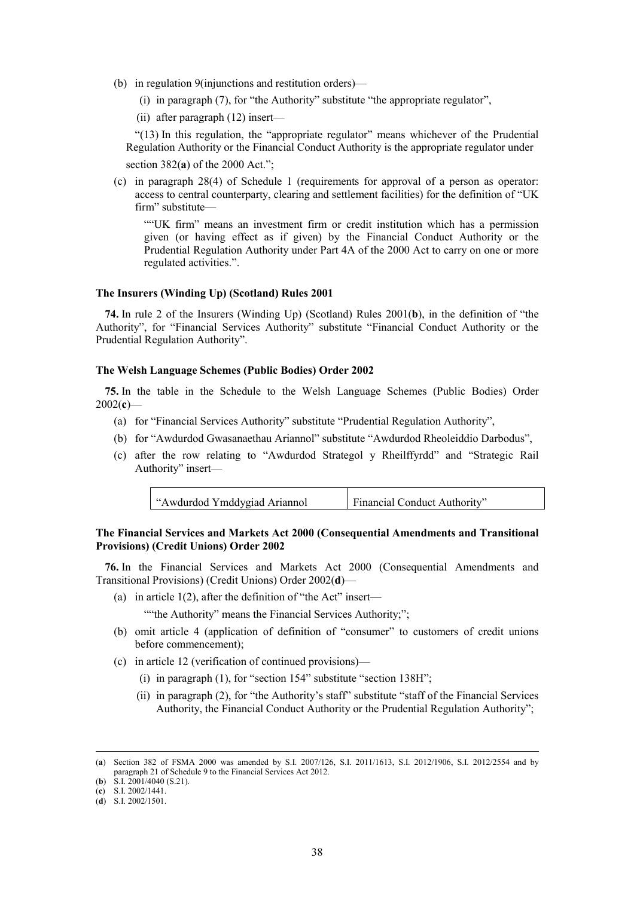- (b) in regulation 9(injunctions and restitution orders)—
	- (i) in paragraph (7), for "the Authority" substitute "the appropriate regulator",
	- (ii) after paragraph (12) insert—

"(13) In this regulation, the "appropriate regulator" means whichever of the Prudential Regulation Authority or the Financial Conduct Authority is the appropriate regulator under section 382(**a**) of the 2000 Act.";

(c) in paragraph 28(4) of Schedule 1 (requirements for approval of a person as operator: access to central counterparty, clearing and settlement facilities) for the definition of "UK firm" substitute—

""UK firm" means an investment firm or credit institution which has a permission given (or having effect as if given) by the Financial Conduct Authority or the Prudential Regulation Authority under Part 4A of the 2000 Act to carry on one or more regulated activities.".

#### **The Insurers (Winding Up) (Scotland) Rules 2001**

**74.** In rule 2 of the Insurers (Winding Up) (Scotland) Rules 2001(**b**), in the definition of "the Authority", for "Financial Services Authority" substitute "Financial Conduct Authority or the Prudential Regulation Authority".

### **The Welsh Language Schemes (Public Bodies) Order 2002**

**75.** In the table in the Schedule to the Welsh Language Schemes (Public Bodies) Order 2002(**c**)—

- (a) for "Financial Services Authority" substitute "Prudential Regulation Authority",
- (b) for "Awdurdod Gwasanaethau Ariannol" substitute "Awdurdod Rheoleiddio Darbodus",
- (c) after the row relating to "Awdurdod Strategol y Rheilffyrdd" and "Strategic Rail Authority" insert—

| "Awdurdod Ymddygiad Ariannol" | Financial Conduct Authority" |
|-------------------------------|------------------------------|
|-------------------------------|------------------------------|

**The Financial Services and Markets Act 2000 (Consequential Amendments and Transitional Provisions) (Credit Unions) Order 2002** 

**76.** In the Financial Services and Markets Act 2000 (Consequential Amendments and Transitional Provisions) (Credit Unions) Order 2002(**d**)—

(a) in article  $1(2)$ , after the definition of "the Act" insert—

""the Authority" means the Financial Services Authority;";

- (b) omit article 4 (application of definition of "consumer" to customers of credit unions before commencement);
- (c) in article 12 (verification of continued provisions)—
	- (i) in paragraph  $(1)$ , for "section 154" substitute "section 138H";
	- (ii) in paragraph (2), for "the Authority's staff" substitute "staff of the Financial Services Authority, the Financial Conduct Authority or the Prudential Regulation Authority";

 <sup>(</sup>**a**) Section 382 of FSMA 2000 was amended by S.I. 2007/126, S.I. 2011/1613, S.I. 2012/1906, S.I. 2012/2554 and by paragraph 21 of Schedule 9 to the Financial Services Act 2012.

<sup>(</sup>**b**) S.I. 2001/4040 (S.21).

<sup>(</sup>**c**) S.I. 2002/1441.

<sup>(</sup>**d**) S.I. 2002/1501.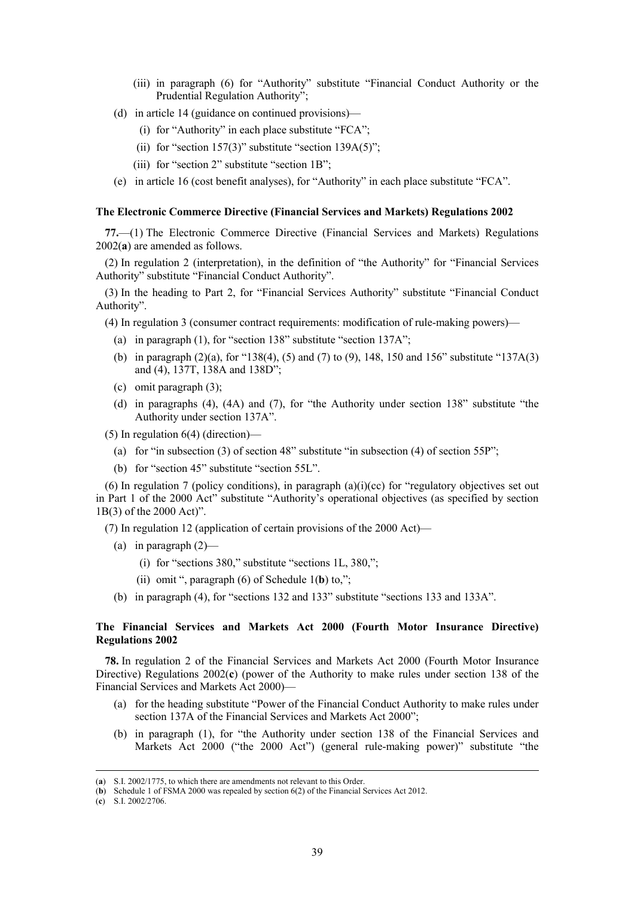- (iii) in paragraph (6) for "Authority" substitute "Financial Conduct Authority or the Prudential Regulation Authority";
- (d) in article 14 (guidance on continued provisions)—
	- (i) for "Authority" in each place substitute "FCA";
	- (ii) for "section  $157(3)$ " substitute "section  $139A(5)$ ";
	- (iii) for "section 2" substitute "section 1B";
- (e) in article 16 (cost benefit analyses), for "Authority" in each place substitute "FCA".

#### **The Electronic Commerce Directive (Financial Services and Markets) Regulations 2002**

**77.**—(1) The Electronic Commerce Directive (Financial Services and Markets) Regulations 2002(**a**) are amended as follows.

(2) In regulation 2 (interpretation), in the definition of "the Authority" for "Financial Services Authority" substitute "Financial Conduct Authority".

(3) In the heading to Part 2, for "Financial Services Authority" substitute "Financial Conduct Authority".

- (4) In regulation 3 (consumer contract requirements: modification of rule-making powers)—
	- (a) in paragraph (1), for "section 138" substitute "section 137A";
	- (b) in paragraph (2)(a), for "138(4), (5) and (7) to (9), 148, 150 and 156" substitute "137A(3) and (4), 137T, 138A and 138D";
	- (c) omit paragraph (3);
	- (d) in paragraphs (4), (4A) and (7), for "the Authority under section 138" substitute "the Authority under section 137A".

(5) In regulation  $6(4)$  (direction)—

- (a) for "in subsection (3) of section 48" substitute "in subsection (4) of section 55P";
- (b) for "section 45" substitute "section 55L".

(6) In regulation 7 (policy conditions), in paragraph (a)(i)(cc) for "regulatory objectives set out in Part 1 of the 2000 Act" substitute "Authority's operational objectives (as specified by section 1B(3) of the 2000 Act)".

(7) In regulation 12 (application of certain provisions of the 2000 Act)—

- (a) in paragraph  $(2)$ 
	- (i) for "sections 380," substitute "sections 1L, 380,";
	- (ii) omit ", paragraph (6) of Schedule 1(**b**) to,";
- (b) in paragraph (4), for "sections 132 and 133" substitute "sections 133 and 133A".

# **The Financial Services and Markets Act 2000 (Fourth Motor Insurance Directive) Regulations 2002**

**78.** In regulation 2 of the Financial Services and Markets Act 2000 (Fourth Motor Insurance Directive) Regulations 2002(**c**) (power of the Authority to make rules under section 138 of the Financial Services and Markets Act 2000)—

- (a) for the heading substitute "Power of the Financial Conduct Authority to make rules under section 137A of the Financial Services and Markets Act 2000";
- (b) in paragraph (1), for "the Authority under section 138 of the Financial Services and Markets Act 2000 ("the 2000 Act") (general rule-making power)" substitute "the

 <sup>(</sup>**a**) S.I. 2002/1775, to which there are amendments not relevant to this Order.

<sup>(</sup>**b**) Schedule 1 of FSMA 2000 was repealed by section 6(2) of the Financial Services Act 2012.

<sup>(</sup>**c**) S.I. 2002/2706.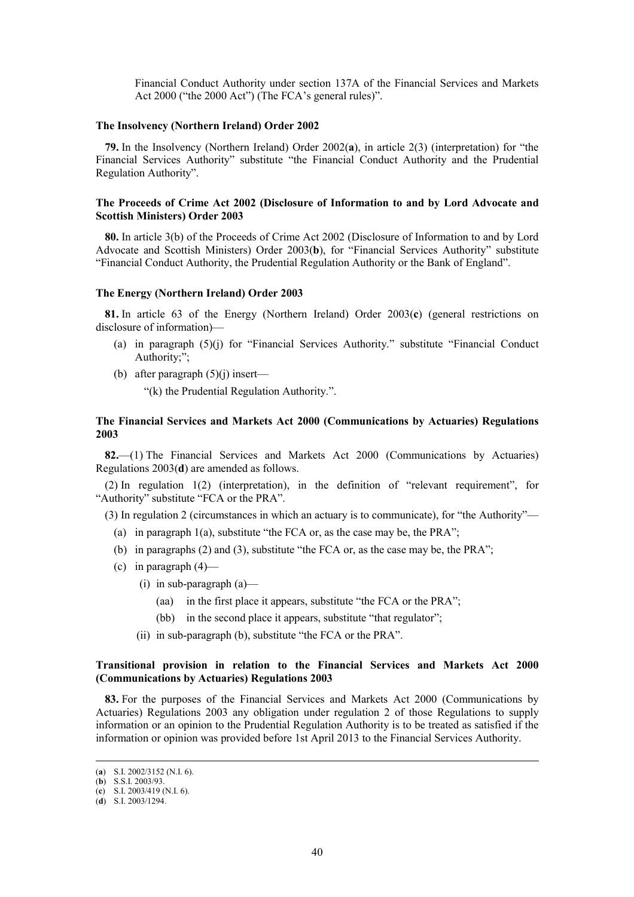Financial Conduct Authority under section 137A of the Financial Services and Markets Act 2000 ("the 2000 Act") (The FCA's general rules)".

### **The Insolvency (Northern Ireland) Order 2002**

**79.** In the Insolvency (Northern Ireland) Order 2002(**a**), in article 2(3) (interpretation) for "the Financial Services Authority" substitute "the Financial Conduct Authority and the Prudential Regulation Authority".

# **The Proceeds of Crime Act 2002 (Disclosure of Information to and by Lord Advocate and Scottish Ministers) Order 2003**

**80.** In article 3(b) of the Proceeds of Crime Act 2002 (Disclosure of Information to and by Lord Advocate and Scottish Ministers) Order 2003(**b**), for "Financial Services Authority" substitute "Financial Conduct Authority, the Prudential Regulation Authority or the Bank of England".

### **The Energy (Northern Ireland) Order 2003**

**81.** In article 63 of the Energy (Northern Ireland) Order 2003(**c**) (general restrictions on disclosure of information)—

- (a) in paragraph (5)(j) for "Financial Services Authority." substitute "Financial Conduct Authority;";
- (b) after paragraph  $(5)(i)$  insert—

"(k) the Prudential Regulation Authority.".

# **The Financial Services and Markets Act 2000 (Communications by Actuaries) Regulations 2003**

**82.**—(1) The Financial Services and Markets Act 2000 (Communications by Actuaries) Regulations 2003(**d**) are amended as follows.

(2) In regulation 1(2) (interpretation), in the definition of "relevant requirement", for "Authority" substitute "FCA or the PRA".

(3) In regulation 2 (circumstances in which an actuary is to communicate), for "the Authority"—

- (a) in paragraph  $1(a)$ , substitute "the FCA or, as the case may be, the PRA";
- (b) in paragraphs (2) and (3), substitute "the FCA or, as the case may be, the PRA";
- (c) in paragraph  $(4)$ 
	- (i) in sub-paragraph (a)—
		- (aa) in the first place it appears, substitute "the FCA or the PRA";
		- (bb) in the second place it appears, substitute "that regulator";
	- (ii) in sub-paragraph (b), substitute "the FCA or the PRA".

# **Transitional provision in relation to the Financial Services and Markets Act 2000 (Communications by Actuaries) Regulations 2003**

**83.** For the purposes of the Financial Services and Markets Act 2000 (Communications by Actuaries) Regulations 2003 any obligation under regulation 2 of those Regulations to supply information or an opinion to the Prudential Regulation Authority is to be treated as satisfied if the information or opinion was provided before 1st April 2013 to the Financial Services Authority.

 <sup>(</sup>**a**) S.I. 2002/3152 (N.I. 6).

<sup>(</sup>**b**) S.S.I. 2003/93.

<sup>(</sup>**c**) S.I. 2003/419 (N.I. 6).

<sup>(</sup>**d**) S.I. 2003/1294.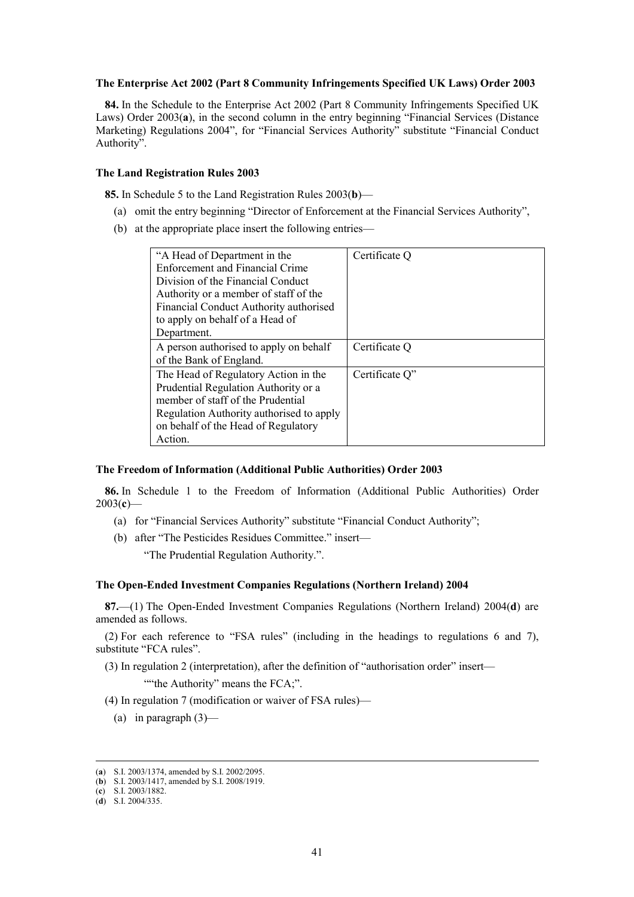#### **The Enterprise Act 2002 (Part 8 Community Infringements Specified UK Laws) Order 2003**

**84.** In the Schedule to the Enterprise Act 2002 (Part 8 Community Infringements Specified UK Laws) Order 2003(**a**), in the second column in the entry beginning "Financial Services (Distance Marketing) Regulations 2004", for "Financial Services Authority" substitute "Financial Conduct Authority".

### **The Land Registration Rules 2003**

**85.** In Schedule 5 to the Land Registration Rules 2003(**b**)—

- (a) omit the entry beginning "Director of Enforcement at the Financial Services Authority",
- (b) at the appropriate place insert the following entries—

| "A Head of Department in the<br>Enforcement and Financial Crime<br>Division of the Financial Conduct | Certificate Q  |
|------------------------------------------------------------------------------------------------------|----------------|
| Authority or a member of staff of the                                                                |                |
| Financial Conduct Authority authorised                                                               |                |
| to apply on behalf of a Head of                                                                      |                |
| Department.                                                                                          |                |
| A person authorised to apply on behalf<br>of the Bank of England.                                    | Certificate Q  |
| The Head of Regulatory Action in the                                                                 | Certificate Q" |
| Prudential Regulation Authority or a                                                                 |                |
| member of staff of the Prudential                                                                    |                |
| Regulation Authority authorised to apply                                                             |                |
| on behalf of the Head of Regulatory                                                                  |                |
| Action.                                                                                              |                |

# **The Freedom of Information (Additional Public Authorities) Order 2003**

**86.** In Schedule 1 to the Freedom of Information (Additional Public Authorities) Order 2003(**c**)—

- (a) for "Financial Services Authority" substitute "Financial Conduct Authority";
- (b) after "The Pesticides Residues Committee." insert—

"The Prudential Regulation Authority.".

# **The Open-Ended Investment Companies Regulations (Northern Ireland) 2004**

**87.**—(1) The Open-Ended Investment Companies Regulations (Northern Ireland) 2004(**d**) are amended as follows.

(2) For each reference to "FSA rules" (including in the headings to regulations 6 and 7), substitute "FCA rules".

- (3) In regulation 2 (interpretation), after the definition of "authorisation order" insert— ""the Authority" means the FCA;".
- (4) In regulation 7 (modification or waiver of FSA rules)—
	- (a) in paragraph  $(3)$ —

(**c**) S.I. 2003/1882.

 <sup>(</sup>**a**) S.I. 2003/1374, amended by S.I. 2002/2095.

<sup>(</sup>**b**) S.I. 2003/1417, amended by S.I. 2008/1919.

<sup>(</sup>**d**) S.I. 2004/335.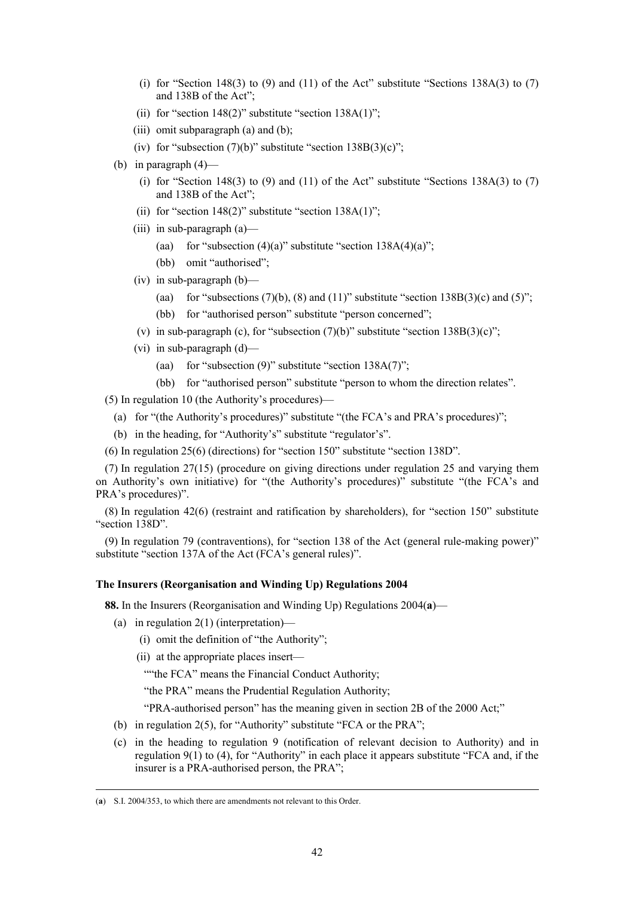- (i) for "Section 148(3) to (9) and (11) of the Act" substitute "Sections 138A(3) to (7) and 138B of the Act";
- (ii) for "section  $148(2)$ " substitute "section  $138A(1)$ ";
- (iii) omit subparagraph  $(a)$  and  $(b)$ ;
- (iv) for "subsection  $(7)(b)$ " substitute "section  $138B(3)(c)$ ";
- (b) in paragraph (4)—
	- (i) for "Section 148(3) to (9) and (11) of the Act" substitute "Sections 138A(3) to (7) and 138B of the Act";
	- (ii) for "section  $148(2)$ " substitute "section  $138A(1)$ ";
	- (iii) in sub-paragraph (a)—
		- (aa) for "subsection  $(4)(a)$ " substitute "section  $138A(4)(a)$ ";
		- (bb) omit "authorised";
	- (iv) in sub-paragraph (b)—
		- (aa) for "subsections  $(7)(b)$ ,  $(8)$  and  $(11)$ " substitute "section  $138B(3)(c)$  and  $(5)$ ";
		- (bb) for "authorised person" substitute "person concerned";
	- (v) in sub-paragraph (c), for "subsection  $(7)(b)$ " substitute "section  $138B(3)(c)$ ";
	- (vi) in sub-paragraph (d)—
		- (aa) for "subsection  $(9)$ " substitute "section  $138A(7)$ ";
		- (bb) for "authorised person" substitute "person to whom the direction relates".

(5) In regulation 10 (the Authority's procedures)—

- (a) for "(the Authority's procedures)" substitute "(the FCA's and PRA's procedures)";
- (b) in the heading, for "Authority's" substitute "regulator's".
- (6) In regulation 25(6) (directions) for "section 150" substitute "section 138D".

(7) In regulation 27(15) (procedure on giving directions under regulation 25 and varying them on Authority's own initiative) for "(the Authority's procedures)" substitute "(the FCA's and PRA's procedures)".

(8) In regulation 42(6) (restraint and ratification by shareholders), for "section 150" substitute "section 138D".

(9) In regulation 79 (contraventions), for "section 138 of the Act (general rule-making power)" substitute "section 137A of the Act (FCA's general rules)".

#### **The Insurers (Reorganisation and Winding Up) Regulations 2004**

**88.** In the Insurers (Reorganisation and Winding Up) Regulations 2004(**a**)—

- (a) in regulation 2(1) (interpretation)—
	- (i) omit the definition of "the Authority";
	- (ii) at the appropriate places insert—

""the FCA" means the Financial Conduct Authority;

"the PRA" means the Prudential Regulation Authority;

"PRA-authorised person" has the meaning given in section 2B of the 2000 Act;"

- (b) in regulation 2(5), for "Authority" substitute "FCA or the PRA";
- (c) in the heading to regulation 9 (notification of relevant decision to Authority) and in regulation 9(1) to (4), for "Authority" in each place it appears substitute "FCA and, if the insurer is a PRA-authorised person, the PRA";

 <sup>(</sup>**a**) S.I. 2004/353, to which there are amendments not relevant to this Order.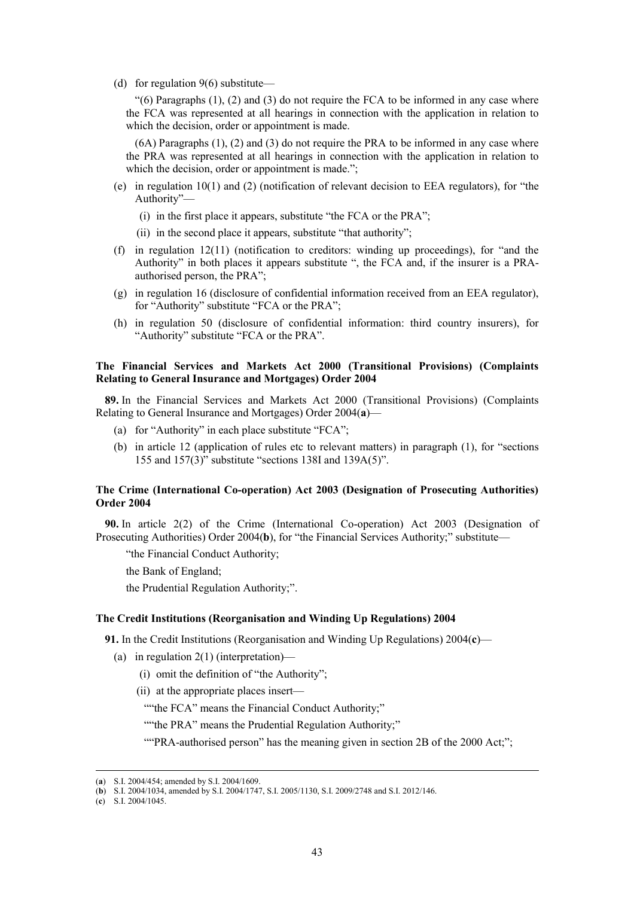(d) for regulation 9(6) substitute—

" $(6)$  Paragraphs  $(1)$ ,  $(2)$  and  $(3)$  do not require the FCA to be informed in any case where the FCA was represented at all hearings in connection with the application in relation to which the decision, order or appointment is made.

(6A) Paragraphs (1), (2) and (3) do not require the PRA to be informed in any case where the PRA was represented at all hearings in connection with the application in relation to which the decision, order or appointment is made.";

- (e) in regulation 10(1) and (2) (notification of relevant decision to EEA regulators), for "the Authority"—
	- (i) in the first place it appears, substitute "the FCA or the PRA";
	- (ii) in the second place it appears, substitute "that authority";
- (f) in regulation 12(11) (notification to creditors: winding up proceedings), for "and the Authority" in both places it appears substitute ", the FCA and, if the insurer is a PRAauthorised person, the PRA";
- (g) in regulation 16 (disclosure of confidential information received from an EEA regulator), for "Authority" substitute "FCA or the PRA";
- (h) in regulation 50 (disclosure of confidential information: third country insurers), for "Authority" substitute "FCA or the PRA".

# **The Financial Services and Markets Act 2000 (Transitional Provisions) (Complaints Relating to General Insurance and Mortgages) Order 2004**

**89.** In the Financial Services and Markets Act 2000 (Transitional Provisions) (Complaints Relating to General Insurance and Mortgages) Order 2004(**a**)—

- (a) for "Authority" in each place substitute "FCA";
- (b) in article 12 (application of rules etc to relevant matters) in paragraph (1), for "sections 155 and  $157(3)$ " substitute "sections 138I and 139A(5)".

# **The Crime (International Co-operation) Act 2003 (Designation of Prosecuting Authorities) Order 2004**

**90.** In article 2(2) of the Crime (International Co-operation) Act 2003 (Designation of Prosecuting Authorities) Order 2004(**b**), for "the Financial Services Authority;" substitute—

"the Financial Conduct Authority;

the Bank of England;

the Prudential Regulation Authority;".

## **The Credit Institutions (Reorganisation and Winding Up Regulations) 2004**

**91.** In the Credit Institutions (Reorganisation and Winding Up Regulations) 2004(**c**)—

- (a) in regulation 2(1) (interpretation)—
	- (i) omit the definition of "the Authority";

(ii) at the appropriate places insert—

""the FCA" means the Financial Conduct Authority;"

""the PRA" means the Prudential Regulation Authority;"

""PRA-authorised person" has the meaning given in section 2B of the 2000 Act;";

 <sup>(</sup>**a**) S.I. 2004/454; amended by S.I. 2004/1609.

<sup>(</sup>**b**) S.I. 2004/1034, amended by S.I. 2004/1747, S.I. 2005/1130, S.I. 2009/2748 and S.I. 2012/146.

<sup>(</sup>**c**) S.I. 2004/1045.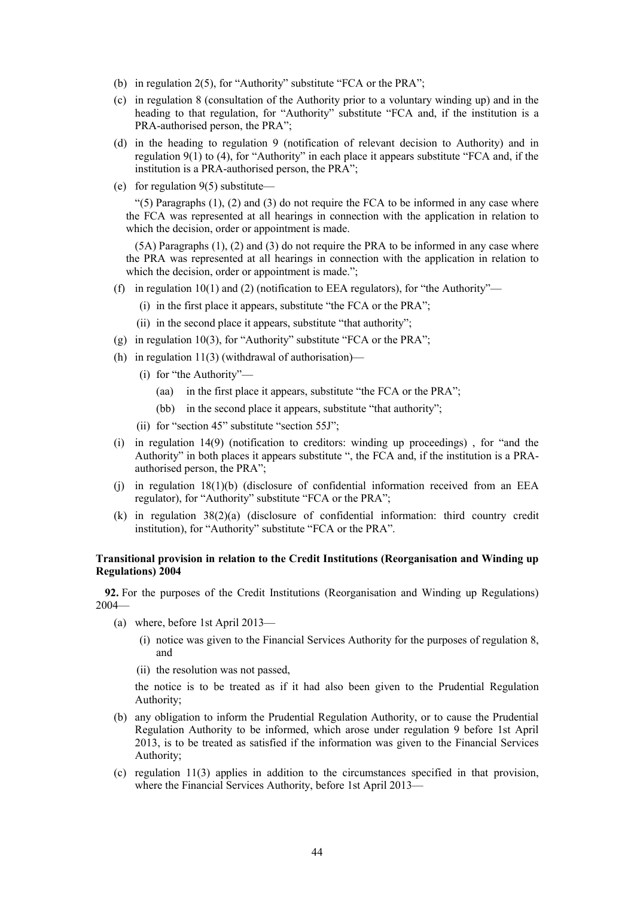- (b) in regulation 2(5), for "Authority" substitute "FCA or the PRA";
- (c) in regulation 8 (consultation of the Authority prior to a voluntary winding up) and in the heading to that regulation, for "Authority" substitute "FCA and, if the institution is a PRA-authorised person, the PRA";
- (d) in the heading to regulation 9 (notification of relevant decision to Authority) and in regulation 9(1) to (4), for "Authority" in each place it appears substitute "FCA and, if the institution is a PRA-authorised person, the PRA";
- (e) for regulation 9(5) substitute—

" $(5)$  Paragraphs  $(1)$ ,  $(2)$  and  $(3)$  do not require the FCA to be informed in any case where the FCA was represented at all hearings in connection with the application in relation to which the decision, order or appointment is made.

(5A) Paragraphs (1), (2) and (3) do not require the PRA to be informed in any case where the PRA was represented at all hearings in connection with the application in relation to which the decision, order or appointment is made.";

- (f) in regulation 10(1) and (2) (notification to EEA regulators), for "the Authority"—
	- (i) in the first place it appears, substitute "the FCA or the PRA";
	- (ii) in the second place it appears, substitute "that authority";
- (g) in regulation 10(3), for "Authority" substitute "FCA or the PRA";
- (h) in regulation  $11(3)$  (withdrawal of authorisation)—
	- (i) for "the Authority"—
		- (aa) in the first place it appears, substitute "the FCA or the PRA";
		- (bb) in the second place it appears, substitute "that authority";
	- (ii) for "section 45" substitute "section 55J";
- (i) in regulation 14(9) (notification to creditors: winding up proceedings) , for "and the Authority" in both places it appears substitute ", the FCA and, if the institution is a PRAauthorised person, the PRA";
- (i) in regulation  $18(1)(b)$  (disclosure of confidential information received from an EEA regulator), for "Authority" substitute "FCA or the PRA";
- (k) in regulation 38(2)(a) (disclosure of confidential information: third country credit institution), for "Authority" substitute "FCA or the PRA".

# **Transitional provision in relation to the Credit Institutions (Reorganisation and Winding up Regulations) 2004**

**92.** For the purposes of the Credit Institutions (Reorganisation and Winding up Regulations) 2004—

- (a) where, before 1st April 2013—
	- (i) notice was given to the Financial Services Authority for the purposes of regulation 8, and
	- (ii) the resolution was not passed,

the notice is to be treated as if it had also been given to the Prudential Regulation Authority;

- (b) any obligation to inform the Prudential Regulation Authority, or to cause the Prudential Regulation Authority to be informed, which arose under regulation 9 before 1st April 2013, is to be treated as satisfied if the information was given to the Financial Services Authority;
- (c) regulation 11(3) applies in addition to the circumstances specified in that provision, where the Financial Services Authority, before 1st April 2013—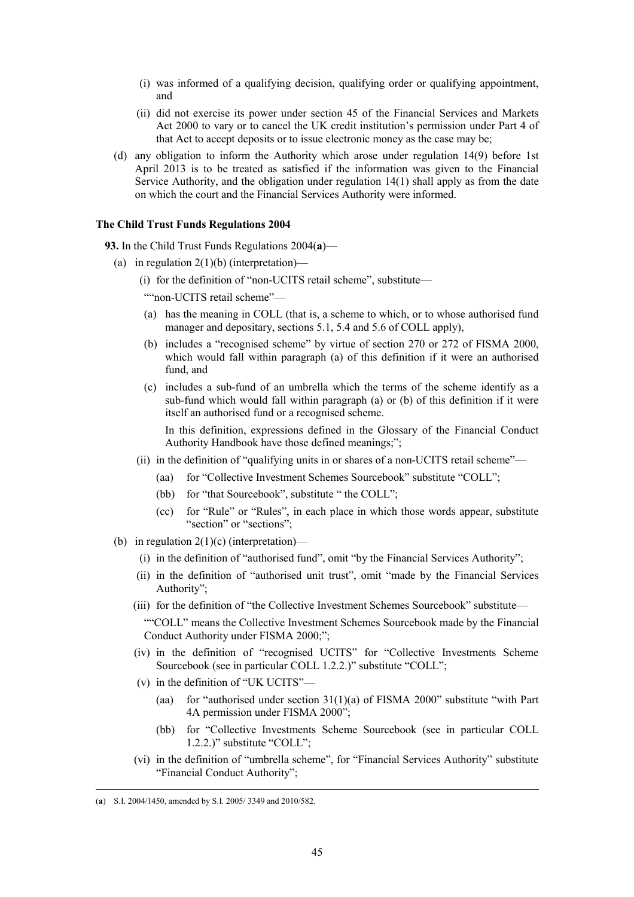- (i) was informed of a qualifying decision, qualifying order or qualifying appointment, and
- (ii) did not exercise its power under section 45 of the Financial Services and Markets Act 2000 to vary or to cancel the UK credit institution's permission under Part 4 of that Act to accept deposits or to issue electronic money as the case may be;
- (d) any obligation to inform the Authority which arose under regulation 14(9) before 1st April 2013 is to be treated as satisfied if the information was given to the Financial Service Authority, and the obligation under regulation 14(1) shall apply as from the date on which the court and the Financial Services Authority were informed.

# **The Child Trust Funds Regulations 2004**

**93.** In the Child Trust Funds Regulations 2004(**a**)—

- (a) in regulation  $2(1)(b)$  (interpretation)—
	- (i) for the definition of "non-UCITS retail scheme", substitute—

""non-UCITS retail scheme"-

- (a) has the meaning in COLL (that is, a scheme to which, or to whose authorised fund manager and depositary, sections 5.1, 5.4 and 5.6 of COLL apply),
- (b) includes a "recognised scheme" by virtue of section 270 or 272 of FISMA 2000, which would fall within paragraph (a) of this definition if it were an authorised fund, and
- (c) includes a sub-fund of an umbrella which the terms of the scheme identify as a sub-fund which would fall within paragraph (a) or (b) of this definition if it were itself an authorised fund or a recognised scheme.

In this definition, expressions defined in the Glossary of the Financial Conduct Authority Handbook have those defined meanings;";

- (ii) in the definition of "qualifying units in or shares of a non-UCITS retail scheme"—
	- (aa) for "Collective Investment Schemes Sourcebook" substitute "COLL";
	- (bb) for "that Sourcebook", substitute " the COLL";
	- (cc) for "Rule" or "Rules", in each place in which those words appear, substitute "section" or "sections";
- (b) in regulation  $2(1)(c)$  (interpretation)—
	- (i) in the definition of "authorised fund", omit "by the Financial Services Authority";
	- (ii) in the definition of "authorised unit trust", omit "made by the Financial Services Authority";
	- (iii) for the definition of "the Collective Investment Schemes Sourcebook" substitute— ""COLL" means the Collective Investment Schemes Sourcebook made by the Financial Conduct Authority under FISMA 2000;";
	- (iv) in the definition of "recognised UCITS" for "Collective Investments Scheme Sourcebook (see in particular COLL 1.2.2.)" substitute "COLL";
	- (v) in the definition of "UK UCITS"—
		- (aa) for "authorised under section  $31(1)(a)$  of FISMA 2000" substitute "with Part 4A permission under FISMA 2000";
		- (bb) for "Collective Investments Scheme Sourcebook (see in particular COLL 1.2.2.)" substitute "COLL";
	- (vi) in the definition of "umbrella scheme", for "Financial Services Authority" substitute "Financial Conduct Authority";

 <sup>(</sup>**a**) S.I. 2004/1450, amended by S.I. 2005/ 3349 and 2010/582.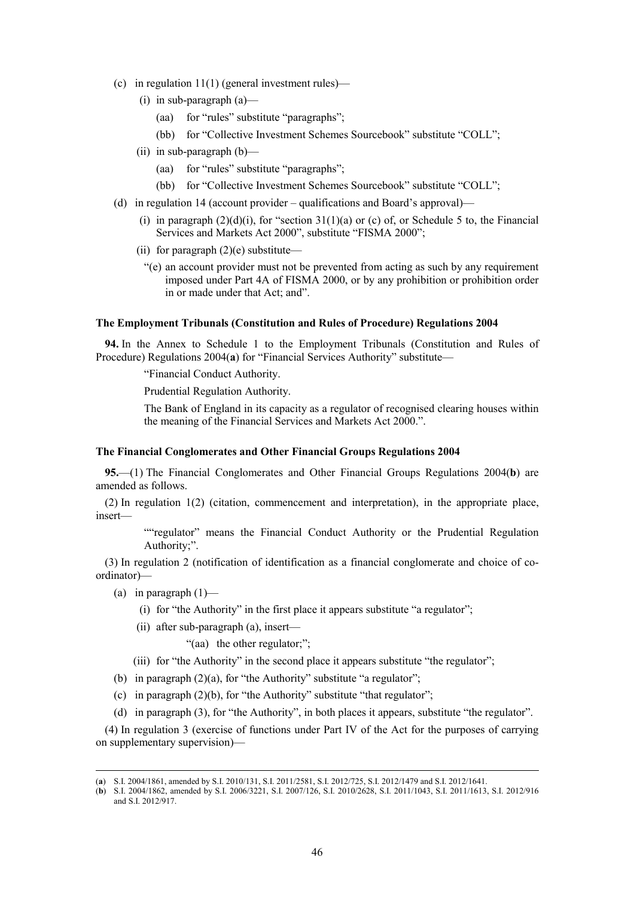- (c) in regulation  $11(1)$  (general investment rules)—
	- (i) in sub-paragraph (a)—
		- (aa) for "rules" substitute "paragraphs";
		- (bb) for "Collective Investment Schemes Sourcebook" substitute "COLL";
	- (ii) in sub-paragraph (b)—
		- (aa) for "rules" substitute "paragraphs";
		- (bb) for "Collective Investment Schemes Sourcebook" substitute "COLL";
- (d) in regulation 14 (account provider qualifications and Board's approval)—
	- (i) in paragraph  $(2)(d)(i)$ , for "section 31(1)(a) or (c) of, or Schedule 5 to, the Financial Services and Markets Act 2000", substitute "FISMA 2000";
	- (ii) for paragraph  $(2)(e)$  substitute—
		- "(e) an account provider must not be prevented from acting as such by any requirement imposed under Part 4A of FISMA 2000, or by any prohibition or prohibition order in or made under that Act; and".

### **The Employment Tribunals (Constitution and Rules of Procedure) Regulations 2004**

**94.** In the Annex to Schedule 1 to the Employment Tribunals (Constitution and Rules of Procedure) Regulations 2004(**a**) for "Financial Services Authority" substitute—

"Financial Conduct Authority.

Prudential Regulation Authority.

The Bank of England in its capacity as a regulator of recognised clearing houses within the meaning of the Financial Services and Markets Act 2000.".

# **The Financial Conglomerates and Other Financial Groups Regulations 2004**

**95.**—(1) The Financial Conglomerates and Other Financial Groups Regulations 2004(**b**) are amended as follows.

(2) In regulation 1(2) (citation, commencement and interpretation), in the appropriate place, insert—

> ""regulator" means the Financial Conduct Authority or the Prudential Regulation Authority;".

(3) In regulation 2 (notification of identification as a financial conglomerate and choice of coordinator)—

- (a) in paragraph  $(1)$ 
	- (i) for "the Authority" in the first place it appears substitute "a regulator";
	- (ii) after sub-paragraph (a), insert—

"(aa) the other regulator;";

- (iii) for "the Authority" in the second place it appears substitute "the regulator";
- (b) in paragraph (2)(a), for "the Authority" substitute "a regulator";
- (c) in paragraph  $(2)(b)$ , for "the Authority" substitute "that regulator";
- (d) in paragraph (3), for "the Authority", in both places it appears, substitute "the regulator".

(4) In regulation 3 (exercise of functions under Part IV of the Act for the purposes of carrying on supplementary supervision)—

 <sup>(</sup>**a**) S.I. 2004/1861, amended by S.I. 2010/131, S.I. 2011/2581, S.I. 2012/725, S.I. 2012/1479 and S.I. 2012/1641.

<sup>(</sup>**b**) S.I. 2004/1862, amended by S.I. 2006/3221, S.I. 2007/126, S.I. 2010/2628, S.I. 2011/1043, S.I. 2011/1613, S.I. 2012/916 and S.I. 2012/917.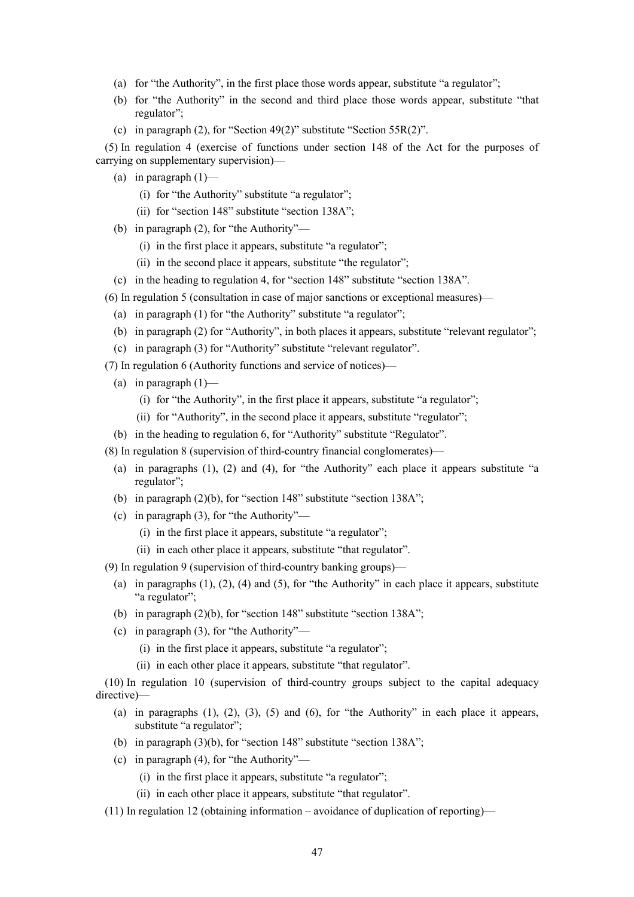- (a) for "the Authority", in the first place those words appear, substitute "a regulator";
- (b) for "the Authority" in the second and third place those words appear, substitute "that regulator";
- (c) in paragraph (2), for "Section 49(2)" substitute "Section 55R(2)".

(5) In regulation 4 (exercise of functions under section 148 of the Act for the purposes of carrying on supplementary supervision)—

- (a) in paragraph  $(1)$ 
	- (i) for "the Authority" substitute "a regulator";
	- (ii) for "section 148" substitute "section 138A";
- (b) in paragraph (2), for "the Authority"—
	- (i) in the first place it appears, substitute "a regulator";
	- (ii) in the second place it appears, substitute "the regulator";
- (c) in the heading to regulation 4, for "section 148" substitute "section 138A".
- (6) In regulation 5 (consultation in case of major sanctions or exceptional measures)—
	- (a) in paragraph (1) for "the Authority" substitute "a regulator";
	- (b) in paragraph (2) for "Authority", in both places it appears, substitute "relevant regulator";
- (c) in paragraph (3) for "Authority" substitute "relevant regulator".
- (7) In regulation 6 (Authority functions and service of notices)—
	- (a) in paragraph  $(1)$ 
		- (i) for "the Authority", in the first place it appears, substitute "a regulator";
		- (ii) for "Authority", in the second place it appears, substitute "regulator";
	- (b) in the heading to regulation 6, for "Authority" substitute "Regulator".
- (8) In regulation 8 (supervision of third-country financial conglomerates)—
	- (a) in paragraphs (1), (2) and (4), for "the Authority" each place it appears substitute "a regulator";
	- (b) in paragraph (2)(b), for "section 148" substitute "section 138A";
	- (c) in paragraph (3), for "the Authority"—
		- (i) in the first place it appears, substitute "a regulator";
		- (ii) in each other place it appears, substitute "that regulator".
- (9) In regulation 9 (supervision of third-country banking groups)—
	- (a) in paragraphs  $(1)$ ,  $(2)$ ,  $(4)$  and  $(5)$ , for "the Authority" in each place it appears, substitute "a regulator";
	- (b) in paragraph (2)(b), for "section 148" substitute "section 138A";
	- (c) in paragraph (3), for "the Authority"—
		- (i) in the first place it appears, substitute "a regulator";
		- (ii) in each other place it appears, substitute "that regulator".

(10) In regulation 10 (supervision of third-country groups subject to the capital adequacy directive)—

- (a) in paragraphs  $(1)$ ,  $(2)$ ,  $(3)$ ,  $(5)$  and  $(6)$ , for "the Authority" in each place it appears, substitute "a regulator";
- (b) in paragraph (3)(b), for "section 148" substitute "section 138A";
- (c) in paragraph (4), for "the Authority"—
	- (i) in the first place it appears, substitute "a regulator";
	- (ii) in each other place it appears, substitute "that regulator".
- (11) In regulation 12 (obtaining information avoidance of duplication of reporting)—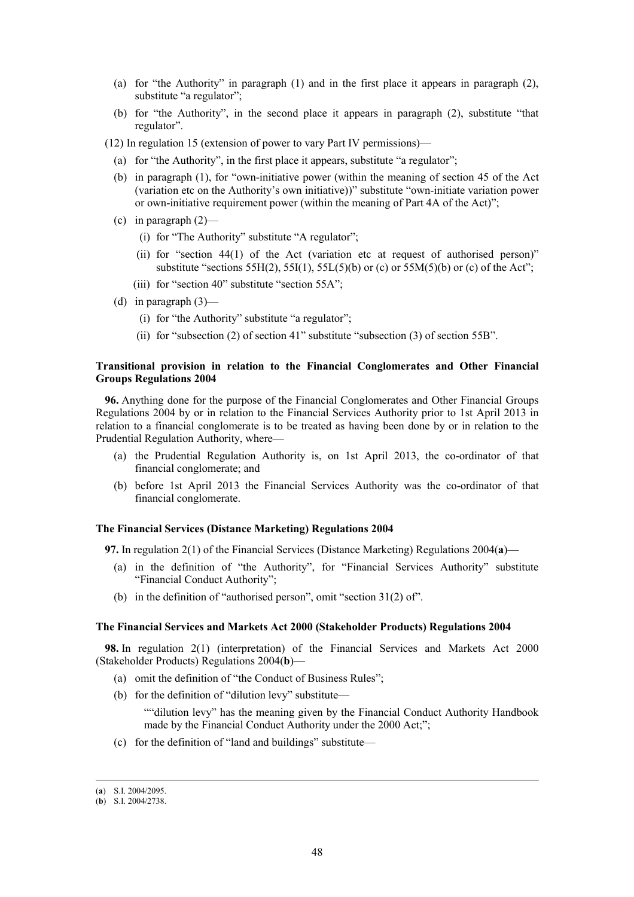- (a) for "the Authority" in paragraph (1) and in the first place it appears in paragraph (2), substitute "a regulator";
- (b) for "the Authority", in the second place it appears in paragraph (2), substitute "that regulator".
- (12) In regulation 15 (extension of power to vary Part IV permissions)—
	- (a) for "the Authority", in the first place it appears, substitute "a regulator";
	- (b) in paragraph (1), for "own-initiative power (within the meaning of section 45 of the Act (variation etc on the Authority's own initiative))" substitute "own-initiate variation power or own-initiative requirement power (within the meaning of Part 4A of the Act)";
	- (c) in paragraph  $(2)$ 
		- (i) for "The Authority" substitute "A regulator";
		- (ii) for "section  $44(1)$  of the Act (variation etc at request of authorised person)" substitute "sections  $55H(2)$ ,  $55I(1)$ ,  $55L(5)(b)$  or (c) or  $55M(5)(b)$  or (c) of the Act";
		- (iii) for "section 40" substitute "section 55A";
	- (d) in paragraph  $(3)$ 
		- (i) for "the Authority" substitute "a regulator";
		- (ii) for "subsection (2) of section 41" substitute "subsection (3) of section 55B".

# **Transitional provision in relation to the Financial Conglomerates and Other Financial Groups Regulations 2004**

**96.** Anything done for the purpose of the Financial Conglomerates and Other Financial Groups Regulations 2004 by or in relation to the Financial Services Authority prior to 1st April 2013 in relation to a financial conglomerate is to be treated as having been done by or in relation to the Prudential Regulation Authority, where—

- (a) the Prudential Regulation Authority is, on 1st April 2013, the co-ordinator of that financial conglomerate; and
- (b) before 1st April 2013 the Financial Services Authority was the co-ordinator of that financial conglomerate.

#### **The Financial Services (Distance Marketing) Regulations 2004**

**97.** In regulation 2(1) of the Financial Services (Distance Marketing) Regulations 2004(**a**)—

- (a) in the definition of "the Authority", for "Financial Services Authority" substitute "Financial Conduct Authority";
- (b) in the definition of "authorised person", omit "section 31(2) of".

#### **The Financial Services and Markets Act 2000 (Stakeholder Products) Regulations 2004**

**98.** In regulation 2(1) (interpretation) of the Financial Services and Markets Act 2000 (Stakeholder Products) Regulations 2004(**b**)—

- (a) omit the definition of "the Conduct of Business Rules";
- (b) for the definition of "dilution levy" substitute—

""dilution levy" has the meaning given by the Financial Conduct Authority Handbook made by the Financial Conduct Authority under the 2000 Act;";

(c) for the definition of "land and buildings" substitute—

 <sup>(</sup>**a**) S.I. 2004/2095.

<sup>(</sup>**b**) S.I. 2004/2738.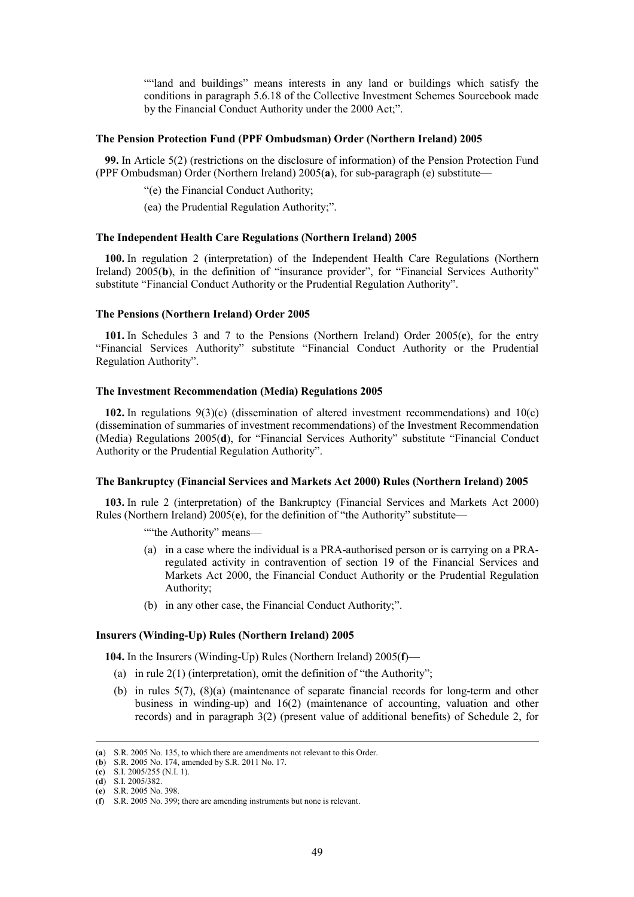""land and buildings" means interests in any land or buildings which satisfy the conditions in paragraph 5.6.18 of the Collective Investment Schemes Sourcebook made by the Financial Conduct Authority under the 2000 Act;".

# **The Pension Protection Fund (PPF Ombudsman) Order (Northern Ireland) 2005**

**99.** In Article 5(2) (restrictions on the disclosure of information) of the Pension Protection Fund (PPF Ombudsman) Order (Northern Ireland) 2005(**a**), for sub-paragraph (e) substitute—

"(e) the Financial Conduct Authority;

(ea) the Prudential Regulation Authority;".

#### **The Independent Health Care Regulations (Northern Ireland) 2005**

**100.** In regulation 2 (interpretation) of the Independent Health Care Regulations (Northern Ireland) 2005(**b**), in the definition of "insurance provider", for "Financial Services Authority" substitute "Financial Conduct Authority or the Prudential Regulation Authority".

### **The Pensions (Northern Ireland) Order 2005**

**101.** In Schedules 3 and 7 to the Pensions (Northern Ireland) Order 2005(**c**), for the entry "Financial Services Authority" substitute "Financial Conduct Authority or the Prudential Regulation Authority".

## **The Investment Recommendation (Media) Regulations 2005**

**102.** In regulations 9(3)(c) (dissemination of altered investment recommendations) and 10(c) (dissemination of summaries of investment recommendations) of the Investment Recommendation (Media) Regulations 2005(**d**), for "Financial Services Authority" substitute "Financial Conduct Authority or the Prudential Regulation Authority".

#### **The Bankruptcy (Financial Services and Markets Act 2000) Rules (Northern Ireland) 2005**

**103.** In rule 2 (interpretation) of the Bankruptcy (Financial Services and Markets Act 2000) Rules (Northern Ireland) 2005(**e**), for the definition of "the Authority" substitute—

""the Authority" means-

- (a) in a case where the individual is a PRA-authorised person or is carrying on a PRAregulated activity in contravention of section 19 of the Financial Services and Markets Act 2000, the Financial Conduct Authority or the Prudential Regulation Authority;
- (b) in any other case, the Financial Conduct Authority;".

# **Insurers (Winding-Up) Rules (Northern Ireland) 2005**

**104.** In the Insurers (Winding-Up) Rules (Northern Ireland) 2005(**f**)—

- (a) in rule  $2(1)$  (interpretation), omit the definition of "the Authority";
- (b) in rules 5(7), (8)(a) (maintenance of separate financial records for long-term and other business in winding-up) and 16(2) (maintenance of accounting, valuation and other records) and in paragraph 3(2) (present value of additional benefits) of Schedule 2, for

 <sup>(</sup>**a**) S.R. 2005 No. 135, to which there are amendments not relevant to this Order.

<sup>(</sup>**b**) S.R. 2005 No. 174, amended by S.R. 2011 No. 17.

<sup>(</sup>**c**) S.I. 2005/255 (N.I. 1).

<sup>(</sup>**d**) S.I. 2005/382. (**e**) S.R. 2005 No. 398.

<sup>(</sup>**f**) S.R. 2005 No. 399; there are amending instruments but none is relevant.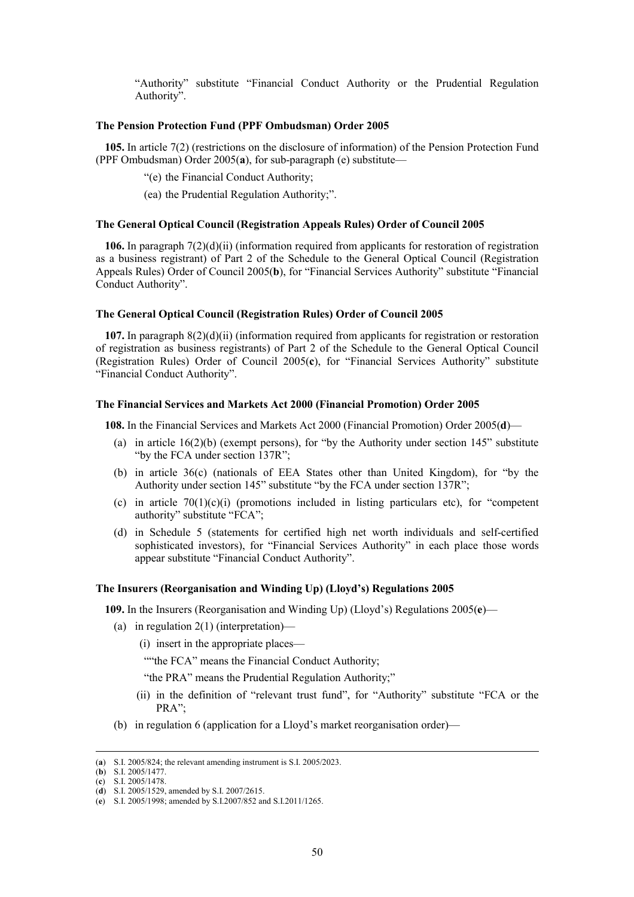"Authority" substitute "Financial Conduct Authority or the Prudential Regulation Authority".

# **The Pension Protection Fund (PPF Ombudsman) Order 2005**

**105.** In article 7(2) (restrictions on the disclosure of information) of the Pension Protection Fund (PPF Ombudsman) Order 2005(**a**), for sub-paragraph (e) substitute—

"(e) the Financial Conduct Authority;

(ea) the Prudential Regulation Authority;".

#### **The General Optical Council (Registration Appeals Rules) Order of Council 2005**

**106.** In paragraph 7(2)(d)(ii) (information required from applicants for restoration of registration as a business registrant) of Part 2 of the Schedule to the General Optical Council (Registration Appeals Rules) Order of Council 2005(**b**), for "Financial Services Authority" substitute "Financial Conduct Authority".

### **The General Optical Council (Registration Rules) Order of Council 2005**

**107.** In paragraph 8(2)(d)(ii) (information required from applicants for registration or restoration of registration as business registrants) of Part 2 of the Schedule to the General Optical Council (Registration Rules) Order of Council 2005(**c**), for "Financial Services Authority" substitute "Financial Conduct Authority".

# **The Financial Services and Markets Act 2000 (Financial Promotion) Order 2005**

**108.** In the Financial Services and Markets Act 2000 (Financial Promotion) Order 2005(**d**)—

- (a) in article  $16(2)(b)$  (exempt persons), for "by the Authority under section  $145$ " substitute "by the FCA under section 137R";
- (b) in article 36(c) (nationals of EEA States other than United Kingdom), for "by the Authority under section 145" substitute "by the FCA under section 137R";
- (c) in article  $70(1)(c)(i)$  (promotions included in listing particulars etc), for "competent authority" substitute "FCA";
- (d) in Schedule 5 (statements for certified high net worth individuals and self-certified sophisticated investors), for "Financial Services Authority" in each place those words appear substitute "Financial Conduct Authority".

# **The Insurers (Reorganisation and Winding Up) (Lloyd's) Regulations 2005**

**109.** In the Insurers (Reorganisation and Winding Up) (Lloyd's) Regulations 2005(**e**)—

- (a) in regulation 2(1) (interpretation)—
	- (i) insert in the appropriate places—

""the FCA" means the Financial Conduct Authority;

"the PRA" means the Prudential Regulation Authority;"

- (ii) in the definition of "relevant trust fund", for "Authority" substitute "FCA or the PRA";
- (b) in regulation 6 (application for a Lloyd's market reorganisation order)—

 <sup>(</sup>**a**) S.I. 2005/824; the relevant amending instrument is S.I. 2005/2023.

<sup>(</sup>**b**) S.I. 2005/1477.

<sup>(</sup>**c**) S.I. 2005/1478.

<sup>(</sup>**d**) S.I. 2005/1529, amended by S.I. 2007/2615.

<sup>(</sup>**e**) S.I. 2005/1998; amended by S.I.2007/852 and S.I.2011/1265.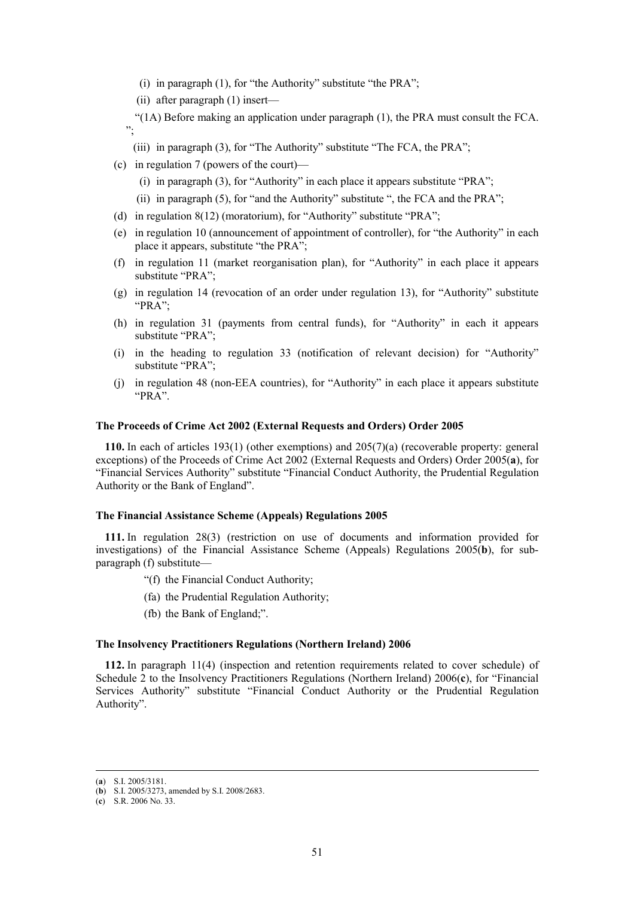- (i) in paragraph (1), for "the Authority" substitute "the PRA";
- (ii) after paragraph (1) insert—

"(1A) Before making an application under paragraph (1), the PRA must consult the FCA. ";

- (iii) in paragraph (3), for "The Authority" substitute "The FCA, the PRA";
- (c) in regulation 7 (powers of the court)—
	- (i) in paragraph (3), for "Authority" in each place it appears substitute "PRA";
	- (ii) in paragraph (5), for "and the Authority" substitute ", the FCA and the PRA";
- (d) in regulation 8(12) (moratorium), for "Authority" substitute "PRA";
- (e) in regulation 10 (announcement of appointment of controller), for "the Authority" in each place it appears, substitute "the PRA";
- (f) in regulation 11 (market reorganisation plan), for "Authority" in each place it appears substitute "PRA";
- (g) in regulation 14 (revocation of an order under regulation 13), for "Authority" substitute "PRA";
- (h) in regulation 31 (payments from central funds), for "Authority" in each it appears substitute "PRA";
- (i) in the heading to regulation 33 (notification of relevant decision) for "Authority" substitute "PRA";
- (j) in regulation 48 (non-EEA countries), for "Authority" in each place it appears substitute "PRA".

# **The Proceeds of Crime Act 2002 (External Requests and Orders) Order 2005**

**110.** In each of articles 193(1) (other exemptions) and 205(7)(a) (recoverable property: general exceptions) of the Proceeds of Crime Act 2002 (External Requests and Orders) Order 2005(**a**), for "Financial Services Authority" substitute "Financial Conduct Authority, the Prudential Regulation Authority or the Bank of England".

# **The Financial Assistance Scheme (Appeals) Regulations 2005**

**111.** In regulation 28(3) (restriction on use of documents and information provided for investigations) of the Financial Assistance Scheme (Appeals) Regulations 2005(**b**), for subparagraph (f) substitute—

- "(f) the Financial Conduct Authority;
- (fa) the Prudential Regulation Authority;
- (fb) the Bank of England;".

### **The Insolvency Practitioners Regulations (Northern Ireland) 2006**

**112.** In paragraph 11(4) (inspection and retention requirements related to cover schedule) of Schedule 2 to the Insolvency Practitioners Regulations (Northern Ireland) 2006(**c**), for "Financial Services Authority" substitute "Financial Conduct Authority or the Prudential Regulation Authority".

 <sup>(</sup>**a**) S.I. 2005/3181.

<sup>(</sup>**b**) S.I. 2005/3273, amended by S.I. 2008/2683.

<sup>(</sup>**c**) S.R. 2006 No. 33.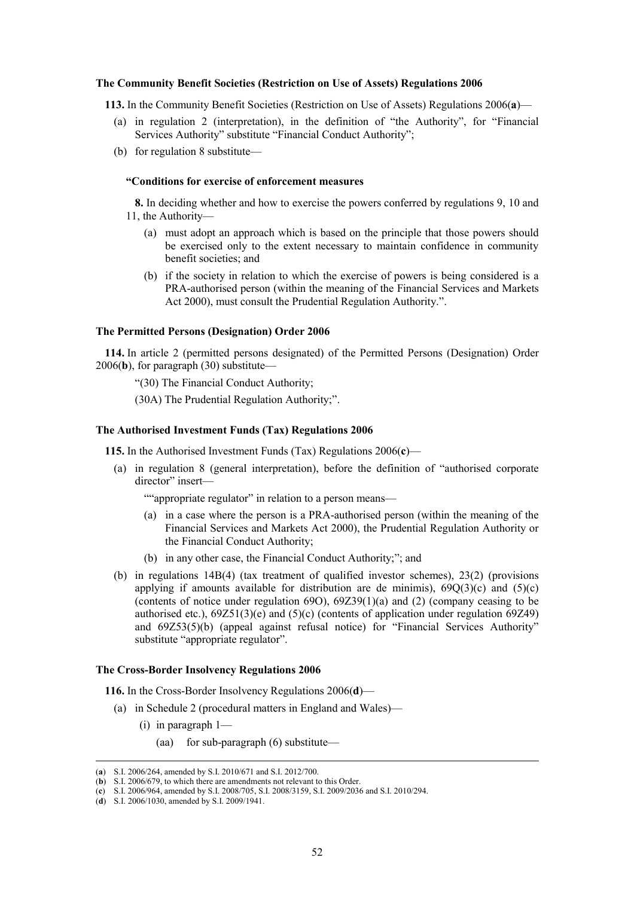#### **The Community Benefit Societies (Restriction on Use of Assets) Regulations 2006**

**113.** In the Community Benefit Societies (Restriction on Use of Assets) Regulations 2006(**a**)—

- (a) in regulation 2 (interpretation), in the definition of "the Authority", for "Financial Services Authority" substitute "Financial Conduct Authority";
- (b) for regulation 8 substitute—

### **"Conditions for exercise of enforcement measures**

**8.** In deciding whether and how to exercise the powers conferred by regulations 9, 10 and 11, the Authority—

- (a) must adopt an approach which is based on the principle that those powers should be exercised only to the extent necessary to maintain confidence in community benefit societies; and
- (b) if the society in relation to which the exercise of powers is being considered is a PRA-authorised person (within the meaning of the Financial Services and Markets Act 2000), must consult the Prudential Regulation Authority.".

### **The Permitted Persons (Designation) Order 2006**

**114.** In article 2 (permitted persons designated) of the Permitted Persons (Designation) Order 2006(**b**), for paragraph (30) substitute—

"(30) The Financial Conduct Authority;

(30A) The Prudential Regulation Authority;".

#### **The Authorised Investment Funds (Tax) Regulations 2006**

**115.** In the Authorised Investment Funds (Tax) Regulations 2006(**c**)—

(a) in regulation 8 (general interpretation), before the definition of "authorised corporate director" insert-

""appropriate regulator" in relation to a person means—

- (a) in a case where the person is a PRA-authorised person (within the meaning of the Financial Services and Markets Act 2000), the Prudential Regulation Authority or the Financial Conduct Authority;
- (b) in any other case, the Financial Conduct Authority;"; and
- (b) in regulations 14B(4) (tax treatment of qualified investor schemes), 23(2) (provisions applying if amounts available for distribution are de minimis),  $69Q(3)(c)$  and  $(5)(c)$ (contents of notice under regulation 69O), 69Z39(1)(a) and (2) (company ceasing to be authorised etc.), 69Z51(3)(e) and (5)(c) (contents of application under regulation 69Z49) and 69Z53(5)(b) (appeal against refusal notice) for "Financial Services Authority" substitute "appropriate regulator".

#### **The Cross-Border Insolvency Regulations 2006**

**116.** In the Cross-Border Insolvency Regulations 2006(**d**)—

- (a) in Schedule 2 (procedural matters in England and Wales)—
	- (i) in paragraph 1—
		- (aa) for sub-paragraph (6) substitute—

 <sup>(</sup>**a**) S.I. 2006/264, amended by S.I. 2010/671 and S.I. 2012/700.

<sup>(</sup>**b**) S.I. 2006/679, to which there are amendments not relevant to this Order.

<sup>(</sup>**c**) S.I. 2006/964, amended by S.I. 2008/705, S.I. 2008/3159, S.I. 2009/2036 and S.I. 2010/294.

<sup>(</sup>**d**) S.I. 2006/1030, amended by S.I. 2009/1941.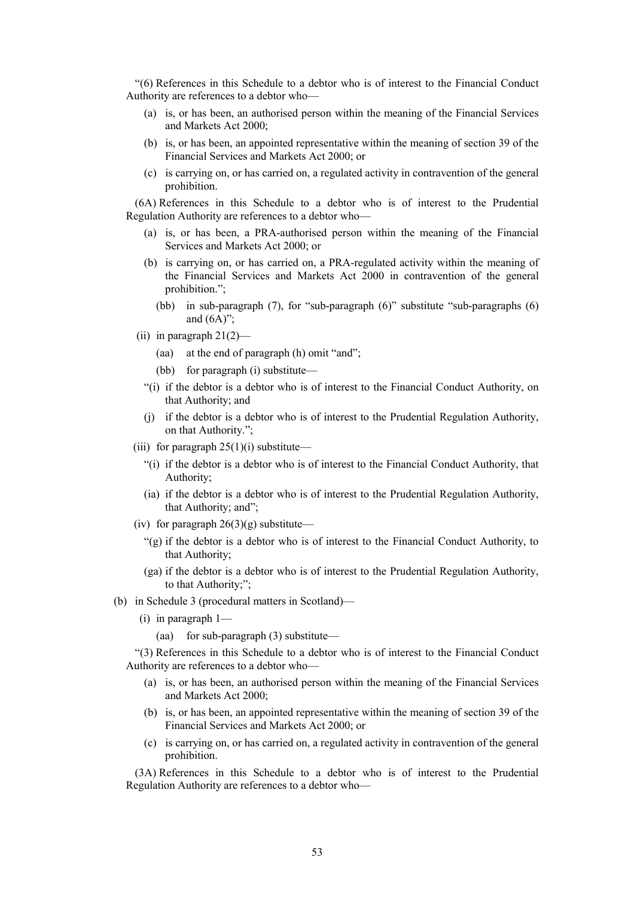"(6) References in this Schedule to a debtor who is of interest to the Financial Conduct Authority are references to a debtor who—

- (a) is, or has been, an authorised person within the meaning of the Financial Services and Markets Act 2000;
- (b) is, or has been, an appointed representative within the meaning of section 39 of the Financial Services and Markets Act 2000; or
- (c) is carrying on, or has carried on, a regulated activity in contravention of the general prohibition.

(6A) References in this Schedule to a debtor who is of interest to the Prudential Regulation Authority are references to a debtor who—

- (a) is, or has been, a PRA-authorised person within the meaning of the Financial Services and Markets Act 2000; or
- (b) is carrying on, or has carried on, a PRA-regulated activity within the meaning of the Financial Services and Markets Act 2000 in contravention of the general prohibition.";
	- (bb) in sub-paragraph (7), for "sub-paragraph (6)" substitute "sub-paragraphs (6) and  $(6A)$ ";
- (ii) in paragraph  $21(2)$ 
	- (aa) at the end of paragraph (h) omit "and";
	- (bb) for paragraph (i) substitute—
	- "(i) if the debtor is a debtor who is of interest to the Financial Conduct Authority, on that Authority; and
	- (j) if the debtor is a debtor who is of interest to the Prudential Regulation Authority, on that Authority.";
- (iii) for paragraph  $25(1)(i)$  substitute—
	- "(i) if the debtor is a debtor who is of interest to the Financial Conduct Authority, that Authority;
	- (ia) if the debtor is a debtor who is of interest to the Prudential Regulation Authority, that Authority; and";
- (iv) for paragraph  $26(3)(g)$  substitute—
	- "(g) if the debtor is a debtor who is of interest to the Financial Conduct Authority, to that Authority;
	- (ga) if the debtor is a debtor who is of interest to the Prudential Regulation Authority, to that Authority;";
- (b) in Schedule 3 (procedural matters in Scotland)—
	- (i) in paragraph 1—
		- (aa) for sub-paragraph (3) substitute—

"(3) References in this Schedule to a debtor who is of interest to the Financial Conduct Authority are references to a debtor who—

- (a) is, or has been, an authorised person within the meaning of the Financial Services and Markets Act 2000;
- (b) is, or has been, an appointed representative within the meaning of section 39 of the Financial Services and Markets Act 2000; or
- (c) is carrying on, or has carried on, a regulated activity in contravention of the general prohibition.

(3A) References in this Schedule to a debtor who is of interest to the Prudential Regulation Authority are references to a debtor who—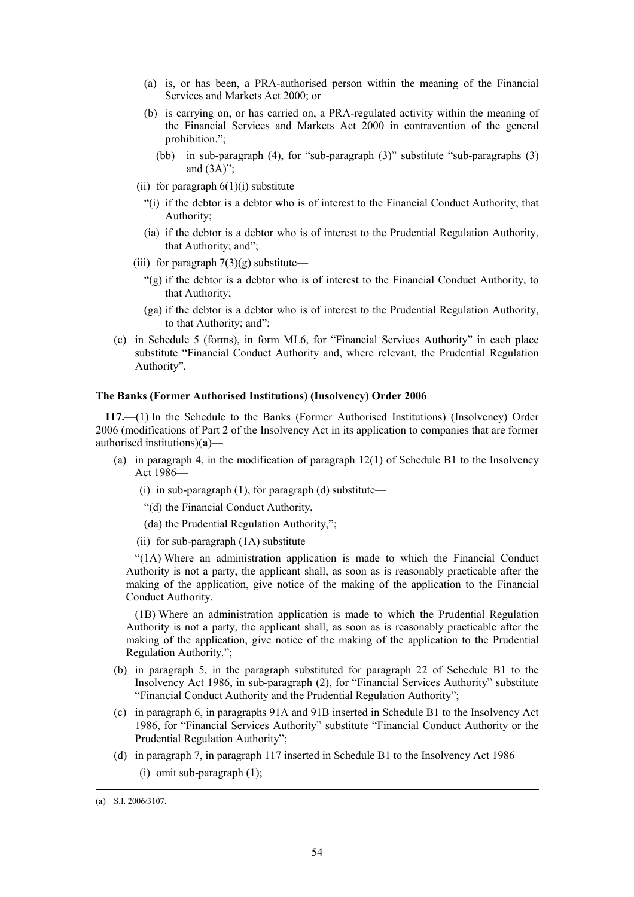- (a) is, or has been, a PRA-authorised person within the meaning of the Financial Services and Markets Act 2000; or
- (b) is carrying on, or has carried on, a PRA-regulated activity within the meaning of the Financial Services and Markets Act 2000 in contravention of the general prohibition.";
	- (bb) in sub-paragraph (4), for "sub-paragraph (3)" substitute "sub-paragraphs (3) and  $(3A)$ ";
- (ii) for paragraph  $6(1)(i)$  substitute—
	- "(i) if the debtor is a debtor who is of interest to the Financial Conduct Authority, that Authority;
	- (ia) if the debtor is a debtor who is of interest to the Prudential Regulation Authority, that Authority; and";
- (iii) for paragraph  $7(3)(g)$  substitute—
	- "(g) if the debtor is a debtor who is of interest to the Financial Conduct Authority, to that Authority;
	- (ga) if the debtor is a debtor who is of interest to the Prudential Regulation Authority, to that Authority; and";
- (c) in Schedule 5 (forms), in form ML6, for "Financial Services Authority" in each place substitute "Financial Conduct Authority and, where relevant, the Prudential Regulation Authority".

### **The Banks (Former Authorised Institutions) (Insolvency) Order 2006**

**117.**—(1) In the Schedule to the Banks (Former Authorised Institutions) (Insolvency) Order 2006 (modifications of Part 2 of the Insolvency Act in its application to companies that are former authorised institutions)(**a**)—

- (a) in paragraph 4, in the modification of paragraph 12(1) of Schedule B1 to the Insolvency Act 1986—
	- (i) in sub-paragraph  $(1)$ , for paragraph  $(d)$  substitute—
	- "(d) the Financial Conduct Authority,
	- (da) the Prudential Regulation Authority,";
	- (ii) for sub-paragraph (1A) substitute—

"(1A) Where an administration application is made to which the Financial Conduct Authority is not a party, the applicant shall, as soon as is reasonably practicable after the making of the application, give notice of the making of the application to the Financial Conduct Authority.

(1B) Where an administration application is made to which the Prudential Regulation Authority is not a party, the applicant shall, as soon as is reasonably practicable after the making of the application, give notice of the making of the application to the Prudential Regulation Authority.";

- (b) in paragraph 5, in the paragraph substituted for paragraph 22 of Schedule B1 to the Insolvency Act 1986, in sub-paragraph (2), for "Financial Services Authority" substitute "Financial Conduct Authority and the Prudential Regulation Authority";
- (c) in paragraph 6, in paragraphs 91A and 91B inserted in Schedule B1 to the Insolvency Act 1986, for "Financial Services Authority" substitute "Financial Conduct Authority or the Prudential Regulation Authority";
- (d) in paragraph 7, in paragraph 117 inserted in Schedule B1 to the Insolvency Act 1986—
	- (i) omit sub-paragraph (1);

 <sup>(</sup>**a**) S.I. 2006/3107.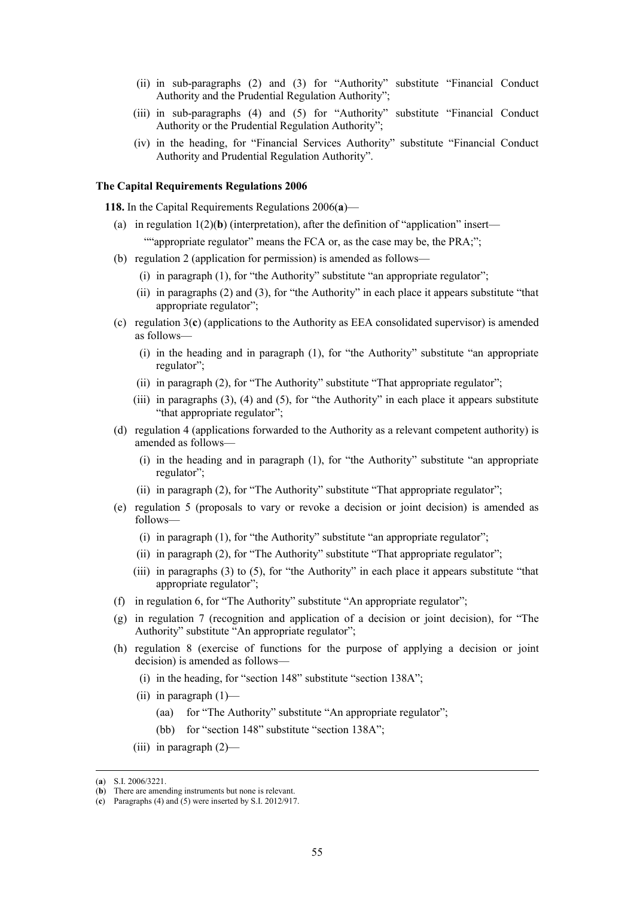- (ii) in sub-paragraphs (2) and (3) for "Authority" substitute "Financial Conduct Authority and the Prudential Regulation Authority";
- (iii) in sub-paragraphs (4) and (5) for "Authority" substitute "Financial Conduct Authority or the Prudential Regulation Authority";
- (iv) in the heading, for "Financial Services Authority" substitute "Financial Conduct Authority and Prudential Regulation Authority".

# **The Capital Requirements Regulations 2006**

**118.** In the Capital Requirements Regulations 2006(**a**)—

- (a) in regulation  $1(2)(b)$  (interpretation), after the definition of "application" insert— ""appropriate regulator" means the FCA or, as the case may be, the PRA;";
- (b) regulation 2 (application for permission) is amended as follows—
	- (i) in paragraph (1), for "the Authority" substitute "an appropriate regulator";
	- (ii) in paragraphs (2) and (3), for "the Authority" in each place it appears substitute "that appropriate regulator";
- (c) regulation 3(**c**) (applications to the Authority as EEA consolidated supervisor) is amended as follows—
	- (i) in the heading and in paragraph (1), for "the Authority" substitute "an appropriate regulator";
	- (ii) in paragraph (2), for "The Authority" substitute "That appropriate regulator";
	- (iii) in paragraphs  $(3)$ ,  $(4)$  and  $(5)$ , for "the Authority" in each place it appears substitute "that appropriate regulator";
- (d) regulation 4 (applications forwarded to the Authority as a relevant competent authority) is amended as follows—
	- (i) in the heading and in paragraph (1), for "the Authority" substitute "an appropriate regulator";
	- (ii) in paragraph (2), for "The Authority" substitute "That appropriate regulator";
- (e) regulation 5 (proposals to vary or revoke a decision or joint decision) is amended as follows—
	- (i) in paragraph (1), for "the Authority" substitute "an appropriate regulator";
	- (ii) in paragraph (2), for "The Authority" substitute "That appropriate regulator";
	- (iii) in paragraphs (3) to (5), for "the Authority" in each place it appears substitute "that appropriate regulator";
- (f) in regulation 6, for "The Authority" substitute "An appropriate regulator";
- (g) in regulation 7 (recognition and application of a decision or joint decision), for "The Authority" substitute "An appropriate regulator";
- (h) regulation 8 (exercise of functions for the purpose of applying a decision or joint decision) is amended as follows—
	- (i) in the heading, for "section 148" substitute "section 138A";
	- (ii) in paragraph  $(1)$ 
		- (aa) for "The Authority" substitute "An appropriate regulator";
		- (bb) for "section 148" substitute "section 138A";
	- (iii) in paragraph  $(2)$ —

 <sup>(</sup>**a**) S.I. 2006/3221.

<sup>(</sup>**b**) There are amending instruments but none is relevant.

<sup>(</sup>**c**) Paragraphs (4) and (5) were inserted by S.I. 2012/917.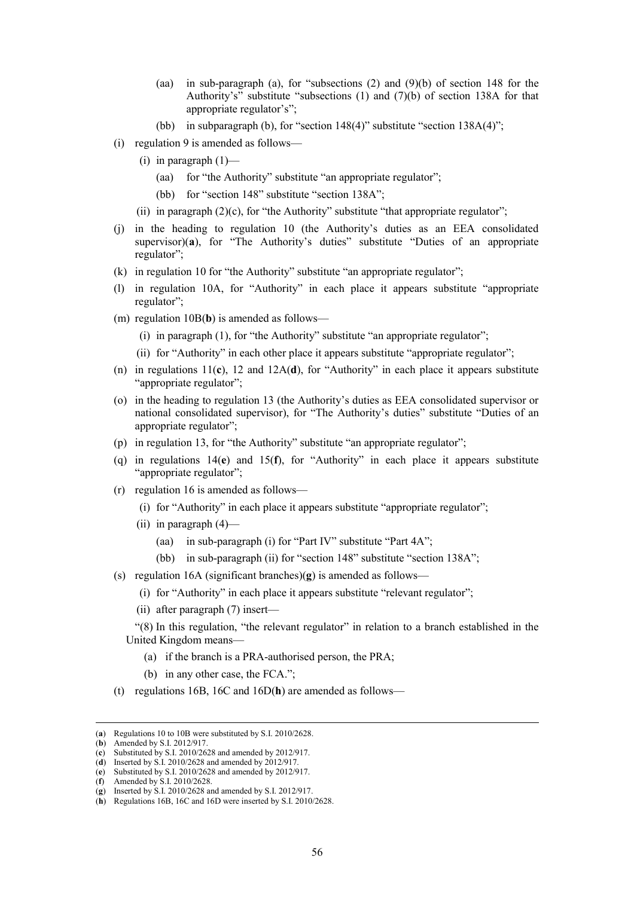- (aa) in sub-paragraph (a), for "subsections (2) and (9)(b) of section 148 for the Authority's" substitute "subsections (1) and (7)(b) of section 138A for that appropriate regulator's";
- (bb) in subparagraph (b), for "section 148(4)" substitute "section 138A(4)";
- (i) regulation 9 is amended as follows—
	- (i) in paragraph  $(1)$ 
		- (aa) for "the Authority" substitute "an appropriate regulator";
		- (bb) for "section 148" substitute "section 138A";
	- (ii) in paragraph  $(2)(c)$ , for "the Authority" substitute "that appropriate regulator";
- (j) in the heading to regulation 10 (the Authority's duties as an EEA consolidated supervisor)(**a**), for "The Authority's duties" substitute "Duties of an appropriate regulator";
- (k) in regulation 10 for "the Authority" substitute "an appropriate regulator";
- (l) in regulation 10A, for "Authority" in each place it appears substitute "appropriate regulator";
- (m) regulation 10B(**b**) is amended as follows—
	- (i) in paragraph (1), for "the Authority" substitute "an appropriate regulator";
	- (ii) for "Authority" in each other place it appears substitute "appropriate regulator";
- (n) in regulations  $11(c)$ ,  $12$  and  $12A(d)$ , for "Authority" in each place it appears substitute "appropriate regulator";
- (o) in the heading to regulation 13 (the Authority's duties as EEA consolidated supervisor or national consolidated supervisor), for "The Authority's duties" substitute "Duties of an appropriate regulator";
- (p) in regulation 13, for "the Authority" substitute "an appropriate regulator";
- (q) in regulations 14(**e**) and 15(**f**), for "Authority" in each place it appears substitute "appropriate regulator";
- (r) regulation 16 is amended as follows—
	- (i) for "Authority" in each place it appears substitute "appropriate regulator";
	- (ii) in paragraph  $(4)$ 
		- (aa) in sub-paragraph (i) for "Part IV" substitute "Part 4A";
		- (bb) in sub-paragraph (ii) for "section 148" substitute "section 138A";
- (s) regulation 16A (significant branches)(**g**) is amended as follows—
	- (i) for "Authority" in each place it appears substitute "relevant regulator";
	- (ii) after paragraph (7) insert—
	- "(8) In this regulation, "the relevant regulator" in relation to a branch established in the United Kingdom means—
		- (a) if the branch is a PRA-authorised person, the PRA;
		- (b) in any other case, the FCA.";
- (t) regulations 16B, 16C and 16D(**h**) are amended as follows—

 <sup>(</sup>**a**) Regulations 10 to 10B were substituted by S.I. 2010/2628.

<sup>(</sup>**b**) Amended by S.I. 2012/917.

<sup>(</sup>**c**) Substituted by S.I. 2010/2628 and amended by 2012/917.

<sup>(</sup>**d**) Inserted by S.I. 2010/2628 and amended by 2012/917.

<sup>(</sup>**e**) Substituted by S.I. 2010/2628 and amended by 2012/917.

<sup>(</sup>**f**) Amended by S.I. 2010/2628.

<sup>(</sup>**g**) Inserted by S.I. 2010/2628 and amended by S.I. 2012/917.

<sup>(</sup>**h**) Regulations 16B, 16C and 16D were inserted by S.I. 2010/2628.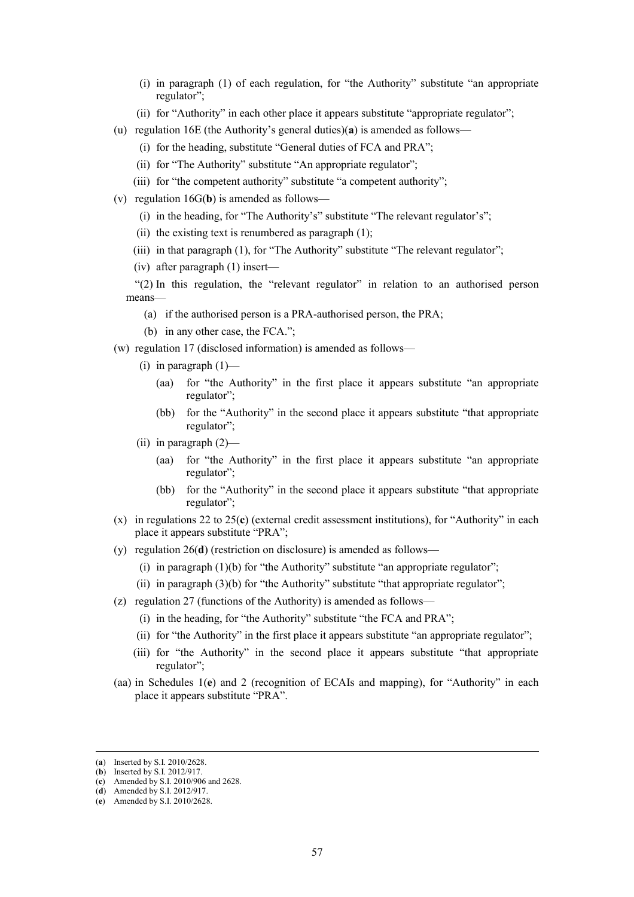- (i) in paragraph (1) of each regulation, for "the Authority" substitute "an appropriate regulator";
- (ii) for "Authority" in each other place it appears substitute "appropriate regulator";
- (u) regulation 16E (the Authority's general duties)(**a**) is amended as follows—
	- (i) for the heading, substitute "General duties of FCA and PRA";
	- (ii) for "The Authority" substitute "An appropriate regulator";
	- (iii) for "the competent authority" substitute "a competent authority";
- (v) regulation 16G(**b**) is amended as follows—
	- (i) in the heading, for "The Authority's" substitute "The relevant regulator's";
	- (ii) the existing text is renumbered as paragraph  $(1)$ ;
	- (iii) in that paragraph (1), for "The Authority" substitute "The relevant regulator";
	- (iv) after paragraph (1) insert—

"(2) In this regulation, the "relevant regulator" in relation to an authorised person means—

- (a) if the authorised person is a PRA-authorised person, the PRA;
- (b) in any other case, the FCA.";
- (w) regulation 17 (disclosed information) is amended as follows—
	- (i) in paragraph  $(1)$ 
		- (aa) for "the Authority" in the first place it appears substitute "an appropriate regulator";
		- (bb) for the "Authority" in the second place it appears substitute "that appropriate regulator";
	- (ii) in paragraph (2)—
		- (aa) for "the Authority" in the first place it appears substitute "an appropriate regulator";
		- (bb) for the "Authority" in the second place it appears substitute "that appropriate regulator";
- (x) in regulations 22 to 25(**c**) (external credit assessment institutions), for "Authority" in each place it appears substitute "PRA";
- (y) regulation 26(**d**) (restriction on disclosure) is amended as follows—
	- (i) in paragraph  $(1)(b)$  for "the Authority" substitute "an appropriate regulator";
	- (ii) in paragraph (3)(b) for "the Authority" substitute "that appropriate regulator";
- (z) regulation 27 (functions of the Authority) is amended as follows—
	- (i) in the heading, for "the Authority" substitute "the FCA and PRA";
	- (ii) for "the Authority" in the first place it appears substitute "an appropriate regulator";
	- (iii) for "the Authority" in the second place it appears substitute "that appropriate regulator";
- (aa) in Schedules 1(**e**) and 2 (recognition of ECAIs and mapping), for "Authority" in each place it appears substitute "PRA".

 <sup>(</sup>**a**) Inserted by S.I. 2010/2628.

<sup>(</sup>**b**) Inserted by S.I. 2012/917.

<sup>(</sup>**c**) Amended by S.I. 2010/906 and 2628.

<sup>(</sup>**d**) Amended by S.I. 2012/917.

<sup>(</sup>**e**) Amended by S.I. 2010/2628.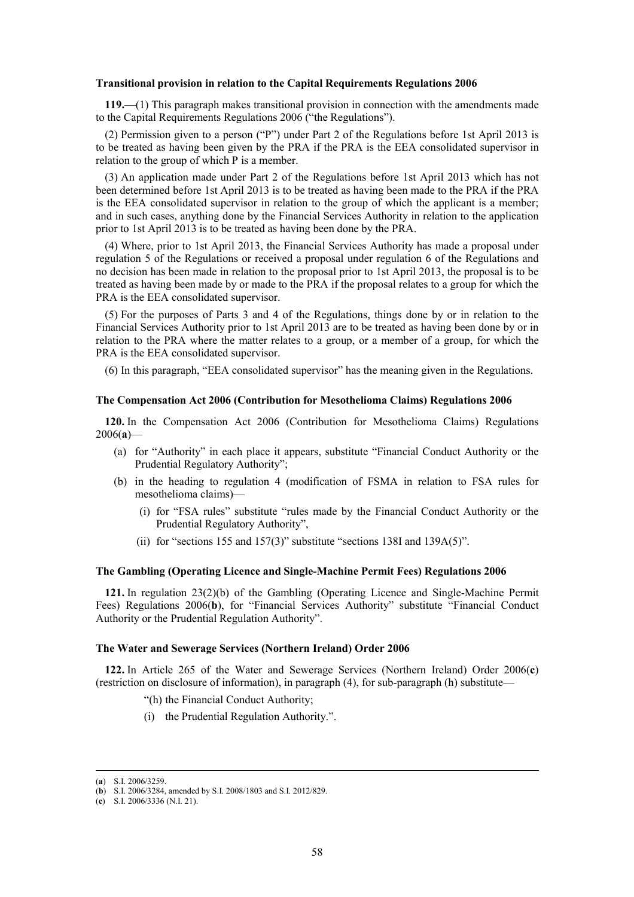#### **Transitional provision in relation to the Capital Requirements Regulations 2006**

**119.**—(1) This paragraph makes transitional provision in connection with the amendments made to the Capital Requirements Regulations 2006 ("the Regulations").

(2) Permission given to a person ("P") under Part 2 of the Regulations before 1st April 2013 is to be treated as having been given by the PRA if the PRA is the EEA consolidated supervisor in relation to the group of which P is a member.

(3) An application made under Part 2 of the Regulations before 1st April 2013 which has not been determined before 1st April 2013 is to be treated as having been made to the PRA if the PRA is the EEA consolidated supervisor in relation to the group of which the applicant is a member; and in such cases, anything done by the Financial Services Authority in relation to the application prior to 1st April 2013 is to be treated as having been done by the PRA.

(4) Where, prior to 1st April 2013, the Financial Services Authority has made a proposal under regulation 5 of the Regulations or received a proposal under regulation 6 of the Regulations and no decision has been made in relation to the proposal prior to 1st April 2013, the proposal is to be treated as having been made by or made to the PRA if the proposal relates to a group for which the PRA is the EEA consolidated supervisor.

(5) For the purposes of Parts 3 and 4 of the Regulations, things done by or in relation to the Financial Services Authority prior to 1st April 2013 are to be treated as having been done by or in relation to the PRA where the matter relates to a group, or a member of a group, for which the PRA is the EEA consolidated supervisor.

(6) In this paragraph, "EEA consolidated supervisor" has the meaning given in the Regulations.

#### **The Compensation Act 2006 (Contribution for Mesothelioma Claims) Regulations 2006**

**120.** In the Compensation Act 2006 (Contribution for Mesothelioma Claims) Regulations 2006(**a**)—

- (a) for "Authority" in each place it appears, substitute "Financial Conduct Authority or the Prudential Regulatory Authority";
- (b) in the heading to regulation 4 (modification of FSMA in relation to FSA rules for mesothelioma claims)—
	- (i) for "FSA rules" substitute "rules made by the Financial Conduct Authority or the Prudential Regulatory Authority",
	- (ii) for "sections 155 and 157(3)" substitute "sections 138I and 139A(5)".

### **The Gambling (Operating Licence and Single-Machine Permit Fees) Regulations 2006**

**121.** In regulation 23(2)(b) of the Gambling (Operating Licence and Single-Machine Permit Fees) Regulations 2006(**b**), for "Financial Services Authority" substitute "Financial Conduct Authority or the Prudential Regulation Authority".

### **The Water and Sewerage Services (Northern Ireland) Order 2006**

**122.** In Article 265 of the Water and Sewerage Services (Northern Ireland) Order 2006(**c**) (restriction on disclosure of information), in paragraph (4), for sub-paragraph (h) substitute—

- "(h) the Financial Conduct Authority;
- (i) the Prudential Regulation Authority.".

 <sup>(</sup>**a**) S.I. 2006/3259.

<sup>(</sup>**b**) S.I. 2006/3284, amended by S.I. 2008/1803 and S.I. 2012/829.

<sup>(</sup>**c**) S.I. 2006/3336 (N.I. 21).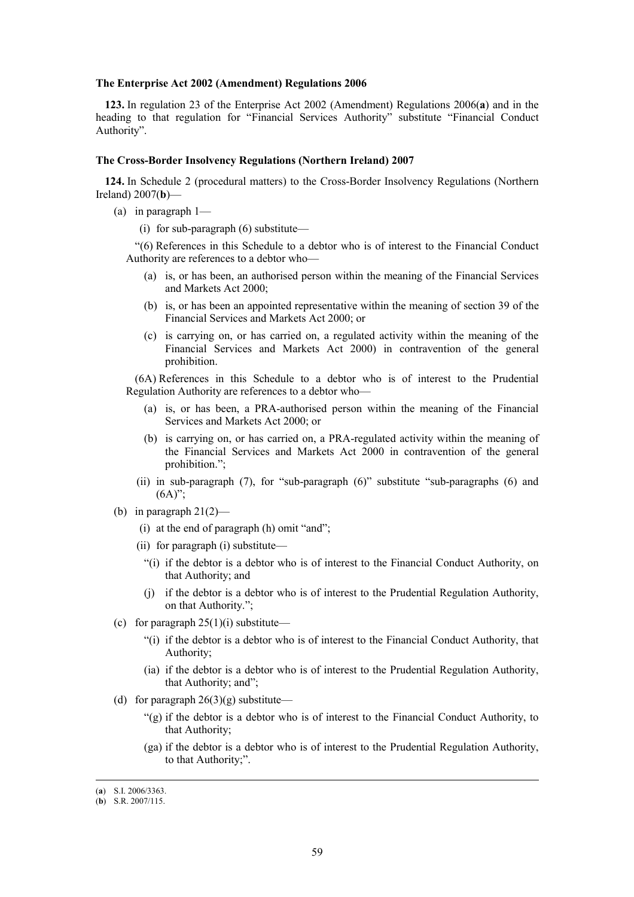#### **The Enterprise Act 2002 (Amendment) Regulations 2006**

**123.** In regulation 23 of the Enterprise Act 2002 (Amendment) Regulations 2006(**a**) and in the heading to that regulation for "Financial Services Authority" substitute "Financial Conduct Authority".

#### **The Cross-Border Insolvency Regulations (Northern Ireland) 2007**

**124.** In Schedule 2 (procedural matters) to the Cross-Border Insolvency Regulations (Northern Ireland) 2007(**b**)—

- (a) in paragraph 1—
	- (i) for sub-paragraph (6) substitute—

"(6) References in this Schedule to a debtor who is of interest to the Financial Conduct Authority are references to a debtor who—

- (a) is, or has been, an authorised person within the meaning of the Financial Services and Markets Act 2000;
- (b) is, or has been an appointed representative within the meaning of section 39 of the Financial Services and Markets Act 2000; or
- (c) is carrying on, or has carried on, a regulated activity within the meaning of the Financial Services and Markets Act 2000) in contravention of the general prohibition.

(6A) References in this Schedule to a debtor who is of interest to the Prudential Regulation Authority are references to a debtor who—

- (a) is, or has been, a PRA-authorised person within the meaning of the Financial Services and Markets Act 2000; or
- (b) is carrying on, or has carried on, a PRA-regulated activity within the meaning of the Financial Services and Markets Act 2000 in contravention of the general prohibition.";
- (ii) in sub-paragraph (7), for "sub-paragraph (6)" substitute "sub-paragraphs (6) and  $(6A)$ ";
- (b) in paragraph  $21(2)$ 
	- (i) at the end of paragraph (h) omit "and";
	- (ii) for paragraph (i) substitute—
		- "(i) if the debtor is a debtor who is of interest to the Financial Conduct Authority, on that Authority; and
		- (j) if the debtor is a debtor who is of interest to the Prudential Regulation Authority, on that Authority.";
- (c) for paragraph  $25(1)(i)$  substitute—
	- "(i) if the debtor is a debtor who is of interest to the Financial Conduct Authority, that Authority;
	- (ia) if the debtor is a debtor who is of interest to the Prudential Regulation Authority, that Authority; and";
- (d) for paragraph  $26(3)(g)$  substitute—
	- "(g) if the debtor is a debtor who is of interest to the Financial Conduct Authority, to that Authority;
	- (ga) if the debtor is a debtor who is of interest to the Prudential Regulation Authority, to that Authority;".

 <sup>(</sup>**a**) S.I. 2006/3363.

<sup>(</sup>**b**) S.R. 2007/115.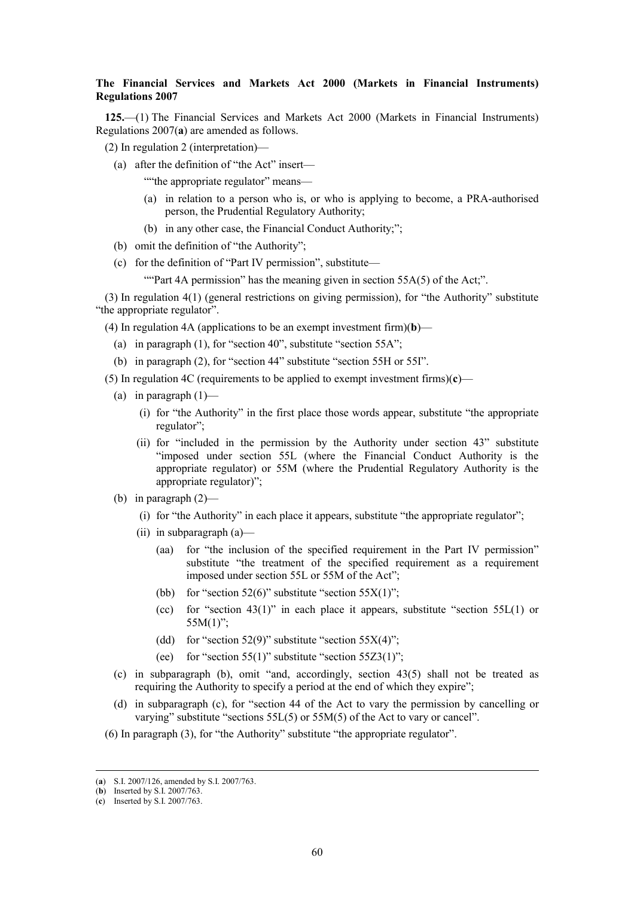# **The Financial Services and Markets Act 2000 (Markets in Financial Instruments) Regulations 2007**

**125.**—(1) The Financial Services and Markets Act 2000 (Markets in Financial Instruments) Regulations 2007(**a**) are amended as follows.

- (2) In regulation 2 (interpretation)—
	- (a) after the definition of "the Act" insert—
		- ""the appropriate regulator" means—
		- (a) in relation to a person who is, or who is applying to become, a PRA-authorised person, the Prudential Regulatory Authority;
		- (b) in any other case, the Financial Conduct Authority;";
	- (b) omit the definition of "the Authority";
	- (c) for the definition of "Part IV permission", substitute—

""Part 4A permission" has the meaning given in section  $55A(5)$  of the Act;".

(3) In regulation 4(1) (general restrictions on giving permission), for "the Authority" substitute "the appropriate regulator".

(4) In regulation 4A (applications to be an exempt investment firm)(**b**)—

- (a) in paragraph (1), for "section 40", substitute "section 55A";
- (b) in paragraph (2), for "section 44" substitute "section 55H or 55I".
- (5) In regulation 4C (requirements to be applied to exempt investment firms)(**c**)—
	- (a) in paragraph  $(1)$ 
		- (i) for "the Authority" in the first place those words appear, substitute "the appropriate regulator";
		- (ii) for "included in the permission by the Authority under section 43" substitute "imposed under section 55L (where the Financial Conduct Authority is the appropriate regulator) or 55M (where the Prudential Regulatory Authority is the appropriate regulator)";
	- (b) in paragraph  $(2)$ 
		- (i) for "the Authority" in each place it appears, substitute "the appropriate regulator";
		- (ii) in subparagraph (a)—
			- (aa) for "the inclusion of the specified requirement in the Part IV permission" substitute "the treatment of the specified requirement as a requirement imposed under section 55L or 55M of the Act";
			- (bb) for "section  $52(6)$ " substitute "section  $55X(1)$ ";
			- (cc) for "section  $43(1)$ " in each place it appears, substitute "section  $55L(1)$  or  $55M(1)$ ";
			- (dd) for "section  $52(9)$ " substitute "section  $55X(4)$ ";
			- (ee) for "section 55(1)" substitute "section 55Z3(1)";
	- (c) in subparagraph (b), omit "and, accordingly, section 43(5) shall not be treated as requiring the Authority to specify a period at the end of which they expire";
	- (d) in subparagraph (c), for "section 44 of the Act to vary the permission by cancelling or varying" substitute "sections 55L(5) or 55M(5) of the Act to vary or cancel".
- (6) In paragraph (3), for "the Authority" substitute "the appropriate regulator".

 <sup>(</sup>**a**) S.I. 2007/126, amended by S.I. 2007/763.

<sup>(</sup>**b**) Inserted by S.I. 2007/763.

<sup>(</sup>**c**) Inserted by S.I. 2007/763.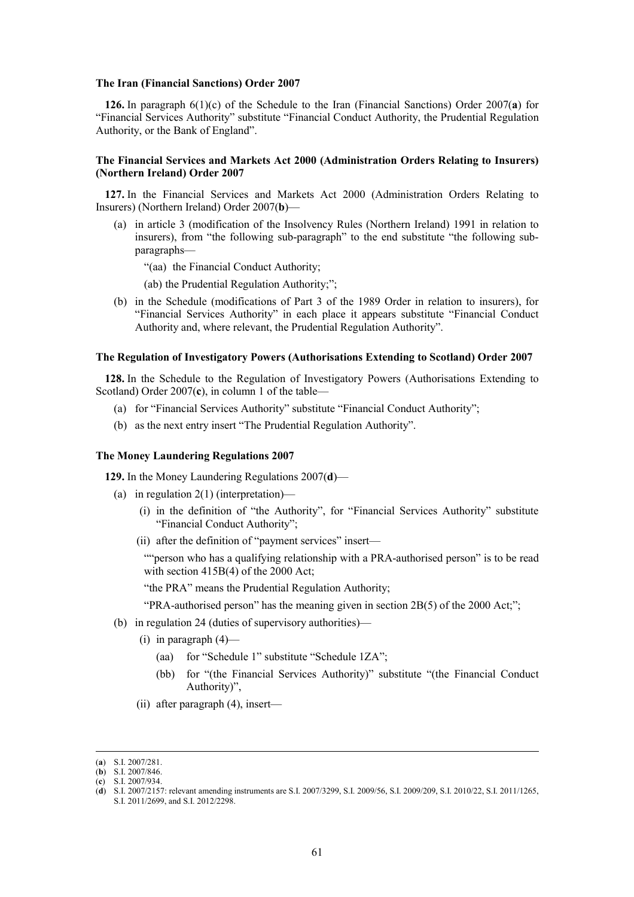#### **The Iran (Financial Sanctions) Order 2007**

**126.** In paragraph 6(1)(c) of the Schedule to the Iran (Financial Sanctions) Order 2007(**a**) for "Financial Services Authority" substitute "Financial Conduct Authority, the Prudential Regulation Authority, or the Bank of England".

# **The Financial Services and Markets Act 2000 (Administration Orders Relating to Insurers) (Northern Ireland) Order 2007**

**127.** In the Financial Services and Markets Act 2000 (Administration Orders Relating to Insurers) (Northern Ireland) Order 2007(**b**)—

(a) in article 3 (modification of the Insolvency Rules (Northern Ireland) 1991 in relation to insurers), from "the following sub-paragraph" to the end substitute "the following subparagraphs—

"(aa) the Financial Conduct Authority;

(ab) the Prudential Regulation Authority;";

(b) in the Schedule (modifications of Part 3 of the 1989 Order in relation to insurers), for "Financial Services Authority" in each place it appears substitute "Financial Conduct Authority and, where relevant, the Prudential Regulation Authority".

#### **The Regulation of Investigatory Powers (Authorisations Extending to Scotland) Order 2007**

**128.** In the Schedule to the Regulation of Investigatory Powers (Authorisations Extending to Scotland) Order 2007(**c**), in column 1 of the table—

- (a) for "Financial Services Authority" substitute "Financial Conduct Authority";
- (b) as the next entry insert "The Prudential Regulation Authority".

#### **The Money Laundering Regulations 2007**

**129.** In the Money Laundering Regulations 2007(**d**)—

- (a) in regulation 2(1) (interpretation)—
	- (i) in the definition of "the Authority", for "Financial Services Authority" substitute "Financial Conduct Authority";
	- (ii) after the definition of "payment services" insert—

""person who has a qualifying relationship with a PRA-authorised person" is to be read with section 415B(4) of the 2000 Act;

"the PRA" means the Prudential Regulation Authority;

"PRA-authorised person" has the meaning given in section 2B(5) of the 2000 Act;";

- (b) in regulation 24 (duties of supervisory authorities)—
	- $(i)$  in paragraph  $(4)$ 
		- (aa) for "Schedule 1" substitute "Schedule 1ZA";
		- (bb) for "(the Financial Services Authority)" substitute "(the Financial Conduct Authority)",
	- (ii) after paragraph (4), insert—

 <sup>(</sup>**a**) S.I. 2007/281.

<sup>(</sup>**b**) S.I. 2007/846.

<sup>(</sup>**c**) S.I. 2007/934.

<sup>(</sup>**d**) S.I. 2007/2157: relevant amending instruments are S.I. 2007/3299, S.I. 2009/56, S.I. 2009/209, S.I. 2010/22, S.I. 2011/1265,

S.I. 2011/2699, and S.I. 2012/2298.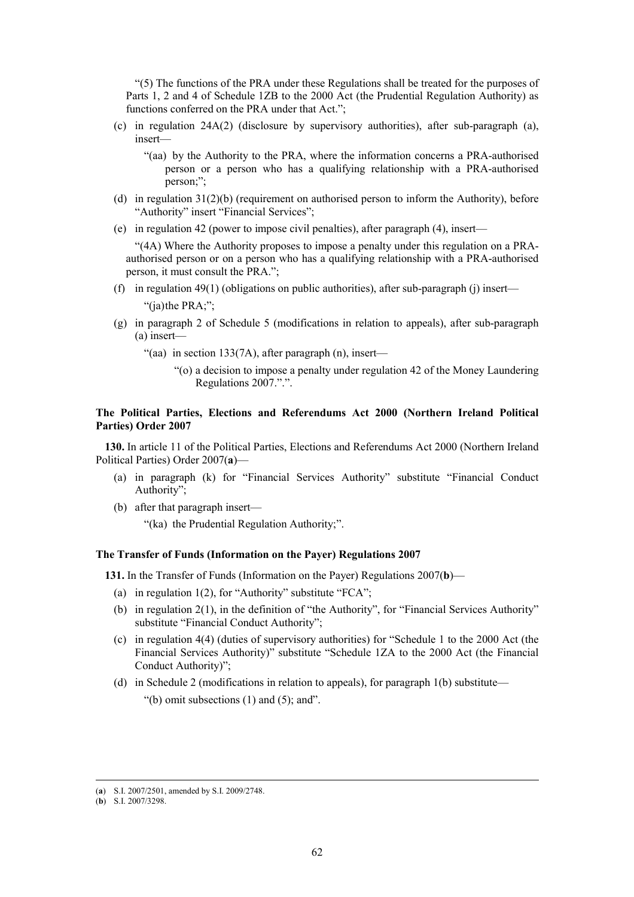"(5) The functions of the PRA under these Regulations shall be treated for the purposes of Parts 1, 2 and 4 of Schedule 1ZB to the 2000 Act (the Prudential Regulation Authority) as functions conferred on the PRA under that Act.";

(c) in regulation 24A(2) (disclosure by supervisory authorities), after sub-paragraph (a), insert—

"(aa) by the Authority to the PRA, where the information concerns a PRA-authorised person or a person who has a qualifying relationship with a PRA-authorised person;";

- (d) in regulation 31(2)(b) (requirement on authorised person to inform the Authority), before "Authority" insert "Financial Services";
- (e) in regulation 42 (power to impose civil penalties), after paragraph (4), insert—

"(4A) Where the Authority proposes to impose a penalty under this regulation on a PRAauthorised person or on a person who has a qualifying relationship with a PRA-authorised person, it must consult the PRA.";

- (f) in regulation  $49(1)$  (obligations on public authorities), after sub-paragraph (j) insert— "(ia) the PRA;";
- (g) in paragraph 2 of Schedule 5 (modifications in relation to appeals), after sub-paragraph (a) insert—
	- "(aa) in section 133(7A), after paragraph  $(n)$ , insert—
		- "(o) a decision to impose a penalty under regulation 42 of the Money Laundering Regulations 2007.".".

# **The Political Parties, Elections and Referendums Act 2000 (Northern Ireland Political Parties) Order 2007**

**130.** In article 11 of the Political Parties, Elections and Referendums Act 2000 (Northern Ireland Political Parties) Order 2007(**a**)—

- (a) in paragraph (k) for "Financial Services Authority" substitute "Financial Conduct Authority";
- (b) after that paragraph insert—

"(ka) the Prudential Regulation Authority;".

# **The Transfer of Funds (Information on the Payer) Regulations 2007**

**131.** In the Transfer of Funds (Information on the Payer) Regulations 2007(**b**)—

- (a) in regulation  $1(2)$ , for "Authority" substitute "FCA";
- (b) in regulation 2(1), in the definition of "the Authority", for "Financial Services Authority" substitute "Financial Conduct Authority";
- (c) in regulation 4(4) (duties of supervisory authorities) for "Schedule 1 to the 2000 Act (the Financial Services Authority)" substitute "Schedule 1ZA to the 2000 Act (the Financial Conduct Authority)";
- (d) in Schedule 2 (modifications in relation to appeals), for paragraph 1(b) substitute—

"(b) omit subsections  $(1)$  and  $(5)$ ; and".

 <sup>(</sup>**a**) S.I. 2007/2501, amended by S.I. 2009/2748.

<sup>(</sup>**b**) S.I. 2007/3298.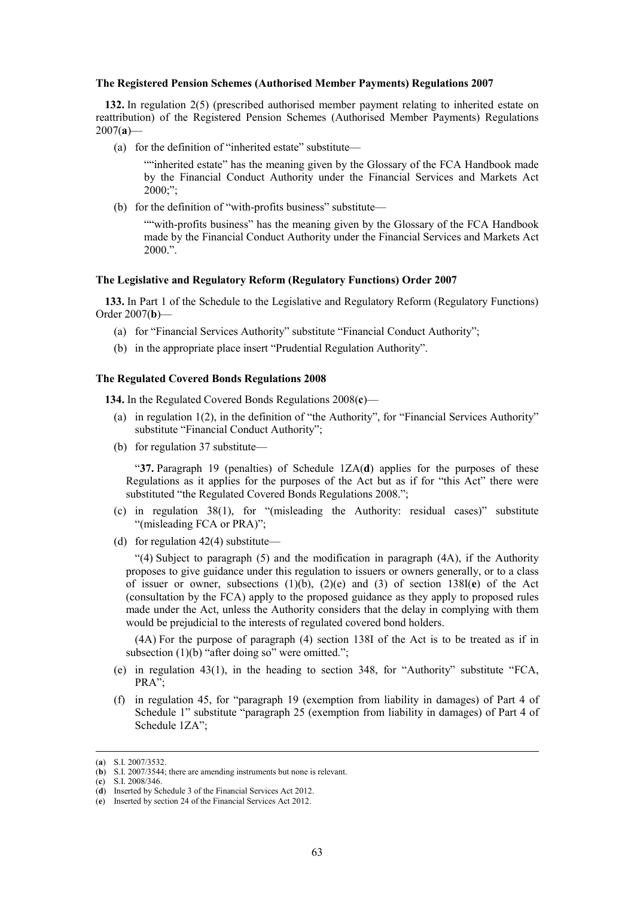#### **The Registered Pension Schemes (Authorised Member Payments) Regulations 2007**

**132.** In regulation 2(5) (prescribed authorised member payment relating to inherited estate on reattribution) of the Registered Pension Schemes (Authorised Member Payments) Regulations 2007(**a**)—

(a) for the definition of "inherited estate" substitute—

""inherited estate" has the meaning given by the Glossary of the FCA Handbook made by the Financial Conduct Authority under the Financial Services and Markets Act 2000;";

(b) for the definition of "with-profits business" substitute—

""with-profits business" has the meaning given by the Glossary of the FCA Handbook made by the Financial Conduct Authority under the Financial Services and Markets Act 2000.".

# **The Legislative and Regulatory Reform (Regulatory Functions) Order 2007**

**133.** In Part 1 of the Schedule to the Legislative and Regulatory Reform (Regulatory Functions) Order 2007(**b**)—

- (a) for "Financial Services Authority" substitute "Financial Conduct Authority";
- (b) in the appropriate place insert "Prudential Regulation Authority".

# **The Regulated Covered Bonds Regulations 2008**

**134.** In the Regulated Covered Bonds Regulations 2008(**c**)—

- (a) in regulation 1(2), in the definition of "the Authority", for "Financial Services Authority" substitute "Financial Conduct Authority";
- (b) for regulation 37 substitute—

"**37.** Paragraph 19 (penalties) of Schedule 1ZA(**d**) applies for the purposes of these Regulations as it applies for the purposes of the Act but as if for "this Act" there were substituted "the Regulated Covered Bonds Regulations 2008.";

- (c) in regulation 38(1), for "(misleading the Authority: residual cases)" substitute "(misleading FCA or PRA)";
- (d) for regulation  $42(4)$  substitute—

"(4) Subject to paragraph (5) and the modification in paragraph (4A), if the Authority proposes to give guidance under this regulation to issuers or owners generally, or to a class of issuer or owner, subsections (1)(b), (2)(e) and (3) of section 138I(**e**) of the Act (consultation by the FCA) apply to the proposed guidance as they apply to proposed rules made under the Act, unless the Authority considers that the delay in complying with them would be prejudicial to the interests of regulated covered bond holders.

(4A) For the purpose of paragraph (4) section 138I of the Act is to be treated as if in subsection (1)(b) "after doing so" were omitted.";

- (e) in regulation 43(1), in the heading to section 348, for "Authority" substitute "FCA, PRA";
- (f) in regulation 45, for "paragraph 19 (exemption from liability in damages) of Part 4 of Schedule 1" substitute "paragraph 25 (exemption from liability in damages) of Part 4 of Schedule 1ZA";

 <sup>(</sup>**a**) S.I. 2007/3532.

<sup>(</sup>**b**) S.I. 2007/3544; there are amending instruments but none is relevant.

<sup>(</sup>**c**) S.I. 2008/346.

<sup>(</sup>**d**) Inserted by Schedule 3 of the Financial Services Act 2012.

<sup>(</sup>**e**) Inserted by section 24 of the Financial Services Act 2012.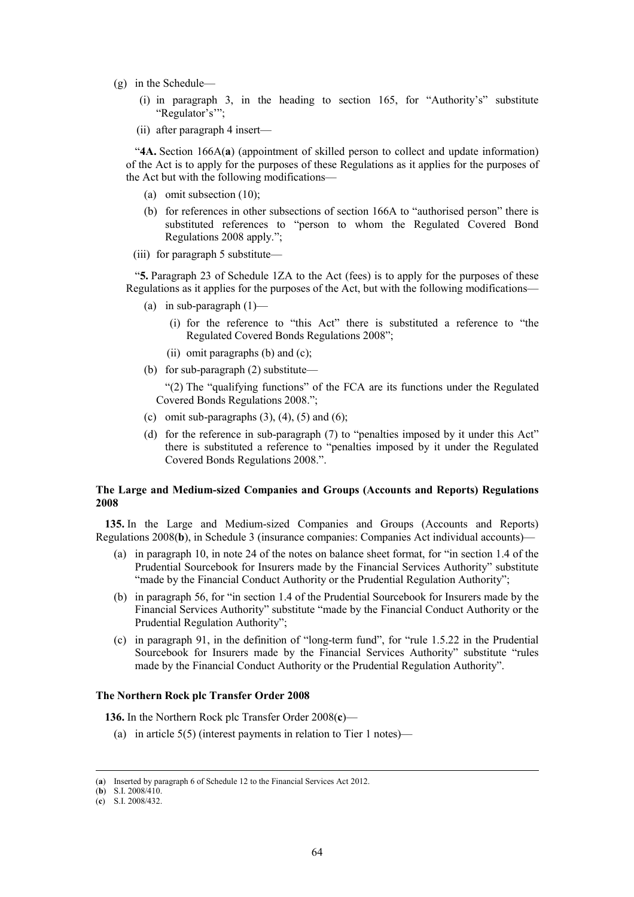- (g) in the Schedule—
	- (i) in paragraph 3, in the heading to section 165, for "Authority's" substitute "Regulator's'";
	- (ii) after paragraph 4 insert—

"**4A.** Section 166A(**a**) (appointment of skilled person to collect and update information) of the Act is to apply for the purposes of these Regulations as it applies for the purposes of the Act but with the following modifications—

- (a) omit subsection (10);
- (b) for references in other subsections of section 166A to "authorised person" there is substituted references to "person to whom the Regulated Covered Bond Regulations 2008 apply.";
- (iii) for paragraph 5 substitute—

"**5.** Paragraph 23 of Schedule 1ZA to the Act (fees) is to apply for the purposes of these Regulations as it applies for the purposes of the Act, but with the following modifications—

- (a) in sub-paragraph  $(1)$ 
	- (i) for the reference to "this Act" there is substituted a reference to "the Regulated Covered Bonds Regulations 2008";
	- (ii) omit paragraphs (b) and (c);
- (b) for sub-paragraph (2) substitute—

"(2) The "qualifying functions" of the FCA are its functions under the Regulated Covered Bonds Regulations 2008.";

- (c) omit sub-paragraphs  $(3)$ ,  $(4)$ ,  $(5)$  and  $(6)$ ;
- (d) for the reference in sub-paragraph (7) to "penalties imposed by it under this Act" there is substituted a reference to "penalties imposed by it under the Regulated Covered Bonds Regulations 2008.".

# **The Large and Medium-sized Companies and Groups (Accounts and Reports) Regulations 2008**

**135.** In the Large and Medium-sized Companies and Groups (Accounts and Reports) Regulations 2008(**b**), in Schedule 3 (insurance companies: Companies Act individual accounts)—

- (a) in paragraph 10, in note 24 of the notes on balance sheet format, for "in section 1.4 of the Prudential Sourcebook for Insurers made by the Financial Services Authority" substitute "made by the Financial Conduct Authority or the Prudential Regulation Authority";
- (b) in paragraph 56, for "in section 1.4 of the Prudential Sourcebook for Insurers made by the Financial Services Authority" substitute "made by the Financial Conduct Authority or the Prudential Regulation Authority";
- (c) in paragraph 91, in the definition of "long-term fund", for "rule 1.5.22 in the Prudential Sourcebook for Insurers made by the Financial Services Authority" substitute "rules made by the Financial Conduct Authority or the Prudential Regulation Authority".

# **The Northern Rock plc Transfer Order 2008**

**136.** In the Northern Rock plc Transfer Order 2008(**c**)—

(a) in article 5(5) (interest payments in relation to Tier 1 notes)—

 <sup>(</sup>**a**) Inserted by paragraph 6 of Schedule 12 to the Financial Services Act 2012.

<sup>(</sup>**b**) S.I. 2008/410.

<sup>(</sup>**c**) S.I. 2008/432.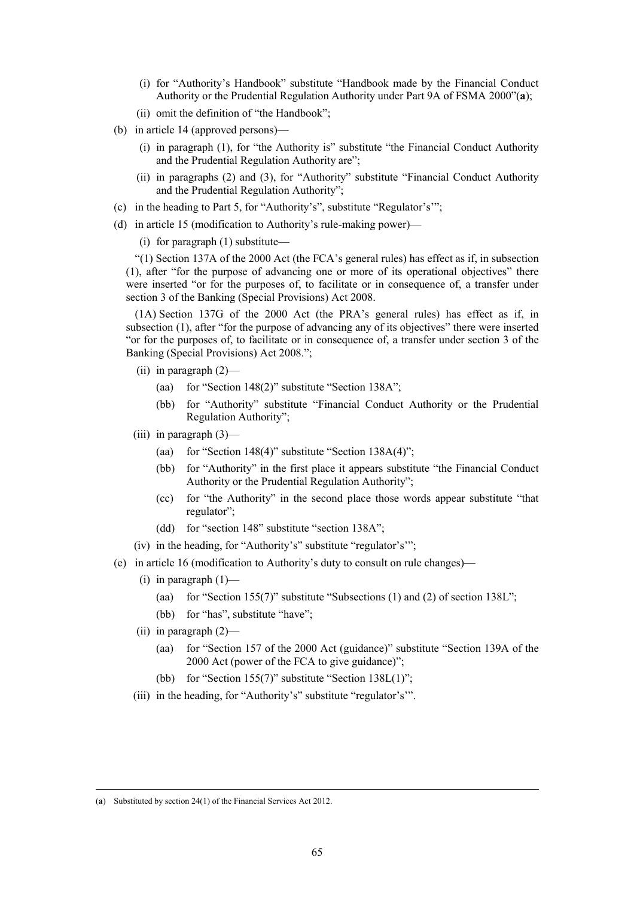- (i) for "Authority's Handbook" substitute "Handbook made by the Financial Conduct Authority or the Prudential Regulation Authority under Part 9A of FSMA 2000"(**a**);
- (ii) omit the definition of "the Handbook";
- (b) in article 14 (approved persons)—
	- (i) in paragraph (1), for "the Authority is" substitute "the Financial Conduct Authority and the Prudential Regulation Authority are";
	- (ii) in paragraphs (2) and (3), for "Authority" substitute "Financial Conduct Authority and the Prudential Regulation Authority";
- (c) in the heading to Part 5, for "Authority's", substitute "Regulator's'";
- (d) in article 15 (modification to Authority's rule-making power)—

(i) for paragraph (1) substitute—

"(1) Section 137A of the 2000 Act (the FCA's general rules) has effect as if, in subsection (1), after "for the purpose of advancing one or more of its operational objectives" there were inserted "or for the purposes of, to facilitate or in consequence of, a transfer under section 3 of the Banking (Special Provisions) Act 2008.

(1A) Section 137G of the 2000 Act (the PRA's general rules) has effect as if, in subsection (1), after "for the purpose of advancing any of its objectives" there were inserted "or for the purposes of, to facilitate or in consequence of, a transfer under section 3 of the Banking (Special Provisions) Act 2008.";

- (ii) in paragraph  $(2)$ 
	- (aa) for "Section 148(2)" substitute "Section 138A";
	- (bb) for "Authority" substitute "Financial Conduct Authority or the Prudential Regulation Authority";
- (iii) in paragraph  $(3)$ 
	- (aa) for "Section 148(4)" substitute "Section  $138A(4)$ ";
	- (bb) for "Authority" in the first place it appears substitute "the Financial Conduct Authority or the Prudential Regulation Authority";
	- (cc) for "the Authority" in the second place those words appear substitute "that regulator";
	- (dd) for "section 148" substitute "section 138A";
- (iv) in the heading, for "Authority's" substitute "regulator's'";
- (e) in article 16 (modification to Authority's duty to consult on rule changes)—
	- (i) in paragraph  $(1)$ 
		- (aa) for "Section 155(7)" substitute "Subsections  $(1)$  and  $(2)$  of section 138L";
		- (bb) for "has", substitute "have";
	- (ii) in paragraph (2)—
		- (aa) for "Section 157 of the 2000 Act (guidance)" substitute "Section 139A of the 2000 Act (power of the FCA to give guidance)";
		- (bb) for "Section 155(7)" substitute "Section  $138L(1)$ ";
	- (iii) in the heading, for "Authority's" substitute "regulator's'".

 <sup>(</sup>**a**) Substituted by section 24(1) of the Financial Services Act 2012.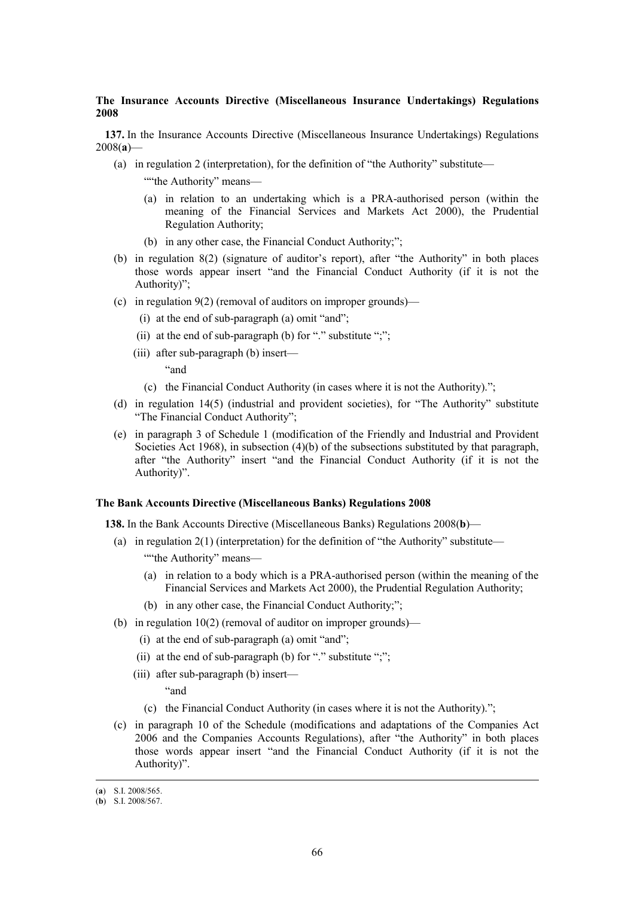# **The Insurance Accounts Directive (Miscellaneous Insurance Undertakings) Regulations 2008**

**137.** In the Insurance Accounts Directive (Miscellaneous Insurance Undertakings) Regulations 2008(**a**)—

- (a) in regulation 2 (interpretation), for the definition of "the Authority" substitute—
	- ""the Authority" means-
	- (a) in relation to an undertaking which is a PRA-authorised person (within the meaning of the Financial Services and Markets Act 2000), the Prudential Regulation Authority;
	- (b) in any other case, the Financial Conduct Authority;";
- (b) in regulation 8(2) (signature of auditor's report), after "the Authority" in both places those words appear insert "and the Financial Conduct Authority (if it is not the Authority)";
- (c) in regulation 9(2) (removal of auditors on improper grounds)—
	- (i) at the end of sub-paragraph (a) omit "and";
	- (ii) at the end of sub-paragraph (b) for "." substitute ";";
	- (iii) after sub-paragraph (b) insert—
		- "and
		- (c) the Financial Conduct Authority (in cases where it is not the Authority).";
- (d) in regulation 14(5) (industrial and provident societies), for "The Authority" substitute "The Financial Conduct Authority";
- (e) in paragraph 3 of Schedule 1 (modification of the Friendly and Industrial and Provident Societies Act 1968), in subsection (4)(b) of the subsections substituted by that paragraph, after "the Authority" insert "and the Financial Conduct Authority (if it is not the Authority)".

# **The Bank Accounts Directive (Miscellaneous Banks) Regulations 2008**

**138.** In the Bank Accounts Directive (Miscellaneous Banks) Regulations 2008(**b**)—

- (a) in regulation  $2(1)$  (interpretation) for the definition of "the Authority" substitute—
	- ""the Authority" means-
	- (a) in relation to a body which is a PRA-authorised person (within the meaning of the Financial Services and Markets Act 2000), the Prudential Regulation Authority;
	- (b) in any other case, the Financial Conduct Authority;";
- (b) in regulation 10(2) (removal of auditor on improper grounds)—
	- (i) at the end of sub-paragraph (a) omit "and";
	- (ii) at the end of sub-paragraph (b) for "." substitute ";";
	- (iii) after sub-paragraph (b) insert—

"and

- (c) the Financial Conduct Authority (in cases where it is not the Authority).";
- (c) in paragraph 10 of the Schedule (modifications and adaptations of the Companies Act 2006 and the Companies Accounts Regulations), after "the Authority" in both places those words appear insert "and the Financial Conduct Authority (if it is not the Authority)".

 <sup>(</sup>**a**) S.I. 2008/565.

<sup>(</sup>**b**) S.I. 2008/567.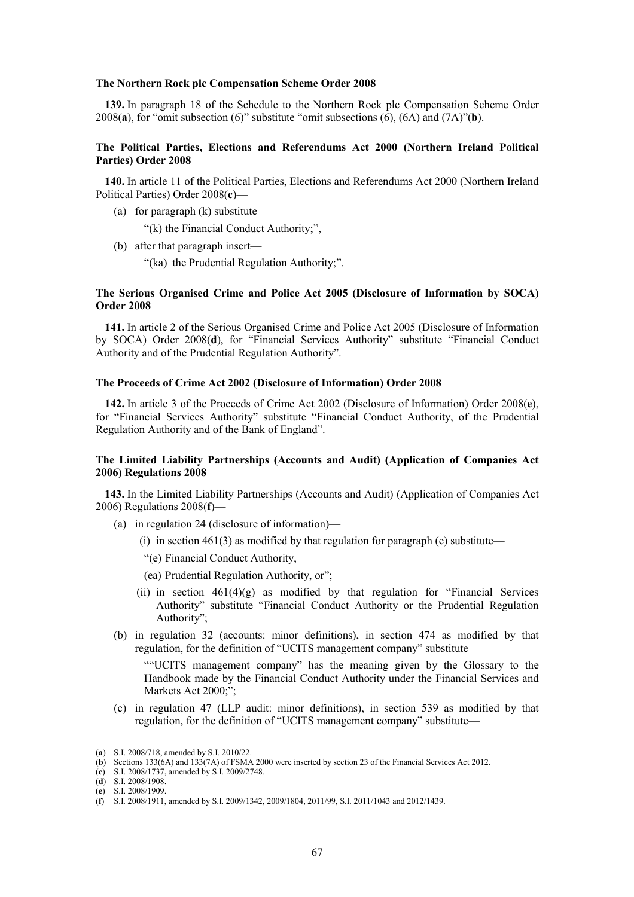#### **The Northern Rock plc Compensation Scheme Order 2008**

**139.** In paragraph 18 of the Schedule to the Northern Rock plc Compensation Scheme Order 2008(**a**), for "omit subsection (6)" substitute "omit subsections (6), (6A) and (7A)"(**b**).

# **The Political Parties, Elections and Referendums Act 2000 (Northern Ireland Political Parties) Order 2008**

**140.** In article 11 of the Political Parties, Elections and Referendums Act 2000 (Northern Ireland Political Parties) Order 2008(**c**)—

(a) for paragraph (k) substitute—

"(k) the Financial Conduct Authority;",

- (b) after that paragraph insert—
	- "(ka) the Prudential Regulation Authority;".

# **The Serious Organised Crime and Police Act 2005 (Disclosure of Information by SOCA) Order 2008**

**141.** In article 2 of the Serious Organised Crime and Police Act 2005 (Disclosure of Information by SOCA) Order 2008(**d**), for "Financial Services Authority" substitute "Financial Conduct Authority and of the Prudential Regulation Authority".

### **The Proceeds of Crime Act 2002 (Disclosure of Information) Order 2008**

**142.** In article 3 of the Proceeds of Crime Act 2002 (Disclosure of Information) Order 2008(**e**), for "Financial Services Authority" substitute "Financial Conduct Authority, of the Prudential Regulation Authority and of the Bank of England".

# **The Limited Liability Partnerships (Accounts and Audit) (Application of Companies Act 2006) Regulations 2008**

**143.** In the Limited Liability Partnerships (Accounts and Audit) (Application of Companies Act 2006) Regulations 2008(**f**)—

- (a) in regulation 24 (disclosure of information)—
	- (i) in section  $461(3)$  as modified by that regulation for paragraph (e) substitute—
	- "(e) Financial Conduct Authority,
	- (ea) Prudential Regulation Authority, or";
	- (ii) in section  $461(4)(g)$  as modified by that regulation for "Financial Services" Authority" substitute "Financial Conduct Authority or the Prudential Regulation Authority";
- (b) in regulation 32 (accounts: minor definitions), in section 474 as modified by that regulation, for the definition of "UCITS management company" substitute—

""UCITS management company" has the meaning given by the Glossary to the Handbook made by the Financial Conduct Authority under the Financial Services and Markets Act 2000;";

(c) in regulation 47 (LLP audit: minor definitions), in section 539 as modified by that regulation, for the definition of "UCITS management company" substitute—

 <sup>(</sup>**a**) S.I. 2008/718, amended by S.I. 2010/22.

<sup>(</sup>**b**) Sections 133(6A) and 133(7A) of FSMA 2000 were inserted by section 23 of the Financial Services Act 2012.

<sup>(</sup>**c**) S.I. 2008/1737, amended by S.I. 2009/2748.

<sup>(</sup>**d**) S.I. 2008/1908.

<sup>(</sup>**e**) S.I. 2008/1909.

<sup>(</sup>**f**) S.I. 2008/1911, amended by S.I. 2009/1342, 2009/1804, 2011/99, S.I. 2011/1043 and 2012/1439.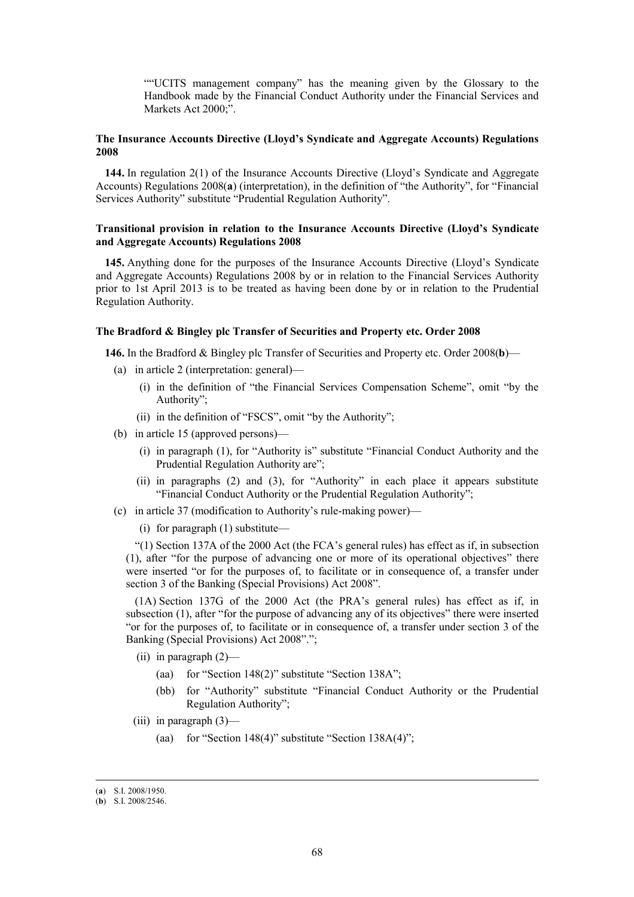""UCITS management company" has the meaning given by the Glossary to the Handbook made by the Financial Conduct Authority under the Financial Services and Markets Act 2000;".

# **The Insurance Accounts Directive (Lloyd's Syndicate and Aggregate Accounts) Regulations 2008**

**144.** In regulation 2(1) of the Insurance Accounts Directive (Lloyd's Syndicate and Aggregate Accounts) Regulations 2008(**a**) (interpretation), in the definition of "the Authority", for "Financial Services Authority" substitute "Prudential Regulation Authority".

# **Transitional provision in relation to the Insurance Accounts Directive (Lloyd's Syndicate and Aggregate Accounts) Regulations 2008**

**145.** Anything done for the purposes of the Insurance Accounts Directive (Lloyd's Syndicate and Aggregate Accounts) Regulations 2008 by or in relation to the Financial Services Authority prior to 1st April 2013 is to be treated as having been done by or in relation to the Prudential Regulation Authority.

### **The Bradford & Bingley plc Transfer of Securities and Property etc. Order 2008**

**146.** In the Bradford & Bingley plc Transfer of Securities and Property etc. Order 2008(**b**)—

- (a) in article 2 (interpretation: general)—
	- (i) in the definition of "the Financial Services Compensation Scheme", omit "by the Authority";
	- (ii) in the definition of "FSCS", omit "by the Authority";
- (b) in article 15 (approved persons)—
	- (i) in paragraph (1), for "Authority is" substitute "Financial Conduct Authority and the Prudential Regulation Authority are";
	- (ii) in paragraphs (2) and (3), for "Authority" in each place it appears substitute "Financial Conduct Authority or the Prudential Regulation Authority";
- (c) in article 37 (modification to Authority's rule-making power)—
	- (i) for paragraph (1) substitute—

"(1) Section 137A of the 2000 Act (the FCA's general rules) has effect as if, in subsection (1), after "for the purpose of advancing one or more of its operational objectives" there were inserted "or for the purposes of, to facilitate or in consequence of, a transfer under section 3 of the Banking (Special Provisions) Act 2008".

(1A) Section 137G of the 2000 Act (the PRA's general rules) has effect as if, in subsection (1), after "for the purpose of advancing any of its objectives" there were inserted "or for the purposes of, to facilitate or in consequence of, a transfer under section 3 of the Banking (Special Provisions) Act 2008".";

- (ii) in paragraph  $(2)$ 
	- (aa) for "Section 148(2)" substitute "Section 138A";
	- (bb) for "Authority" substitute "Financial Conduct Authority or the Prudential Regulation Authority";
- (iii) in paragraph  $(3)$ 
	- (aa) for "Section 148(4)" substitute "Section 138A(4)";

 <sup>(</sup>**a**) S.I. 2008/1950.

<sup>(</sup>**b**) S.I. 2008/2546.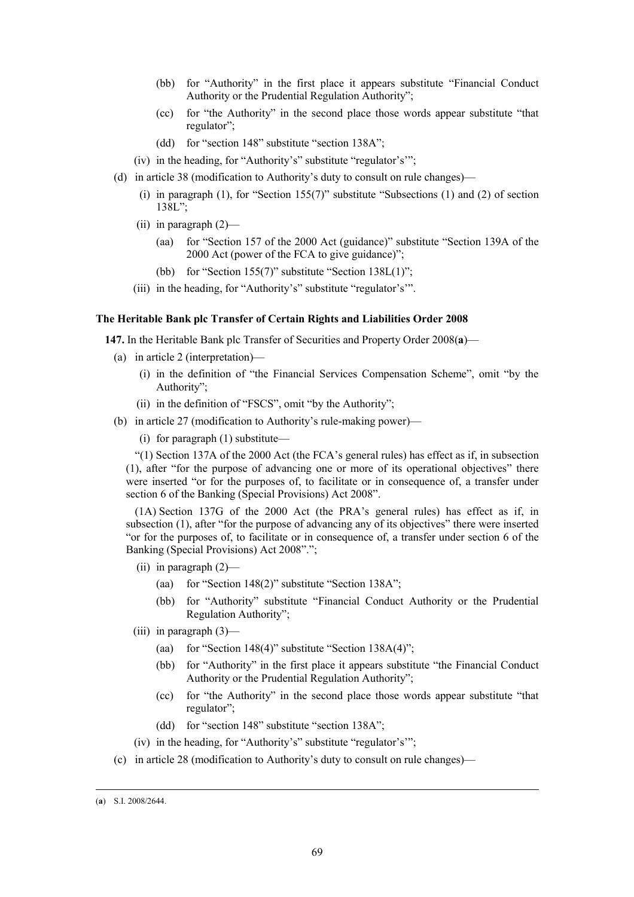- (bb) for "Authority" in the first place it appears substitute "Financial Conduct Authority or the Prudential Regulation Authority";
- (cc) for "the Authority" in the second place those words appear substitute "that regulator";
- (dd) for "section 148" substitute "section 138A";
- (iv) in the heading, for "Authority's" substitute "regulator's'";
- (d) in article 38 (modification to Authority's duty to consult on rule changes)—
	- (i) in paragraph (1), for "Section 155(7)" substitute "Subsections (1) and (2) of section 138L";
	- (ii) in paragraph (2)—
		- (aa) for "Section 157 of the 2000 Act (guidance)" substitute "Section 139A of the 2000 Act (power of the FCA to give guidance)";
		- (bb) for "Section 155(7)" substitute "Section 138L(1)";
	- (iii) in the heading, for "Authority's" substitute "regulator's'".

#### **The Heritable Bank plc Transfer of Certain Rights and Liabilities Order 2008**

**147.** In the Heritable Bank plc Transfer of Securities and Property Order 2008(**a**)—

- (a) in article 2 (interpretation)—
	- (i) in the definition of "the Financial Services Compensation Scheme", omit "by the Authority";
	- (ii) in the definition of "FSCS", omit "by the Authority";
- (b) in article 27 (modification to Authority's rule-making power)—
	- (i) for paragraph (1) substitute—

"(1) Section 137A of the 2000 Act (the FCA's general rules) has effect as if, in subsection (1), after "for the purpose of advancing one or more of its operational objectives" there were inserted "or for the purposes of, to facilitate or in consequence of, a transfer under section 6 of the Banking (Special Provisions) Act 2008".

(1A) Section 137G of the 2000 Act (the PRA's general rules) has effect as if, in subsection (1), after "for the purpose of advancing any of its objectives" there were inserted "or for the purposes of, to facilitate or in consequence of, a transfer under section 6 of the Banking (Special Provisions) Act 2008".";

- (ii) in paragraph (2)—
	- (aa) for "Section 148(2)" substitute "Section 138A";
	- (bb) for "Authority" substitute "Financial Conduct Authority or the Prudential Regulation Authority";
- (iii) in paragraph  $(3)$ 
	- (aa) for "Section 148(4)" substitute "Section  $138A(4)$ ";
	- (bb) for "Authority" in the first place it appears substitute "the Financial Conduct Authority or the Prudential Regulation Authority";
	- (cc) for "the Authority" in the second place those words appear substitute "that regulator";
	- (dd) for "section 148" substitute "section 138A";
- (iv) in the heading, for "Authority's" substitute "regulator's'";
- (c) in article 28 (modification to Authority's duty to consult on rule changes)—

 <sup>(</sup>**a**) S.I. 2008/2644.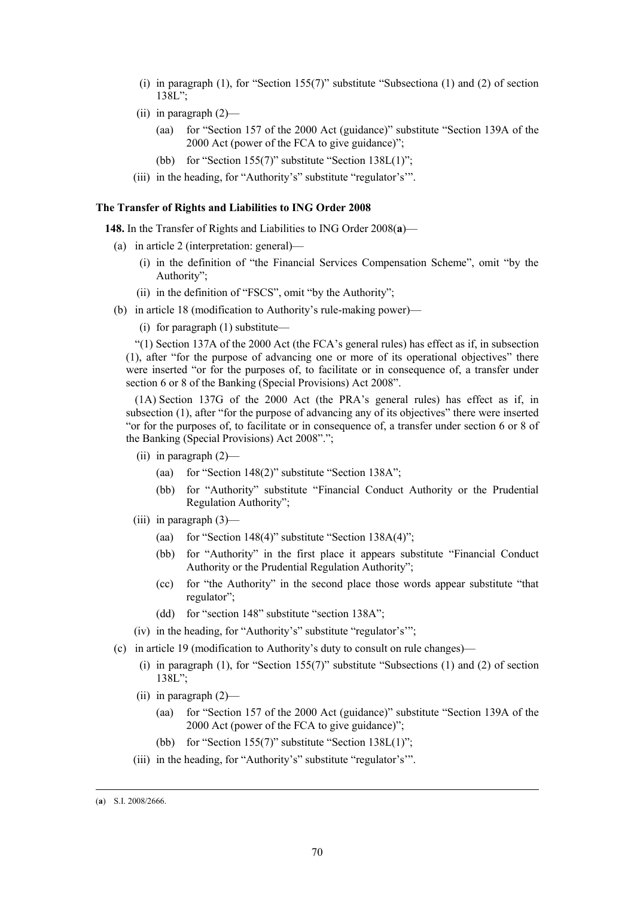- (i) in paragraph (1), for "Section 155(7)" substitute "Subsectiona (1) and (2) of section 138L";
- (ii) in paragraph (2)—
	- (aa) for "Section 157 of the 2000 Act (guidance)" substitute "Section 139A of the 2000 Act (power of the FCA to give guidance)";
	- (bb) for "Section 155(7)" substitute "Section 138L(1)";
- (iii) in the heading, for "Authority's" substitute "regulator's'".

#### **The Transfer of Rights and Liabilities to ING Order 2008**

**148.** In the Transfer of Rights and Liabilities to ING Order 2008(**a**)—

- (a) in article 2 (interpretation: general)—
	- (i) in the definition of "the Financial Services Compensation Scheme", omit "by the Authority";
	- (ii) in the definition of "FSCS", omit "by the Authority";
- (b) in article 18 (modification to Authority's rule-making power)—
	- (i) for paragraph (1) substitute—

"(1) Section 137A of the 2000 Act (the FCA's general rules) has effect as if, in subsection (1), after "for the purpose of advancing one or more of its operational objectives" there were inserted "or for the purposes of, to facilitate or in consequence of, a transfer under section 6 or 8 of the Banking (Special Provisions) Act 2008".

(1A) Section 137G of the 2000 Act (the PRA's general rules) has effect as if, in subsection (1), after "for the purpose of advancing any of its objectives" there were inserted "or for the purposes of, to facilitate or in consequence of, a transfer under section 6 or 8 of the Banking (Special Provisions) Act 2008".";

- (ii) in paragraph (2)—
	- (aa) for "Section 148(2)" substitute "Section 138A";
	- (bb) for "Authority" substitute "Financial Conduct Authority or the Prudential Regulation Authority";
- (iii) in paragraph (3)—
	- (aa) for "Section 148(4)" substitute "Section 138A(4)";
	- (bb) for "Authority" in the first place it appears substitute "Financial Conduct Authority or the Prudential Regulation Authority";
	- (cc) for "the Authority" in the second place those words appear substitute "that regulator";
	- (dd) for "section 148" substitute "section 138A";
- (iv) in the heading, for "Authority's" substitute "regulator's'";
- (c) in article 19 (modification to Authority's duty to consult on rule changes)—
	- (i) in paragraph (1), for "Section 155(7)" substitute "Subsections (1) and (2) of section 138L";
	- (ii) in paragraph (2)—
		- (aa) for "Section 157 of the 2000 Act (guidance)" substitute "Section 139A of the 2000 Act (power of the FCA to give guidance)";
		- (bb) for "Section 155(7)" substitute "Section 138L(1)";
	- (iii) in the heading, for "Authority's" substitute "regulator's'".

 <sup>(</sup>**a**) S.I. 2008/2666.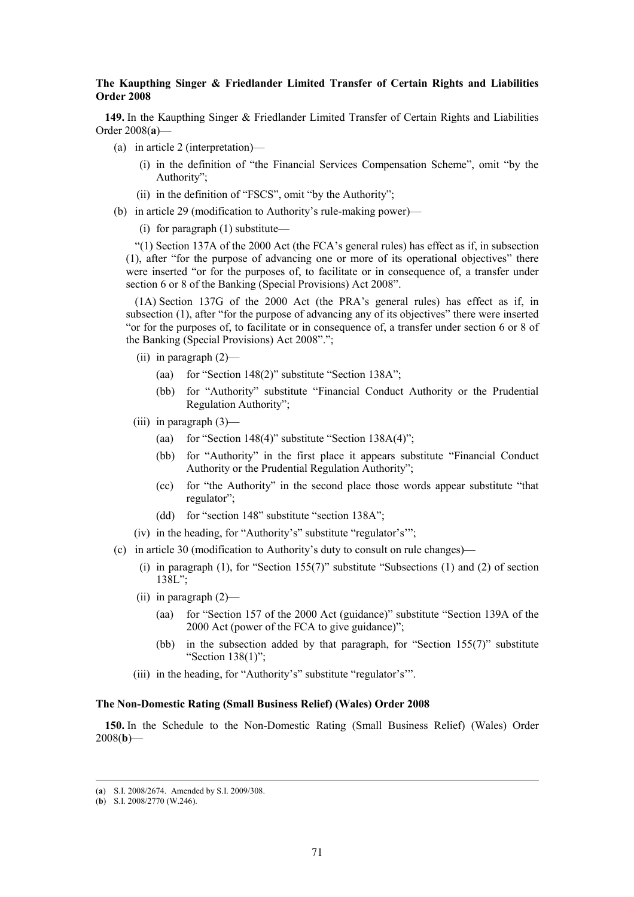# **The Kaupthing Singer & Friedlander Limited Transfer of Certain Rights and Liabilities Order 2008**

**149.** In the Kaupthing Singer & Friedlander Limited Transfer of Certain Rights and Liabilities Order 2008(**a**)—

- (a) in article 2 (interpretation)—
	- (i) in the definition of "the Financial Services Compensation Scheme", omit "by the Authority";
	- (ii) in the definition of "FSCS", omit "by the Authority";
- (b) in article 29 (modification to Authority's rule-making power)—

(i) for paragraph (1) substitute—

"(1) Section 137A of the 2000 Act (the FCA's general rules) has effect as if, in subsection (1), after "for the purpose of advancing one or more of its operational objectives" there were inserted "or for the purposes of, to facilitate or in consequence of, a transfer under section 6 or 8 of the Banking (Special Provisions) Act 2008".

(1A) Section 137G of the 2000 Act (the PRA's general rules) has effect as if, in subsection (1), after "for the purpose of advancing any of its objectives" there were inserted "or for the purposes of, to facilitate or in consequence of, a transfer under section 6 or 8 of the Banking (Special Provisions) Act 2008".";

- (ii) in paragraph (2)—
	- (aa) for "Section 148(2)" substitute "Section 138A";
	- (bb) for "Authority" substitute "Financial Conduct Authority or the Prudential Regulation Authority";
- (iii) in paragraph (3)—
	- (aa) for "Section 148(4)" substitute "Section  $138A(4)$ ";
	- (bb) for "Authority" in the first place it appears substitute "Financial Conduct Authority or the Prudential Regulation Authority";
	- (cc) for "the Authority" in the second place those words appear substitute "that regulator";
	- (dd) for "section 148" substitute "section 138A";
- (iv) in the heading, for "Authority's" substitute "regulator's'";
- (c) in article 30 (modification to Authority's duty to consult on rule changes)—
	- (i) in paragraph (1), for "Section 155(7)" substitute "Subsections (1) and (2) of section 138L";
	- (ii) in paragraph  $(2)$ 
		- (aa) for "Section 157 of the 2000 Act (guidance)" substitute "Section 139A of the 2000 Act (power of the FCA to give guidance)";
		- (bb) in the subsection added by that paragraph, for "Section 155(7)" substitute "Section 138(1)";
	- (iii) in the heading, for "Authority's" substitute "regulator's'".

## **The Non-Domestic Rating (Small Business Relief) (Wales) Order 2008**

**150.** In the Schedule to the Non-Domestic Rating (Small Business Relief) (Wales) Order 2008(**b**)—

 <sup>(</sup>**a**) S.I. 2008/2674. Amended by S.I. 2009/308.

<sup>(</sup>**b**) S.I. 2008/2770 (W.246).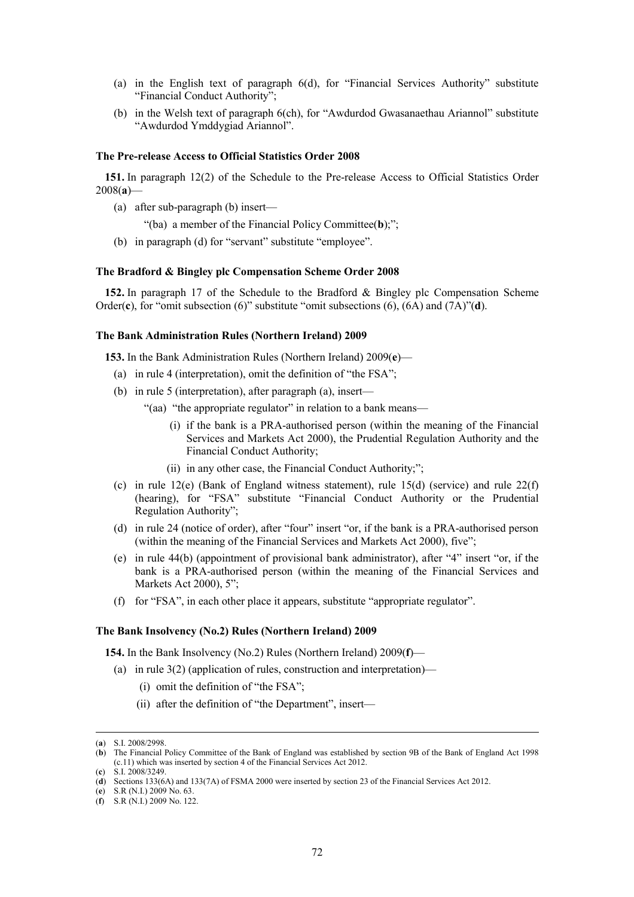- (a) in the English text of paragraph 6(d), for "Financial Services Authority" substitute "Financial Conduct Authority";
- (b) in the Welsh text of paragraph 6(ch), for "Awdurdod Gwasanaethau Ariannol" substitute "Awdurdod Ymddygiad Ariannol".

### **The Pre-release Access to Official Statistics Order 2008**

**151.** In paragraph 12(2) of the Schedule to the Pre-release Access to Official Statistics Order 2008(**a**)—

(a) after sub-paragraph (b) insert—

"(ba) a member of the Financial Policy Committee(**b**);";

(b) in paragraph (d) for "servant" substitute "employee".

#### **The Bradford & Bingley plc Compensation Scheme Order 2008**

**152.** In paragraph 17 of the Schedule to the Bradford & Bingley plc Compensation Scheme Order(**c**), for "omit subsection (6)" substitute "omit subsections (6), (6A) and (7A)"(**d**).

### **The Bank Administration Rules (Northern Ireland) 2009**

**153.** In the Bank Administration Rules (Northern Ireland) 2009(**e**)—

- (a) in rule 4 (interpretation), omit the definition of "the FSA";
- (b) in rule 5 (interpretation), after paragraph (a), insert—
	- "(aa) "the appropriate regulator" in relation to a bank means—
		- (i) if the bank is a PRA-authorised person (within the meaning of the Financial Services and Markets Act 2000), the Prudential Regulation Authority and the Financial Conduct Authority;
		- (ii) in any other case, the Financial Conduct Authority;";
- (c) in rule 12(e) (Bank of England witness statement), rule 15(d) (service) and rule  $22(f)$ (hearing), for "FSA" substitute "Financial Conduct Authority or the Prudential Regulation Authority";
- (d) in rule 24 (notice of order), after "four" insert "or, if the bank is a PRA-authorised person (within the meaning of the Financial Services and Markets Act 2000), five";
- (e) in rule 44(b) (appointment of provisional bank administrator), after "4" insert "or, if the bank is a PRA-authorised person (within the meaning of the Financial Services and Markets Act 2000), 5";
- (f) for "FSA", in each other place it appears, substitute "appropriate regulator".

### **The Bank Insolvency (No.2) Rules (Northern Ireland) 2009**

**154.** In the Bank Insolvency (No.2) Rules (Northern Ireland) 2009(**f**)—

- (a) in rule  $3(2)$  (application of rules, construction and interpretation)—
	- (i) omit the definition of "the FSA";
	- (ii) after the definition of "the Department", insert—

 <sup>(</sup>**a**) S.I. 2008/2998.

<sup>(</sup>**b**) The Financial Policy Committee of the Bank of England was established by section 9B of the Bank of England Act 1998 (c.11) which was inserted by section 4 of the Financial Services Act 2012.

<sup>(</sup>**c**) S.I. 2008/3249.

<sup>(</sup>**d**) Sections 133(6A) and 133(7A) of FSMA 2000 were inserted by section 23 of the Financial Services Act 2012.

<sup>(</sup>**e**) S.R (N.I.) 2009 No. 63.

<sup>(</sup>**f**) S.R (N.I.) 2009 No. 122.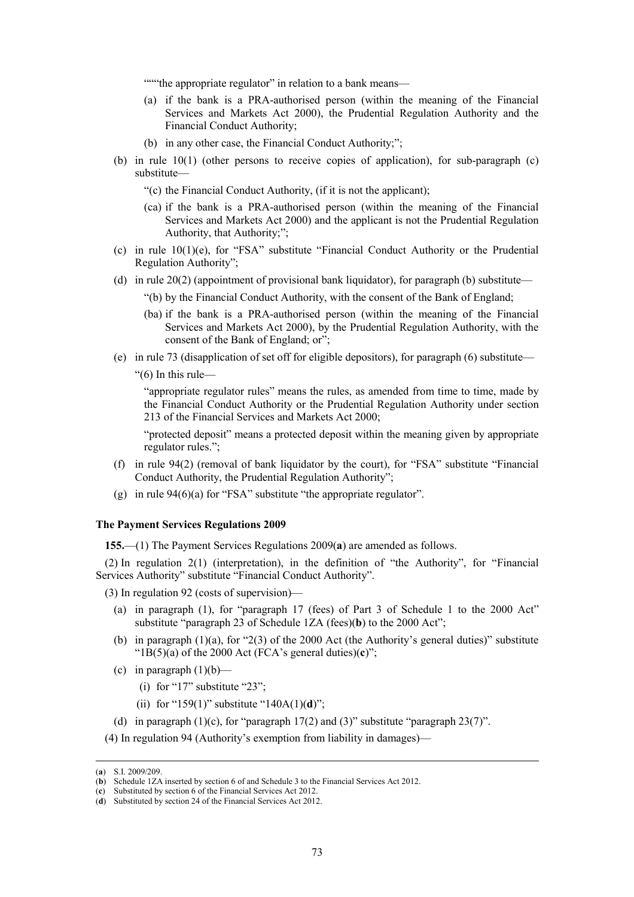"""the appropriate regulator" in relation to a bank means—

- (a) if the bank is a PRA-authorised person (within the meaning of the Financial Services and Markets Act 2000), the Prudential Regulation Authority and the Financial Conduct Authority;
- (b) in any other case, the Financial Conduct Authority;";
- (b) in rule 10(1) (other persons to receive copies of application), for sub-paragraph (c) substitute—
	- "(c) the Financial Conduct Authority, (if it is not the applicant);
	- (ca) if the bank is a PRA-authorised person (within the meaning of the Financial Services and Markets Act 2000) and the applicant is not the Prudential Regulation Authority, that Authority;";
- (c) in rule 10(1)(e), for "FSA" substitute "Financial Conduct Authority or the Prudential Regulation Authority";
- (d) in rule  $20(2)$  (appointment of provisional bank liquidator), for paragraph (b) substitute—
	- "(b) by the Financial Conduct Authority, with the consent of the Bank of England;
	- (ba) if the bank is a PRA-authorised person (within the meaning of the Financial Services and Markets Act 2000), by the Prudential Regulation Authority, with the consent of the Bank of England; or":
- (e) in rule 73 (disapplication of set off for eligible depositors), for paragraph (6) substitute—

" $(6)$  In this rule—

"appropriate regulator rules" means the rules, as amended from time to time, made by the Financial Conduct Authority or the Prudential Regulation Authority under section 213 of the Financial Services and Markets Act 2000;

"protected deposit" means a protected deposit within the meaning given by appropriate regulator rules.";

- (f) in rule 94(2) (removal of bank liquidator by the court), for "FSA" substitute "Financial Conduct Authority, the Prudential Regulation Authority";
- (g) in rule 94(6)(a) for "FSA" substitute "the appropriate regulator".

## **The Payment Services Regulations 2009**

**155.**—(1) The Payment Services Regulations 2009(**a**) are amended as follows.

(2) In regulation 2(1) (interpretation), in the definition of "the Authority", for "Financial Services Authority" substitute "Financial Conduct Authority".

(3) In regulation 92 (costs of supervision)—

- (a) in paragraph (1), for "paragraph 17 (fees) of Part 3 of Schedule 1 to the 2000 Act" substitute "paragraph 23 of Schedule 1ZA (fees)(**b**) to the 2000 Act";
- (b) in paragraph  $(1)(a)$ , for "2 $(3)$  of the 2000 Act (the Authority's general duties)" substitute " $1B(5)(a)$  of the 2000 Act (FCA's general duties)(**)";**
- (c) in paragraph  $(1)(b)$ 
	- (i) for "17" substitute "23";
	- (ii) for "159(1)" substitute "140A(1)(**d**)";
- (d) in paragraph  $(1)(c)$ , for "paragraph  $17(2)$  and  $(3)$ " substitute "paragraph  $23(7)$ ".

<sup>(4)</sup> In regulation 94 (Authority's exemption from liability in damages)—

 <sup>(</sup>**a**) S.I. 2009/209.

<sup>(</sup>**b**) Schedule 1ZA inserted by section 6 of and Schedule 3 to the Financial Services Act 2012.

<sup>(</sup>**c**) Substituted by section 6 of the Financial Services Act 2012.

<sup>(</sup>**d**) Substituted by section 24 of the Financial Services Act 2012.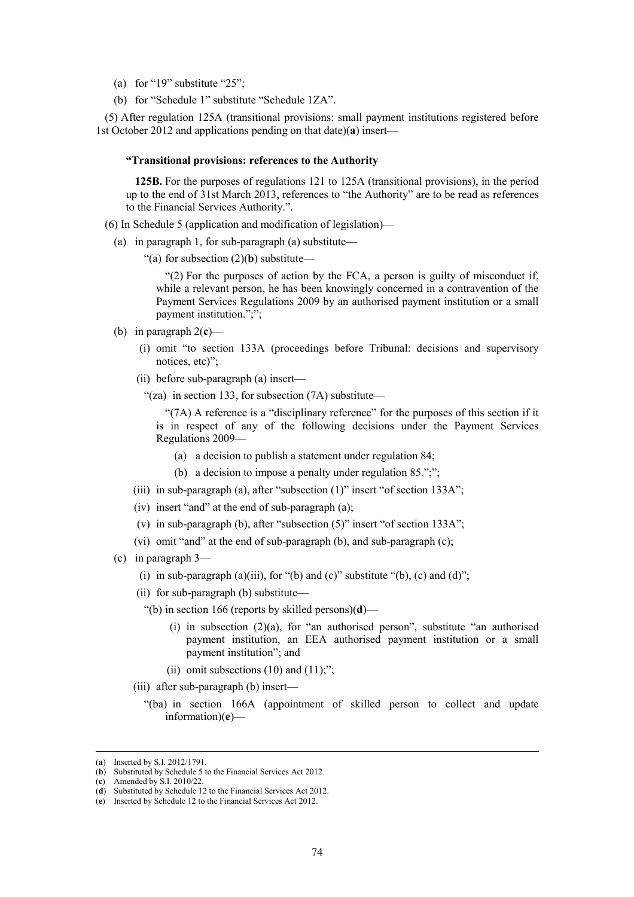- (a) for "19" substitute "25";
- (b) for "Schedule 1" substitute "Schedule 1ZA".

(5) After regulation 125A (transitional provisions: small payment institutions registered before 1st October 2012 and applications pending on that date)(**a**) insert—

## **"Transitional provisions: references to the Authority**

**125B.** For the purposes of regulations 121 to 125A (transitional provisions), in the period up to the end of 31st March 2013, references to "the Authority" are to be read as references to the Financial Services Authority.".

- (6) In Schedule 5 (application and modification of legislation)—
	- (a) in paragraph 1, for sub-paragraph (a) substitute—
		- "(a) for subsection (2)(**b**) substitute—

"(2) For the purposes of action by the FCA, a person is guilty of misconduct if, while a relevant person, he has been knowingly concerned in a contravention of the Payment Services Regulations 2009 by an authorised payment institution or a small payment institution.";";

- (b) in paragraph  $2(c)$ 
	- (i) omit "to section 133A (proceedings before Tribunal: decisions and supervisory notices, etc)";
	- (ii) before sub-paragraph (a) insert—
		- "(za) in section 133, for subsection  $(7A)$  substitute—

"(7A) A reference is a "disciplinary reference" for the purposes of this section if it is in respect of any of the following decisions under the Payment Services Regulations 2009—

- (a) a decision to publish a statement under regulation 84;
- (b) a decision to impose a penalty under regulation  $85$ .";";
- (iii) in sub-paragraph (a), after "subsection (1)" insert "of section 133A";
- (iv) insert "and" at the end of sub-paragraph (a);
- (v) in sub-paragraph (b), after "subsection (5)" insert "of section 133A";
- (vi) omit "and" at the end of sub-paragraph (b), and sub-paragraph (c);
- (c) in paragraph 3—
	- (i) in sub-paragraph (a)(iii), for "(b) and (c)" substitute "(b), (c) and (d)";
	- (ii) for sub-paragraph (b) substitute—
		- "(b) in section 166 (reports by skilled persons)(**d**)—
			- (i) in subsection (2)(a), for "an authorised person", substitute "an authorised payment institution, an EEA authorised payment institution or a small payment institution"; and
			- (ii) omit subsections  $(10)$  and  $(11)$ ;";
	- (iii) after sub-paragraph (b) insert—
		- "(ba) in section 166A (appointment of skilled person to collect and update information)(**e**)—

 <sup>(</sup>**a**) Inserted by S.I. 2012/1791.

<sup>(</sup>**b**) Substituted by Schedule 5 to the Financial Services Act 2012.

<sup>(</sup>**c**) Amended by S.I. 2010/22.

<sup>(</sup>**d**) Substituted by Schedule 12 to the Financial Services Act 2012.

<sup>(</sup>**e**) Inserted by Schedule 12 to the Financial Services Act 2012.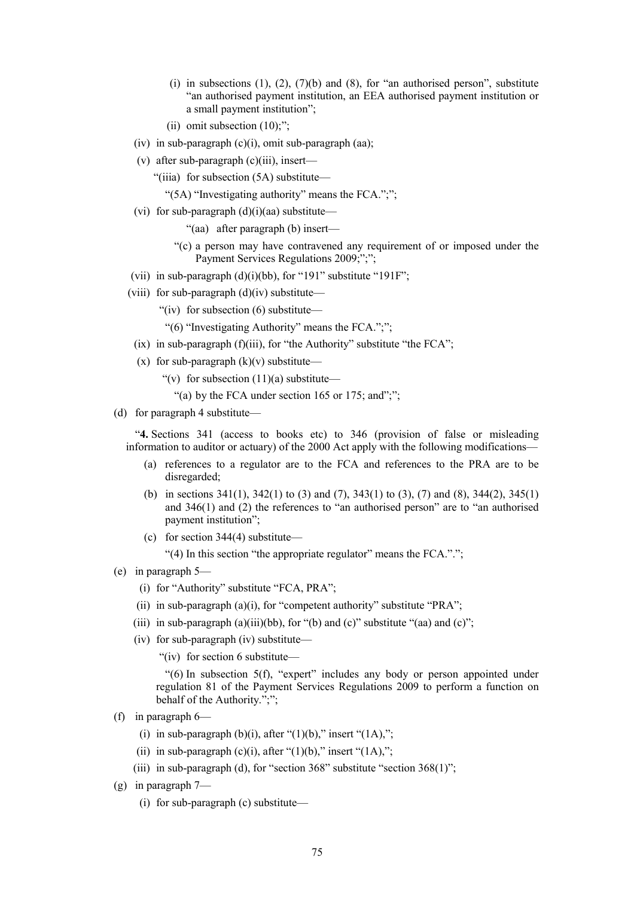- (i) in subsections  $(1)$ ,  $(2)$ ,  $(7)(b)$  and  $(8)$ , for "an authorised person", substitute "an authorised payment institution, an EEA authorised payment institution or a small payment institution";
- (ii) omit subsection  $(10)$ ;":
- (iv) in sub-paragraph  $(c)(i)$ , omit sub-paragraph (aa);
- (v) after sub-paragraph (c)(iii), insert—
	- "(iiia) for subsection (5A) substitute—
		- "(5A) "Investigating authority" means the FCA.";";
- (vi) for sub-paragraph  $(d)(i)(aa)$  substitute—
	- "(aa) after paragraph (b) insert—
	- "(c) a person may have contravened any requirement of or imposed under the Payment Services Regulations 2009;";";
- (vii) in sub-paragraph  $(d)(i)(bb)$ , for "191" substitute "191F";
- (viii) for sub-paragraph  $(d)(iv)$  substitute—
	- "(iv) for subsection (6) substitute—
	- "(6) "Investigating Authority" means the FCA.";";
	- $(ix)$  in sub-paragraph  $(f)(iii)$ , for "the Authority" substitute "the FCA";
	- (x) for sub-paragraph  $(k)(v)$  substitute—
		- "(v) for subsection  $(11)(a)$  substitute—
			- "(a) by the FCA under section  $165$  or  $175$ ; and";";
- (d) for paragraph 4 substitute—

"**4.** Sections 341 (access to books etc) to 346 (provision of false or misleading information to auditor or actuary) of the 2000 Act apply with the following modifications—

- (a) references to a regulator are to the FCA and references to the PRA are to be disregarded;
- (b) in sections 341(1), 342(1) to (3) and (7), 343(1) to (3), (7) and (8), 344(2), 345(1) and 346(1) and (2) the references to "an authorised person" are to "an authorised payment institution";
- (c) for section 344(4) substitute—

"(4) In this section "the appropriate regulator" means the FCA.".";

- (e) in paragraph 5—
	- (i) for "Authority" substitute "FCA, PRA";
	- (ii) in sub-paragraph (a)(i), for "competent authority" substitute "PRA";
	- (iii) in sub-paragraph (a)(iii)(bb), for "(b) and (c)" substitute "(aa) and (c)";
	- (iv) for sub-paragraph (iv) substitute—
		- "(iv) for section 6 substitute—

"(6) In subsection 5(f), "expert" includes any body or person appointed under regulation 81 of the Payment Services Regulations 2009 to perform a function on behalf of the Authority.";";

- (f) in paragraph 6—
	- (i) in sub-paragraph (b)(i), after " $(1)(b)$ ," insert " $(1A)$ ,";
	- (ii) in sub-paragraph (c)(i), after " $(1)(b)$ ," insert " $(1A)$ ,";
	- (iii) in sub-paragraph (d), for "section  $368$ " substitute "section  $368(1)$ ";
- (g) in paragraph 7—
	- (i) for sub-paragraph (c) substitute—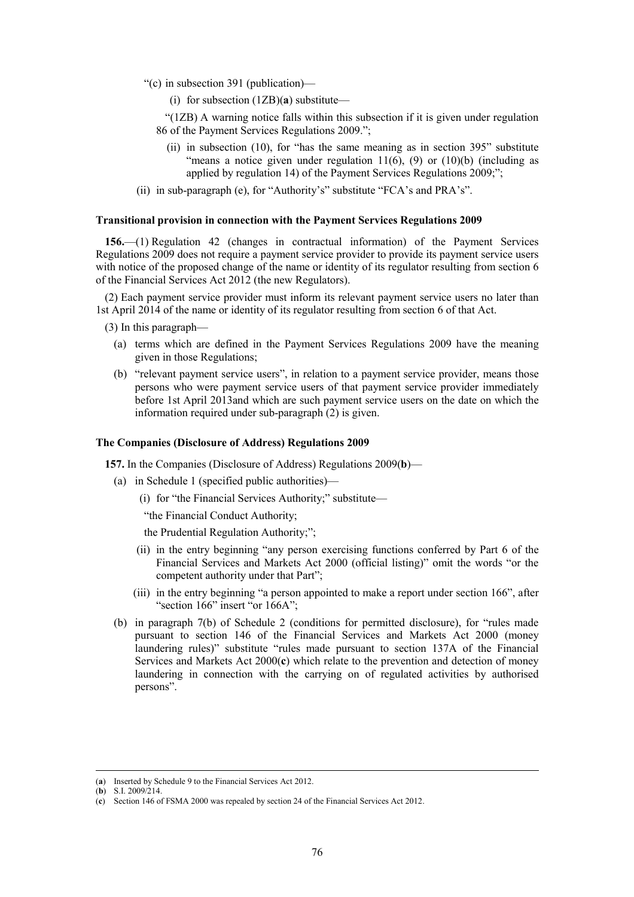- "(c) in subsection 391 (publication)—
	- (i) for subsection (1ZB)(**a**) substitute—
	- "(1ZB) A warning notice falls within this subsection if it is given under regulation 86 of the Payment Services Regulations 2009.";
		- (ii) in subsection (10), for "has the same meaning as in section 395" substitute "means a notice given under regulation  $11(6)$ , (9) or  $(10)(b)$  (including as applied by regulation 14) of the Payment Services Regulations 2009;";
- (ii) in sub-paragraph (e), for "Authority's" substitute "FCA's and PRA's".

#### **Transitional provision in connection with the Payment Services Regulations 2009**

**156.**—(1) Regulation 42 (changes in contractual information) of the Payment Services Regulations 2009 does not require a payment service provider to provide its payment service users with notice of the proposed change of the name or identity of its regulator resulting from section 6 of the Financial Services Act 2012 (the new Regulators).

(2) Each payment service provider must inform its relevant payment service users no later than 1st April 2014 of the name or identity of its regulator resulting from section 6 of that Act.

(3) In this paragraph—

- (a) terms which are defined in the Payment Services Regulations 2009 have the meaning given in those Regulations;
- (b) "relevant payment service users", in relation to a payment service provider, means those persons who were payment service users of that payment service provider immediately before 1st April 2013and which are such payment service users on the date on which the information required under sub-paragraph (2) is given.

### **The Companies (Disclosure of Address) Regulations 2009**

**157.** In the Companies (Disclosure of Address) Regulations 2009(**b**)—

- (a) in Schedule 1 (specified public authorities)—
	- (i) for "the Financial Services Authority;" substitute—

"the Financial Conduct Authority;

the Prudential Regulation Authority;";

- (ii) in the entry beginning "any person exercising functions conferred by Part 6 of the Financial Services and Markets Act 2000 (official listing)" omit the words "or the competent authority under that Part";
- (iii) in the entry beginning "a person appointed to make a report under section 166", after "section 166" insert "or 166A";
- (b) in paragraph 7(b) of Schedule 2 (conditions for permitted disclosure), for "rules made pursuant to section 146 of the Financial Services and Markets Act 2000 (money laundering rules)" substitute "rules made pursuant to section 137A of the Financial Services and Markets Act 2000(**c**) which relate to the prevention and detection of money laundering in connection with the carrying on of regulated activities by authorised persons".

 <sup>(</sup>**a**) Inserted by Schedule 9 to the Financial Services Act 2012.

<sup>(</sup>**b**) S.I. 2009/214.

<sup>(</sup>**c**) Section 146 of FSMA 2000 was repealed by section 24 of the Financial Services Act 2012.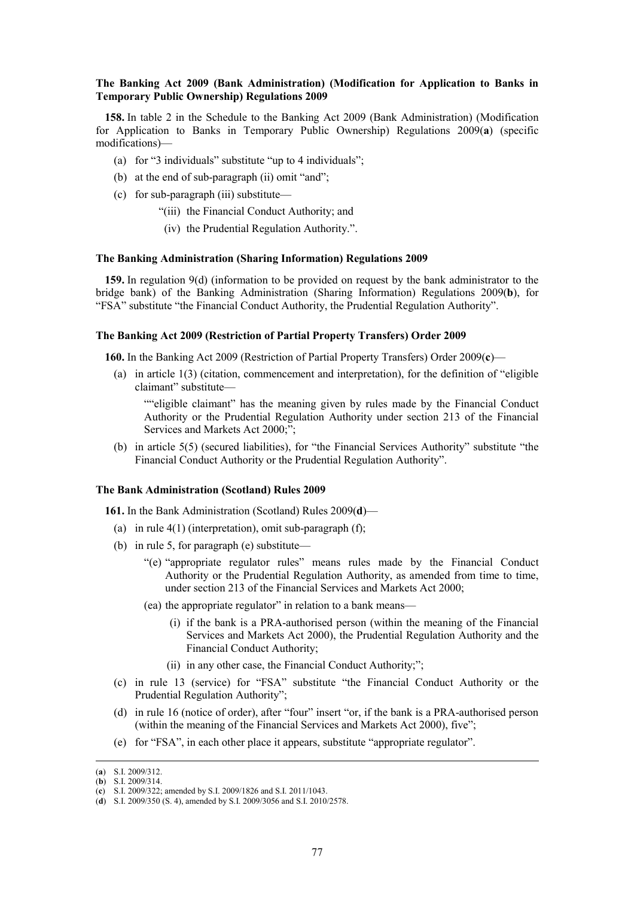## **The Banking Act 2009 (Bank Administration) (Modification for Application to Banks in Temporary Public Ownership) Regulations 2009**

**158.** In table 2 in the Schedule to the Banking Act 2009 (Bank Administration) (Modification for Application to Banks in Temporary Public Ownership) Regulations 2009(**a**) (specific modifications)—

- (a) for "3 individuals" substitute "up to 4 individuals";
- (b) at the end of sub-paragraph (ii) omit "and";
- (c) for sub-paragraph (iii) substitute—
	- "(iii) the Financial Conduct Authority; and
	- (iv) the Prudential Regulation Authority.".

#### **The Banking Administration (Sharing Information) Regulations 2009**

**159.** In regulation 9(d) (information to be provided on request by the bank administrator to the bridge bank) of the Banking Administration (Sharing Information) Regulations 2009(**b**), for "FSA" substitute "the Financial Conduct Authority, the Prudential Regulation Authority".

# **The Banking Act 2009 (Restriction of Partial Property Transfers) Order 2009**

**160.** In the Banking Act 2009 (Restriction of Partial Property Transfers) Order 2009(**c**)—

(a) in article 1(3) (citation, commencement and interpretation), for the definition of "eligible claimant" substitute—

""eligible claimant" has the meaning given by rules made by the Financial Conduct Authority or the Prudential Regulation Authority under section 213 of the Financial Services and Markets Act 2000;";

(b) in article 5(5) (secured liabilities), for "the Financial Services Authority" substitute "the Financial Conduct Authority or the Prudential Regulation Authority".

### **The Bank Administration (Scotland) Rules 2009**

**161.** In the Bank Administration (Scotland) Rules 2009(**d**)—

- (a) in rule  $4(1)$  (interpretation), omit sub-paragraph (f);
- (b) in rule 5, for paragraph (e) substitute—
	- "(e) "appropriate regulator rules" means rules made by the Financial Conduct Authority or the Prudential Regulation Authority, as amended from time to time, under section 213 of the Financial Services and Markets Act 2000;
	- (ea) the appropriate regulator" in relation to a bank means—
		- (i) if the bank is a PRA-authorised person (within the meaning of the Financial Services and Markets Act 2000), the Prudential Regulation Authority and the Financial Conduct Authority;
		- (ii) in any other case, the Financial Conduct Authority;";
- (c) in rule 13 (service) for "FSA" substitute "the Financial Conduct Authority or the Prudential Regulation Authority";
- (d) in rule 16 (notice of order), after "four" insert "or, if the bank is a PRA-authorised person (within the meaning of the Financial Services and Markets Act 2000), five";
- (e) for "FSA", in each other place it appears, substitute "appropriate regulator".

 <sup>(</sup>**a**) S.I. 2009/312.

 $(b)$  S.I. 2009/314.

<sup>(</sup>**c**) S.I. 2009/322; amended by S.I. 2009/1826 and S.I. 2011/1043.

<sup>(</sup>**d**) S.I. 2009/350 (S. 4), amended by S.I. 2009/3056 and S.I. 2010/2578.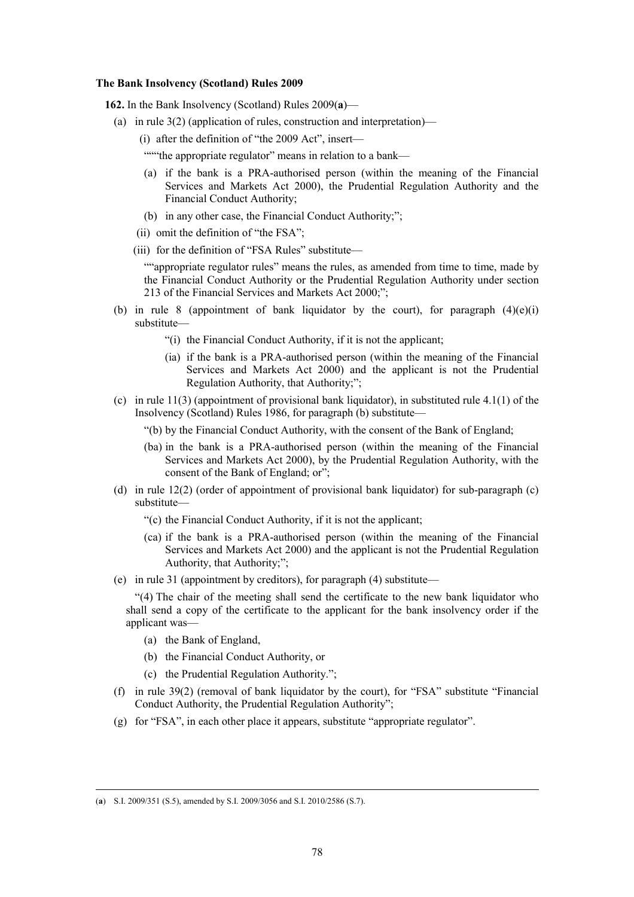### **The Bank Insolvency (Scotland) Rules 2009**

**162.** In the Bank Insolvency (Scotland) Rules 2009(**a**)—

- (a) in rule  $3(2)$  (application of rules, construction and interpretation)—
	- (i) after the definition of "the 2009 Act", insert—

"""the appropriate regulator" means in relation to a bank—

- (a) if the bank is a PRA-authorised person (within the meaning of the Financial Services and Markets Act 2000), the Prudential Regulation Authority and the Financial Conduct Authority;
- (b) in any other case, the Financial Conduct Authority;";
- (ii) omit the definition of "the FSA";
- (iii) for the definition of "FSA Rules" substitute—

""appropriate regulator rules" means the rules, as amended from time to time, made by the Financial Conduct Authority or the Prudential Regulation Authority under section 213 of the Financial Services and Markets Act 2000;";

- (b) in rule 8 (appointment of bank liquidator by the court), for paragraph  $(4)(e)(i)$ substitute—
	- "(i) the Financial Conduct Authority, if it is not the applicant;
	- (ia) if the bank is a PRA-authorised person (within the meaning of the Financial Services and Markets Act 2000) and the applicant is not the Prudential Regulation Authority, that Authority;";
- (c) in rule  $11(3)$  (appointment of provisional bank liquidator), in substituted rule  $4.1(1)$  of the Insolvency (Scotland) Rules 1986, for paragraph (b) substitute—
	- "(b) by the Financial Conduct Authority, with the consent of the Bank of England;
	- (ba) in the bank is a PRA-authorised person (within the meaning of the Financial Services and Markets Act 2000), by the Prudential Regulation Authority, with the consent of the Bank of England; or";
- (d) in rule 12(2) (order of appointment of provisional bank liquidator) for sub-paragraph (c) substitute—
	- "(c) the Financial Conduct Authority, if it is not the applicant;
	- (ca) if the bank is a PRA-authorised person (within the meaning of the Financial Services and Markets Act 2000) and the applicant is not the Prudential Regulation Authority, that Authority;";
- (e) in rule 31 (appointment by creditors), for paragraph (4) substitute—

"(4) The chair of the meeting shall send the certificate to the new bank liquidator who shall send a copy of the certificate to the applicant for the bank insolvency order if the applicant was—

- (a) the Bank of England,
- (b) the Financial Conduct Authority, or
- (c) the Prudential Regulation Authority.";
- (f) in rule 39(2) (removal of bank liquidator by the court), for "FSA" substitute "Financial Conduct Authority, the Prudential Regulation Authority";
- (g) for "FSA", in each other place it appears, substitute "appropriate regulator".

 <sup>(</sup>**a**) S.I. 2009/351 (S.5), amended by S.I. 2009/3056 and S.I. 2010/2586 (S.7).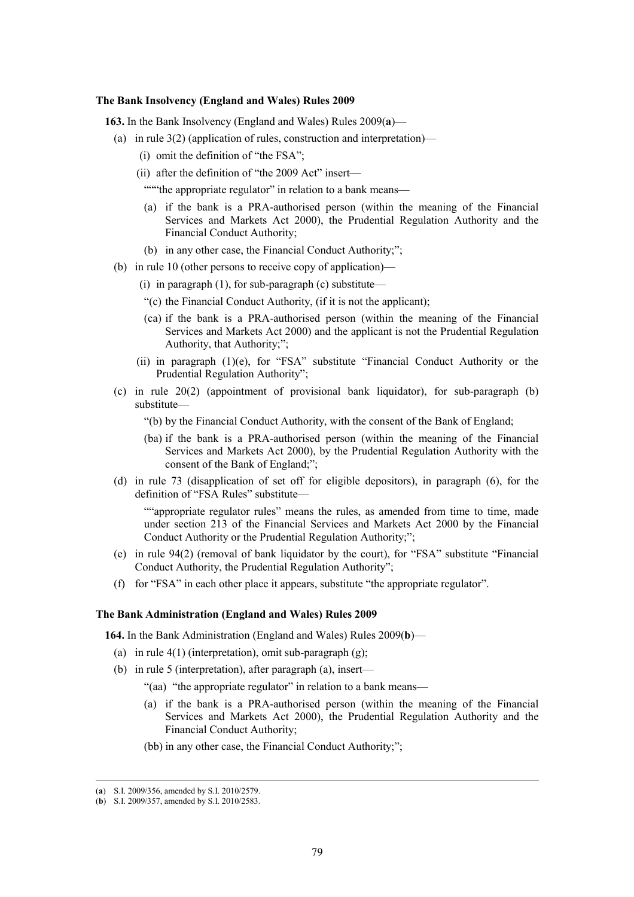### **The Bank Insolvency (England and Wales) Rules 2009**

**163.** In the Bank Insolvency (England and Wales) Rules 2009(**a**)—

- (a) in rule 3(2) (application of rules, construction and interpretation)—
	- (i) omit the definition of "the FSA";
	- (ii) after the definition of "the 2009 Act" insert—

"""the appropriate regulator" in relation to a bank means—

- (a) if the bank is a PRA-authorised person (within the meaning of the Financial Services and Markets Act 2000), the Prudential Regulation Authority and the Financial Conduct Authority;
- (b) in any other case, the Financial Conduct Authority;";
- (b) in rule 10 (other persons to receive copy of application)—
	- (i) in paragraph  $(1)$ , for sub-paragraph  $(c)$  substitute—
	- "(c) the Financial Conduct Authority, (if it is not the applicant);
	- (ca) if the bank is a PRA-authorised person (within the meaning of the Financial Services and Markets Act 2000) and the applicant is not the Prudential Regulation Authority, that Authority;";
	- (ii) in paragraph  $(1)(e)$ , for "FSA" substitute "Financial Conduct Authority or the Prudential Regulation Authority";
- (c) in rule 20(2) (appointment of provisional bank liquidator), for sub-paragraph (b) substitute—
	- "(b) by the Financial Conduct Authority, with the consent of the Bank of England;
	- (ba) if the bank is a PRA-authorised person (within the meaning of the Financial Services and Markets Act 2000), by the Prudential Regulation Authority with the consent of the Bank of England;";
- (d) in rule 73 (disapplication of set off for eligible depositors), in paragraph (6), for the definition of "FSA Rules" substitute—

""appropriate regulator rules" means the rules, as amended from time to time, made under section 213 of the Financial Services and Markets Act 2000 by the Financial Conduct Authority or the Prudential Regulation Authority;";

- (e) in rule 94(2) (removal of bank liquidator by the court), for "FSA" substitute "Financial Conduct Authority, the Prudential Regulation Authority";
- (f) for "FSA" in each other place it appears, substitute "the appropriate regulator".

### **The Bank Administration (England and Wales) Rules 2009**

**164.** In the Bank Administration (England and Wales) Rules 2009(**b**)—

- (a) in rule 4(1) (interpretation), omit sub-paragraph (g);
- (b) in rule 5 (interpretation), after paragraph (a), insert—
	- "(aa) "the appropriate regulator" in relation to a bank means—
	- (a) if the bank is a PRA-authorised person (within the meaning of the Financial Services and Markets Act 2000), the Prudential Regulation Authority and the Financial Conduct Authority;
	- (bb) in any other case, the Financial Conduct Authority;";

 <sup>(</sup>**a**) S.I. 2009/356, amended by S.I. 2010/2579.

<sup>(</sup>**b**) S.I. 2009/357, amended by S.I. 2010/2583.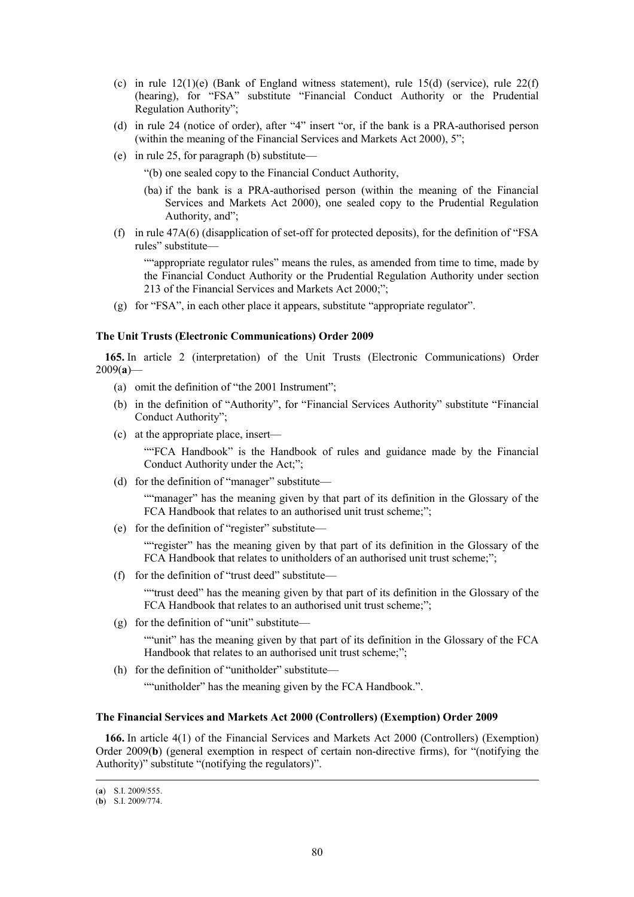- (c) in rule  $12(1)(e)$  (Bank of England witness statement), rule  $15(d)$  (service), rule  $22(f)$ (hearing), for "FSA" substitute "Financial Conduct Authority or the Prudential Regulation Authority";
- (d) in rule 24 (notice of order), after "4" insert "or, if the bank is a PRA-authorised person (within the meaning of the Financial Services and Markets Act 2000), 5";
- (e) in rule 25, for paragraph (b) substitute—

"(b) one sealed copy to the Financial Conduct Authority,

- (ba) if the bank is a PRA-authorised person (within the meaning of the Financial Services and Markets Act 2000), one sealed copy to the Prudential Regulation Authority, and";
- (f) in rule 47A(6) (disapplication of set-off for protected deposits), for the definition of "FSA rules" substitute—

""appropriate regulator rules" means the rules, as amended from time to time, made by the Financial Conduct Authority or the Prudential Regulation Authority under section 213 of the Financial Services and Markets Act 2000;";

(g) for "FSA", in each other place it appears, substitute "appropriate regulator".

### **The Unit Trusts (Electronic Communications) Order 2009**

**165.** In article 2 (interpretation) of the Unit Trusts (Electronic Communications) Order 2009(**a**)—

- (a) omit the definition of "the 2001 Instrument";
- (b) in the definition of "Authority", for "Financial Services Authority" substitute "Financial Conduct Authority";
- (c) at the appropriate place, insert—

""FCA Handbook" is the Handbook of rules and guidance made by the Financial Conduct Authority under the Act;";

(d) for the definition of "manager" substitute—

""manager" has the meaning given by that part of its definition in the Glossary of the FCA Handbook that relates to an authorised unit trust scheme;";

(e) for the definition of "register" substitute—

""register" has the meaning given by that part of its definition in the Glossary of the FCA Handbook that relates to unitholders of an authorised unit trust scheme;";

(f) for the definition of "trust deed" substitute—

""trust deed" has the meaning given by that part of its definition in the Glossary of the FCA Handbook that relates to an authorised unit trust scheme;";

(g) for the definition of "unit" substitute—

""unit" has the meaning given by that part of its definition in the Glossary of the FCA Handbook that relates to an authorised unit trust scheme;";

(h) for the definition of "unitholder" substitute—

""unitholder" has the meaning given by the FCA Handbook.".

### **The Financial Services and Markets Act 2000 (Controllers) (Exemption) Order 2009**

**166.** In article 4(1) of the Financial Services and Markets Act 2000 (Controllers) (Exemption) Order 2009(**b**) (general exemption in respect of certain non-directive firms), for "(notifying the Authority)" substitute "(notifying the regulators)".

 <sup>(</sup>**a**) S.I. 2009/555.

<sup>(</sup>**b**) S.I. 2009/774.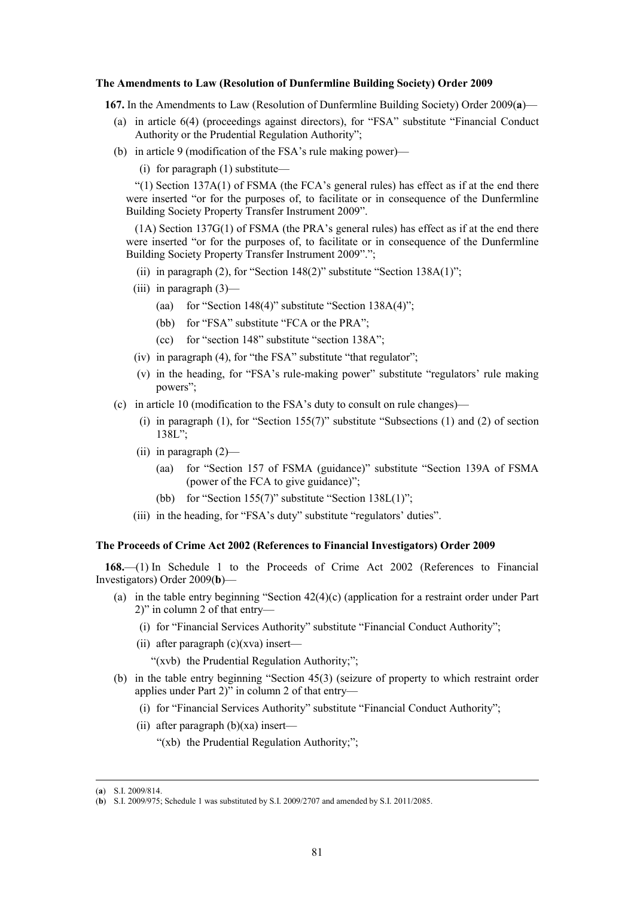#### **The Amendments to Law (Resolution of Dunfermline Building Society) Order 2009**

**167.** In the Amendments to Law (Resolution of Dunfermline Building Society) Order 2009(**a**)—

- (a) in article 6(4) (proceedings against directors), for "FSA" substitute "Financial Conduct Authority or the Prudential Regulation Authority";
- (b) in article 9 (modification of the FSA's rule making power)—
	- (i) for paragraph (1) substitute—

"(1) Section  $137A(1)$  of FSMA (the FCA's general rules) has effect as if at the end there were inserted "or for the purposes of, to facilitate or in consequence of the Dunfermline Building Society Property Transfer Instrument 2009".

(1A) Section 137G(1) of FSMA (the PRA's general rules) has effect as if at the end there were inserted "or for the purposes of, to facilitate or in consequence of the Dunfermline Building Society Property Transfer Instrument 2009".";

- (ii) in paragraph  $(2)$ , for "Section 148 $(2)$ " substitute "Section 138A $(1)$ ";
- (iii) in paragraph  $(3)$ 
	- (aa) for "Section 148(4)" substitute "Section  $138A(4)$ ";
	- (bb) for "FSA" substitute "FCA or the PRA";
	- (cc) for "section 148" substitute "section 138A";
- (iv) in paragraph (4), for "the FSA" substitute "that regulator";
- (v) in the heading, for "FSA's rule-making power" substitute "regulators' rule making powers";
- (c) in article 10 (modification to the FSA's duty to consult on rule changes)—
	- (i) in paragraph  $(1)$ , for "Section 155(7)" substitute "Subsections  $(1)$  and  $(2)$  of section 138L";
	- (ii) in paragraph (2)—
		- (aa) for "Section 157 of FSMA (guidance)" substitute "Section 139A of FSMA (power of the FCA to give guidance)";
		- (bb) for "Section 155(7)" substitute "Section  $138L(1)$ ";
	- (iii) in the heading, for "FSA's duty" substitute "regulators' duties".

## **The Proceeds of Crime Act 2002 (References to Financial Investigators) Order 2009**

**168.**—(1) In Schedule 1 to the Proceeds of Crime Act 2002 (References to Financial Investigators) Order 2009(**b**)—

- (a) in the table entry beginning "Section 42(4)(c) (application for a restraint order under Part 2)" in column 2 of that entry—
	- (i) for "Financial Services Authority" substitute "Financial Conduct Authority";
	- (ii) after paragraph (c)(xva) insert—

"(xvb) the Prudential Regulation Authority;";

- (b) in the table entry beginning "Section 45(3) (seizure of property to which restraint order applies under Part 2)" in column 2 of that entry—
	- (i) for "Financial Services Authority" substitute "Financial Conduct Authority";
	- (ii) after paragraph  $(b)(xa)$  insert—
		- "(xb) the Prudential Regulation Authority;";

 <sup>(</sup>**a**) S.I. 2009/814.

<sup>(</sup>**b**) S.I. 2009/975; Schedule 1 was substituted by S.I. 2009/2707 and amended by S.I. 2011/2085.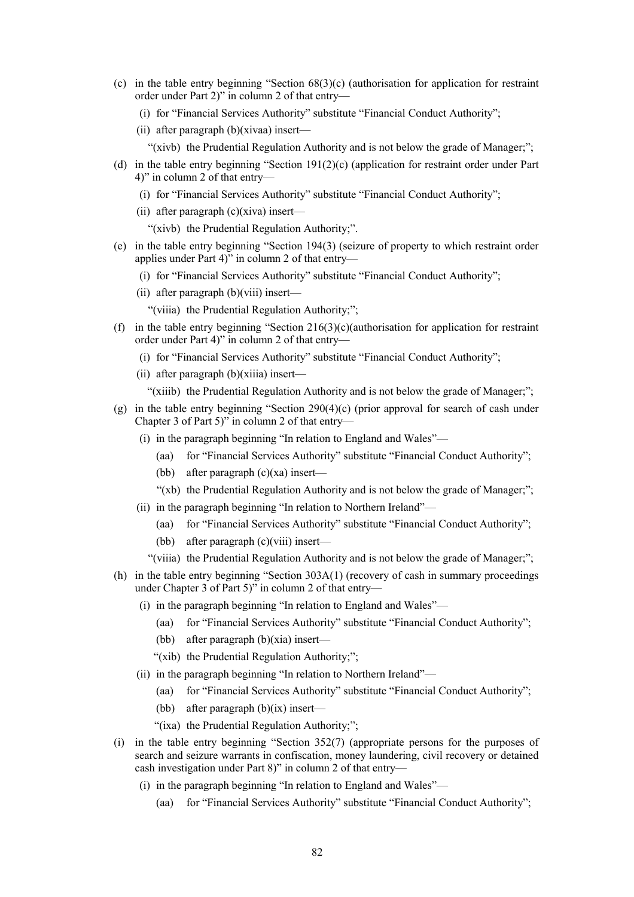- (c) in the table entry beginning "Section 68(3)(c) (authorisation for application for restraint order under Part 2)" in column 2 of that entry—
	- (i) for "Financial Services Authority" substitute "Financial Conduct Authority";
	- (ii) after paragraph (b)(xivaa) insert—
		- "(xivb) the Prudential Regulation Authority and is not below the grade of Manager;";
- (d) in the table entry beginning "Section 191(2)(c) (application for restraint order under Part 4)" in column 2 of that entry—
	- (i) for "Financial Services Authority" substitute "Financial Conduct Authority";
	- (ii) after paragraph  $(c)(xiva)$  insert—

"(xivb) the Prudential Regulation Authority;".

- (e) in the table entry beginning "Section 194(3) (seizure of property to which restraint order applies under Part 4)" in column 2 of that entry—
	- (i) for "Financial Services Authority" substitute "Financial Conduct Authority";
	- (ii) after paragraph (b)(viii) insert—
		- "(viiia) the Prudential Regulation Authority;";
- (f) in the table entry beginning "Section  $216(3)(c)$ (authorisation for application for restraint order under Part 4)" in column 2 of that entry—
	- (i) for "Financial Services Authority" substitute "Financial Conduct Authority";
	- (ii) after paragraph (b)(xiiia) insert—
		- "(xiiib) the Prudential Regulation Authority and is not below the grade of Manager;";
- (g) in the table entry beginning "Section 290(4)(c) (prior approval for search of cash under Chapter 3 of Part 5)" in column 2 of that entry—
	- (i) in the paragraph beginning "In relation to England and Wales"—
		- (aa) for "Financial Services Authority" substitute "Financial Conduct Authority";
		- (bb) after paragraph  $(c)(xa)$  insert—
		- "(xb) the Prudential Regulation Authority and is not below the grade of Manager;";
	- (ii) in the paragraph beginning "In relation to Northern Ireland"—
		- (aa) for "Financial Services Authority" substitute "Financial Conduct Authority";
		- (bb) after paragraph (c)(viii) insert—
		- "(viiia) the Prudential Regulation Authority and is not below the grade of Manager;";
- (h) in the table entry beginning "Section 303A(1) (recovery of cash in summary proceedings under Chapter 3 of Part 5)" in column 2 of that entry—
	- (i) in the paragraph beginning "In relation to England and Wales"—
		- (aa) for "Financial Services Authority" substitute "Financial Conduct Authority";
		- (bb) after paragraph (b)(xia) insert—
		- "(xib) the Prudential Regulation Authority;";
	- (ii) in the paragraph beginning "In relation to Northern Ireland"—
		- (aa) for "Financial Services Authority" substitute "Financial Conduct Authority";
		- (bb) after paragraph  $(b)(ix)$  insert—
		- "(ixa) the Prudential Regulation Authority;";
- (i) in the table entry beginning "Section 352(7) (appropriate persons for the purposes of search and seizure warrants in confiscation, money laundering, civil recovery or detained cash investigation under Part 8)" in column 2 of that entry—
	- (i) in the paragraph beginning "In relation to England and Wales"—
		- (aa) for "Financial Services Authority" substitute "Financial Conduct Authority";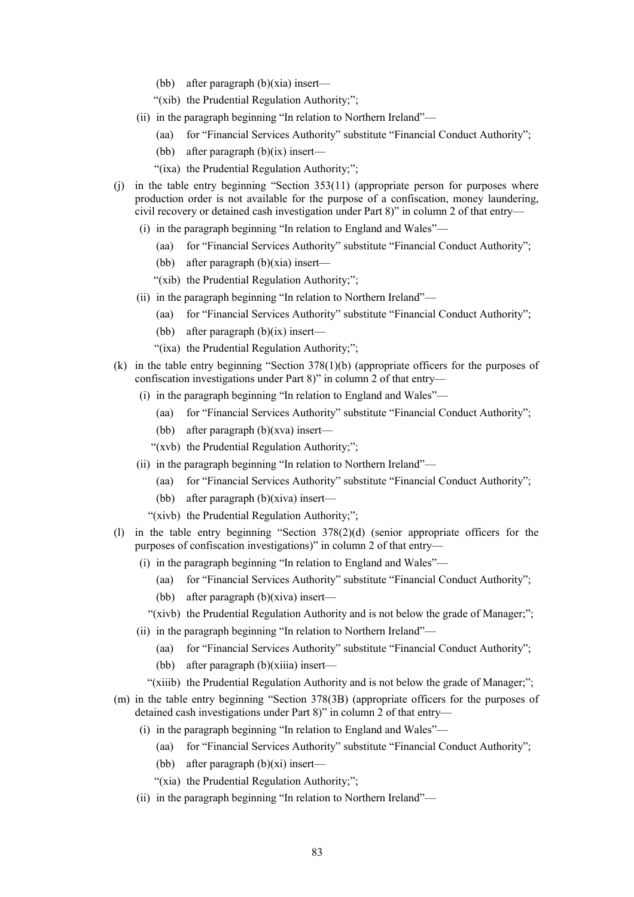- (bb) after paragraph (b)(xia) insert—
- "(xib) the Prudential Regulation Authority;";
- (ii) in the paragraph beginning "In relation to Northern Ireland"—
	- (aa) for "Financial Services Authority" substitute "Financial Conduct Authority";
	- (bb) after paragraph (b)(ix) insert—
	- "(ixa) the Prudential Regulation Authority;";
- (j) in the table entry beginning "Section 353(11) (appropriate person for purposes where production order is not available for the purpose of a confiscation, money laundering, civil recovery or detained cash investigation under Part 8)" in column 2 of that entry—
	- (i) in the paragraph beginning "In relation to England and Wales"—
		- (aa) for "Financial Services Authority" substitute "Financial Conduct Authority";
		- (bb) after paragraph (b)(xia) insert—
		- "(xib) the Prudential Regulation Authority;";
	- (ii) in the paragraph beginning "In relation to Northern Ireland"—
		- (aa) for "Financial Services Authority" substitute "Financial Conduct Authority";
		- (bb) after paragraph  $(b)(ix)$  insert—
		- "(ixa) the Prudential Regulation Authority;";
- (k) in the table entry beginning "Section 378(1)(b) (appropriate officers for the purposes of confiscation investigations under Part 8)" in column 2 of that entry—
	- (i) in the paragraph beginning "In relation to England and Wales"—
		- (aa) for "Financial Services Authority" substitute "Financial Conduct Authority";
		- (bb) after paragraph (b)(xva) insert—
		- "(xvb) the Prudential Regulation Authority;";
	- (ii) in the paragraph beginning "In relation to Northern Ireland"—
		- (aa) for "Financial Services Authority" substitute "Financial Conduct Authority";
		- (bb) after paragraph (b)(xiva) insert—
		- "(xivb) the Prudential Regulation Authority;";
- (l) in the table entry beginning "Section 378(2)(d) (senior appropriate officers for the purposes of confiscation investigations)" in column 2 of that entry—
	- (i) in the paragraph beginning "In relation to England and Wales"—
		- (aa) for "Financial Services Authority" substitute "Financial Conduct Authority";
		- (bb) after paragraph (b)(xiva) insert—
		- "(xivb) the Prudential Regulation Authority and is not below the grade of Manager;";
	- (ii) in the paragraph beginning "In relation to Northern Ireland"—
		- (aa) for "Financial Services Authority" substitute "Financial Conduct Authority";
		- (bb) after paragraph (b)(xiiia) insert—
		- "(xiiib) the Prudential Regulation Authority and is not below the grade of Manager;";
- (m) in the table entry beginning "Section 378(3B) (appropriate officers for the purposes of detained cash investigations under Part 8)" in column 2 of that entry—
	- (i) in the paragraph beginning "In relation to England and Wales"—
		- (aa) for "Financial Services Authority" substitute "Financial Conduct Authority";
		- (bb) after paragraph  $(b)(xi)$  insert—
		- "(xia) the Prudential Regulation Authority;";
	- (ii) in the paragraph beginning "In relation to Northern Ireland"—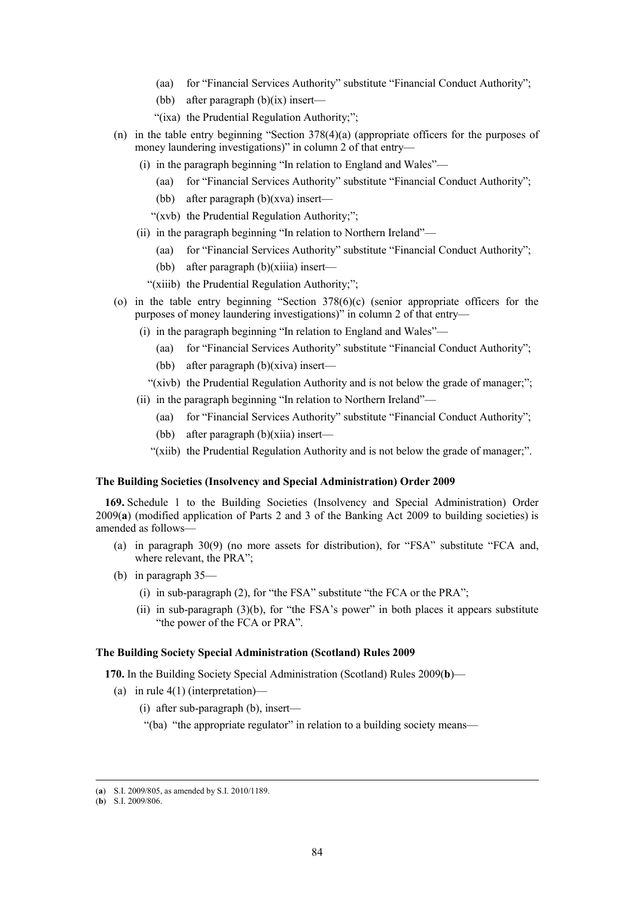- (aa) for "Financial Services Authority" substitute "Financial Conduct Authority";
- (bb) after paragraph  $(b)(ix)$  insert—
- "(ixa) the Prudential Regulation Authority;";
- (n) in the table entry beginning "Section 378(4)(a) (appropriate officers for the purposes of money laundering investigations)" in column 2 of that entry—
	- (i) in the paragraph beginning "In relation to England and Wales"—
		- (aa) for "Financial Services Authority" substitute "Financial Conduct Authority";
		- (bb) after paragraph  $(b)(xva)$  insert—
		- "(xvb) the Prudential Regulation Authority;";
	- (ii) in the paragraph beginning "In relation to Northern Ireland"—
		- (aa) for "Financial Services Authority" substitute "Financial Conduct Authority";
		- (bb) after paragraph (b)(xiiia) insert—
		- "(xiiib) the Prudential Regulation Authority;";
- (o) in the table entry beginning "Section 378(6)(c) (senior appropriate officers for the purposes of money laundering investigations)" in column 2 of that entry—
	- (i) in the paragraph beginning "In relation to England and Wales"—
		- (aa) for "Financial Services Authority" substitute "Financial Conduct Authority";
		- (bb) after paragraph (b)(xiva) insert—
		- "(xivb) the Prudential Regulation Authority and is not below the grade of manager;";
	- (ii) in the paragraph beginning "In relation to Northern Ireland"—
		- (aa) for "Financial Services Authority" substitute "Financial Conduct Authority";
		- (bb) after paragraph (b)(xiia) insert—
		- "(xiib) the Prudential Regulation Authority and is not below the grade of manager;".

#### **The Building Societies (Insolvency and Special Administration) Order 2009**

**169.** Schedule 1 to the Building Societies (Insolvency and Special Administration) Order 2009(**a**) (modified application of Parts 2 and 3 of the Banking Act 2009 to building societies) is amended as follows—

- (a) in paragraph 30(9) (no more assets for distribution), for "FSA" substitute "FCA and, where relevant, the PRA";
- (b) in paragraph 35—
	- (i) in sub-paragraph (2), for "the FSA" substitute "the FCA or the PRA";
	- (ii) in sub-paragraph (3)(b), for "the FSA's power" in both places it appears substitute "the power of the FCA or PRA".

### **The Building Society Special Administration (Scotland) Rules 2009**

**170.** In the Building Society Special Administration (Scotland) Rules 2009(**b**)—

- (a) in rule  $4(1)$  (interpretation)—
	- (i) after sub-paragraph (b), insert—

"(ba) "the appropriate regulator" in relation to a building society means—

 <sup>(</sup>**a**) S.I. 2009/805, as amended by S.I. 2010/1189.

<sup>(</sup>**b**) S.I. 2009/806.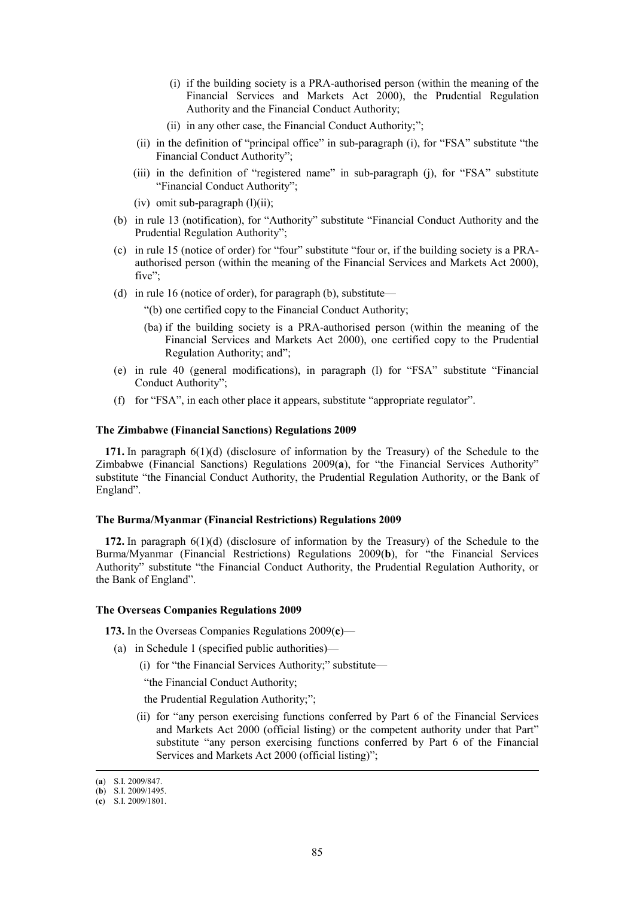- (i) if the building society is a PRA-authorised person (within the meaning of the Financial Services and Markets Act 2000), the Prudential Regulation Authority and the Financial Conduct Authority;
- (ii) in any other case, the Financial Conduct Authority;";
- (ii) in the definition of "principal office" in sub-paragraph (i), for "FSA" substitute "the Financial Conduct Authority";
- (iii) in the definition of "registered name" in sub-paragraph (j), for "FSA" substitute "Financial Conduct Authority";
- (iv) omit sub-paragraph  $(l)(ii)$ ;
- (b) in rule 13 (notification), for "Authority" substitute "Financial Conduct Authority and the Prudential Regulation Authority";
- (c) in rule 15 (notice of order) for "four" substitute "four or, if the building society is a PRAauthorised person (within the meaning of the Financial Services and Markets Act 2000), five":
- (d) in rule 16 (notice of order), for paragraph (b), substitute—

"(b) one certified copy to the Financial Conduct Authority;

- (ba) if the building society is a PRA-authorised person (within the meaning of the Financial Services and Markets Act 2000), one certified copy to the Prudential Regulation Authority; and";
- (e) in rule 40 (general modifications), in paragraph (l) for "FSA" substitute "Financial Conduct Authority";
- (f) for "FSA", in each other place it appears, substitute "appropriate regulator".

### **The Zimbabwe (Financial Sanctions) Regulations 2009**

**171.** In paragraph 6(1)(d) (disclosure of information by the Treasury) of the Schedule to the Zimbabwe (Financial Sanctions) Regulations 2009(**a**), for "the Financial Services Authority" substitute "the Financial Conduct Authority, the Prudential Regulation Authority, or the Bank of England".

## **The Burma/Myanmar (Financial Restrictions) Regulations 2009**

**172.** In paragraph 6(1)(d) (disclosure of information by the Treasury) of the Schedule to the Burma/Myanmar (Financial Restrictions) Regulations 2009(**b**), for "the Financial Services Authority" substitute "the Financial Conduct Authority, the Prudential Regulation Authority, or the Bank of England".

#### **The Overseas Companies Regulations 2009**

**173.** In the Overseas Companies Regulations 2009(**c**)—

- (a) in Schedule 1 (specified public authorities)—
	- (i) for "the Financial Services Authority;" substitute—

"the Financial Conduct Authority;

the Prudential Regulation Authority;";

(ii) for "any person exercising functions conferred by Part 6 of the Financial Services and Markets Act 2000 (official listing) or the competent authority under that Part" substitute "any person exercising functions conferred by Part 6 of the Financial Services and Markets Act 2000 (official listing)";

 <sup>(</sup>**a**) S.I. 2009/847.

<sup>(</sup>**b**) S.I. 2009/1495.

<sup>(</sup>**c**) S.I. 2009/1801.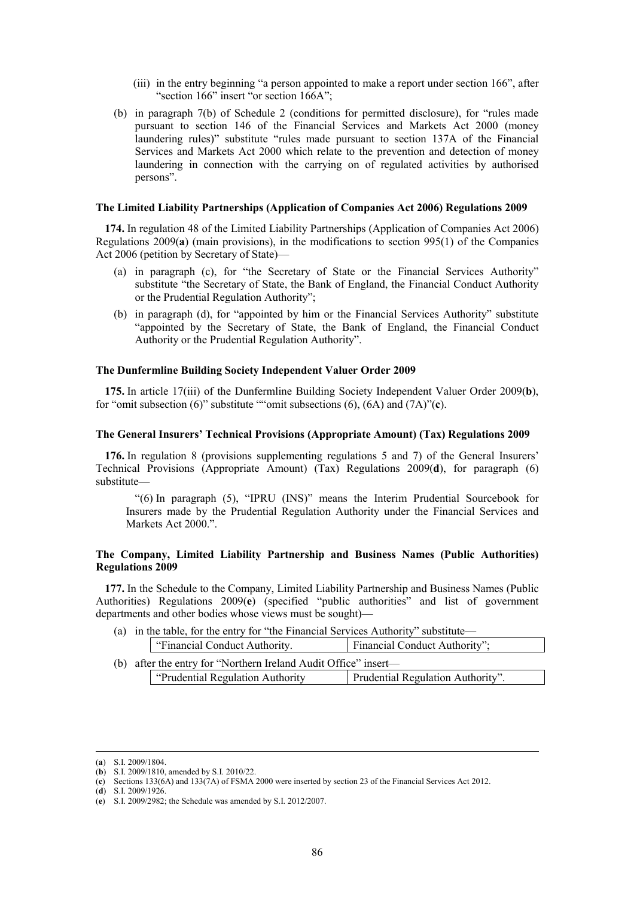- (iii) in the entry beginning "a person appointed to make a report under section 166", after "section 166" insert "or section 166A";
- (b) in paragraph 7(b) of Schedule 2 (conditions for permitted disclosure), for "rules made pursuant to section 146 of the Financial Services and Markets Act 2000 (money laundering rules)" substitute "rules made pursuant to section 137A of the Financial Services and Markets Act 2000 which relate to the prevention and detection of money laundering in connection with the carrying on of regulated activities by authorised persons".

## **The Limited Liability Partnerships (Application of Companies Act 2006) Regulations 2009**

**174.** In regulation 48 of the Limited Liability Partnerships (Application of Companies Act 2006) Regulations 2009(**a**) (main provisions), in the modifications to section 995(1) of the Companies Act 2006 (petition by Secretary of State)—

- (a) in paragraph (c), for "the Secretary of State or the Financial Services Authority" substitute "the Secretary of State, the Bank of England, the Financial Conduct Authority or the Prudential Regulation Authority";
- (b) in paragraph (d), for "appointed by him or the Financial Services Authority" substitute "appointed by the Secretary of State, the Bank of England, the Financial Conduct Authority or the Prudential Regulation Authority".

#### **The Dunfermline Building Society Independent Valuer Order 2009**

**175.** In article 17(iii) of the Dunfermline Building Society Independent Valuer Order 2009(**b**), for "omit subsection (6)" substitute ""omit subsections (6), (6A) and (7A)"(**c**).

## **The General Insurers' Technical Provisions (Appropriate Amount) (Tax) Regulations 2009**

**176.** In regulation 8 (provisions supplementing regulations 5 and 7) of the General Insurers' Technical Provisions (Appropriate Amount) (Tax) Regulations 2009(**d**), for paragraph (6) substitute—

"(6) In paragraph (5), "IPRU (INS)" means the Interim Prudential Sourcebook for Insurers made by the Prudential Regulation Authority under the Financial Services and Markets Act 2000<sup>"</sup>

# **The Company, Limited Liability Partnership and Business Names (Public Authorities) Regulations 2009**

**177.** In the Schedule to the Company, Limited Liability Partnership and Business Names (Public Authorities) Regulations 2009(**e**) (specified "public authorities" and list of government departments and other bodies whose views must be sought)—

(a) in the table, for the entry for "the Financial Services Authority" substitute—

|  | "Financial Conduct Authority.                                   | Financial Conduct Authority";     |
|--|-----------------------------------------------------------------|-----------------------------------|
|  | (b) after the entry for "Northern Ireland Audit Office" insert— |                                   |
|  | "Prudential Regulation Authority"                               | Prudential Regulation Authority". |

(**d**) S.I. 2009/1926.

 <sup>(</sup>**a**) S.I. 2009/1804.

<sup>(</sup>**b**) S.I. 2009/1810, amended by S.I. 2010/22.

<sup>(</sup>**c**) Sections 133(6A) and 133(7A) of FSMA 2000 were inserted by section 23 of the Financial Services Act 2012.

<sup>(</sup>**e**) S.I. 2009/2982; the Schedule was amended by S.I. 2012/2007.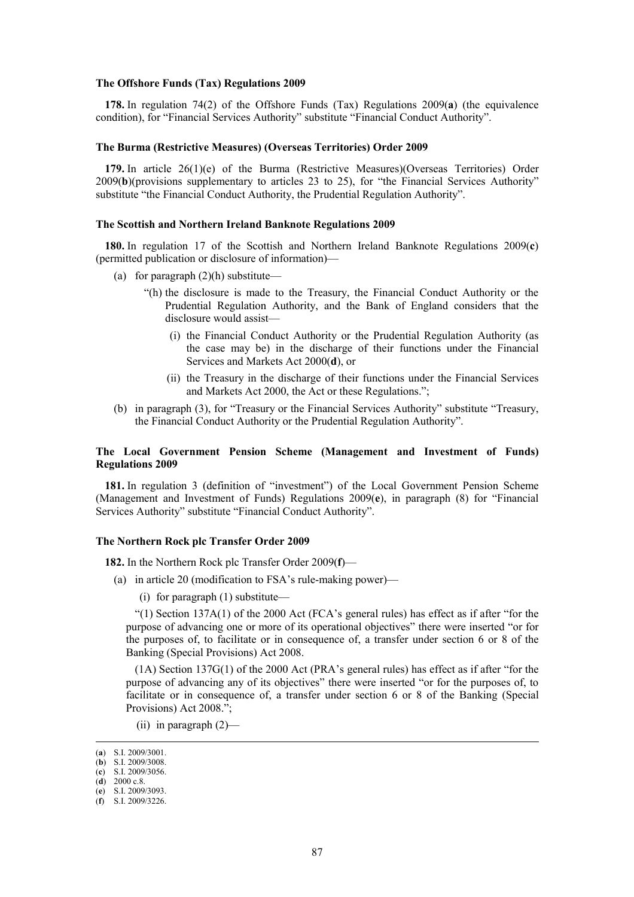#### **The Offshore Funds (Tax) Regulations 2009**

**178.** In regulation 74(2) of the Offshore Funds (Tax) Regulations 2009(**a**) (the equivalence condition), for "Financial Services Authority" substitute "Financial Conduct Authority".

# **The Burma (Restrictive Measures) (Overseas Territories) Order 2009**

**179.** In article 26(1)(e) of the Burma (Restrictive Measures)(Overseas Territories) Order 2009(**b**)(provisions supplementary to articles 23 to 25), for "the Financial Services Authority" substitute "the Financial Conduct Authority, the Prudential Regulation Authority".

### **The Scottish and Northern Ireland Banknote Regulations 2009**

**180.** In regulation 17 of the Scottish and Northern Ireland Banknote Regulations 2009(**c**) (permitted publication or disclosure of information)—

- (a) for paragraph  $(2)(h)$  substitute—
	- "(h) the disclosure is made to the Treasury, the Financial Conduct Authority or the Prudential Regulation Authority, and the Bank of England considers that the disclosure would assist—
		- (i) the Financial Conduct Authority or the Prudential Regulation Authority (as the case may be) in the discharge of their functions under the Financial Services and Markets Act 2000(**d**), or
		- (ii) the Treasury in the discharge of their functions under the Financial Services and Markets Act 2000, the Act or these Regulations.";
- (b) in paragraph (3), for "Treasury or the Financial Services Authority" substitute "Treasury, the Financial Conduct Authority or the Prudential Regulation Authority".

## **The Local Government Pension Scheme (Management and Investment of Funds) Regulations 2009**

**181.** In regulation 3 (definition of "investment") of the Local Government Pension Scheme (Management and Investment of Funds) Regulations 2009(**e**), in paragraph (8) for "Financial Services Authority" substitute "Financial Conduct Authority".

#### **The Northern Rock plc Transfer Order 2009**

**182.** In the Northern Rock plc Transfer Order 2009(**f**)—

- (a) in article 20 (modification to FSA's rule-making power)—
	- (i) for paragraph (1) substitute—

"(1) Section 137A(1) of the 2000 Act (FCA's general rules) has effect as if after "for the purpose of advancing one or more of its operational objectives" there were inserted "or for the purposes of, to facilitate or in consequence of, a transfer under section 6 or 8 of the Banking (Special Provisions) Act 2008.

(1A) Section 137G(1) of the 2000 Act (PRA's general rules) has effect as if after "for the purpose of advancing any of its objectives" there were inserted "or for the purposes of, to facilitate or in consequence of, a transfer under section 6 or 8 of the Banking (Special Provisions) Act 2008.";

(ii) in paragraph (2)—

(**d**) 2000 c.8. (**e**) S.I. 2009/3093.

 <sup>(</sup>**a**) S.I. 2009/3001.

<sup>(</sup>**b**) S.I. 2009/3008.

<sup>(</sup>**c**) S.I. 2009/3056.

<sup>(</sup>**f**) S.I. 2009/3226.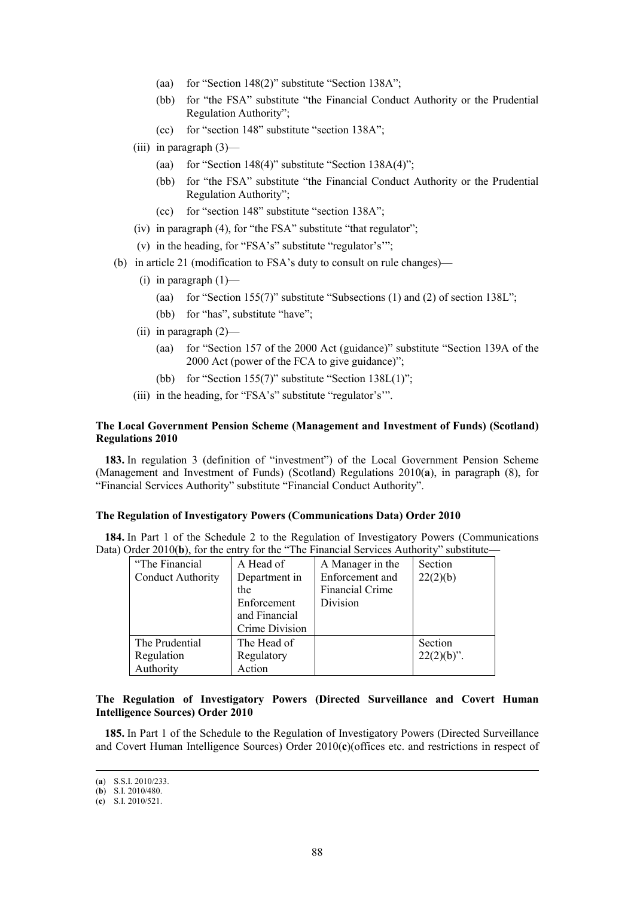- (aa) for "Section 148(2)" substitute "Section 138A";
- (bb) for "the FSA" substitute "the Financial Conduct Authority or the Prudential Regulation Authority";
- (cc) for "section 148" substitute "section 138A";
- (iii) in paragraph  $(3)$ 
	- (aa) for "Section 148(4)" substitute "Section  $138A(4)$ ";
	- (bb) for "the FSA" substitute "the Financial Conduct Authority or the Prudential Regulation Authority";
	- (cc) for "section 148" substitute "section 138A";
- (iv) in paragraph (4), for "the FSA" substitute "that regulator";
- (v) in the heading, for "FSA's" substitute "regulator's'";
- (b) in article 21 (modification to FSA's duty to consult on rule changes)—
	- (i) in paragraph  $(1)$ 
		- (aa) for "Section 155(7)" substitute "Subsections (1) and (2) of section  $138L$ ";
		- (bb) for "has", substitute "have";
	- (ii) in paragraph (2)—
		- (aa) for "Section 157 of the 2000 Act (guidance)" substitute "Section 139A of the 2000 Act (power of the FCA to give guidance)";
		- (bb) for "Section 155(7)" substitute "Section 138L(1)";
	- (iii) in the heading, for "FSA's" substitute "regulator's'".

## **The Local Government Pension Scheme (Management and Investment of Funds) (Scotland) Regulations 2010**

**183.** In regulation 3 (definition of "investment") of the Local Government Pension Scheme (Management and Investment of Funds) (Scotland) Regulations 2010(**a**), in paragraph (8), for "Financial Services Authority" substitute "Financial Conduct Authority".

## **The Regulation of Investigatory Powers (Communications Data) Order 2010**

**184.** In Part 1 of the Schedule 2 to the Regulation of Investigatory Powers (Communications Data) Order 2010(b), for the entry for the "The Financial Services Authority" substitute—

| "The Financial"<br><b>Conduct Authority</b> | A Head of<br>Department in<br>the<br>Enforcement<br>and Financial<br>Crime Division | A Manager in the<br>Enforcement and<br><b>Financial Crime</b><br>Division | Section<br>22(2)(b)      |
|---------------------------------------------|-------------------------------------------------------------------------------------|---------------------------------------------------------------------------|--------------------------|
| The Prudential<br>Regulation<br>Authority   | The Head of<br>Regulatory<br>Action                                                 |                                                                           | Section<br>$22(2)(b)$ ". |

# **The Regulation of Investigatory Powers (Directed Surveillance and Covert Human Intelligence Sources) Order 2010**

**185.** In Part 1 of the Schedule to the Regulation of Investigatory Powers (Directed Surveillance and Covert Human Intelligence Sources) Order 2010(**c**)(offices etc. and restrictions in respect of

 <sup>(</sup>**a**) S.S.I. 2010/233.

<sup>(</sup>**b**) S.I. 2010/480.

<sup>(</sup>**c**) S.I. 2010/521.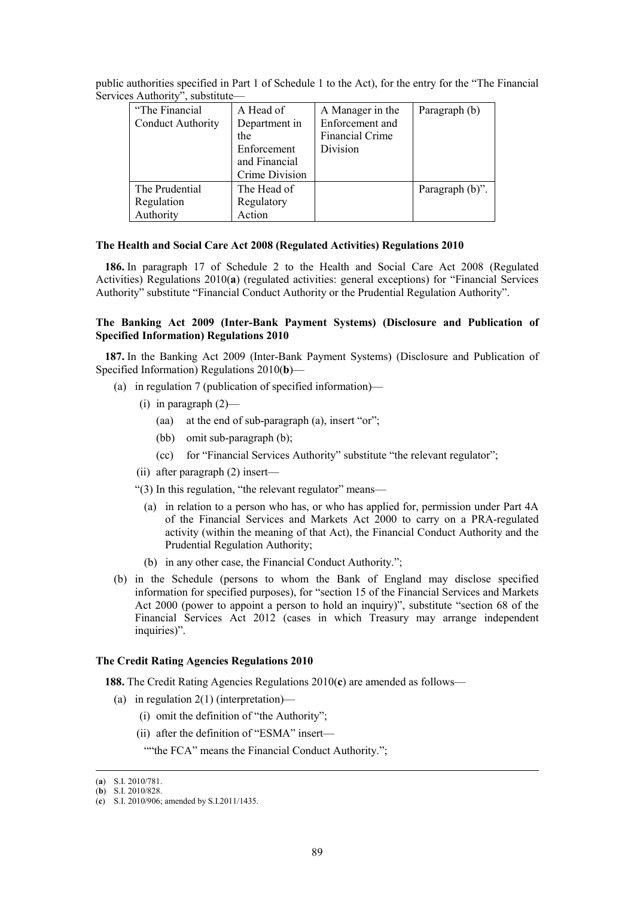| "The Financial           | A Head of      | A Manager in the       | Paragraph (b)   |
|--------------------------|----------------|------------------------|-----------------|
| <b>Conduct Authority</b> | Department in  | Enforcement and        |                 |
|                          | the            | <b>Financial Crime</b> |                 |
|                          | Enforcement    | Division               |                 |
|                          | and Financial  |                        |                 |
|                          | Crime Division |                        |                 |
| The Prudential           | The Head of    |                        | Paragraph (b)". |
| Regulation               | Regulatory     |                        |                 |
| Authority                | Action         |                        |                 |

public authorities specified in Part 1 of Schedule 1 to the Act), for the entry for the "The Financial Services Authority", substitute—

## **The Health and Social Care Act 2008 (Regulated Activities) Regulations 2010**

**186.** In paragraph 17 of Schedule 2 to the Health and Social Care Act 2008 (Regulated Activities) Regulations 2010(**a**) (regulated activities: general exceptions) for "Financial Services Authority" substitute "Financial Conduct Authority or the Prudential Regulation Authority".

# **The Banking Act 2009 (Inter-Bank Payment Systems) (Disclosure and Publication of Specified Information) Regulations 2010**

**187.** In the Banking Act 2009 (Inter-Bank Payment Systems) (Disclosure and Publication of Specified Information) Regulations 2010(**b**)—

- (a) in regulation 7 (publication of specified information)—
	- (i) in paragraph  $(2)$ 
		- (aa) at the end of sub-paragraph (a), insert "or";
		- (bb) omit sub-paragraph (b);
		- (cc) for "Financial Services Authority" substitute "the relevant regulator";
	- (ii) after paragraph (2) insert—

"(3) In this regulation, "the relevant regulator" means—

- (a) in relation to a person who has, or who has applied for, permission under Part 4A of the Financial Services and Markets Act 2000 to carry on a PRA-regulated activity (within the meaning of that Act), the Financial Conduct Authority and the Prudential Regulation Authority;
- (b) in any other case, the Financial Conduct Authority.";
- (b) in the Schedule (persons to whom the Bank of England may disclose specified information for specified purposes), for "section 15 of the Financial Services and Markets Act 2000 (power to appoint a person to hold an inquiry)", substitute "section 68 of the Financial Services Act 2012 (cases in which Treasury may arrange independent inquiries)".

## **The Credit Rating Agencies Regulations 2010**

**188.** The Credit Rating Agencies Regulations 2010(**c**) are amended as follows—

- (a) in regulation 2(1) (interpretation)—
	- (i) omit the definition of "the Authority";
	- (ii) after the definition of "ESMA" insert—

""the FCA" means the Financial Conduct Authority.";

 <sup>(</sup>**a**) S.I. 2010/781.

<sup>(</sup>**b**) S.I. 2010/828.

<sup>(</sup>**c**) S.I. 2010/906; amended by S.I.2011/1435.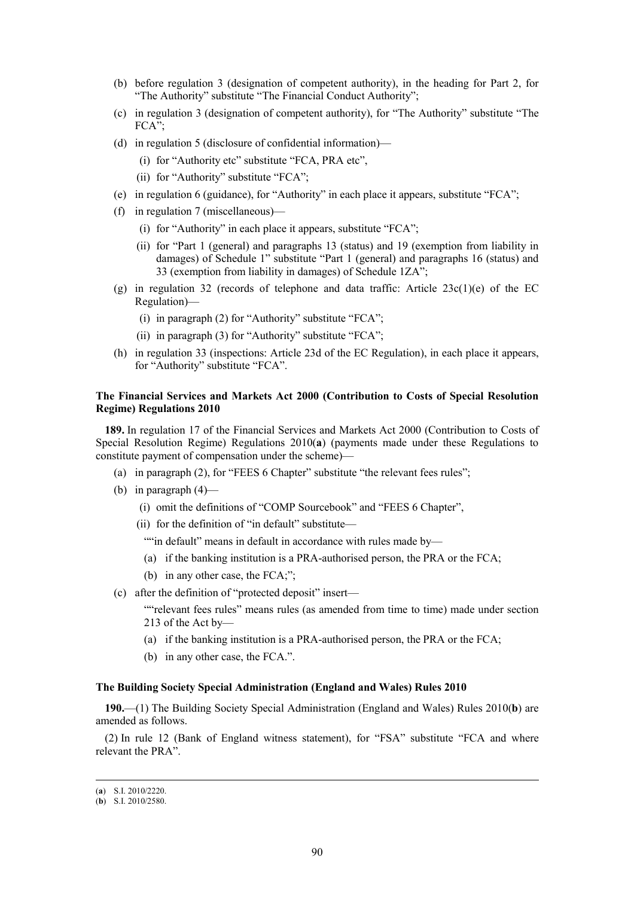- (b) before regulation 3 (designation of competent authority), in the heading for Part 2, for "The Authority" substitute "The Financial Conduct Authority";
- (c) in regulation 3 (designation of competent authority), for "The Authority" substitute "The FCA";
- (d) in regulation 5 (disclosure of confidential information)—
	- (i) for "Authority etc" substitute "FCA, PRA etc",
	- (ii) for "Authority" substitute "FCA";
- (e) in regulation 6 (guidance), for "Authority" in each place it appears, substitute "FCA";
- (f) in regulation 7 (miscellaneous)—
	- (i) for "Authority" in each place it appears, substitute "FCA";
	- (ii) for "Part 1 (general) and paragraphs 13 (status) and 19 (exemption from liability in damages) of Schedule 1" substitute "Part 1 (general) and paragraphs 16 (status) and 33 (exemption from liability in damages) of Schedule 1ZA";
- (g) in regulation 32 (records of telephone and data traffic: Article 23c(1)(e) of the EC Regulation)—
	- (i) in paragraph (2) for "Authority" substitute "FCA";
	- (ii) in paragraph (3) for "Authority" substitute "FCA";
- (h) in regulation 33 (inspections: Article 23d of the EC Regulation), in each place it appears, for "Authority" substitute "FCA".

# **The Financial Services and Markets Act 2000 (Contribution to Costs of Special Resolution Regime) Regulations 2010**

**189.** In regulation 17 of the Financial Services and Markets Act 2000 (Contribution to Costs of Special Resolution Regime) Regulations 2010(**a**) (payments made under these Regulations to constitute payment of compensation under the scheme)—

- (a) in paragraph (2), for "FEES 6 Chapter" substitute "the relevant fees rules";
- (b) in paragraph  $(4)$ 
	- (i) omit the definitions of "COMP Sourcebook" and "FEES 6 Chapter",
	- (ii) for the definition of "in default" substitute—

""in default" means in default in accordance with rules made by-

- (a) if the banking institution is a PRA-authorised person, the PRA or the FCA;
- (b) in any other case, the FCA;";
- (c) after the definition of "protected deposit" insert—

""relevant fees rules" means rules (as amended from time to time) made under section 213 of the Act by—

- (a) if the banking institution is a PRA-authorised person, the PRA or the FCA;
- (b) in any other case, the FCA.".

## **The Building Society Special Administration (England and Wales) Rules 2010**

**190.**—(1) The Building Society Special Administration (England and Wales) Rules 2010(**b**) are amended as follows.

(2) In rule 12 (Bank of England witness statement), for "FSA" substitute "FCA and where relevant the PRA".

 <sup>(</sup>**a**) S.I. 2010/2220.

<sup>(</sup>**b**) S.I. 2010/2580.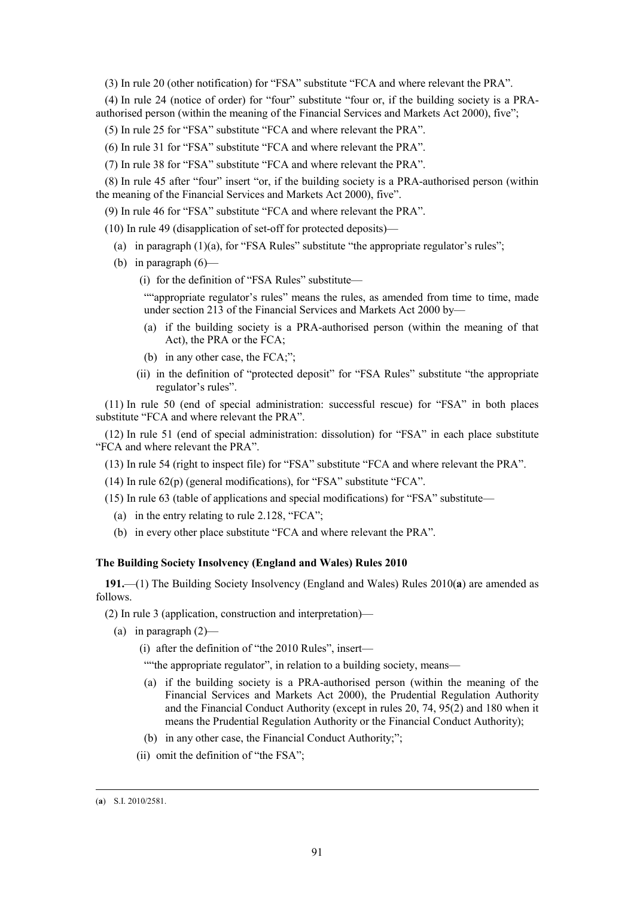(3) In rule 20 (other notification) for "FSA" substitute "FCA and where relevant the PRA".

(4) In rule 24 (notice of order) for "four" substitute "four or, if the building society is a PRAauthorised person (within the meaning of the Financial Services and Markets Act 2000), five";

(5) In rule 25 for "FSA" substitute "FCA and where relevant the PRA".

- (6) In rule 31 for "FSA" substitute "FCA and where relevant the PRA".
- (7) In rule 38 for "FSA" substitute "FCA and where relevant the PRA".

(8) In rule 45 after "four" insert "or, if the building society is a PRA-authorised person (within the meaning of the Financial Services and Markets Act 2000), five".

(9) In rule 46 for "FSA" substitute "FCA and where relevant the PRA".

(10) In rule 49 (disapplication of set-off for protected deposits)—

- (a) in paragraph  $(1)(a)$ , for "FSA Rules" substitute "the appropriate regulator's rules";
- (b) in paragraph  $(6)$ —

(i) for the definition of "FSA Rules" substitute—

""appropriate regulator's rules" means the rules, as amended from time to time, made under section 213 of the Financial Services and Markets Act 2000 by—

- (a) if the building society is a PRA-authorised person (within the meaning of that Act), the PRA or the FCA;
- (b) in any other case, the FCA;";
- (ii) in the definition of "protected deposit" for "FSA Rules" substitute "the appropriate regulator's rules".

(11) In rule 50 (end of special administration: successful rescue) for "FSA" in both places substitute "FCA and where relevant the PRA".

(12) In rule 51 (end of special administration: dissolution) for "FSA" in each place substitute "FCA and where relevant the PRA".

(13) In rule 54 (right to inspect file) for "FSA" substitute "FCA and where relevant the PRA".

(14) In rule 62(p) (general modifications), for "FSA" substitute "FCA".

- (15) In rule 63 (table of applications and special modifications) for "FSA" substitute—
	- (a) in the entry relating to rule 2.128, "FCA";
	- (b) in every other place substitute "FCA and where relevant the PRA".

### **The Building Society Insolvency (England and Wales) Rules 2010**

**191.**—(1) The Building Society Insolvency (England and Wales) Rules 2010(**a**) are amended as follows.

(2) In rule 3 (application, construction and interpretation)—

- (a) in paragraph  $(2)$ 
	- (i) after the definition of "the 2010 Rules", insert—

""the appropriate regulator", in relation to a building society, means—

- (a) if the building society is a PRA-authorised person (within the meaning of the Financial Services and Markets Act 2000), the Prudential Regulation Authority and the Financial Conduct Authority (except in rules 20, 74, 95(2) and 180 when it means the Prudential Regulation Authority or the Financial Conduct Authority);
- (b) in any other case, the Financial Conduct Authority;";
- (ii) omit the definition of "the FSA";

 <sup>(</sup>**a**) S.I. 2010/2581.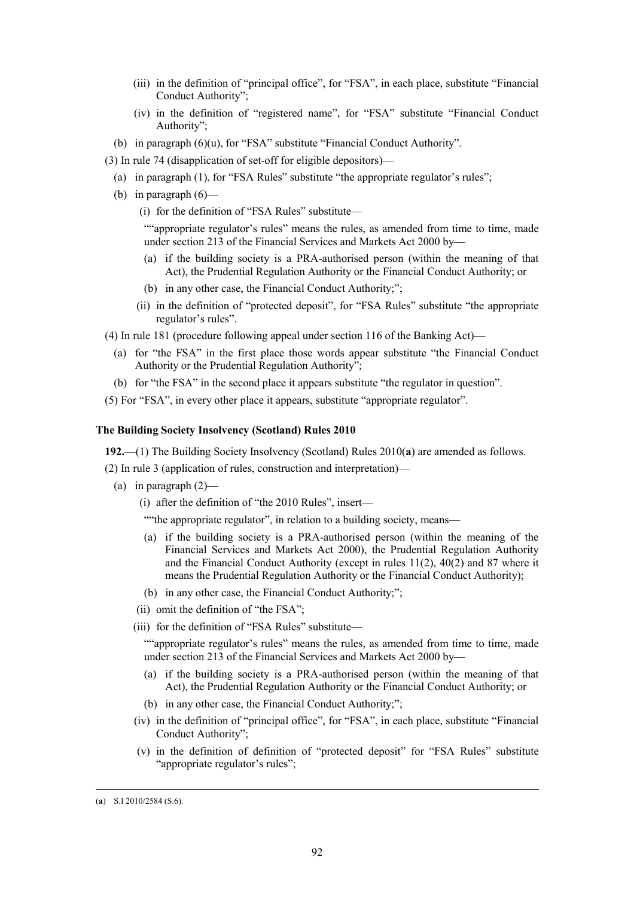- (iii) in the definition of "principal office", for "FSA", in each place, substitute "Financial Conduct Authority";
- (iv) in the definition of "registered name", for "FSA" substitute "Financial Conduct Authority":
- (b) in paragraph (6)(u), for "FSA" substitute "Financial Conduct Authority".
- (3) In rule 74 (disapplication of set-off for eligible depositors)—
	- (a) in paragraph (1), for "FSA Rules" substitute "the appropriate regulator's rules";
	- (b) in paragraph  $(6)$ 
		- (i) for the definition of "FSA Rules" substitute—

""appropriate regulator's rules" means the rules, as amended from time to time, made under section 213 of the Financial Services and Markets Act 2000 by—

- (a) if the building society is a PRA-authorised person (within the meaning of that Act), the Prudential Regulation Authority or the Financial Conduct Authority; or
- (b) in any other case, the Financial Conduct Authority;";
- (ii) in the definition of "protected deposit", for "FSA Rules" substitute "the appropriate regulator's rules".
- (4) In rule 181 (procedure following appeal under section 116 of the Banking Act)—
	- (a) for "the FSA" in the first place those words appear substitute "the Financial Conduct Authority or the Prudential Regulation Authority";
	- (b) for "the FSA" in the second place it appears substitute "the regulator in question".
- (5) For "FSA", in every other place it appears, substitute "appropriate regulator".

### **The Building Society Insolvency (Scotland) Rules 2010**

**192.**—(1) The Building Society Insolvency (Scotland) Rules 2010(**a**) are amended as follows.

(2) In rule 3 (application of rules, construction and interpretation)—

(a) in paragraph  $(2)$ —

(i) after the definition of "the 2010 Rules", insert—

- ""the appropriate regulator", in relation to a building society, means—
- (a) if the building society is a PRA-authorised person (within the meaning of the Financial Services and Markets Act 2000), the Prudential Regulation Authority and the Financial Conduct Authority (except in rules 11(2), 40(2) and 87 where it means the Prudential Regulation Authority or the Financial Conduct Authority);
- (b) in any other case, the Financial Conduct Authority;";
- (ii) omit the definition of "the FSA";
- (iii) for the definition of "FSA Rules" substitute—

""appropriate regulator's rules" means the rules, as amended from time to time, made under section 213 of the Financial Services and Markets Act 2000 by—

- (a) if the building society is a PRA-authorised person (within the meaning of that Act), the Prudential Regulation Authority or the Financial Conduct Authority; or
- (b) in any other case, the Financial Conduct Authority;";
- (iv) in the definition of "principal office", for "FSA", in each place, substitute "Financial Conduct Authority";
- (v) in the definition of definition of "protected deposit" for "FSA Rules" substitute "appropriate regulator's rules";

 <sup>(</sup>**a**) S.I 2010/2584 (S.6).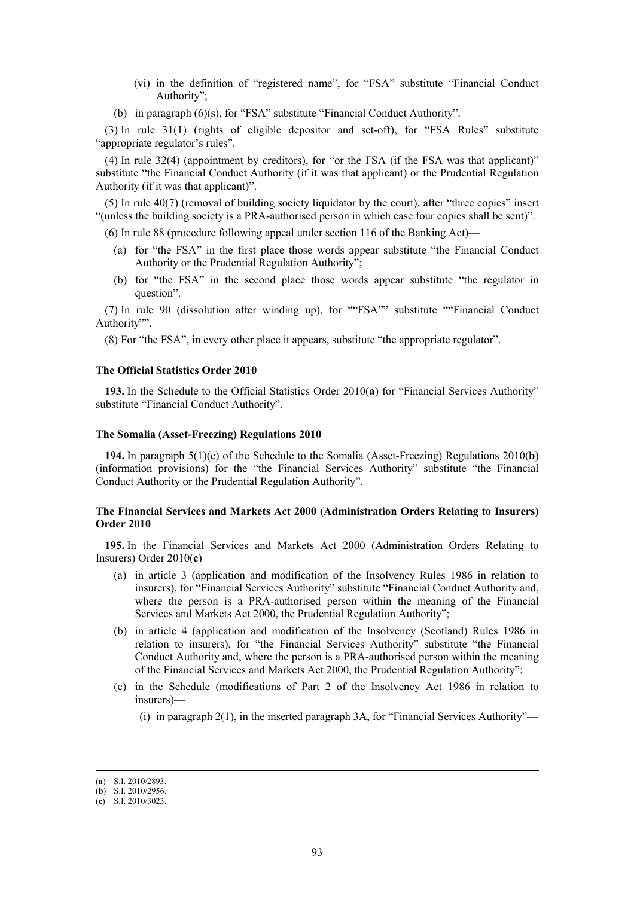- (vi) in the definition of "registered name", for "FSA" substitute "Financial Conduct Authority";
- (b) in paragraph (6)(s), for "FSA" substitute "Financial Conduct Authority".

(3) In rule 31(1) (rights of eligible depositor and set-off), for "FSA Rules" substitute "appropriate regulator's rules".

(4) In rule 32(4) (appointment by creditors), for "or the FSA (if the FSA was that applicant)" substitute "the Financial Conduct Authority (if it was that applicant) or the Prudential Regulation Authority (if it was that applicant)".

(5) In rule 40(7) (removal of building society liquidator by the court), after "three copies" insert "(unless the building society is a PRA-authorised person in which case four copies shall be sent)".

(6) In rule 88 (procedure following appeal under section 116 of the Banking Act)—

- (a) for "the FSA" in the first place those words appear substitute "the Financial Conduct Authority or the Prudential Regulation Authority";
- (b) for "the FSA" in the second place those words appear substitute "the regulator in question".

(7) In rule 90 (dissolution after winding up), for ""FSA"" substitute ""Financial Conduct Authority"".

(8) For "the FSA", in every other place it appears, substitute "the appropriate regulator".

# **The Official Statistics Order 2010**

**193.** In the Schedule to the Official Statistics Order 2010(**a**) for "Financial Services Authority" substitute "Financial Conduct Authority".

## **The Somalia (Asset-Freezing) Regulations 2010**

**194.** In paragraph 5(1)(e) of the Schedule to the Somalia (Asset-Freezing) Regulations 2010(**b**) (information provisions) for the "the Financial Services Authority" substitute "the Financial Conduct Authority or the Prudential Regulation Authority".

## **The Financial Services and Markets Act 2000 (Administration Orders Relating to Insurers) Order 2010**

**195.** In the Financial Services and Markets Act 2000 (Administration Orders Relating to Insurers) Order 2010(**c**)—

- (a) in article 3 (application and modification of the Insolvency Rules 1986 in relation to insurers), for "Financial Services Authority" substitute "Financial Conduct Authority and, where the person is a PRA-authorised person within the meaning of the Financial Services and Markets Act 2000, the Prudential Regulation Authority";
- (b) in article 4 (application and modification of the Insolvency (Scotland) Rules 1986 in relation to insurers), for "the Financial Services Authority" substitute "the Financial Conduct Authority and, where the person is a PRA-authorised person within the meaning of the Financial Services and Markets Act 2000, the Prudential Regulation Authority";
- (c) in the Schedule (modifications of Part 2 of the Insolvency Act 1986 in relation to insurers)—
	- (i) in paragraph 2(1), in the inserted paragraph 3A, for "Financial Services Authority"—

 <sup>(</sup>**a**) S.I. 2010/2893.

<sup>(</sup>**b**) S.I. 2010/2956.

<sup>(</sup>**c**) S.I. 2010/3023.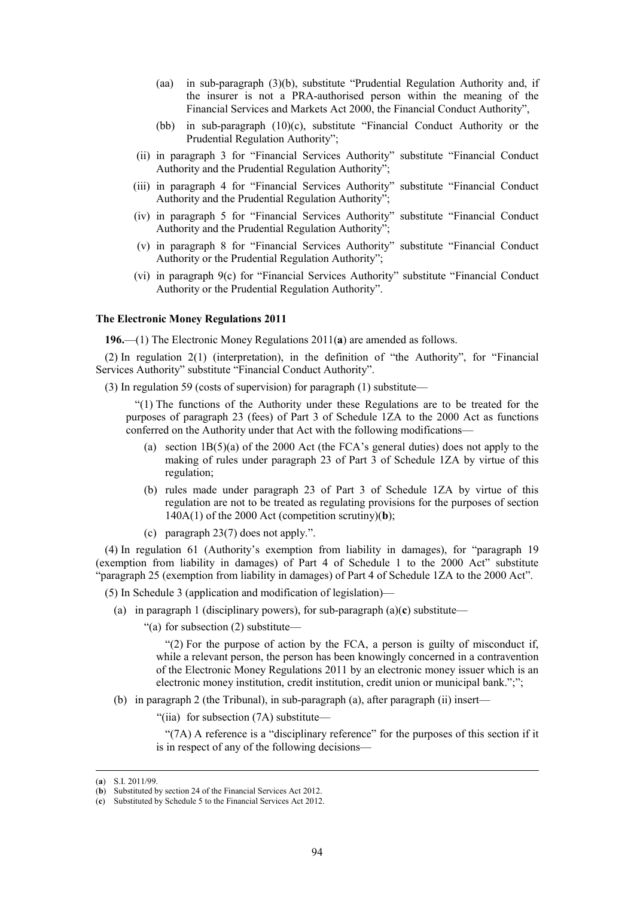- (aa) in sub-paragraph (3)(b), substitute "Prudential Regulation Authority and, if the insurer is not a PRA-authorised person within the meaning of the Financial Services and Markets Act 2000, the Financial Conduct Authority",
- (bb) in sub-paragraph (10)(c), substitute "Financial Conduct Authority or the Prudential Regulation Authority";
- (ii) in paragraph 3 for "Financial Services Authority" substitute "Financial Conduct Authority and the Prudential Regulation Authority";
- (iii) in paragraph 4 for "Financial Services Authority" substitute "Financial Conduct Authority and the Prudential Regulation Authority";
- (iv) in paragraph 5 for "Financial Services Authority" substitute "Financial Conduct Authority and the Prudential Regulation Authority";
- (v) in paragraph 8 for "Financial Services Authority" substitute "Financial Conduct Authority or the Prudential Regulation Authority";
- (vi) in paragraph 9(c) for "Financial Services Authority" substitute "Financial Conduct Authority or the Prudential Regulation Authority".

### **The Electronic Money Regulations 2011**

**196.**—(1) The Electronic Money Regulations 2011(**a**) are amended as follows.

(2) In regulation 2(1) (interpretation), in the definition of "the Authority", for "Financial Services Authority" substitute "Financial Conduct Authority".

(3) In regulation 59 (costs of supervision) for paragraph (1) substitute—

"(1) The functions of the Authority under these Regulations are to be treated for the purposes of paragraph 23 (fees) of Part 3 of Schedule 1ZA to the 2000 Act as functions conferred on the Authority under that Act with the following modifications—

- (a) section 1B(5)(a) of the 2000 Act (the FCA's general duties) does not apply to the making of rules under paragraph 23 of Part 3 of Schedule 1ZA by virtue of this regulation;
- (b) rules made under paragraph 23 of Part 3 of Schedule 1ZA by virtue of this regulation are not to be treated as regulating provisions for the purposes of section  $140A(1)$  of the 2000 Act (competition scrutiny)(**b**);
- (c) paragraph 23(7) does not apply.".

(4) In regulation 61 (Authority's exemption from liability in damages), for "paragraph 19 (exemption from liability in damages) of Part 4 of Schedule 1 to the 2000 Act" substitute "paragraph 25 (exemption from liability in damages) of Part 4 of Schedule 1ZA to the 2000 Act".

(5) In Schedule 3 (application and modification of legislation)—

(a) in paragraph 1 (disciplinary powers), for sub-paragraph (a)(**c**) substitute—

"(a) for subsection (2) substitute—

"(2) For the purpose of action by the FCA, a person is guilty of misconduct if, while a relevant person, the person has been knowingly concerned in a contravention of the Electronic Money Regulations 2011 by an electronic money issuer which is an electronic money institution, credit institution, credit union or municipal bank.";";

(b) in paragraph 2 (the Tribunal), in sub-paragraph (a), after paragraph (ii) insert—

"(iia) for subsection (7A) substitute—

"(7A) A reference is a "disciplinary reference" for the purposes of this section if it is in respect of any of the following decisions—

 <sup>(</sup>**a**) S.I. 2011/99.

<sup>(</sup>**b**) Substituted by section 24 of the Financial Services Act 2012.

<sup>(</sup>**c**) Substituted by Schedule 5 to the Financial Services Act 2012.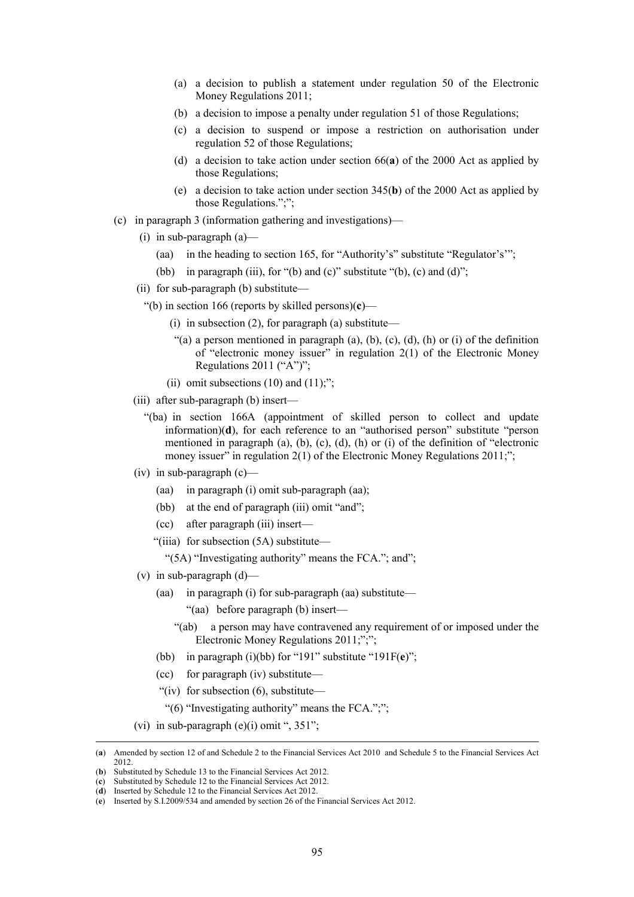- (a) a decision to publish a statement under regulation 50 of the Electronic Money Regulations 2011;
- (b) a decision to impose a penalty under regulation 51 of those Regulations;
- (c) a decision to suspend or impose a restriction on authorisation under regulation 52 of those Regulations;
- (d) a decision to take action under section 66(**a**) of the 2000 Act as applied by those Regulations;
- (e) a decision to take action under section 345(**b**) of the 2000 Act as applied by those Regulations.";";
- (c) in paragraph 3 (information gathering and investigations)—
	- (i) in sub-paragraph (a)—
		- (aa) in the heading to section 165, for "Authority's" substitute "Regulator's'";
		- (bb) in paragraph (iii), for "(b) and (c)" substitute "(b), (c) and (d)";
	- (ii) for sub-paragraph (b) substitute—
		- "(b) in section 166 (reports by skilled persons)(**c**)—
			- (i) in subsection  $(2)$ , for paragraph  $(a)$  substitute—
			- "(a) a person mentioned in paragraph (a), (b), (c), (d), (h) or (i) of the definition of "electronic money issuer" in regulation  $2(1)$  of the Electronic Money Regulations 2011 ("A")";
			- (ii) omit subsections  $(10)$  and  $(11)$ ;";
	- (iii) after sub-paragraph (b) insert—
		- "(ba) in section 166A (appointment of skilled person to collect and update information)(**d**), for each reference to an "authorised person" substitute "person mentioned in paragraph (a), (b), (c), (d), (h) or (i) of the definition of "electronic money issuer" in regulation  $2(1)$  of the Electronic Money Regulations  $2011$ ;";
	- (iv) in sub-paragraph  $(c)$ 
		- (aa) in paragraph (i) omit sub-paragraph (aa);
		- (bb) at the end of paragraph (iii) omit "and";
		- (cc) after paragraph (iii) insert—
		- "(iiia) for subsection (5A) substitute—

"(5A) "Investigating authority" means the FCA."; and";

- (v) in sub-paragraph  $(d)$ 
	- (aa) in paragraph (i) for sub-paragraph (aa) substitute—
		- "(aa) before paragraph (b) insert—
		- "(ab) a person may have contravened any requirement of or imposed under the Electronic Money Regulations 2011;";";
	- (bb) in paragraph (i)(bb) for "191" substitute "191F(**e**)";
	- (cc) for paragraph (iv) substitute—
	- "(iv) for subsection (6), substitute—
	- "(6) "Investigating authority" means the FCA.";";
- (vi) in sub-paragraph  $(e)(i)$  omit ", 351";

95

 <sup>(</sup>**a**) Amended by section 12 of and Schedule 2 to the Financial Services Act 2010 and Schedule 5 to the Financial Services Act 2012.

<sup>(</sup>**b**) Substituted by Schedule 13 to the Financial Services Act 2012. (**c**) Substituted by Schedule 12 to the Financial Services Act 2012.

<sup>(</sup>**d**) Inserted by Schedule 12 to the Financial Services Act 2012.

<sup>(</sup>**e**) Inserted by S.I.2009/534 and amended by section 26 of the Financial Services Act 2012.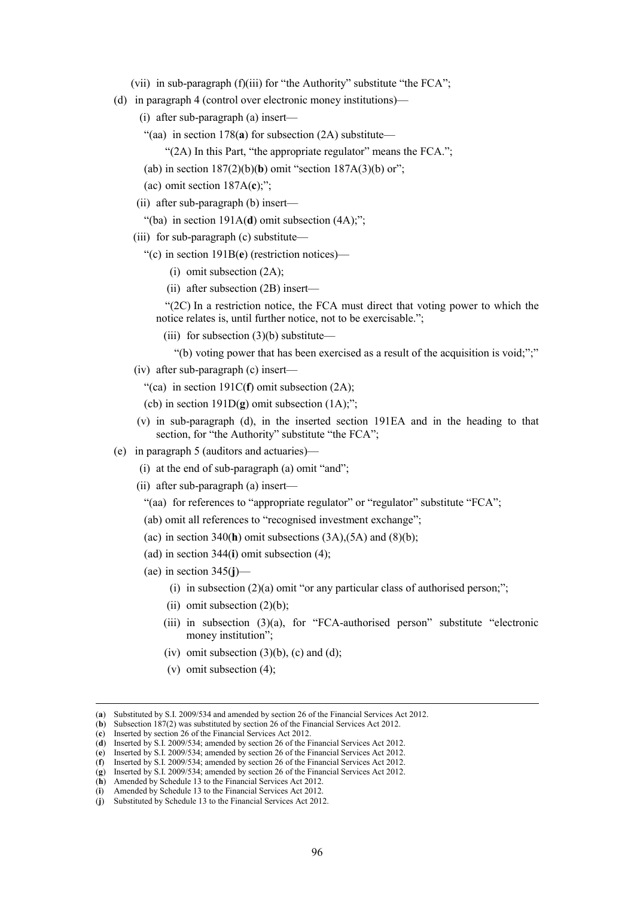- (vii) in sub-paragraph (f)(iii) for "the Authority" substitute "the FCA";
- (d) in paragraph 4 (control over electronic money institutions)—
	- (i) after sub-paragraph (a) insert—
	- "(aa) in section 178(**a**) for subsection (2A) substitute—
		- "(2A) In this Part, "the appropriate regulator" means the FCA.";
	- (ab) in section 187(2)(b)(**b**) omit "section 187A(3)(b) or";
	- (ac) omit section 187A(**c**);";
	- (ii) after sub-paragraph (b) insert—
		- "(ba) in section 191A(**d**) omit subsection (4A);";
	- (iii) for sub-paragraph (c) substitute—
		- "(c) in section 191B(**e**) (restriction notices)—
			- (i) omit subsection (2A);
			- (ii) after subsection (2B) insert—

"(2C) In a restriction notice, the FCA must direct that voting power to which the notice relates is, until further notice, not to be exercisable.";

- (iii) for subsection  $(3)(b)$  substitute—
- "(b) voting power that has been exercised as a result of the acquisition is void;";"
- (iv) after sub-paragraph (c) insert—
	- "(ca) in section 191C(**f**) omit subsection (2A);
	- (cb) in section  $191D(g)$  omit subsection  $(1A)$ ;";
- (v) in sub-paragraph (d), in the inserted section 191EA and in the heading to that section, for "the Authority" substitute "the FCA";
- (e) in paragraph 5 (auditors and actuaries)—
	- (i) at the end of sub-paragraph (a) omit "and";
	- (ii) after sub-paragraph (a) insert—
		- "(aa) for references to "appropriate regulator" or "regulator" substitute "FCA";
		- (ab) omit all references to "recognised investment exchange";
		- (ac) in section 340(**h**) omit subsections (3A),(5A) and (8)(b);
		- (ad) in section 344(**i**) omit subsection (4);
		- (ae) in section 345(**j**)—
			- (i) in subsection  $(2)(a)$  omit "or any particular class of authorised person;";
			- (ii) omit subsection  $(2)(b)$ ;
			- (iii) in subsection (3)(a), for "FCA-authorised person" substitute "electronic money institution";
			- (iv) omit subsection  $(3)(b)$ , (c) and (d);
			- (v) omit subsection (4);

 <sup>(</sup>**a**) Substituted by S.I. 2009/534 and amended by section 26 of the Financial Services Act 2012.

<sup>(</sup>**b**) Subsection 187(2) was substituted by section 26 of the Financial Services Act 2012.

<sup>(</sup>**c**) Inserted by section 26 of the Financial Services Act 2012.

<sup>(</sup>**d**) Inserted by S.I. 2009/534; amended by section 26 of the Financial Services Act 2012.

<sup>(</sup>**e**) Inserted by S.I. 2009/534; amended by section 26 of the Financial Services Act 2012. (**f**) Inserted by S.I. 2009/534; amended by section 26 of the Financial Services Act 2012.

<sup>(</sup>**g**) Inserted by S.I. 2009/534; amended by section 26 of the Financial Services Act 2012.

<sup>(</sup>**h**) Amended by Schedule 13 to the Financial Services Act 2012.

<sup>(</sup>**i**) Amended by Schedule 13 to the Financial Services Act 2012.

<sup>(</sup>**j**) Substituted by Schedule 13 to the Financial Services Act 2012.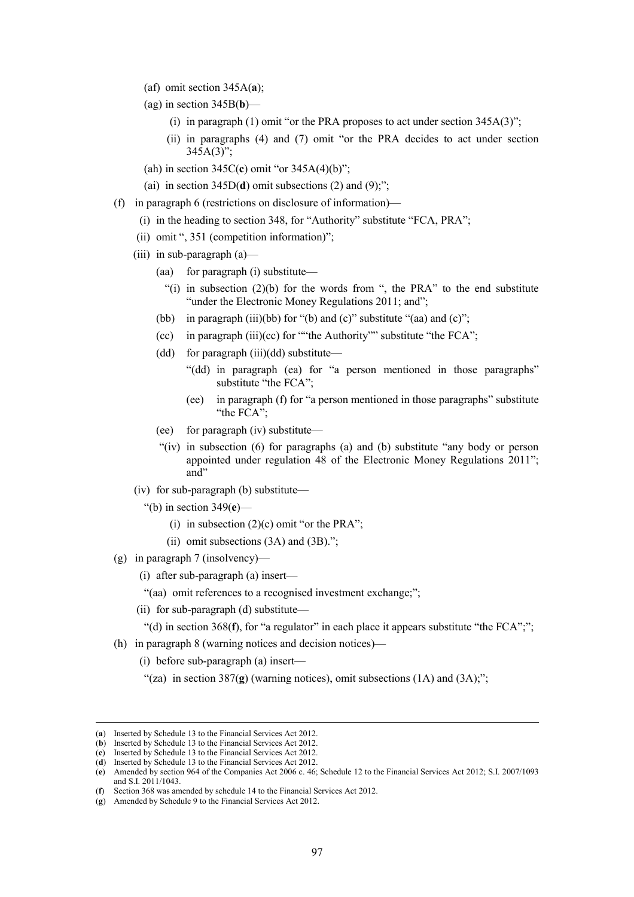- (af) omit section 345A(**a**);
- (ag) in section 345B(**b**)—
	- (i) in paragraph (1) omit "or the PRA proposes to act under section  $345A(3)$ ";
	- (ii) in paragraphs (4) and (7) omit "or the PRA decides to act under section  $345A(3)$ ";
- (ah) in section 345C(**c**) omit "or 345A(4)(b)";

(ai) in section  $345D(d)$  omit subsections (2) and (9);";

- (f) in paragraph 6 (restrictions on disclosure of information)—
	- (i) in the heading to section 348, for "Authority" substitute "FCA, PRA";
	- (ii) omit ", 351 (competition information)";
	- (iii) in sub-paragraph (a)—
		- (aa) for paragraph (i) substitute—
			- "(i) in subsection  $(2)(b)$  for the words from ", the PRA" to the end substitute "under the Electronic Money Regulations 2011; and";
		- (bb) in paragraph (iii)(bb) for "(b) and (c)" substitute "(aa) and (c)";
		- (cc) in paragraph  $(iii)(cc)$  for ""the Authority"" substitute "the FCA";
		- (dd) for paragraph (iii)(dd) substitute—
			- "(dd) in paragraph (ea) for "a person mentioned in those paragraphs" substitute "the FCA";
			- (ee) in paragraph (f) for "a person mentioned in those paragraphs" substitute "the FCA";
		- (ee) for paragraph (iv) substitute—
		- "(iv) in subsection (6) for paragraphs (a) and (b) substitute "any body or person appointed under regulation 48 of the Electronic Money Regulations 2011"; and"
	- (iv) for sub-paragraph (b) substitute—

"(b) in section 349(**e**)—

- (i) in subsection  $(2)(c)$  omit "or the PRA";
- (ii) omit subsections (3A) and (3B).";
- (g) in paragraph 7 (insolvency)—
	- (i) after sub-paragraph (a) insert—
	- "(aa) omit references to a recognised investment exchange;";
	- (ii) for sub-paragraph (d) substitute—

"(d) in section 368(**f**), for "a regulator" in each place it appears substitute "the FCA";";

- (h) in paragraph 8 (warning notices and decision notices)—
	- (i) before sub-paragraph (a) insert—
	- "(za) in section  $387(g)$  (warning notices), omit subsections  $(1A)$  and  $(3A)$ ;";

 <sup>(</sup>**a**) Inserted by Schedule 13 to the Financial Services Act 2012.

<sup>(</sup>**b**) Inserted by Schedule 13 to the Financial Services Act 2012.

<sup>(</sup>**c**) Inserted by Schedule 13 to the Financial Services Act 2012.

<sup>(</sup>**d**) Inserted by Schedule 13 to the Financial Services Act 2012.

<sup>(</sup>**e**) Amended by section 964 of the Companies Act 2006 c. 46; Schedule 12 to the Financial Services Act 2012; S.I. 2007/1093 and S.I. 2011/1043.

<sup>(</sup>**f**) Section 368 was amended by schedule 14 to the Financial Services Act 2012.

<sup>(</sup>**g**) Amended by Schedule 9 to the Financial Services Act 2012.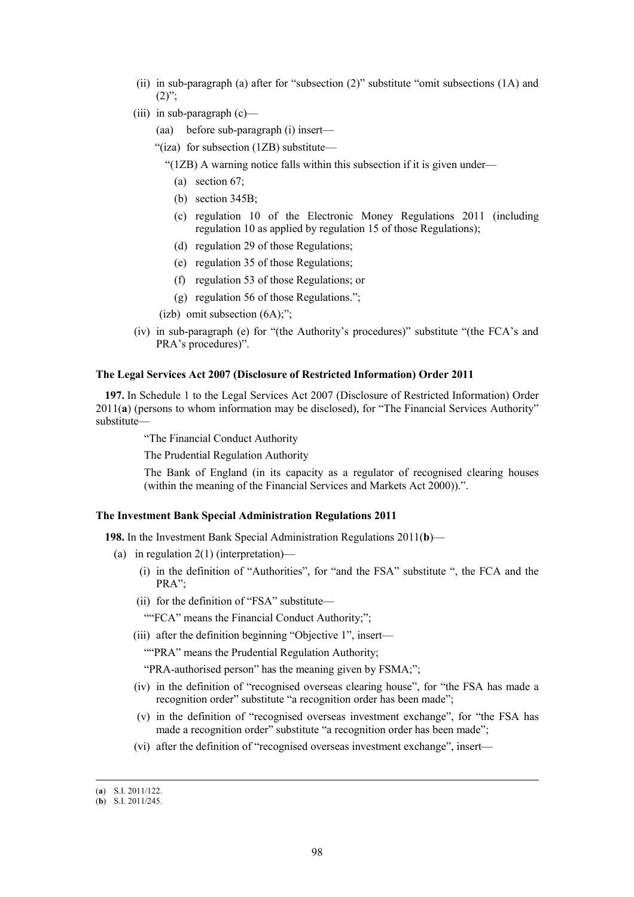- (ii) in sub-paragraph (a) after for "subsection (2)" substitute "omit subsections (1A) and  $(2)$ ";
- $(iii)$  in sub-paragraph  $(c)$ 
	- (aa) before sub-paragraph (i) insert—
	- "(iza) for subsection (1ZB) substitute—

"(1ZB) A warning notice falls within this subsection if it is given under—

- (a) section 67;
- (b) section 345B;
- (c) regulation 10 of the Electronic Money Regulations 2011 (including regulation 10 as applied by regulation 15 of those Regulations);
- (d) regulation 29 of those Regulations;
- (e) regulation 35 of those Regulations;
- (f) regulation 53 of those Regulations; or
- (g) regulation 56 of those Regulations.";
- (izb) omit subsection (6A);";
- (iv) in sub-paragraph (e) for "(the Authority's procedures)" substitute "(the FCA's and PRA's procedures)".

## **The Legal Services Act 2007 (Disclosure of Restricted Information) Order 2011**

**197.** In Schedule 1 to the Legal Services Act 2007 (Disclosure of Restricted Information) Order 2011(**a**) (persons to whom information may be disclosed), for "The Financial Services Authority" substitute—

"The Financial Conduct Authority

The Prudential Regulation Authority

The Bank of England (in its capacity as a regulator of recognised clearing houses (within the meaning of the Financial Services and Markets Act 2000)).".

## **The Investment Bank Special Administration Regulations 2011**

**198.** In the Investment Bank Special Administration Regulations 2011(**b**)—

- (a) in regulation 2(1) (interpretation)—
	- (i) in the definition of "Authorities", for "and the FSA" substitute ", the FCA and the PRA";
	- (ii) for the definition of "FSA" substitute—

""FCA" means the Financial Conduct Authority;";

(iii) after the definition beginning "Objective 1", insert—

""PRA" means the Prudential Regulation Authority;

"PRA-authorised person" has the meaning given by FSMA;";

- (iv) in the definition of "recognised overseas clearing house", for "the FSA has made a recognition order" substitute "a recognition order has been made":
- (v) in the definition of "recognised overseas investment exchange", for "the FSA has made a recognition order" substitute "a recognition order has been made";
- (vi) after the definition of "recognised overseas investment exchange", insert—

 <sup>(</sup>**a**) S.I. 2011/122.

<sup>(</sup>**b**) S.I. 2011/245.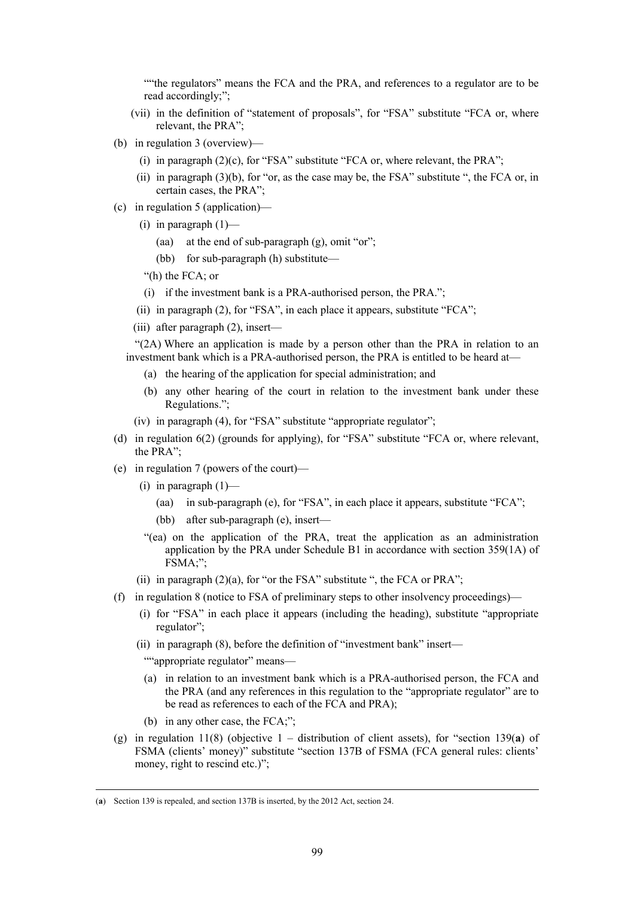""the regulators" means the FCA and the PRA, and references to a regulator are to be read accordingly;";

- (vii) in the definition of "statement of proposals", for "FSA" substitute "FCA or, where relevant, the PRA";
- (b) in regulation 3 (overview)—
	- (i) in paragraph  $(2)(c)$ , for "FSA" substitute "FCA or, where relevant, the PRA";
	- (ii) in paragraph (3)(b), for "or, as the case may be, the FSA" substitute ", the FCA or, in certain cases, the PRA";
- (c) in regulation 5 (application)—
	- (i) in paragraph  $(1)$ 
		- (aa) at the end of sub-paragraph (g), omit "or";
		- (bb) for sub-paragraph (h) substitute—

"(h) the FCA; or

- (i) if the investment bank is a PRA-authorised person, the PRA.";
- (ii) in paragraph (2), for "FSA", in each place it appears, substitute "FCA";
- (iii) after paragraph (2), insert—

"(2A) Where an application is made by a person other than the PRA in relation to an investment bank which is a PRA-authorised person, the PRA is entitled to be heard at—

- (a) the hearing of the application for special administration; and
- (b) any other hearing of the court in relation to the investment bank under these Regulations.";
- (iv) in paragraph (4), for "FSA" substitute "appropriate regulator";
- (d) in regulation 6(2) (grounds for applying), for "FSA" substitute "FCA or, where relevant, the PRA";
- (e) in regulation 7 (powers of the court)—
	- (i) in paragraph  $(1)$ 
		- (aa) in sub-paragraph (e), for "FSA", in each place it appears, substitute "FCA";
		- (bb) after sub-paragraph (e), insert—
	- "(ea) on the application of the PRA, treat the application as an administration application by the PRA under Schedule B1 in accordance with section 359(1A) of FSMA;";
	- (ii) in paragraph  $(2)(a)$ , for "or the FSA" substitute ", the FCA or PRA";
- (f) in regulation 8 (notice to FSA of preliminary steps to other insolvency proceedings)—
	- (i) for "FSA" in each place it appears (including the heading), substitute "appropriate regulator";
	- (ii) in paragraph (8), before the definition of "investment bank" insert—

""appropriate regulator" means—

- (a) in relation to an investment bank which is a PRA-authorised person, the FCA and the PRA (and any references in this regulation to the "appropriate regulator" are to be read as references to each of the FCA and PRA);
- (b) in any other case, the FCA;";
- (g) in regulation 11(8) (objective 1 distribution of client assets), for "section 139(**a**) of FSMA (clients' money)" substitute "section 137B of FSMA (FCA general rules: clients' money, right to rescind etc.)";

 <sup>(</sup>**a**) Section 139 is repealed, and section 137B is inserted, by the 2012 Act, section 24.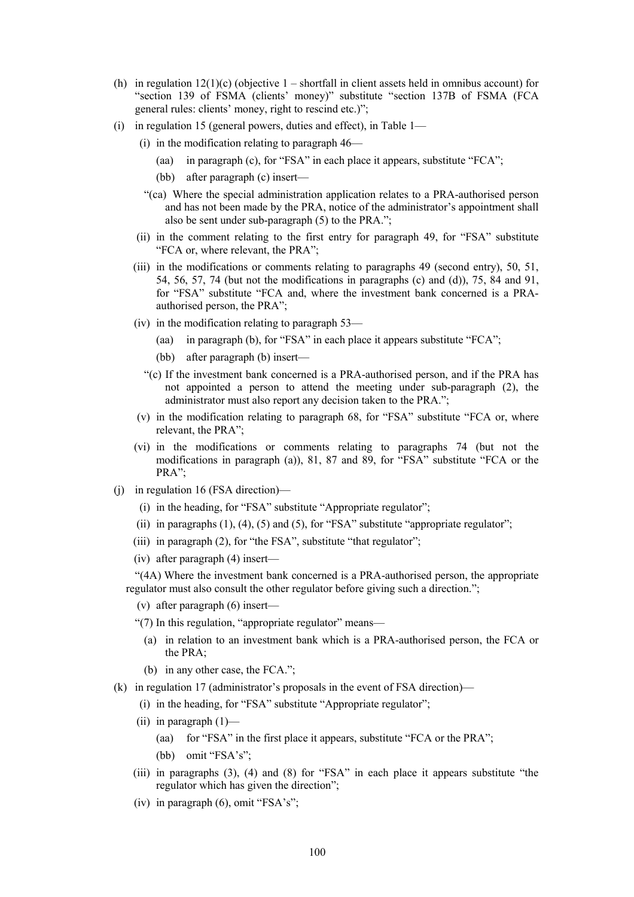- (h) in regulation  $12(1)(c)$  (objective  $1 -$  shortfall in client assets held in omnibus account) for "section 139 of FSMA (clients' money)" substitute "section 137B of FSMA (FCA general rules: clients' money, right to rescind etc.)";
- (i) in regulation 15 (general powers, duties and effect), in Table 1—
	- (i) in the modification relating to paragraph 46—
		- (aa) in paragraph (c), for "FSA" in each place it appears, substitute "FCA";
		- (bb) after paragraph (c) insert—
	- "(ca) Where the special administration application relates to a PRA-authorised person and has not been made by the PRA, notice of the administrator's appointment shall also be sent under sub-paragraph (5) to the PRA.";
	- (ii) in the comment relating to the first entry for paragraph 49, for "FSA" substitute "FCA or, where relevant, the PRA";
	- (iii) in the modifications or comments relating to paragraphs 49 (second entry), 50, 51, 54, 56, 57, 74 (but not the modifications in paragraphs (c) and (d)), 75, 84 and 91, for "FSA" substitute "FCA and, where the investment bank concerned is a PRAauthorised person, the PRA";
	- (iv) in the modification relating to paragraph 53—
		- (aa) in paragraph (b), for "FSA" in each place it appears substitute "FCA";
		- (bb) after paragraph (b) insert—
		- "(c) If the investment bank concerned is a PRA-authorised person, and if the PRA has not appointed a person to attend the meeting under sub-paragraph (2), the administrator must also report any decision taken to the PRA.";
	- (v) in the modification relating to paragraph 68, for "FSA" substitute "FCA or, where relevant, the PRA";
	- (vi) in the modifications or comments relating to paragraphs 74 (but not the modifications in paragraph (a)), 81, 87 and 89, for "FSA" substitute "FCA or the PRA";
- (j) in regulation 16 (FSA direction)—
	- (i) in the heading, for "FSA" substitute "Appropriate regulator";
	- (ii) in paragraphs  $(1)$ ,  $(4)$ ,  $(5)$  and  $(5)$ , for "FSA" substitute "appropriate regulator";
	- (iii) in paragraph (2), for "the FSA", substitute "that regulator";
	- (iv) after paragraph (4) insert—

"(4A) Where the investment bank concerned is a PRA-authorised person, the appropriate regulator must also consult the other regulator before giving such a direction.";

- (v) after paragraph (6) insert—
- "(7) In this regulation, "appropriate regulator" means—
	- (a) in relation to an investment bank which is a PRA-authorised person, the FCA or the PRA;
	- (b) in any other case, the FCA.";
- (k) in regulation 17 (administrator's proposals in the event of FSA direction)—
	- (i) in the heading, for "FSA" substitute "Appropriate regulator";
	- (ii) in paragraph  $(1)$ 
		- (aa) for "FSA" in the first place it appears, substitute "FCA or the PRA"; (bb) omit "FSA's";
	- (iii) in paragraphs (3), (4) and (8) for "FSA" in each place it appears substitute "the regulator which has given the direction";
	- (iv) in paragraph (6), omit "FSA's";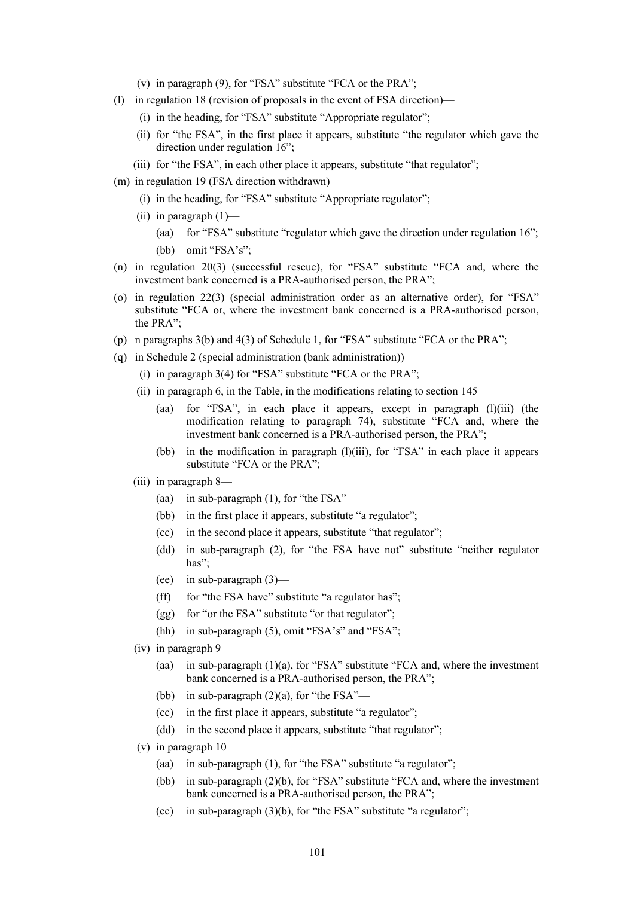- (v) in paragraph (9), for "FSA" substitute "FCA or the PRA";
- (l) in regulation 18 (revision of proposals in the event of FSA direction)—
	- (i) in the heading, for "FSA" substitute "Appropriate regulator";
	- (ii) for "the FSA", in the first place it appears, substitute "the regulator which gave the direction under regulation 16";
	- (iii) for "the FSA", in each other place it appears, substitute "that regulator";
- (m) in regulation 19 (FSA direction withdrawn)—
	- (i) in the heading, for "FSA" substitute "Appropriate regulator";
	- (ii) in paragraph  $(1)$ 
		- (aa) for "FSA" substitute "regulator which gave the direction under regulation 16"; (bb) omit "FSA's";
- (n) in regulation 20(3) (successful rescue), for "FSA" substitute "FCA and, where the investment bank concerned is a PRA-authorised person, the PRA";
- (o) in regulation 22(3) (special administration order as an alternative order), for "FSA" substitute "FCA or, where the investment bank concerned is a PRA-authorised person, the PRA";
- (p) n paragraphs 3(b) and 4(3) of Schedule 1, for "FSA" substitute "FCA or the PRA";
- (q) in Schedule 2 (special administration (bank administration))—
	- (i) in paragraph 3(4) for "FSA" substitute "FCA or the PRA";
	- (ii) in paragraph 6, in the Table, in the modifications relating to section 145—
		- (aa) for "FSA", in each place it appears, except in paragraph (l)(iii) (the modification relating to paragraph 74), substitute "FCA and, where the investment bank concerned is a PRA-authorised person, the PRA";
		- (bb) in the modification in paragraph (l)(iii), for "FSA" in each place it appears substitute "FCA or the PRA";
	- (iii) in paragraph 8—
		- (aa) in sub-paragraph (1), for "the FSA"—
		- (bb) in the first place it appears, substitute "a regulator";
		- (cc) in the second place it appears, substitute "that regulator";
		- (dd) in sub-paragraph (2), for "the FSA have not" substitute "neither regulator has";
		- (ee) in sub-paragraph (3)—
		- $(ff)$  for "the FSA have" substitute "a regulator has";
		- (gg) for "or the FSA" substitute "or that regulator";
		- (hh) in sub-paragraph (5), omit "FSA's" and "FSA";
	- (iv) in paragraph 9—
		- (aa) in sub-paragraph (1)(a), for "FSA" substitute "FCA and, where the investment bank concerned is a PRA-authorised person, the PRA";
		- (bb) in sub-paragraph  $(2)(a)$ , for "the FSA"—
		- (cc) in the first place it appears, substitute "a regulator";
		- (dd) in the second place it appears, substitute "that regulator";
	- (v) in paragraph  $10$ 
		- (aa) in sub-paragraph (1), for "the FSA" substitute "a regulator";
		- (bb) in sub-paragraph (2)(b), for "FSA" substitute "FCA and, where the investment bank concerned is a PRA-authorised person, the PRA";
		- (cc) in sub-paragraph (3)(b), for "the FSA" substitute "a regulator";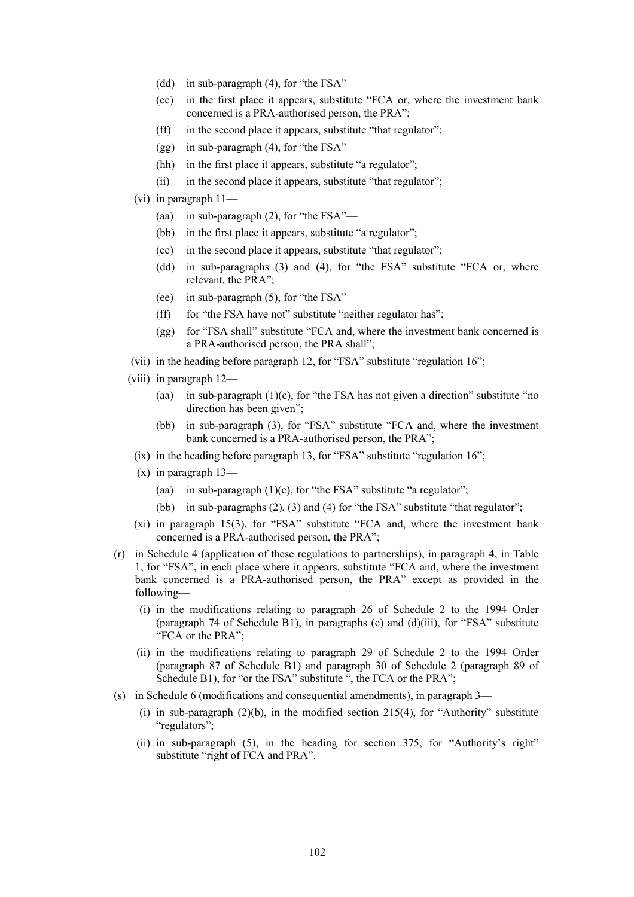- (dd) in sub-paragraph (4), for "the FSA"—
- (ee) in the first place it appears, substitute "FCA or, where the investment bank concerned is a PRA-authorised person, the PRA";
- (ff) in the second place it appears, substitute "that regulator";
- (gg) in sub-paragraph (4), for "the FSA"—
- (hh) in the first place it appears, substitute "a regulator";
- (ii) in the second place it appears, substitute "that regulator";
- (vi) in paragraph 11—
	- (aa) in sub-paragraph (2), for "the FSA"—
	- (bb) in the first place it appears, substitute "a regulator";
	- (cc) in the second place it appears, substitute "that regulator";
	- (dd) in sub-paragraphs (3) and (4), for "the FSA" substitute "FCA or, where relevant, the PRA";
	- (ee) in sub-paragraph (5), for "the FSA"—
	- $(f\text{f})$  for "the FSA have not" substitute "neither regulator has";
	- (gg) for "FSA shall" substitute "FCA and, where the investment bank concerned is a PRA-authorised person, the PRA shall";
- (vii) in the heading before paragraph 12, for "FSA" substitute "regulation 16";
- (viii) in paragraph 12—
	- (aa) in sub-paragraph  $(1)(c)$ , for "the FSA has not given a direction" substitute "no direction has been given";
	- (bb) in sub-paragraph (3), for "FSA" substitute "FCA and, where the investment bank concerned is a PRA-authorised person, the PRA";
	- (ix) in the heading before paragraph 13, for "FSA" substitute "regulation 16";
	- (x) in paragraph 13—
		- (aa) in sub-paragraph  $(1)(c)$ , for "the FSA" substitute "a regulator";
		- (bb) in sub-paragraphs (2), (3) and (4) for "the FSA" substitute "that regulator";
	- (xi) in paragraph 15(3), for "FSA" substitute "FCA and, where the investment bank concerned is a PRA-authorised person, the PRA";
- (r) in Schedule 4 (application of these regulations to partnerships), in paragraph 4, in Table 1, for "FSA", in each place where it appears, substitute "FCA and, where the investment bank concerned is a PRA-authorised person, the PRA" except as provided in the following—
	- (i) in the modifications relating to paragraph 26 of Schedule 2 to the 1994 Order (paragraph 74 of Schedule B1), in paragraphs (c) and (d)(iii), for "FSA" substitute "FCA or the PRA";
	- (ii) in the modifications relating to paragraph 29 of Schedule 2 to the 1994 Order (paragraph 87 of Schedule B1) and paragraph 30 of Schedule 2 (paragraph 89 of Schedule B1), for "or the FSA" substitute ", the FCA or the PRA";
- (s) in Schedule 6 (modifications and consequential amendments), in paragraph 3—
	- (i) in sub-paragraph  $(2)(b)$ , in the modified section  $215(4)$ , for "Authority" substitute "regulators";
	- (ii) in sub-paragraph (5), in the heading for section 375, for "Authority's right" substitute "right of FCA and PRA".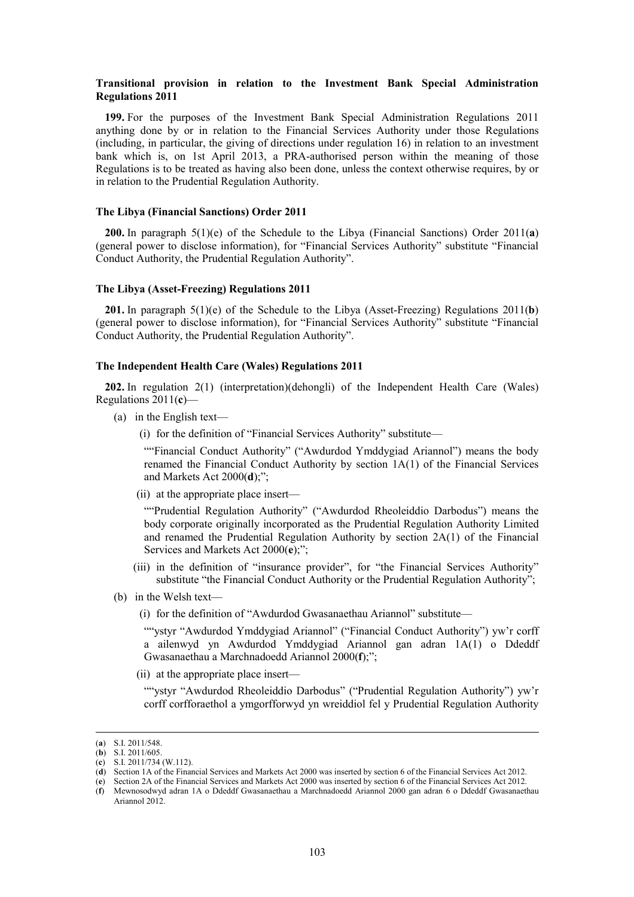## **Transitional provision in relation to the Investment Bank Special Administration Regulations 2011**

**199.** For the purposes of the Investment Bank Special Administration Regulations 2011 anything done by or in relation to the Financial Services Authority under those Regulations (including, in particular, the giving of directions under regulation 16) in relation to an investment bank which is, on 1st April 2013, a PRA-authorised person within the meaning of those Regulations is to be treated as having also been done, unless the context otherwise requires, by or in relation to the Prudential Regulation Authority.

## **The Libya (Financial Sanctions) Order 2011**

**200.** In paragraph 5(1)(e) of the Schedule to the Libya (Financial Sanctions) Order 2011(**a**) (general power to disclose information), for "Financial Services Authority" substitute "Financial Conduct Authority, the Prudential Regulation Authority".

### **The Libya (Asset-Freezing) Regulations 2011**

**201.** In paragraph 5(1)(e) of the Schedule to the Libya (Asset-Freezing) Regulations 2011(**b**) (general power to disclose information), for "Financial Services Authority" substitute "Financial Conduct Authority, the Prudential Regulation Authority".

## **The Independent Health Care (Wales) Regulations 2011**

**202.** In regulation 2(1) (interpretation)(dehongli) of the Independent Health Care (Wales) Regulations 2011(**c**)—

- (a) in the English text—
	- (i) for the definition of "Financial Services Authority" substitute—

""Financial Conduct Authority" ("Awdurdod Ymddygiad Ariannol") means the body renamed the Financial Conduct Authority by section 1A(1) of the Financial Services and Markets Act 2000(**d**);";

(ii) at the appropriate place insert—

""Prudential Regulation Authority" ("Awdurdod Rheoleiddio Darbodus") means the body corporate originally incorporated as the Prudential Regulation Authority Limited and renamed the Prudential Regulation Authority by section 2A(1) of the Financial Services and Markets Act 2000(**e**);";

- (iii) in the definition of "insurance provider", for "the Financial Services Authority" substitute "the Financial Conduct Authority or the Prudential Regulation Authority";
- (b) in the Welsh text—
	- (i) for the definition of "Awdurdod Gwasanaethau Ariannol" substitute—

""ystyr "Awdurdod Ymddygiad Ariannol" ("Financial Conduct Authority") yw'r corff a ailenwyd yn Awdurdod Ymddygiad Ariannol gan adran 1A(1) o Ddeddf Gwasanaethau a Marchnadoedd Ariannol 2000(**f**);";

(ii) at the appropriate place insert—

""ystyr "Awdurdod Rheoleiddio Darbodus" ("Prudential Regulation Authority") yw'r corff corfforaethol a ymgorfforwyd yn wreiddiol fel y Prudential Regulation Authority

 <sup>(</sup>**a**) S.I. 2011/548.

<sup>(</sup>**b**) S.I. 2011/605.

<sup>(</sup>**c**) S.I. 2011/734 (W.112).

<sup>(</sup>**d**) Section 1A of the Financial Services and Markets Act 2000 was inserted by section 6 of the Financial Services Act 2012. (**e**) Section 2A of the Financial Services and Markets Act 2000 was inserted by section 6 of the Financial Services Act 2012.

<sup>(</sup>**f**) Mewnosodwyd adran 1A o Ddeddf Gwasanaethau a Marchnadoedd Ariannol 2000 gan adran 6 o Ddeddf Gwasanaethau Ariannol 2012.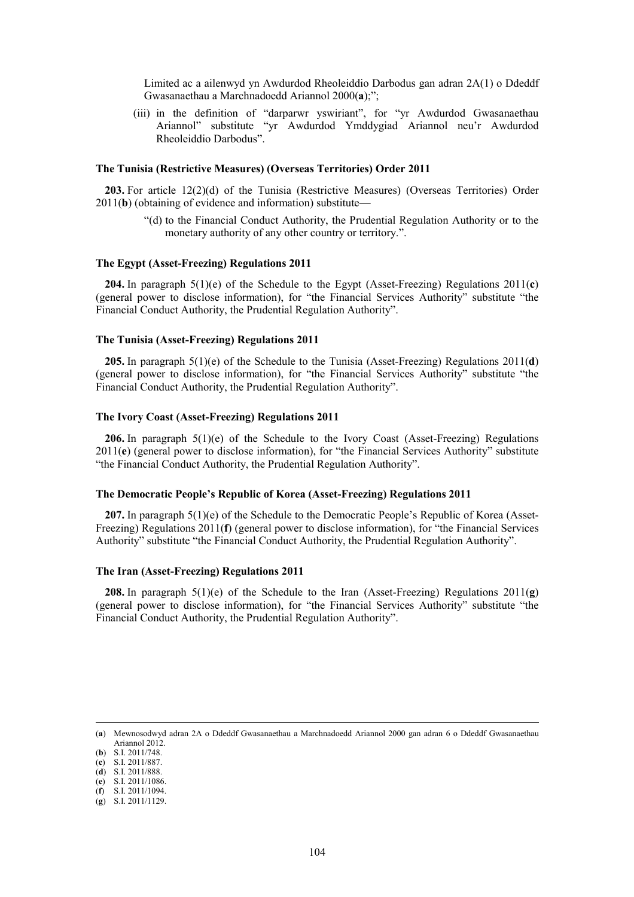Limited ac a ailenwyd yn Awdurdod Rheoleiddio Darbodus gan adran 2A(1) o Ddeddf Gwasanaethau a Marchnadoedd Ariannol 2000(**a**);";

(iii) in the definition of "darparwr yswiriant", for "yr Awdurdod Gwasanaethau Ariannol" substitute "yr Awdurdod Ymddygiad Ariannol neu'r Awdurdod Rheoleiddio Darbodus".

# **The Tunisia (Restrictive Measures) (Overseas Territories) Order 2011**

**203.** For article 12(2)(d) of the Tunisia (Restrictive Measures) (Overseas Territories) Order 2011(**b**) (obtaining of evidence and information) substitute—

> "(d) to the Financial Conduct Authority, the Prudential Regulation Authority or to the monetary authority of any other country or territory.".

### **The Egypt (Asset-Freezing) Regulations 2011**

**204.** In paragraph 5(1)(e) of the Schedule to the Egypt (Asset-Freezing) Regulations 2011(**c**) (general power to disclose information), for "the Financial Services Authority" substitute "the Financial Conduct Authority, the Prudential Regulation Authority".

#### **The Tunisia (Asset-Freezing) Regulations 2011**

**205.** In paragraph 5(1)(e) of the Schedule to the Tunisia (Asset-Freezing) Regulations 2011(**d**) (general power to disclose information), for "the Financial Services Authority" substitute "the Financial Conduct Authority, the Prudential Regulation Authority".

### **The Ivory Coast (Asset-Freezing) Regulations 2011**

**206.** In paragraph 5(1)(e) of the Schedule to the Ivory Coast (Asset-Freezing) Regulations 2011(**e**) (general power to disclose information), for "the Financial Services Authority" substitute "the Financial Conduct Authority, the Prudential Regulation Authority".

### **The Democratic People's Republic of Korea (Asset-Freezing) Regulations 2011**

**207.** In paragraph 5(1)(e) of the Schedule to the Democratic People's Republic of Korea (Asset-Freezing) Regulations 2011(**f**) (general power to disclose information), for "the Financial Services Authority" substitute "the Financial Conduct Authority, the Prudential Regulation Authority".

### **The Iran (Asset-Freezing) Regulations 2011**

**208.** In paragraph 5(1)(e) of the Schedule to the Iran (Asset-Freezing) Regulations 2011(**g**) (general power to disclose information), for "the Financial Services Authority" substitute "the Financial Conduct Authority, the Prudential Regulation Authority".

 <sup>(</sup>**a**) Mewnosodwyd adran 2A o Ddeddf Gwasanaethau a Marchnadoedd Ariannol 2000 gan adran 6 o Ddeddf Gwasanaethau Ariannol 2012.

<sup>(</sup>**b**) S.I. 2011/748.

<sup>(</sup>**c**) S.I. 2011/887.

<sup>(</sup>**d**) S.I. 2011/888.

<sup>(</sup>**e**) S.I. 2011/1086. (**f**) S.I. 2011/1094.

<sup>(</sup>**g**) S.I. 2011/1129.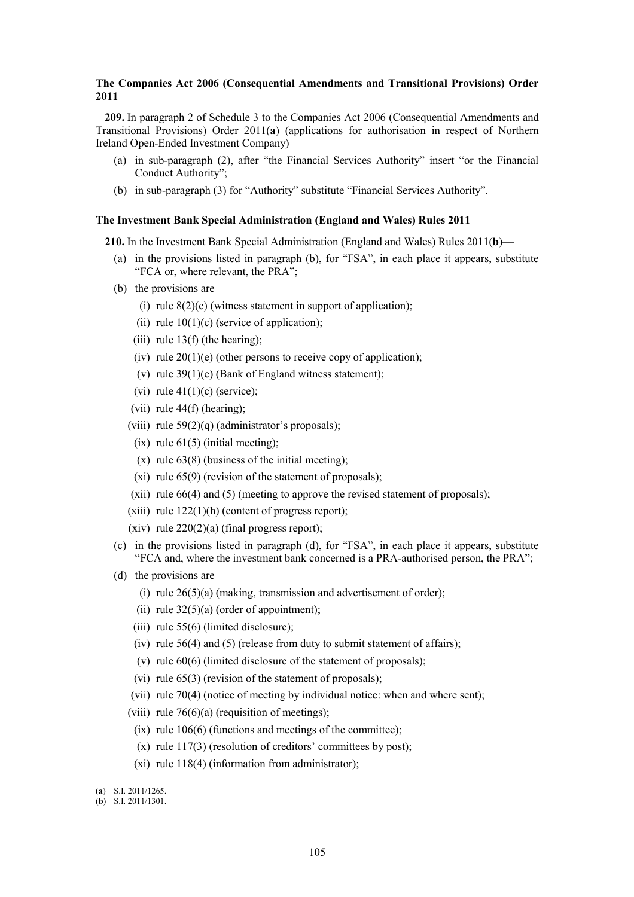## **The Companies Act 2006 (Consequential Amendments and Transitional Provisions) Order 2011**

**209.** In paragraph 2 of Schedule 3 to the Companies Act 2006 (Consequential Amendments and Transitional Provisions) Order 2011(**a**) (applications for authorisation in respect of Northern Ireland Open-Ended Investment Company)—

- (a) in sub-paragraph (2), after "the Financial Services Authority" insert "or the Financial Conduct Authority";
- (b) in sub-paragraph (3) for "Authority" substitute "Financial Services Authority".

### **The Investment Bank Special Administration (England and Wales) Rules 2011**

**210.** In the Investment Bank Special Administration (England and Wales) Rules 2011(**b**)—

- (a) in the provisions listed in paragraph (b), for "FSA", in each place it appears, substitute "FCA or, where relevant, the PRA";
- (b) the provisions are—
	- (i) rule  $8(2)(c)$  (witness statement in support of application);
	- (ii) rule  $10(1)(c)$  (service of application);
	- (iii) rule  $13(f)$  (the hearing);
	- (iv) rule  $20(1)(e)$  (other persons to receive copy of application);
	- (v) rule  $39(1)(e)$  (Bank of England witness statement);
	- (vi) rule  $41(1)(c)$  (service);
	- (vii) rule 44(f) (hearing);
	- (viii) rule  $59(2)(q)$  (administrator's proposals);
		- (ix) rule  $61(5)$  (initial meeting);
		- (x) rule  $63(8)$  (business of the initial meeting);
		- (xi) rule 65(9) (revision of the statement of proposals);
	- (xii) rule 66(4) and (5) (meeting to approve the revised statement of proposals);
	- (xiii) rule  $122(1)(h)$  (content of progress report);
	- (xiv) rule  $220(2)(a)$  (final progress report);
- (c) in the provisions listed in paragraph (d), for "FSA", in each place it appears, substitute "FCA and, where the investment bank concerned is a PRA-authorised person, the PRA";
- (d) the provisions are—
	- (i) rule  $26(5)(a)$  (making, transmission and advertisement of order);
	- (ii) rule  $32(5)(a)$  (order of appointment);
	- (iii) rule 55(6) (limited disclosure);
	- (iv) rule 56(4) and (5) (release from duty to submit statement of affairs);
	- (v) rule 60(6) (limited disclosure of the statement of proposals);
	- (vi) rule 65(3) (revision of the statement of proposals);
	- (vii) rule 70(4) (notice of meeting by individual notice: when and where sent);
	- (viii) rule  $76(6)(a)$  (requisition of meetings);
		- $(ix)$  rule 106(6) (functions and meetings of the committee);
		- (x) rule  $117(3)$  (resolution of creditors' committees by post);
		- (xi) rule 118(4) (information from administrator);

 <sup>(</sup>**a**) S.I. 2011/1265.

<sup>(</sup>**b**) S.I. 2011/1301.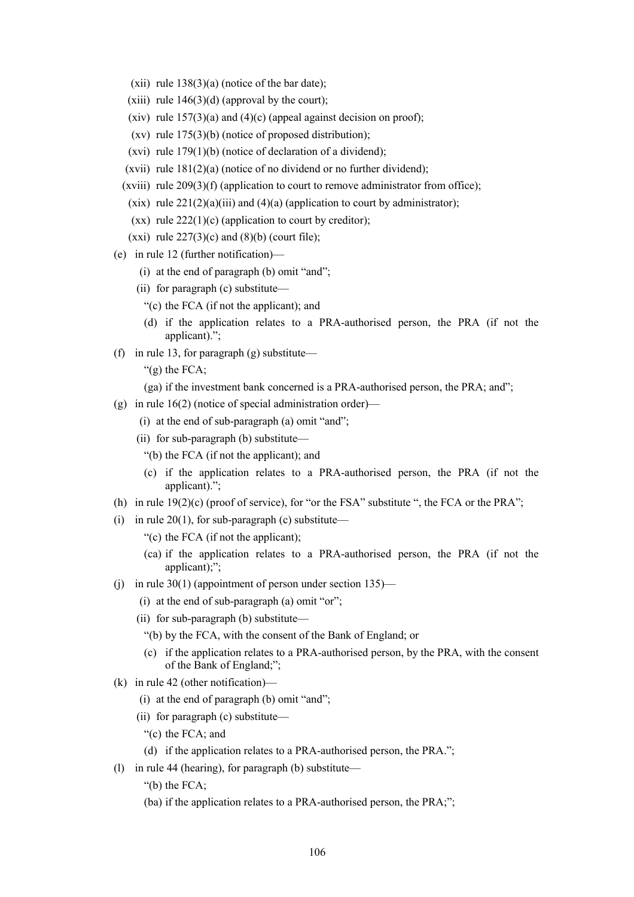- (xii) rule  $138(3)(a)$  (notice of the bar date);
- (xiii) rule  $146(3)(d)$  (approval by the court);
- (xiv) rule  $157(3)(a)$  and  $(4)(c)$  (appeal against decision on proof);
- (xv) rule 175(3)(b) (notice of proposed distribution);
- (xvi) rule 179(1)(b) (notice of declaration of a dividend);
- (xvii) rule  $181(2)(a)$  (notice of no dividend or no further dividend);
- (xviii) rule  $209(3)(f)$  (application to court to remove administrator from office);
- (xix) rule  $221(2)(a)(iii)$  and  $(4)(a)$  (application to court by administrator);
- (xx) rule  $222(1)(c)$  (application to court by creditor);
- (xxi) rule  $227(3)(c)$  and  $(8)(b)$  (court file);
- (e) in rule 12 (further notification)—
	- (i) at the end of paragraph (b) omit "and";
	- (ii) for paragraph (c) substitute—
		- "(c) the FCA (if not the applicant); and
		- (d) if the application relates to a PRA-authorised person, the PRA (if not the applicant).";
- (f) in rule 13, for paragraph  $(g)$  substitute—
	- " $(g)$  the FCA;
	- (ga) if the investment bank concerned is a PRA-authorised person, the PRA; and";
- (g) in rule  $16(2)$  (notice of special administration order)—
	- (i) at the end of sub-paragraph (a) omit "and";
	- (ii) for sub-paragraph (b) substitute—
		- "(b) the FCA (if not the applicant); and
		- (c) if the application relates to a PRA-authorised person, the PRA (if not the applicant).";
- (h) in rule  $19(2)(c)$  (proof of service), for "or the FSA" substitute ", the FCA or the PRA";
- (i) in rule  $20(1)$ , for sub-paragraph (c) substitute—
	- "(c) the FCA (if not the applicant);
	- (ca) if the application relates to a PRA-authorised person, the PRA (if not the applicant);":
- (j) in rule 30(1) (appointment of person under section 135)—
	- (i) at the end of sub-paragraph (a) omit "or";
	- (ii) for sub-paragraph (b) substitute—
		- "(b) by the FCA, with the consent of the Bank of England; or
		- (c) if the application relates to a PRA-authorised person, by the PRA, with the consent of the Bank of England;";
- (k) in rule 42 (other notification)—
	- (i) at the end of paragraph (b) omit "and";
	- (ii) for paragraph (c) substitute—
		- "(c) the FCA; and
		- (d) if the application relates to a PRA-authorised person, the PRA.";
- (l) in rule 44 (hearing), for paragraph (b) substitute—
	- "(b) the FCA;
	- (ba) if the application relates to a PRA-authorised person, the PRA;";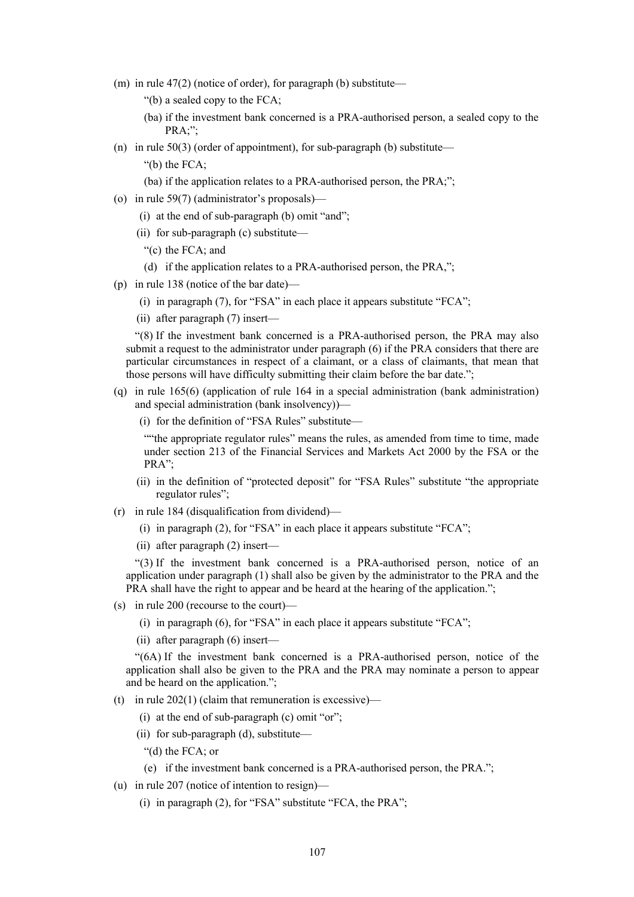(m) in rule  $47(2)$  (notice of order), for paragraph (b) substitute—

"(b) a sealed copy to the FCA;

- (ba) if the investment bank concerned is a PRA-authorised person, a sealed copy to the PRA;";
- (n) in rule  $50(3)$  (order of appointment), for sub-paragraph (b) substitute—

"(b) the FCA;

- (ba) if the application relates to a PRA-authorised person, the PRA;";
- (o) in rule 59(7) (administrator's proposals)—
	- (i) at the end of sub-paragraph (b) omit "and";
	- (ii) for sub-paragraph (c) substitute—

"(c) the FCA; and

- (d) if the application relates to a PRA-authorised person, the PRA,";
- (p) in rule 138 (notice of the bar date)—
	- (i) in paragraph (7), for "FSA" in each place it appears substitute "FCA";
	- (ii) after paragraph (7) insert—

"(8) If the investment bank concerned is a PRA-authorised person, the PRA may also submit a request to the administrator under paragraph (6) if the PRA considers that there are particular circumstances in respect of a claimant, or a class of claimants, that mean that those persons will have difficulty submitting their claim before the bar date.";

- (q) in rule 165(6) (application of rule 164 in a special administration (bank administration) and special administration (bank insolvency))—
	- (i) for the definition of "FSA Rules" substitute—

""the appropriate regulator rules" means the rules, as amended from time to time, made under section 213 of the Financial Services and Markets Act 2000 by the FSA or the PRA";

- (ii) in the definition of "protected deposit" for "FSA Rules" substitute "the appropriate regulator rules";
- (r) in rule 184 (disqualification from dividend)—
	- (i) in paragraph (2), for "FSA" in each place it appears substitute "FCA";
	- (ii) after paragraph (2) insert—

"(3) If the investment bank concerned is a PRA-authorised person, notice of an application under paragraph (1) shall also be given by the administrator to the PRA and the PRA shall have the right to appear and be heard at the hearing of the application.";

- (s) in rule 200 (recourse to the court)—
	- (i) in paragraph (6), for "FSA" in each place it appears substitute "FCA";
	- (ii) after paragraph (6) insert—

"(6A) If the investment bank concerned is a PRA-authorised person, notice of the application shall also be given to the PRA and the PRA may nominate a person to appear and be heard on the application.";

- (t) in rule  $202(1)$  (claim that remuneration is excessive)—
	- (i) at the end of sub-paragraph (c) omit "or";
	- (ii) for sub-paragraph (d), substitute—
		- "(d) the FCA; or
		- (e) if the investment bank concerned is a PRA-authorised person, the PRA.";
- (u) in rule 207 (notice of intention to resign)—
	- (i) in paragraph (2), for "FSA" substitute "FCA, the PRA";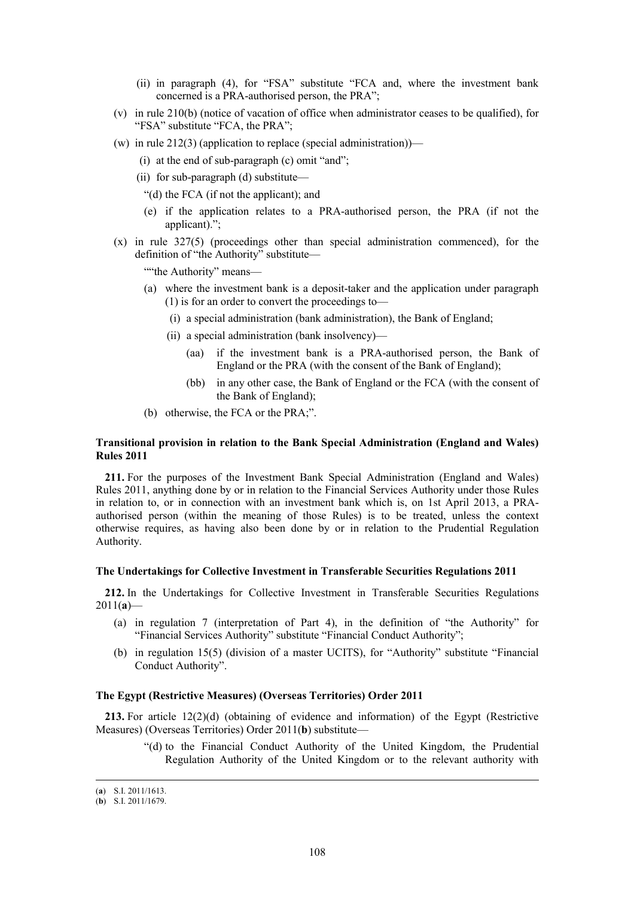- (ii) in paragraph (4), for "FSA" substitute "FCA and, where the investment bank concerned is a PRA-authorised person, the PRA";
- (v) in rule 210(b) (notice of vacation of office when administrator ceases to be qualified), for "FSA" substitute "FCA, the PRA";
- (w) in rule  $212(3)$  (application to replace (special administration))—
	- (i) at the end of sub-paragraph (c) omit "and";
	- (ii) for sub-paragraph (d) substitute—
		- "(d) the FCA (if not the applicant); and
		- (e) if the application relates to a PRA-authorised person, the PRA (if not the applicant).";
- (x) in rule 327(5) (proceedings other than special administration commenced), for the definition of "the Authority" substitute—

""the Authority" means-

- (a) where the investment bank is a deposit-taker and the application under paragraph (1) is for an order to convert the proceedings to—
	- (i) a special administration (bank administration), the Bank of England;
	- (ii) a special administration (bank insolvency)—
		- (aa) if the investment bank is a PRA-authorised person, the Bank of England or the PRA (with the consent of the Bank of England);
		- (bb) in any other case, the Bank of England or the FCA (with the consent of the Bank of England);
- (b) otherwise, the FCA or the PRA;".

## **Transitional provision in relation to the Bank Special Administration (England and Wales) Rules 2011**

**211.** For the purposes of the Investment Bank Special Administration (England and Wales) Rules 2011, anything done by or in relation to the Financial Services Authority under those Rules in relation to, or in connection with an investment bank which is, on 1st April 2013, a PRAauthorised person (within the meaning of those Rules) is to be treated, unless the context otherwise requires, as having also been done by or in relation to the Prudential Regulation Authority.

### **The Undertakings for Collective Investment in Transferable Securities Regulations 2011**

**212.** In the Undertakings for Collective Investment in Transferable Securities Regulations  $2011(a)$ —

- (a) in regulation 7 (interpretation of Part 4), in the definition of "the Authority" for "Financial Services Authority" substitute "Financial Conduct Authority";
- (b) in regulation 15(5) (division of a master UCITS), for "Authority" substitute "Financial Conduct Authority".

#### **The Egypt (Restrictive Measures) (Overseas Territories) Order 2011**

**213.** For article 12(2)(d) (obtaining of evidence and information) of the Egypt (Restrictive Measures) (Overseas Territories) Order 2011(**b**) substitute—

> "(d) to the Financial Conduct Authority of the United Kingdom, the Prudential Regulation Authority of the United Kingdom or to the relevant authority with

 <sup>(</sup>**a**) S.I. 2011/1613.

<sup>(</sup>**b**) S.I. 2011/1679.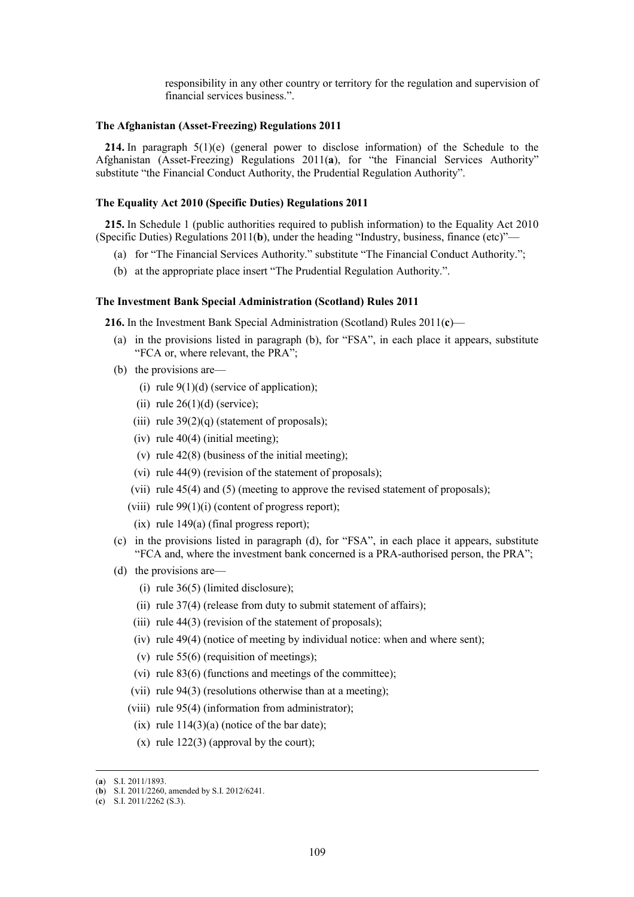responsibility in any other country or territory for the regulation and supervision of financial services business.".

## **The Afghanistan (Asset-Freezing) Regulations 2011**

**214.** In paragraph 5(1)(e) (general power to disclose information) of the Schedule to the Afghanistan (Asset-Freezing) Regulations 2011(**a**), for "the Financial Services Authority" substitute "the Financial Conduct Authority, the Prudential Regulation Authority".

#### **The Equality Act 2010 (Specific Duties) Regulations 2011**

**215.** In Schedule 1 (public authorities required to publish information) to the Equality Act 2010 (Specific Duties) Regulations 2011(**b**), under the heading "Industry, business, finance (etc)"—

- (a) for "The Financial Services Authority." substitute "The Financial Conduct Authority.";
- (b) at the appropriate place insert "The Prudential Regulation Authority.".

#### **The Investment Bank Special Administration (Scotland) Rules 2011**

**216.** In the Investment Bank Special Administration (Scotland) Rules 2011(**c**)—

- (a) in the provisions listed in paragraph (b), for "FSA", in each place it appears, substitute "FCA or, where relevant, the PRA";
- (b) the provisions are—
	- (i) rule  $9(1)(d)$  (service of application);
	- (ii) rule  $26(1)(d)$  (service);
	- (iii) rule  $39(2)(q)$  (statement of proposals);
	- (iv) rule  $40(4)$  (initial meeting);
	- (v) rule 42(8) (business of the initial meeting);
	- (vi) rule 44(9) (revision of the statement of proposals);
	- (vii) rule 45(4) and (5) (meeting to approve the revised statement of proposals);
	- (viii) rule  $99(1)(i)$  (content of progress report);
	- $(ix)$  rule 149 $(a)$  (final progress report);
- (c) in the provisions listed in paragraph (d), for "FSA", in each place it appears, substitute "FCA and, where the investment bank concerned is a PRA-authorised person, the PRA";
- (d) the provisions are—
	- (i) rule 36(5) (limited disclosure);
	- (ii) rule 37(4) (release from duty to submit statement of affairs);
	- (iii) rule  $44(3)$  (revision of the statement of proposals);
	- (iv) rule 49(4) (notice of meeting by individual notice: when and where sent);
	- (v) rule 55(6) (requisition of meetings);
	- (vi) rule 83(6) (functions and meetings of the committee);
	- (vii) rule 94(3) (resolutions otherwise than at a meeting);
	- (viii) rule 95(4) (information from administrator);
	- (ix) rule  $114(3)(a)$  (notice of the bar date);
	- (x) rule  $122(3)$  (approval by the court);

 <sup>(</sup>**a**) S.I. 2011/1893.

<sup>(</sup>**b**) S.I. 2011/2260, amended by S.I. 2012/6241.

<sup>(</sup>**c**) S.I. 2011/2262 (S.3).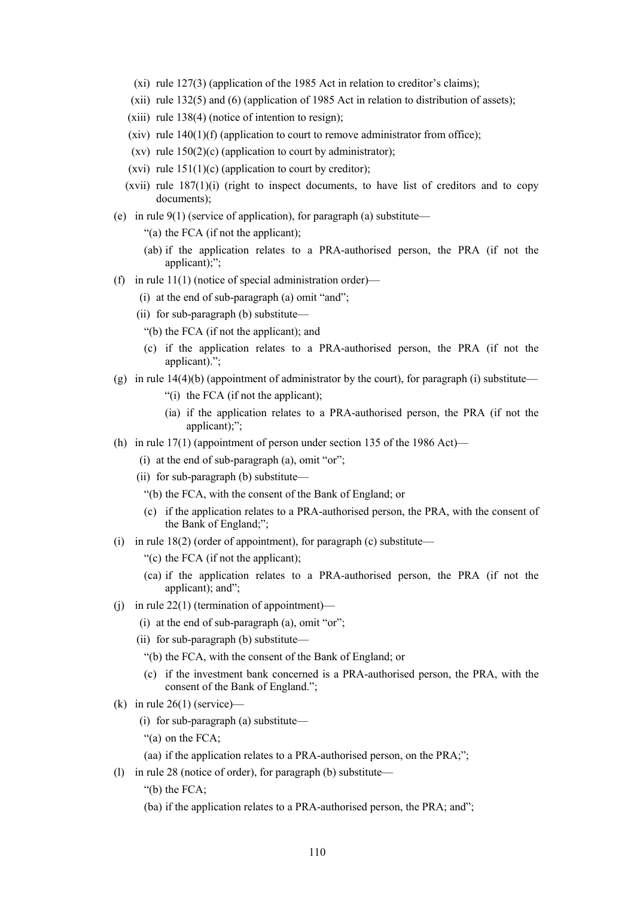- (xi) rule 127(3) (application of the 1985 Act in relation to creditor's claims);
- (xii) rule 132(5) and (6) (application of 1985 Act in relation to distribution of assets);
- (xiii) rule 138(4) (notice of intention to resign);
- (xiv) rule  $140(1)(f)$  (application to court to remove administrator from office);
- (xv) rule  $150(2)(c)$  (application to court by administrator);
- (xvi) rule  $151(1)(c)$  (application to court by creditor);
- $(xvi)$  rule  $187(1)(i)$  (right to inspect documents, to have list of creditors and to copy documents);
- (e) in rule  $9(1)$  (service of application), for paragraph (a) substitute—
	- "(a) the FCA (if not the applicant);
	- (ab) if the application relates to a PRA-authorised person, the PRA (if not the applicant);";
- (f) in rule  $11(1)$  (notice of special administration order)—
	- (i) at the end of sub-paragraph (a) omit "and";
	- (ii) for sub-paragraph (b) substitute—
	- "(b) the FCA (if not the applicant); and
	- (c) if the application relates to a PRA-authorised person, the PRA (if not the applicant).";
- $(g)$  in rule 14(4)(b) (appointment of administrator by the court), for paragraph (i) substitute—
	- "(i) the FCA (if not the applicant);
	- (ia) if the application relates to a PRA-authorised person, the PRA (if not the applicant);";
- (h) in rule  $17(1)$  (appointment of person under section 135 of the 1986 Act)—
	- (i) at the end of sub-paragraph (a), omit "or";
	- (ii) for sub-paragraph (b) substitute—
		- "(b) the FCA, with the consent of the Bank of England; or
		- (c) if the application relates to a PRA-authorised person, the PRA, with the consent of the Bank of England;";
- (i) in rule  $18(2)$  (order of appointment), for paragraph (c) substitute—
	- "(c) the FCA (if not the applicant);
	- (ca) if the application relates to a PRA-authorised person, the PRA (if not the applicant); and";
- (i) in rule  $22(1)$  (termination of appointment)—
	- (i) at the end of sub-paragraph (a), omit "or";
	- (ii) for sub-paragraph (b) substitute—
		- "(b) the FCA, with the consent of the Bank of England; or
		- (c) if the investment bank concerned is a PRA-authorised person, the PRA, with the consent of the Bank of England.";
- (k) in rule  $26(1)$  (service)—
	- (i) for sub-paragraph (a) substitute—
	- "(a) on the FCA;
	- (aa) if the application relates to a PRA-authorised person, on the PRA;";
- (l) in rule 28 (notice of order), for paragraph (b) substitute—
	- "(b) the FCA;
	- (ba) if the application relates to a PRA-authorised person, the PRA; and";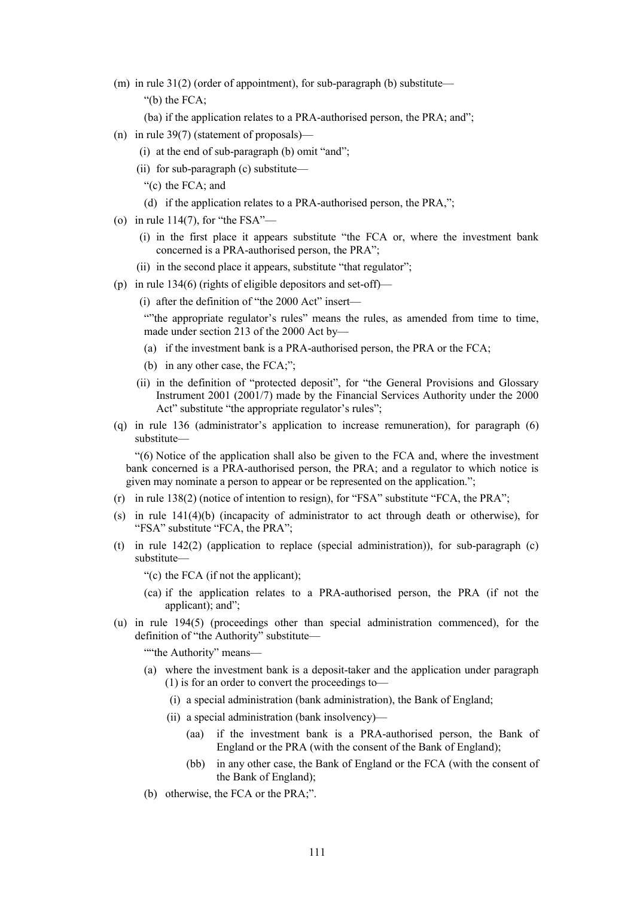- (m) in rule  $31(2)$  (order of appointment), for sub-paragraph (b) substitute— "(b) the FCA;
	- (ba) if the application relates to a PRA-authorised person, the PRA; and";
- (n) in rule 39(7) (statement of proposals)—
	- (i) at the end of sub-paragraph (b) omit "and";
	- (ii) for sub-paragraph (c) substitute—
		- "(c) the FCA; and
		- (d) if the application relates to a PRA-authorised person, the PRA,";
- (o) in rule  $114(7)$ , for "the FSA"—
	- (i) in the first place it appears substitute "the FCA or, where the investment bank concerned is a PRA-authorised person, the PRA";
	- (ii) in the second place it appears, substitute "that regulator";
- (p) in rule 134(6) (rights of eligible depositors and set-off)—
	- (i) after the definition of "the 2000 Act" insert—

""the appropriate regulator's rules" means the rules, as amended from time to time, made under section 213 of the 2000 Act by—

- (a) if the investment bank is a PRA-authorised person, the PRA or the FCA;
- (b) in any other case, the FCA;";
- (ii) in the definition of "protected deposit", for "the General Provisions and Glossary Instrument 2001 (2001/7) made by the Financial Services Authority under the 2000 Act" substitute "the appropriate regulator's rules";
- (q) in rule 136 (administrator's application to increase remuneration), for paragraph (6) substitute—

"(6) Notice of the application shall also be given to the FCA and, where the investment bank concerned is a PRA-authorised person, the PRA; and a regulator to which notice is given may nominate a person to appear or be represented on the application.";

- (r) in rule 138(2) (notice of intention to resign), for "FSA" substitute "FCA, the PRA";
- (s) in rule  $141(4)(b)$  (incapacity of administrator to act through death or otherwise), for "FSA" substitute "FCA, the PRA";
- (t) in rule  $142(2)$  (application to replace (special administration)), for sub-paragraph (c) substitute—

"(c) the FCA (if not the applicant);

- (ca) if the application relates to a PRA-authorised person, the PRA (if not the applicant); and";
- (u) in rule 194(5) (proceedings other than special administration commenced), for the definition of "the Authority" substitute—

""the Authority" means—

- (a) where the investment bank is a deposit-taker and the application under paragraph (1) is for an order to convert the proceedings to—
	- (i) a special administration (bank administration), the Bank of England;
	- (ii) a special administration (bank insolvency)—
		- (aa) if the investment bank is a PRA-authorised person, the Bank of England or the PRA (with the consent of the Bank of England);
		- (bb) in any other case, the Bank of England or the FCA (with the consent of the Bank of England);
- (b) otherwise, the FCA or the PRA;".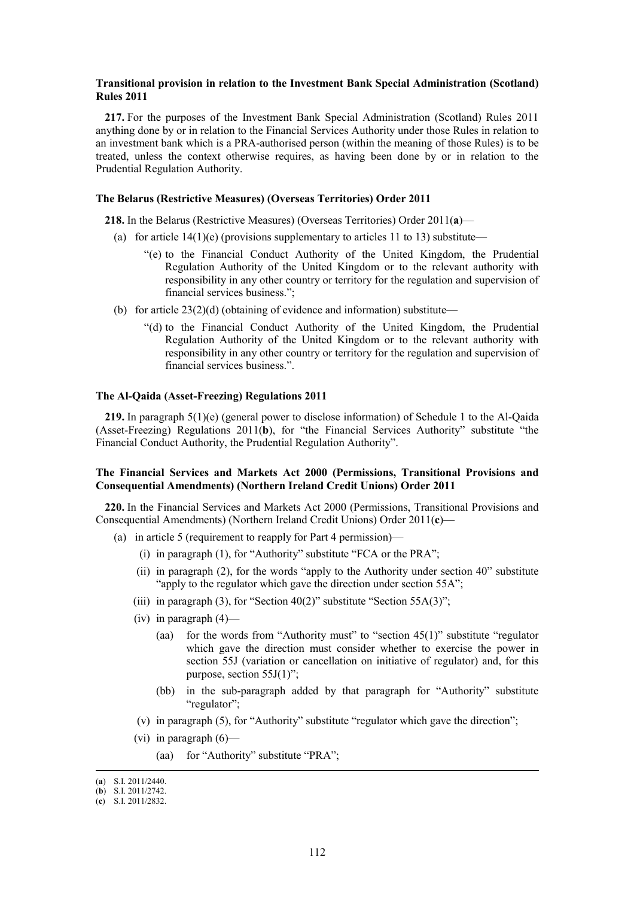### **Transitional provision in relation to the Investment Bank Special Administration (Scotland) Rules 2011**

**217.** For the purposes of the Investment Bank Special Administration (Scotland) Rules 2011 anything done by or in relation to the Financial Services Authority under those Rules in relation to an investment bank which is a PRA-authorised person (within the meaning of those Rules) is to be treated, unless the context otherwise requires, as having been done by or in relation to the Prudential Regulation Authority.

#### **The Belarus (Restrictive Measures) (Overseas Territories) Order 2011**

**218.** In the Belarus (Restrictive Measures) (Overseas Territories) Order 2011(**a**)—

- (a) for article  $14(1)(e)$  (provisions supplementary to articles 11 to 13) substitute—
	- "(e) to the Financial Conduct Authority of the United Kingdom, the Prudential Regulation Authority of the United Kingdom or to the relevant authority with responsibility in any other country or territory for the regulation and supervision of financial services business.";
- (b) for article  $23(2)(d)$  (obtaining of evidence and information) substitute—
	- "(d) to the Financial Conduct Authority of the United Kingdom, the Prudential Regulation Authority of the United Kingdom or to the relevant authority with responsibility in any other country or territory for the regulation and supervision of financial services business.".

### **The Al-Qaida (Asset-Freezing) Regulations 2011**

**219.** In paragraph 5(1)(e) (general power to disclose information) of Schedule 1 to the Al-Qaida (Asset-Freezing) Regulations 2011(**b**), for "the Financial Services Authority" substitute "the Financial Conduct Authority, the Prudential Regulation Authority".

## **The Financial Services and Markets Act 2000 (Permissions, Transitional Provisions and Consequential Amendments) (Northern Ireland Credit Unions) Order 2011**

**220.** In the Financial Services and Markets Act 2000 (Permissions, Transitional Provisions and Consequential Amendments) (Northern Ireland Credit Unions) Order 2011(**c**)—

- (a) in article 5 (requirement to reapply for Part 4 permission)—
	- (i) in paragraph (1), for "Authority" substitute "FCA or the PRA";
	- (ii) in paragraph (2), for the words "apply to the Authority under section 40" substitute "apply to the regulator which gave the direction under section 55A";
	- (iii) in paragraph (3), for "Section  $40(2)$ " substitute "Section  $55A(3)$ ";
	- (iv) in paragraph  $(4)$ 
		- (aa) for the words from "Authority must" to "section 45(1)" substitute "regulator which gave the direction must consider whether to exercise the power in section 55J (variation or cancellation on initiative of regulator) and, for this purpose, section 55J(1)";
		- (bb) in the sub-paragraph added by that paragraph for "Authority" substitute "regulator";
	- (v) in paragraph (5), for "Authority" substitute "regulator which gave the direction";
	- (vi) in paragraph  $(6)$ 
		- (aa) for "Authority" substitute "PRA";

 <sup>(</sup>**a**) S.I. 2011/2440.

<sup>(</sup>**b**) S.I. 2011/2742.

<sup>(</sup>**c**) S.I. 2011/2832.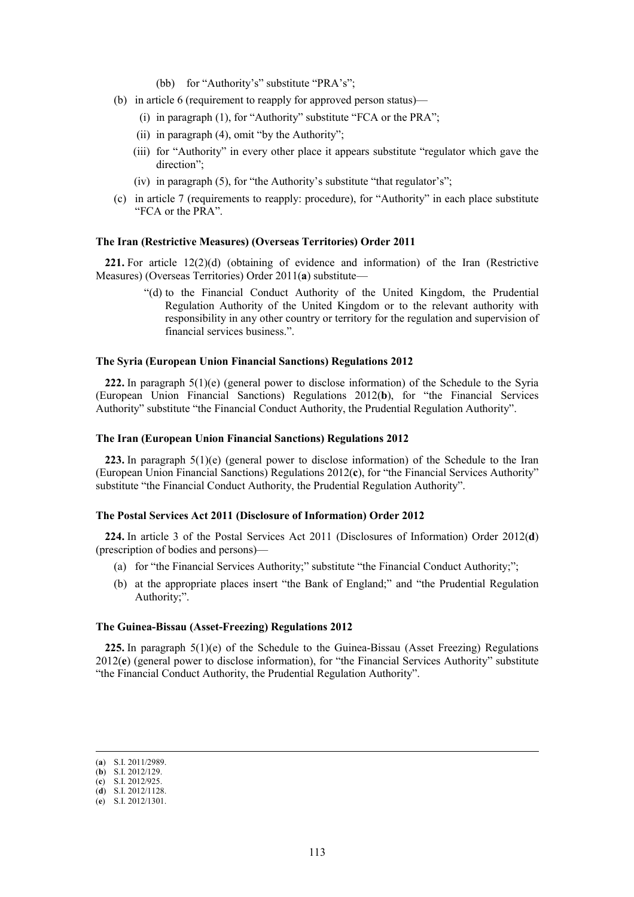- (bb) for "Authority's" substitute "PRA's";
- (b) in article 6 (requirement to reapply for approved person status)—
	- (i) in paragraph (1), for "Authority" substitute "FCA or the PRA";
	- (ii) in paragraph (4), omit "by the Authority";
	- (iii) for "Authority" in every other place it appears substitute "regulator which gave the direction";
	- (iv) in paragraph (5), for "the Authority's substitute "that regulator's";
- (c) in article 7 (requirements to reapply: procedure), for "Authority" in each place substitute "FCA or the PRA".

### **The Iran (Restrictive Measures) (Overseas Territories) Order 2011**

**221.** For article 12(2)(d) (obtaining of evidence and information) of the Iran (Restrictive Measures) (Overseas Territories) Order 2011(**a**) substitute—

> "(d) to the Financial Conduct Authority of the United Kingdom, the Prudential Regulation Authority of the United Kingdom or to the relevant authority with responsibility in any other country or territory for the regulation and supervision of financial services business.".

#### **The Syria (European Union Financial Sanctions) Regulations 2012**

**222.** In paragraph  $5(1)(e)$  (general power to disclose information) of the Schedule to the Syria (European Union Financial Sanctions) Regulations 2012(**b**), for "the Financial Services Authority" substitute "the Financial Conduct Authority, the Prudential Regulation Authority".

#### **The Iran (European Union Financial Sanctions) Regulations 2012**

**223.** In paragraph 5(1)(e) (general power to disclose information) of the Schedule to the Iran (European Union Financial Sanctions) Regulations 2012(**c**), for "the Financial Services Authority" substitute "the Financial Conduct Authority, the Prudential Regulation Authority".

#### **The Postal Services Act 2011 (Disclosure of Information) Order 2012**

**224.** In article 3 of the Postal Services Act 2011 (Disclosures of Information) Order 2012(**d**) (prescription of bodies and persons)—

- (a) for "the Financial Services Authority;" substitute "the Financial Conduct Authority;";
- (b) at the appropriate places insert "the Bank of England;" and "the Prudential Regulation Authority;".

#### **The Guinea-Bissau (Asset-Freezing) Regulations 2012**

**225.** In paragraph 5(1)(e) of the Schedule to the Guinea-Bissau (Asset Freezing) Regulations 2012(**e**) (general power to disclose information), for "the Financial Services Authority" substitute "the Financial Conduct Authority, the Prudential Regulation Authority".

 <sup>(</sup>**a**) S.I. 2011/2989.

<sup>(</sup>**b**) S.I. 2012/129.

<sup>(</sup>**c**) S.I. 2012/925. (**d**) S.I. 2012/1128.

<sup>(</sup>**e**) S.I. 2012/1301.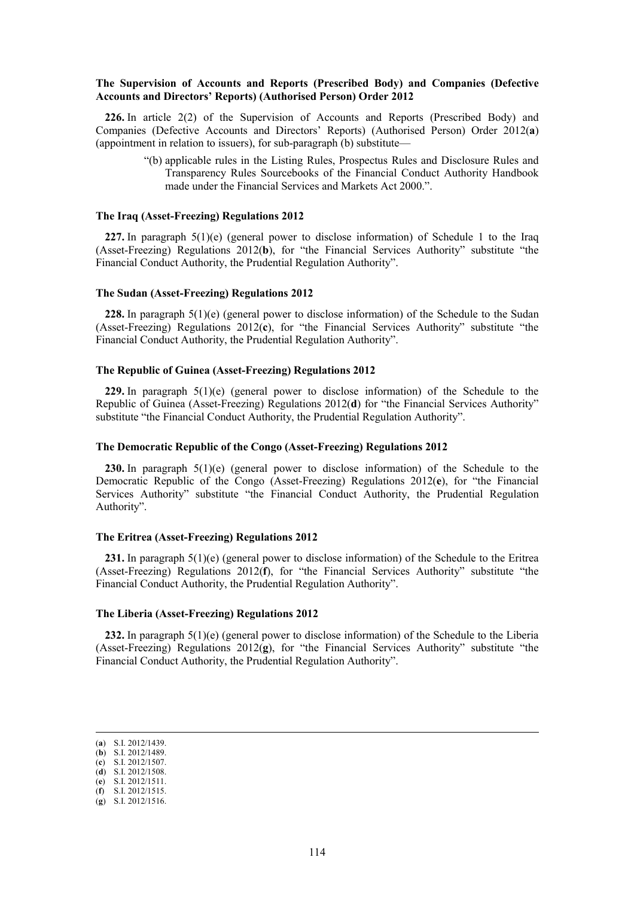### **The Supervision of Accounts and Reports (Prescribed Body) and Companies (Defective Accounts and Directors' Reports) (Authorised Person) Order 2012**

**226.** In article 2(2) of the Supervision of Accounts and Reports (Prescribed Body) and Companies (Defective Accounts and Directors' Reports) (Authorised Person) Order 2012(**a**) (appointment in relation to issuers), for sub-paragraph (b) substitute—

> "(b) applicable rules in the Listing Rules, Prospectus Rules and Disclosure Rules and Transparency Rules Sourcebooks of the Financial Conduct Authority Handbook made under the Financial Services and Markets Act 2000."

# **The Iraq (Asset-Freezing) Regulations 2012**

**227.** In paragraph 5(1)(e) (general power to disclose information) of Schedule 1 to the Iraq (Asset-Freezing) Regulations 2012(**b**), for "the Financial Services Authority" substitute "the Financial Conduct Authority, the Prudential Regulation Authority".

#### **The Sudan (Asset-Freezing) Regulations 2012**

**228.** In paragraph 5(1)(e) (general power to disclose information) of the Schedule to the Sudan (Asset-Freezing) Regulations 2012(**c**), for "the Financial Services Authority" substitute "the Financial Conduct Authority, the Prudential Regulation Authority".

### **The Republic of Guinea (Asset-Freezing) Regulations 2012**

**229.** In paragraph 5(1)(e) (general power to disclose information) of the Schedule to the Republic of Guinea (Asset-Freezing) Regulations 2012(**d**) for "the Financial Services Authority" substitute "the Financial Conduct Authority, the Prudential Regulation Authority".

#### **The Democratic Republic of the Congo (Asset-Freezing) Regulations 2012**

**230.** In paragraph 5(1)(e) (general power to disclose information) of the Schedule to the Democratic Republic of the Congo (Asset-Freezing) Regulations 2012(**e**), for "the Financial Services Authority" substitute "the Financial Conduct Authority, the Prudential Regulation Authority".

#### **The Eritrea (Asset-Freezing) Regulations 2012**

**231.** In paragraph 5(1)(e) (general power to disclose information) of the Schedule to the Eritrea (Asset-Freezing) Regulations 2012(**f**), for "the Financial Services Authority" substitute "the Financial Conduct Authority, the Prudential Regulation Authority".

#### **The Liberia (Asset-Freezing) Regulations 2012**

**232.** In paragraph 5(1)(e) (general power to disclose information) of the Schedule to the Liberia (Asset-Freezing) Regulations 2012(**g**), for "the Financial Services Authority" substitute "the Financial Conduct Authority, the Prudential Regulation Authority".

 <sup>(</sup>**a**) S.I. 2012/1439. (**b**) S.I. 2012/1489.

<sup>(</sup>**c**) S.I. 2012/1507.

<sup>(</sup>**d**) S.I. 2012/1508.

<sup>(</sup>**e**) S.I. 2012/1511.

<sup>(</sup>**f**) S.I. 2012/1515.

<sup>(</sup>**g**) S.I. 2012/1516.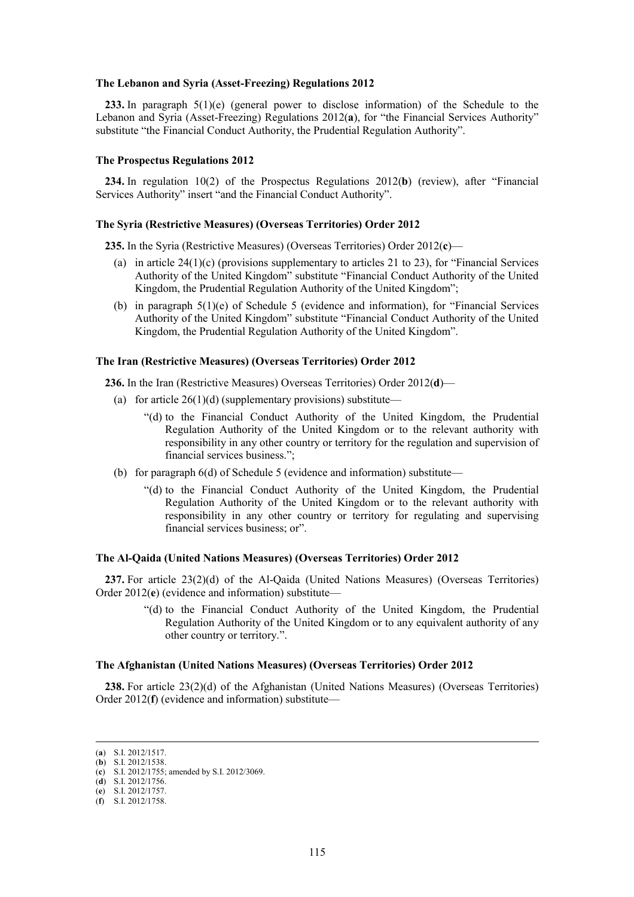#### **The Lebanon and Syria (Asset-Freezing) Regulations 2012**

**233.** In paragraph 5(1)(e) (general power to disclose information) of the Schedule to the Lebanon and Syria (Asset-Freezing) Regulations 2012(**a**), for "the Financial Services Authority" substitute "the Financial Conduct Authority, the Prudential Regulation Authority".

#### **The Prospectus Regulations 2012**

**234.** In regulation 10(2) of the Prospectus Regulations 2012(**b**) (review), after "Financial Services Authority" insert "and the Financial Conduct Authority".

#### **The Syria (Restrictive Measures) (Overseas Territories) Order 2012**

**235.** In the Syria (Restrictive Measures) (Overseas Territories) Order 2012(**c**)—

- (a) in article 24(1)(c) (provisions supplementary to articles 21 to 23), for "Financial Services Authority of the United Kingdom" substitute "Financial Conduct Authority of the United Kingdom, the Prudential Regulation Authority of the United Kingdom";
- (b) in paragraph 5(1)(e) of Schedule 5 (evidence and information), for "Financial Services Authority of the United Kingdom" substitute "Financial Conduct Authority of the United Kingdom, the Prudential Regulation Authority of the United Kingdom".

#### **The Iran (Restrictive Measures) (Overseas Territories) Order 2012**

**236.** In the Iran (Restrictive Measures) Overseas Territories) Order 2012(**d**)—

- (a) for article  $26(1)(d)$  (supplementary provisions) substitute—
	- "(d) to the Financial Conduct Authority of the United Kingdom, the Prudential Regulation Authority of the United Kingdom or to the relevant authority with responsibility in any other country or territory for the regulation and supervision of financial services business.";
- (b) for paragraph 6(d) of Schedule 5 (evidence and information) substitute—
	- "(d) to the Financial Conduct Authority of the United Kingdom, the Prudential Regulation Authority of the United Kingdom or to the relevant authority with responsibility in any other country or territory for regulating and supervising financial services business; or".

#### **The Al-Qaida (United Nations Measures) (Overseas Territories) Order 2012**

**237.** For article 23(2)(d) of the Al-Qaida (United Nations Measures) (Overseas Territories) Order 2012(**e**) (evidence and information) substitute—

> "(d) to the Financial Conduct Authority of the United Kingdom, the Prudential Regulation Authority of the United Kingdom or to any equivalent authority of any other country or territory.".

### **The Afghanistan (United Nations Measures) (Overseas Territories) Order 2012**

**238.** For article 23(2)(d) of the Afghanistan (United Nations Measures) (Overseas Territories) Order 2012(**f**) (evidence and information) substitute—

 <sup>(</sup>**a**) S.I. 2012/1517.

<sup>(</sup>**b**) S.I. 2012/1538.

<sup>(</sup>**c**) S.I. 2012/1755; amended by S.I. 2012/3069. (**d**) S.I. 2012/1756.

<sup>(</sup>**e**) S.I. 2012/1757.

<sup>(</sup>**f**) S.I. 2012/1758.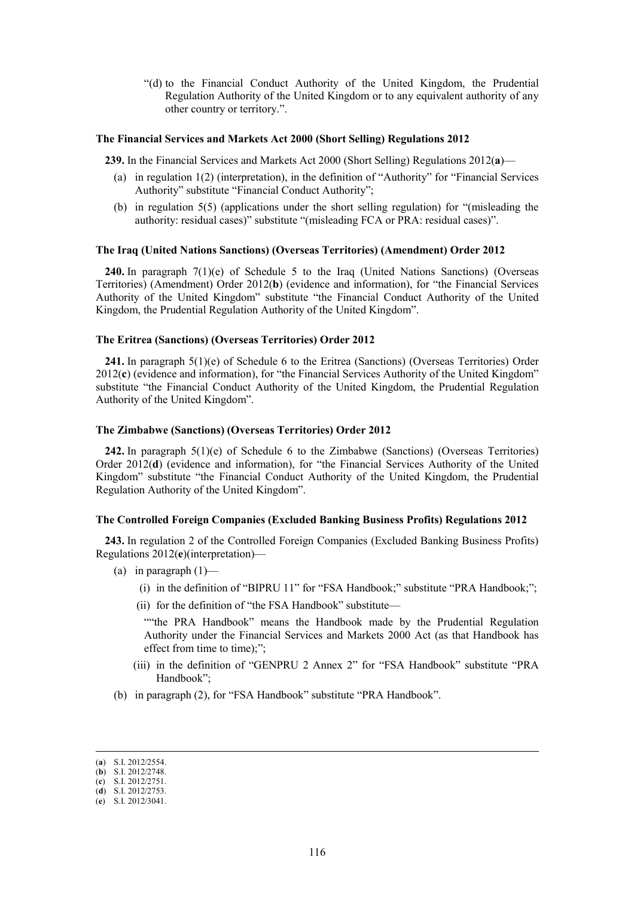"(d) to the Financial Conduct Authority of the United Kingdom, the Prudential Regulation Authority of the United Kingdom or to any equivalent authority of any other country or territory.".

### **The Financial Services and Markets Act 2000 (Short Selling) Regulations 2012**

**239.** In the Financial Services and Markets Act 2000 (Short Selling) Regulations 2012(**a**)—

- (a) in regulation 1(2) (interpretation), in the definition of "Authority" for "Financial Services Authority" substitute "Financial Conduct Authority";
- (b) in regulation 5(5) (applications under the short selling regulation) for "(misleading the authority: residual cases)" substitute "(misleading FCA or PRA: residual cases)".

#### **The Iraq (United Nations Sanctions) (Overseas Territories) (Amendment) Order 2012**

**240.** In paragraph 7(1)(e) of Schedule 5 to the Iraq (United Nations Sanctions) (Overseas Territories) (Amendment) Order 2012(**b**) (evidence and information), for "the Financial Services Authority of the United Kingdom" substitute "the Financial Conduct Authority of the United Kingdom, the Prudential Regulation Authority of the United Kingdom".

### **The Eritrea (Sanctions) (Overseas Territories) Order 2012**

**241.** In paragraph 5(1)(e) of Schedule 6 to the Eritrea (Sanctions) (Overseas Territories) Order 2012(**c**) (evidence and information), for "the Financial Services Authority of the United Kingdom" substitute "the Financial Conduct Authority of the United Kingdom, the Prudential Regulation Authority of the United Kingdom".

#### **The Zimbabwe (Sanctions) (Overseas Territories) Order 2012**

**242.** In paragraph 5(1)(e) of Schedule 6 to the Zimbabwe (Sanctions) (Overseas Territories) Order 2012(**d**) (evidence and information), for "the Financial Services Authority of the United Kingdom" substitute "the Financial Conduct Authority of the United Kingdom, the Prudential Regulation Authority of the United Kingdom".

### **The Controlled Foreign Companies (Excluded Banking Business Profits) Regulations 2012**

**243.** In regulation 2 of the Controlled Foreign Companies (Excluded Banking Business Profits) Regulations 2012(**e**)(interpretation)—

- (a) in paragraph  $(1)$ 
	- (i) in the definition of "BIPRU 11" for "FSA Handbook;" substitute "PRA Handbook;";
	- (ii) for the definition of "the FSA Handbook" substitute—

""the PRA Handbook" means the Handbook made by the Prudential Regulation Authority under the Financial Services and Markets 2000 Act (as that Handbook has effect from time to time);";

- (iii) in the definition of "GENPRU 2 Annex 2" for "FSA Handbook" substitute "PRA Handbook";
- (b) in paragraph (2), for "FSA Handbook" substitute "PRA Handbook".

 <sup>(</sup>**a**) S.I. 2012/2554.

<sup>(</sup>**b**) S.I. 2012/2748. (**c**) S.I. 2012/2751.

<sup>(</sup>**d**) S.I. 2012/2753.

<sup>(</sup>**e**) S.I. 2012/3041.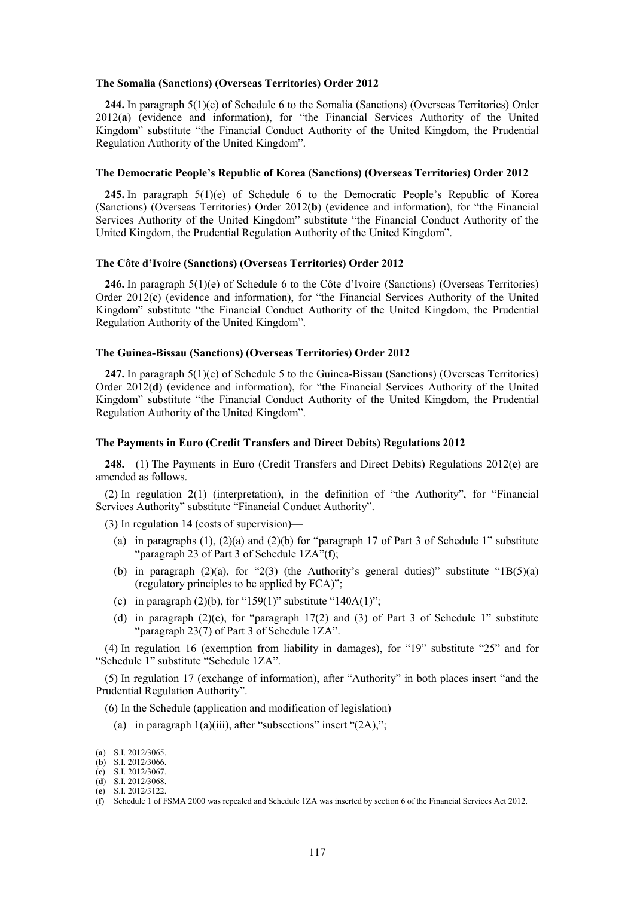#### **The Somalia (Sanctions) (Overseas Territories) Order 2012**

**244.** In paragraph 5(1)(e) of Schedule 6 to the Somalia (Sanctions) (Overseas Territories) Order 2012(**a**) (evidence and information), for "the Financial Services Authority of the United Kingdom" substitute "the Financial Conduct Authority of the United Kingdom, the Prudential Regulation Authority of the United Kingdom".

#### **The Democratic People's Republic of Korea (Sanctions) (Overseas Territories) Order 2012**

**245.** In paragraph 5(1)(e) of Schedule 6 to the Democratic People's Republic of Korea (Sanctions) (Overseas Territories) Order 2012(**b**) (evidence and information), for "the Financial Services Authority of the United Kingdom" substitute "the Financial Conduct Authority of the United Kingdom, the Prudential Regulation Authority of the United Kingdom".

#### **The Côte d'Ivoire (Sanctions) (Overseas Territories) Order 2012**

**246.** In paragraph 5(1)(e) of Schedule 6 to the Côte d'Ivoire (Sanctions) (Overseas Territories) Order 2012(**c**) (evidence and information), for "the Financial Services Authority of the United Kingdom" substitute "the Financial Conduct Authority of the United Kingdom, the Prudential Regulation Authority of the United Kingdom".

### **The Guinea-Bissau (Sanctions) (Overseas Territories) Order 2012**

**247.** In paragraph 5(1)(e) of Schedule 5 to the Guinea-Bissau (Sanctions) (Overseas Territories) Order 2012(**d**) (evidence and information), for "the Financial Services Authority of the United Kingdom" substitute "the Financial Conduct Authority of the United Kingdom, the Prudential Regulation Authority of the United Kingdom".

#### **The Payments in Euro (Credit Transfers and Direct Debits) Regulations 2012**

**248.**—(1) The Payments in Euro (Credit Transfers and Direct Debits) Regulations 2012(**e**) are amended as follows.

(2) In regulation 2(1) (interpretation), in the definition of "the Authority", for "Financial Services Authority" substitute "Financial Conduct Authority".

(3) In regulation 14 (costs of supervision)—

- (a) in paragraphs (1), (2)(a) and (2)(b) for "paragraph 17 of Part 3 of Schedule 1" substitute "paragraph 23 of Part 3 of Schedule 1ZA"(**f**);
- (b) in paragraph (2)(a), for "2(3) (the Authority's general duties)" substitute "1B(5)(a) (regulatory principles to be applied by FCA)";
- (c) in paragraph  $(2)(b)$ , for "159(1)" substitute "140A(1)";
- (d) in paragraph  $(2)(c)$ , for "paragraph 17(2) and (3) of Part 3 of Schedule 1" substitute "paragraph 23(7) of Part 3 of Schedule 1ZA".

(4) In regulation 16 (exemption from liability in damages), for "19" substitute "25" and for "Schedule 1" substitute "Schedule 1ZA".

(5) In regulation 17 (exchange of information), after "Authority" in both places insert "and the Prudential Regulation Authority".

(6) In the Schedule (application and modification of legislation)—

(a) in paragraph  $1(a)(iii)$ , after "subsections" insert " $(2A)$ ,";

 <sup>(</sup>**a**) S.I. 2012/3065.

<sup>(</sup>**b**) S.I. 2012/3066.

<sup>(</sup>**c**) S.I. 2012/3067. (**d**) S.I. 2012/3068.

<sup>(</sup>**e**) S.I. 2012/3122.

<sup>(</sup>**f**) Schedule 1 of FSMA 2000 was repealed and Schedule 1ZA was inserted by section 6 of the Financial Services Act 2012.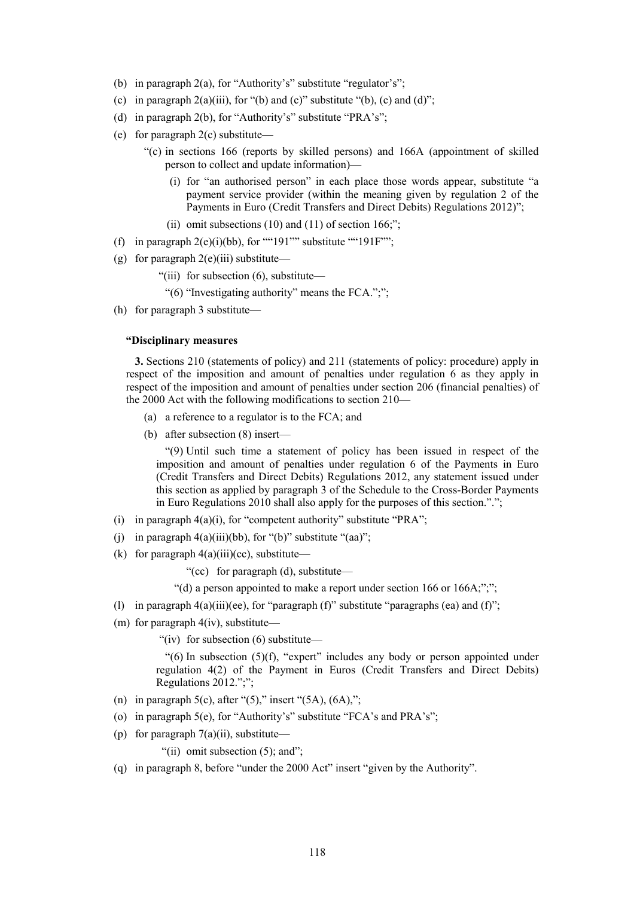- (b) in paragraph 2(a), for "Authority's" substitute "regulator's";
- (c) in paragraph  $2(a)(iii)$ , for "(b) and (c)" substitute "(b), (c) and (d)";
- (d) in paragraph 2(b), for "Authority's" substitute "PRA's";
- (e) for paragraph 2(c) substitute—
	- "(c) in sections 166 (reports by skilled persons) and 166A (appointment of skilled person to collect and update information)—
		- (i) for "an authorised person" in each place those words appear, substitute "a payment service provider (within the meaning given by regulation 2 of the Payments in Euro (Credit Transfers and Direct Debits) Regulations 2012)";
		- (ii) omit subsections  $(10)$  and  $(11)$  of section 166;";
- (f) in paragraph  $2(e)(i)(bb)$ , for ""191"" substitute ""191F"";
- (g) for paragraph  $2(e)(iii)$  substitute—
	- "(iii) for subsection (6), substitute—
		- "(6) "Investigating authority" means the FCA.";";
- (h) for paragraph 3 substitute—

#### **"Disciplinary measures**

**3.** Sections 210 (statements of policy) and 211 (statements of policy: procedure) apply in respect of the imposition and amount of penalties under regulation 6 as they apply in respect of the imposition and amount of penalties under section 206 (financial penalties) of the 2000 Act with the following modifications to section 210—

- (a) a reference to a regulator is to the FCA; and
- (b) after subsection (8) insert—

"(9) Until such time a statement of policy has been issued in respect of the imposition and amount of penalties under regulation 6 of the Payments in Euro (Credit Transfers and Direct Debits) Regulations 2012, any statement issued under this section as applied by paragraph 3 of the Schedule to the Cross-Border Payments in Euro Regulations 2010 shall also apply for the purposes of this section.".";

- (i) in paragraph  $4(a)(i)$ , for "competent authority" substitute "PRA";
- (i) in paragraph  $4(a)(iii)(bb)$ , for " $(b)$ " substitute " $(aa)$ ";
- (k) for paragraph  $4(a)(iii)(cc)$ , substitute—

"(cc) for paragraph (d), substitute—

"(d) a person appointed to make a report under section 166 or 166A;";";

- (l) in paragraph  $4(a)(iii)(ee)$ , for "paragraph (f)" substitute "paragraphs (ea) and (f)";
- (m) for paragraph  $4(iv)$ , substitute—

"(iv) for subsection (6) substitute—

" $(6)$  In subsection  $(5)(f)$ , "expert" includes any body or person appointed under regulation 4(2) of the Payment in Euros (Credit Transfers and Direct Debits) Regulations 2012.";";

- (n) in paragraph 5(c), after " $(5)$ ," insert " $(5A)$ ,  $(6A)$ ,";
- (o) in paragraph 5(e), for "Authority's" substitute "FCA's and PRA's";
- (p) for paragraph  $7(a)(ii)$ , substitute—

"(ii) omit subsection  $(5)$ ; and";

(q) in paragraph 8, before "under the 2000 Act" insert "given by the Authority".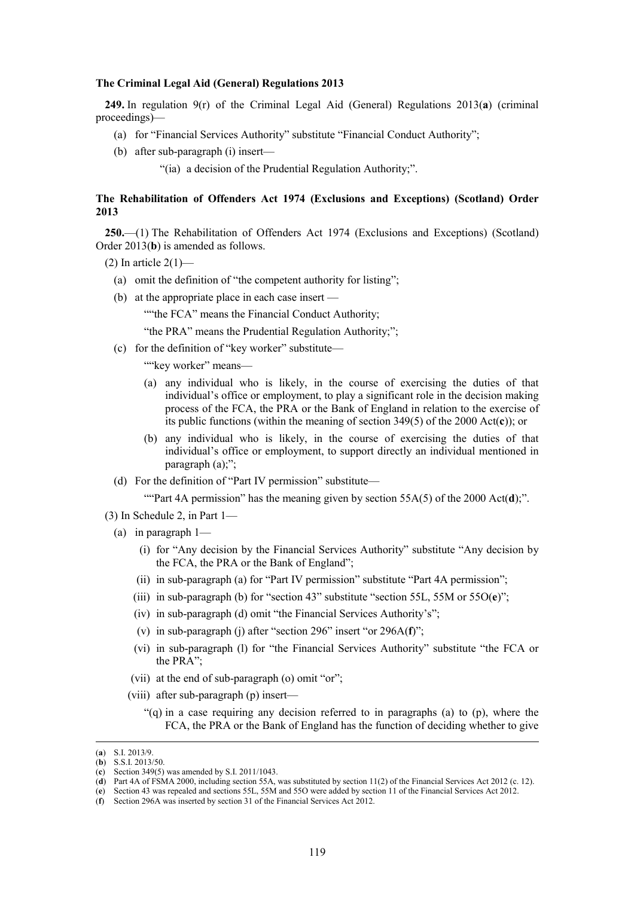#### **The Criminal Legal Aid (General) Regulations 2013**

**249.** In regulation 9(r) of the Criminal Legal Aid (General) Regulations 2013(**a**) (criminal proceedings)—

- (a) for "Financial Services Authority" substitute "Financial Conduct Authority";
- (b) after sub-paragraph (i) insert—
	- "(ia) a decision of the Prudential Regulation Authority;".

## **The Rehabilitation of Offenders Act 1974 (Exclusions and Exceptions) (Scotland) Order 2013**

**250.**—(1) The Rehabilitation of Offenders Act 1974 (Exclusions and Exceptions) (Scotland) Order 2013(**b**) is amended as follows.

- (2) In article  $2(1)$ 
	- (a) omit the definition of "the competent authority for listing";
	- (b) at the appropriate place in each case insert —

""the FCA" means the Financial Conduct Authority;

"the PRA" means the Prudential Regulation Authority;";

(c) for the definition of "key worker" substitute—

""key worker" means-

- (a) any individual who is likely, in the course of exercising the duties of that individual's office or employment, to play a significant role in the decision making process of the FCA, the PRA or the Bank of England in relation to the exercise of its public functions (within the meaning of section 349(5) of the 2000 Act(**c**)); or
- (b) any individual who is likely, in the course of exercising the duties of that individual's office or employment, to support directly an individual mentioned in paragraph (a);";
- (d) For the definition of "Part IV permission" substitute—

""Part 4A permission" has the meaning given by section 55A(5) of the 2000 Act(d);".

- (3) In Schedule 2, in Part 1—
	- (a) in paragraph 1—
		- (i) for "Any decision by the Financial Services Authority" substitute "Any decision by the FCA, the PRA or the Bank of England";
		- (ii) in sub-paragraph (a) for "Part IV permission" substitute "Part 4A permission";
		- (iii) in sub-paragraph (b) for "section 43" substitute "section 55L, 55M or 55O(**e**)";
		- (iv) in sub-paragraph (d) omit "the Financial Services Authority's";
		- (v) in sub-paragraph (j) after "section 296" insert "or 296A(**f**)";
		- (vi) in sub-paragraph (l) for "the Financial Services Authority" substitute "the FCA or the PRA":
		- (vii) at the end of sub-paragraph (o) omit "or";
		- (viii) after sub-paragraph (p) insert—
			- "(q) in a case requiring any decision referred to in paragraphs (a) to (p), where the FCA, the PRA or the Bank of England has the function of deciding whether to give

 <sup>(</sup>**a**) S.I. 2013/9.

<sup>(</sup>**b**) S.S.I. 2013/50.

<sup>(</sup>**c**) Section 349(5) was amended by S.I. 2011/1043.

<sup>(</sup>**d**) Part 4A of FSMA 2000, including section 55A, was substituted by section 11(2) of the Financial Services Act 2012 (c. 12).

<sup>(</sup>**e**) Section 43 was repealed and sections 55L, 55M and 55O were added by section 11 of the Financial Services Act 2012.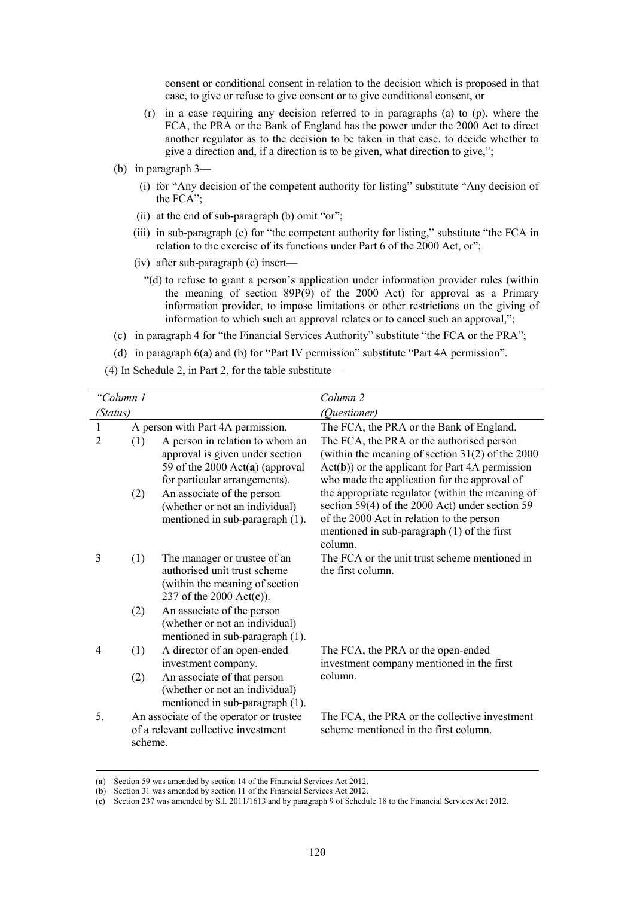consent or conditional consent in relation to the decision which is proposed in that case, to give or refuse to give consent or to give conditional consent, or

- (r) in a case requiring any decision referred to in paragraphs (a) to (p), where the FCA, the PRA or the Bank of England has the power under the 2000 Act to direct another regulator as to the decision to be taken in that case, to decide whether to give a direction and, if a direction is to be given, what direction to give,";
- (b) in paragraph 3—
	- (i) for "Any decision of the competent authority for listing" substitute "Any decision of the FCA";
	- (ii) at the end of sub-paragraph (b) omit "or";
	- (iii) in sub-paragraph (c) for "the competent authority for listing," substitute "the FCA in relation to the exercise of its functions under Part 6 of the 2000 Act, or";
	- (iv) after sub-paragraph (c) insert—
		- "(d) to refuse to grant a person's application under information provider rules (within the meaning of section 89P(9) of the 2000 Act) for approval as a Primary information provider, to impose limitations or other restrictions on the giving of information to which such an approval relates or to cancel such an approval,";
- (c) in paragraph 4 for "the Financial Services Authority" substitute "the FCA or the PRA";
- (d) in paragraph 6(a) and (b) for "Part IV permission" substitute "Part 4A permission".
- (4) In Schedule 2, in Part 2, for the table substitute—

| "Column 1    |         |                                                                                                                                          | Column <sub>2</sub>                                                                                                                                                                                          |  |
|--------------|---------|------------------------------------------------------------------------------------------------------------------------------------------|--------------------------------------------------------------------------------------------------------------------------------------------------------------------------------------------------------------|--|
| (Status)     |         |                                                                                                                                          | (Questioner)                                                                                                                                                                                                 |  |
| $\mathbf{1}$ |         | A person with Part 4A permission.                                                                                                        | The FCA, the PRA or the Bank of England.                                                                                                                                                                     |  |
| 2            | (1)     | A person in relation to whom an<br>approval is given under section<br>59 of the 2000 $Act(a)$ (approval<br>for particular arrangements). | The FCA, the PRA or the authorised person<br>(within the meaning of section $31(2)$ of the 2000<br>$Act(b))$ or the applicant for Part 4A permission<br>who made the application for the approval of         |  |
|              | (2)     | An associate of the person<br>(whether or not an individual)<br>mentioned in sub-paragraph (1).                                          | the appropriate regulator (within the meaning of<br>section 59(4) of the 2000 Act) under section 59<br>of the 2000 Act in relation to the person<br>mentioned in sub-paragraph $(1)$ of the first<br>column. |  |
| 3            | (1)     | The manager or trustee of an<br>authorised unit trust scheme<br>(within the meaning of section)<br>237 of the 2000 $Act(c)$ ).           | The FCA or the unit trust scheme mentioned in<br>the first column.                                                                                                                                           |  |
|              | (2)     | An associate of the person<br>(whether or not an individual)<br>mentioned in sub-paragraph (1).                                          |                                                                                                                                                                                                              |  |
| 4            | (1)     | A director of an open-ended<br>investment company.                                                                                       | The FCA, the PRA or the open-ended<br>investment company mentioned in the first                                                                                                                              |  |
|              | (2)     | An associate of that person<br>(whether or not an individual)<br>mentioned in sub-paragraph (1).                                         | column.                                                                                                                                                                                                      |  |
| 5.           | scheme. | An associate of the operator or trustee<br>of a relevant collective investment                                                           | The FCA, the PRA or the collective investment<br>scheme mentioned in the first column.                                                                                                                       |  |

 <sup>(</sup>**a**) Section 59 was amended by section 14 of the Financial Services Act 2012.

<sup>(</sup>**b**) Section 31 was amended by section 11 of the Financial Services Act 2012.

<sup>(</sup>**c**) Section 237 was amended by S.I. 2011/1613 and by paragraph 9 of Schedule 18 to the Financial Services Act 2012.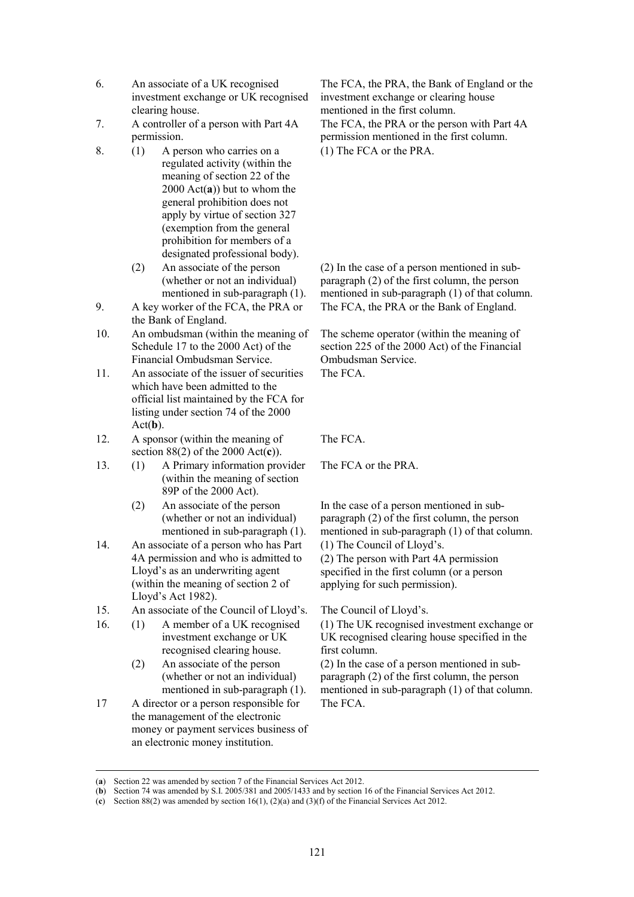- 6. An associate of a UK recognised investment exchange or UK recognised clearing house.
- 7. A controller of a person with Part 4A permission.
- 8. (1) A person who carries on a regulated activity (within the meaning of section 22 of the 2000 Act(**a**)) but to whom the general prohibition does not apply by virtue of section 327 (exemption from the general prohibition for members of a designated professional body).
	- (2) An associate of the person (whether or not an individual) mentioned in sub-paragraph (1).
- 9. A key worker of the FCA, the PRA or the Bank of England.
- 10. An ombudsman (within the meaning of Schedule 17 to the 2000 Act) of the Financial Ombudsman Service.
- 11. An associate of the issuer of securities which have been admitted to the official list maintained by the FCA for listing under section 74 of the 2000 Act(**b**).
- 12. A sponsor (within the meaning of section 88(2) of the 2000 Act(**c**)).
- 13. (1) A Primary information provider (within the meaning of section 89P of the 2000 Act).
	- (2) An associate of the person (whether or not an individual) mentioned in sub-paragraph (1).
- 14. An associate of a person who has Part 4A permission and who is admitted to Lloyd's as an underwriting agent (within the meaning of section 2 of Lloyd's Act 1982).
- 15. An associate of the Council of Lloyd's. The Council of Lloyd's.
- 16. (1) A member of a UK recognised investment exchange or UK recognised clearing house.
	- (2) An associate of the person (whether or not an individual) mentioned in sub-paragraph (1).
- 17 A director or a person responsible for the management of the electronic money or payment services business of an electronic money institution.

The FCA, the PRA, the Bank of England or the investment exchange or clearing house mentioned in the first column.

The FCA, the PRA or the person with Part 4A permission mentioned in the first column. (1) The FCA or the PRA.

(2) In the case of a person mentioned in subparagraph (2) of the first column, the person mentioned in sub-paragraph (1) of that column. The FCA, the PRA or the Bank of England.

The scheme operator (within the meaning of section 225 of the 2000 Act) of the Financial Ombudsman Service.

The FCA.

The FCA.

The FCA or the PRA.

In the case of a person mentioned in subparagraph  $(2)$  of the first column, the person mentioned in sub-paragraph (1) of that column.

(1) The Council of Lloyd's.

(2) The person with Part 4A permission specified in the first column (or a person applying for such permission).

(1) The UK recognised investment exchange or UK recognised clearing house specified in the first column.

(2) In the case of a person mentioned in subparagraph (2) of the first column, the person mentioned in sub-paragraph (1) of that column. The FCA.

 <sup>(</sup>**a**) Section 22 was amended by section 7 of the Financial Services Act 2012.

<sup>(</sup>**b**) Section 74 was amended by S.I. 2005/381 and 2005/1433 and by section 16 of the Financial Services Act 2012.

<sup>(</sup>**c**) Section 88(2) was amended by section 16(1), (2)(a) and (3)(f) of the Financial Services Act 2012.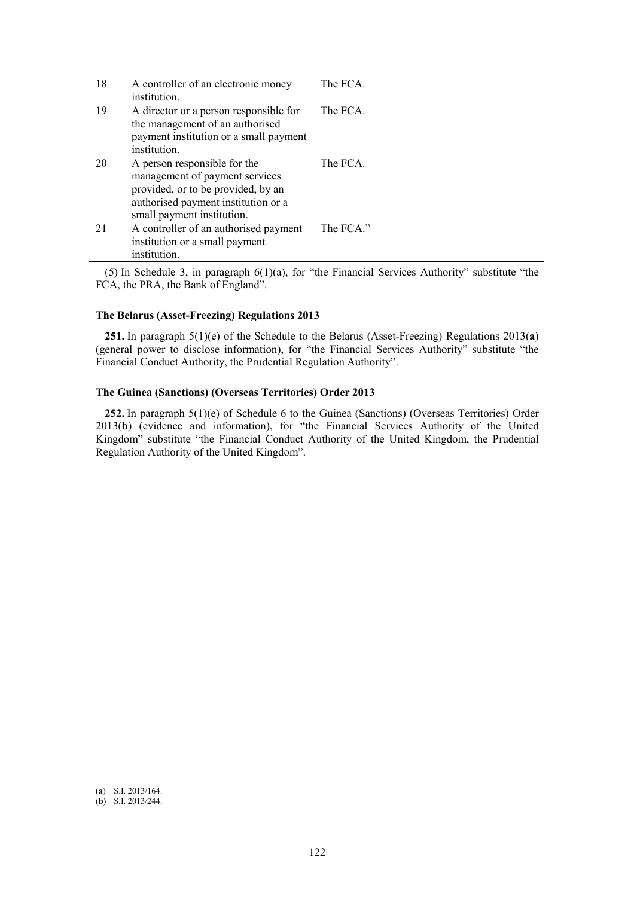| 18 | A controller of an electronic money<br>institution.                                                                                                                       | The FCA.  |
|----|---------------------------------------------------------------------------------------------------------------------------------------------------------------------------|-----------|
| 19 | A director or a person responsible for<br>the management of an authorised<br>payment institution or a small payment<br>institution.                                       | The FCA.  |
| 20 | A person responsible for the<br>management of payment services<br>provided, or to be provided, by an<br>authorised payment institution or a<br>small payment institution. | The FCA.  |
| 21 | A controller of an authorised payment<br>institution or a small payment<br>institution.                                                                                   | The FCA." |

(5) In Schedule 3, in paragraph 6(1)(a), for "the Financial Services Authority" substitute "the FCA, the PRA, the Bank of England".

# **The Belarus (Asset-Freezing) Regulations 2013**

**251.** In paragraph 5(1)(e) of the Schedule to the Belarus (Asset-Freezing) Regulations 2013(**a**) (general power to disclose information), for "the Financial Services Authority" substitute "the Financial Conduct Authority, the Prudential Regulation Authority".

## **The Guinea (Sanctions) (Overseas Territories) Order 2013**

**252.** In paragraph 5(1)(e) of Schedule 6 to the Guinea (Sanctions) (Overseas Territories) Order 2013(**b**) (evidence and information), for "the Financial Services Authority of the United Kingdom" substitute "the Financial Conduct Authority of the United Kingdom, the Prudential Regulation Authority of the United Kingdom".

 <sup>(</sup>**a**) S.I. 2013/164.

<sup>(</sup>**b**) S.I. 2013/244.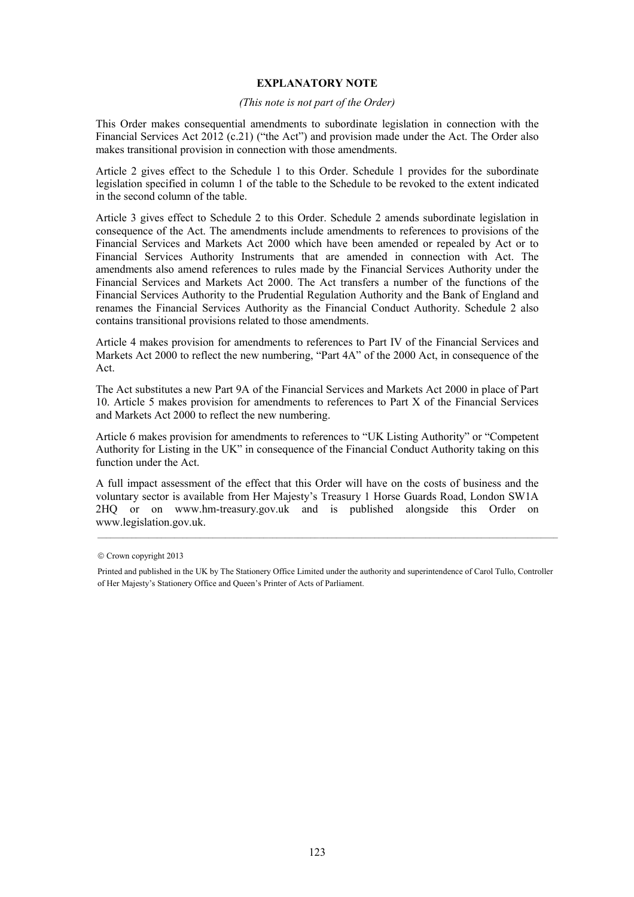## **EXPLANATORY NOTE**

### *(This note is not part of the Order)*

This Order makes consequential amendments to subordinate legislation in connection with the Financial Services Act 2012 (c.21) ("the Act") and provision made under the Act. The Order also makes transitional provision in connection with those amendments.

Article 2 gives effect to the Schedule 1 to this Order. Schedule 1 provides for the subordinate legislation specified in column 1 of the table to the Schedule to be revoked to the extent indicated in the second column of the table.

Article 3 gives effect to Schedule 2 to this Order. Schedule 2 amends subordinate legislation in consequence of the Act. The amendments include amendments to references to provisions of the Financial Services and Markets Act 2000 which have been amended or repealed by Act or to Financial Services Authority Instruments that are amended in connection with Act. The amendments also amend references to rules made by the Financial Services Authority under the Financial Services and Markets Act 2000. The Act transfers a number of the functions of the Financial Services Authority to the Prudential Regulation Authority and the Bank of England and renames the Financial Services Authority as the Financial Conduct Authority. Schedule 2 also contains transitional provisions related to those amendments.

Article 4 makes provision for amendments to references to Part IV of the Financial Services and Markets Act 2000 to reflect the new numbering, "Part 4A" of the 2000 Act, in consequence of the Act.

The Act substitutes a new Part 9A of the Financial Services and Markets Act 2000 in place of Part 10. Article 5 makes provision for amendments to references to Part X of the Financial Services and Markets Act 2000 to reflect the new numbering.

Article 6 makes provision for amendments to references to "UK Listing Authority" or "Competent Authority for Listing in the UK" in consequence of the Financial Conduct Authority taking on this function under the Act.

A full impact assessment of the effect that this Order will have on the costs of business and the voluntary sector is available from Her Majesty's Treasury 1 Horse Guards Road, London SW1A 2HQ or on www.hm-treasury.gov.uk and is published alongside this Order on www.legislation.gov.uk.

<sup>©</sup> Crown copyright 2013

Printed and published in the UK by The Stationery Office Limited under the authority and superintendence of Carol Tullo, Controller of Her Majesty's Stationery Office and Queen's Printer of Acts of Parliament.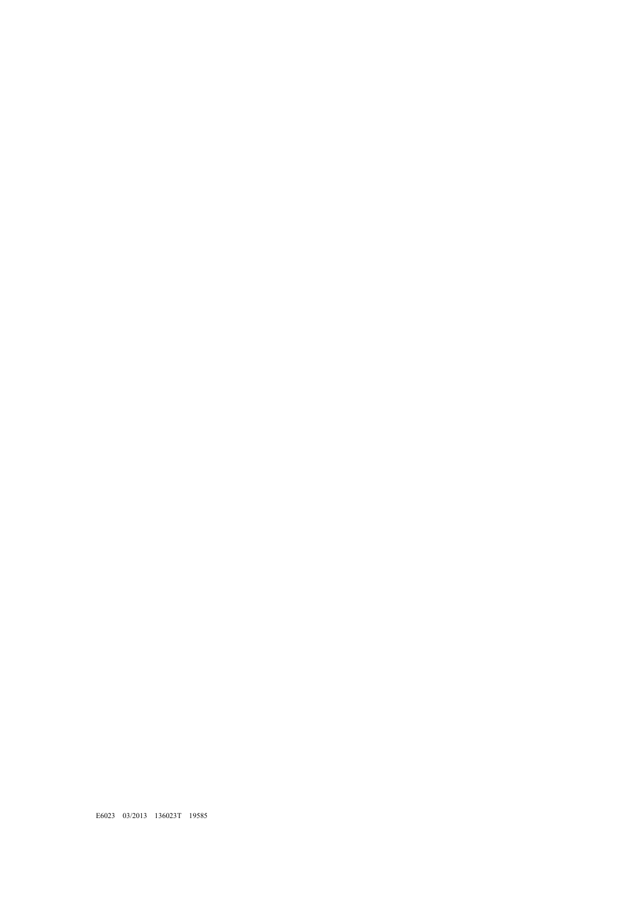E6023 03/2013 136023T 19585